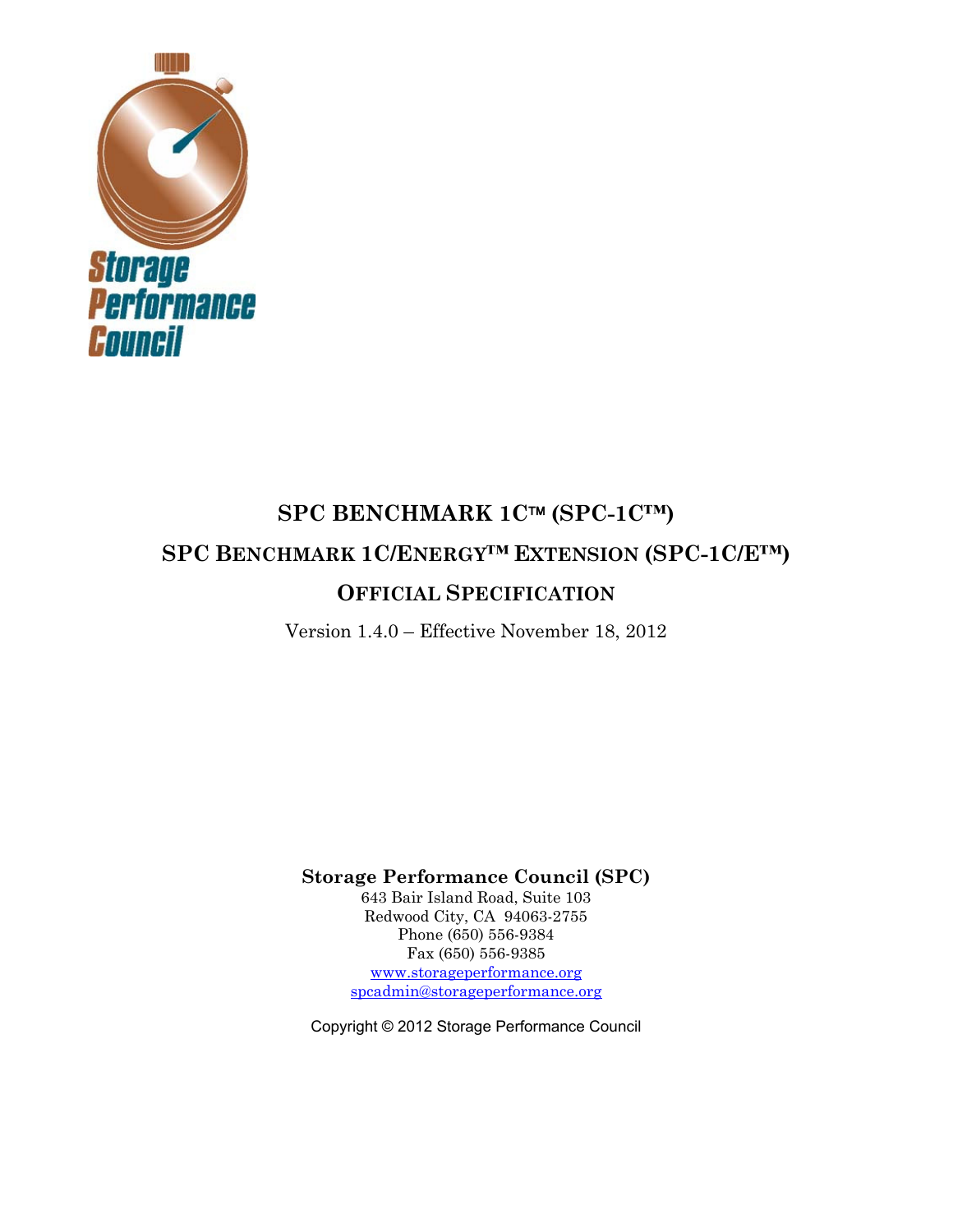

# **SPC BENCHMARK 1C™ (SPC-1C™) SPC BENCHMARK 1C/ENERGY™ EXTENSION (SPC-1C/E™) OFFICIAL SPECIFICATION**

Version 1.4.0 – Effective November 18, 2012

**Storage Performance Council (SPC)** 

643 Bair Island Road, Suite 103 Redwood City, CA 94063-2755 Phone (650) 556-9384 Fax (650) 556-9385 www.storageperformance.org spcadmin@storageperformance.org

Copyright © 2012 Storage Performance Council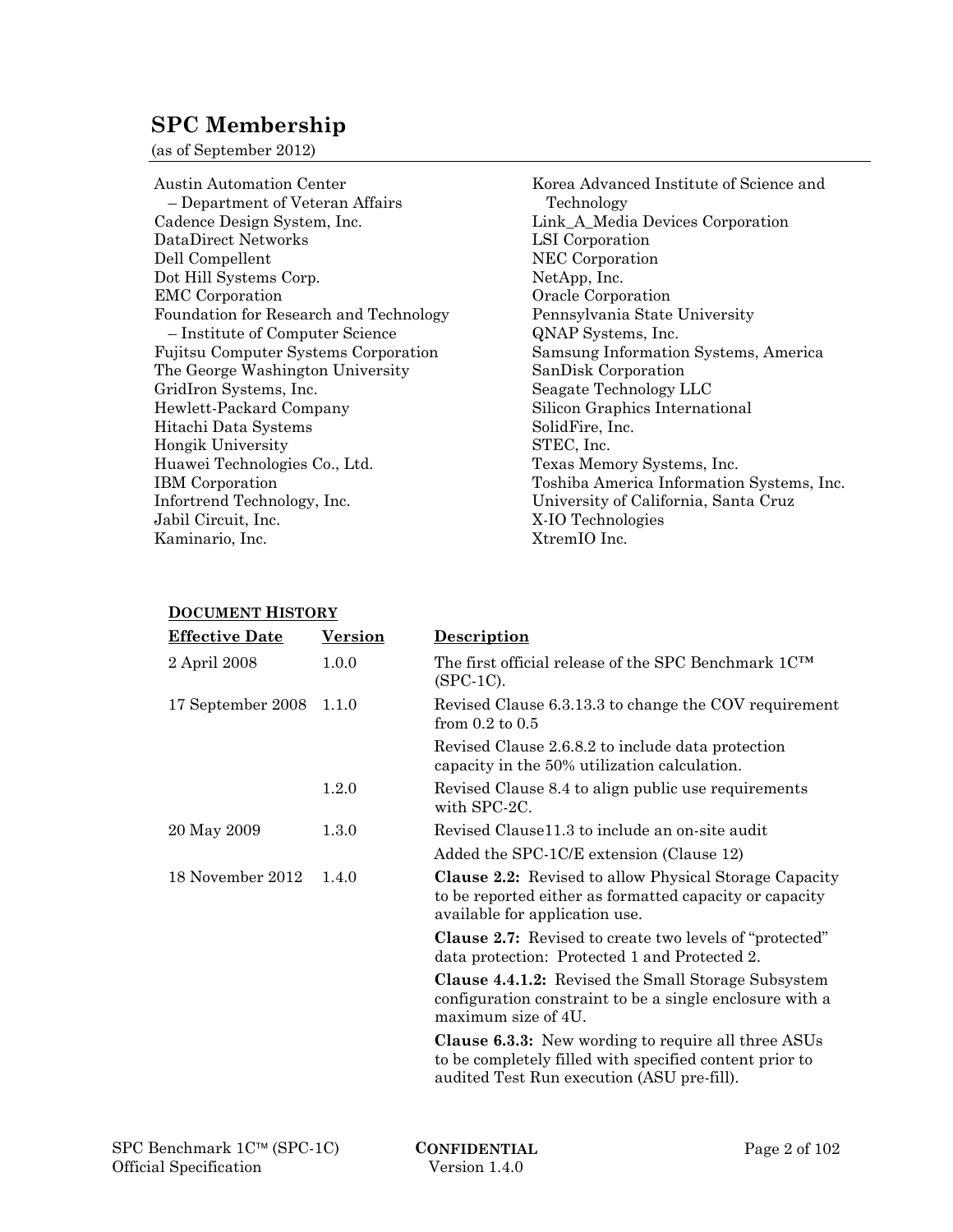# **SPC Membership**

(as of September 2012)

Austin Automation Center – Department of Veteran Affairs Cadence Design System, Inc. DataDirect Networks Dell Compellent Dot Hill Systems Corp. EMC Corporation Foundation for Research and Technology – Institute of Computer Science Fujitsu Computer Systems Corporation The George Washington University GridIron Systems, Inc. Hewlett-Packard Company Hitachi Data Systems Hongik University Huawei Technologies Co., Ltd. IBM Corporation Infortrend Technology, Inc. Jabil Circuit, Inc. Kaminario, Inc.

Korea Advanced Institute of Science and Technology Link\_A\_Media Devices Corporation LSI Corporation NEC Corporation NetApp, Inc. Oracle Corporation Pennsylvania State University QNAP Systems, Inc. Samsung Information Systems, America SanDisk Corporation Seagate Technology LLC Silicon Graphics International SolidFire, Inc. STEC, Inc. Texas Memory Systems, Inc. Toshiba America Information Systems, Inc. University of California, Santa Cruz X-IO Technologies XtremIO Inc.

#### **DOCUMENT HISTORY**

| <b>Effective Date</b> | <b>Version</b> | <b>Description</b>                                                                                                                                                  |
|-----------------------|----------------|---------------------------------------------------------------------------------------------------------------------------------------------------------------------|
| 2 April 2008          | 1.0.0          | The first official release of the SPC Benchmark $1C^{TM}$<br>$(SPC-1C)$ .                                                                                           |
| 17 September 2008     | 1.1.0          | Revised Clause 6.3.13.3 to change the COV requirement<br>from $0.2$ to $0.5$                                                                                        |
|                       |                | Revised Clause 2.6.8.2 to include data protection<br>capacity in the 50% utilization calculation.                                                                   |
|                       | 1.2.0          | Revised Clause 8.4 to align public use requirements<br>with SPC-2C.                                                                                                 |
| 20 May 2009           | 1.3.0          | Revised Clause 11.3 to include an on-site audit                                                                                                                     |
|                       |                | Added the SPC-1C/E extension (Clause 12)                                                                                                                            |
| 18 November 2012      | 1.4.0          | <b>Clause 2.2:</b> Revised to allow Physical Storage Capacity<br>to be reported either as formatted capacity or capacity<br>available for application use.          |
|                       |                | <b>Clause 2.7:</b> Revised to create two levels of "protected"<br>data protection: Protected 1 and Protected 2.                                                     |
|                       |                | <b>Clause 4.4.1.2:</b> Revised the Small Storage Subsystem<br>configuration constraint to be a single enclosure with a<br>maximum size of 4U.                       |
|                       |                | <b>Clause 6.3.3:</b> New wording to require all three ASUs<br>to be completely filled with specified content prior to<br>audited Test Run execution (ASU pre-fill). |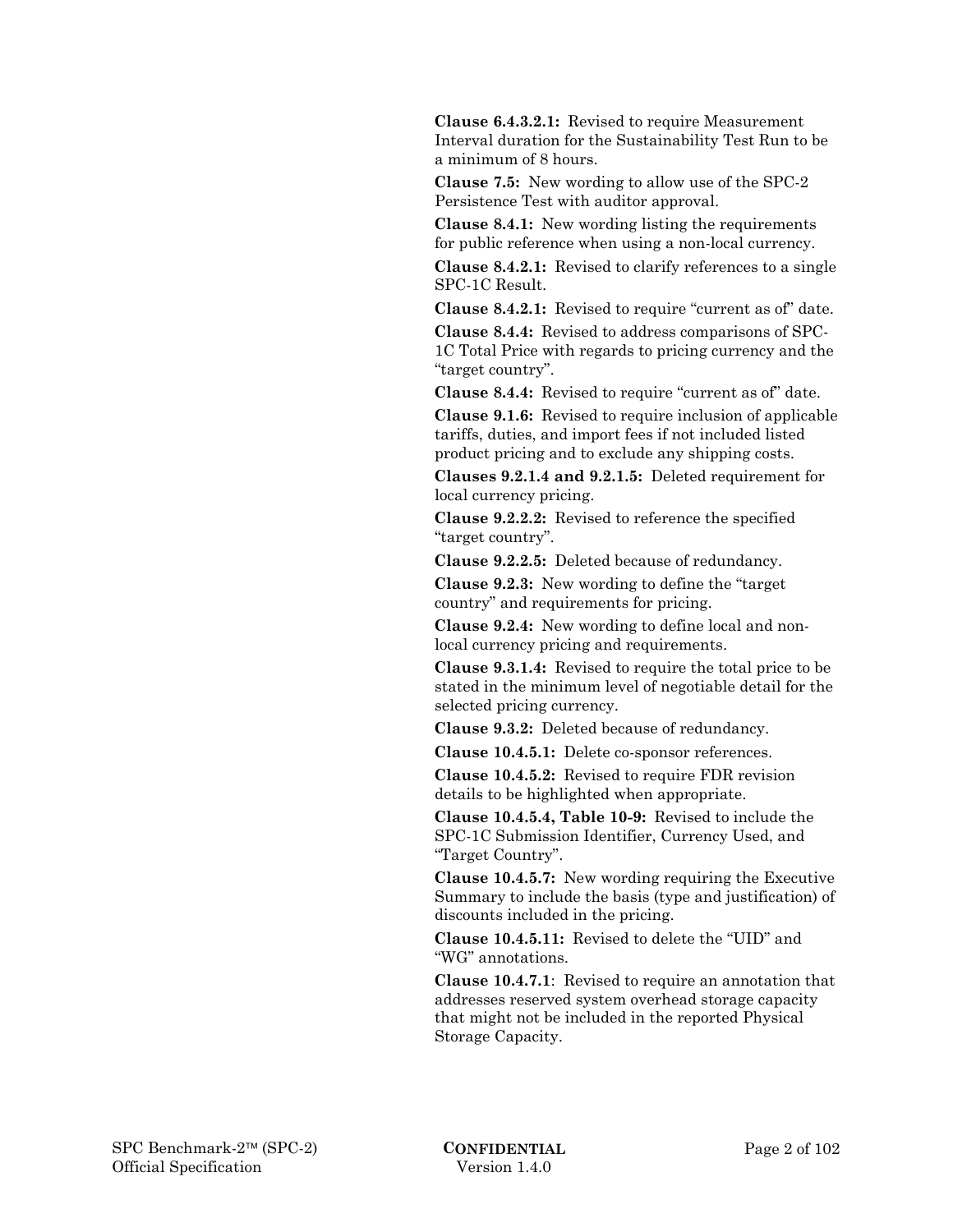**Clause 6.4.3.2.1:** Revised to require Measurement Interval duration for the Sustainability Test Run to be a minimum of 8 hours.

 **Clause 7.5:** New wording to allow use of the SPC-2 Persistence Test with auditor approval.

 **Clause 8.4.1:** New wording listing the requirements for public reference when using a non-local currency.

 **Clause 8.4.2.1:** Revised to clarify references to a single SPC-1C Result.

 **Clause 8.4.2.1:** Revised to require "current as of" date.

 **Clause 8.4.4:** Revised to address comparisons of SPC-1C Total Price with regards to pricing currency and the "target country".

 **Clause 8.4.4:** Revised to require "current as of" date.

 **Clause 9.1.6:** Revised to require inclusion of applicable tariffs, duties, and import fees if not included listed product pricing and to exclude any shipping costs.

 **Clauses 9.2.1.4 and 9.2.1.5:** Deleted requirement for local currency pricing.

 **Clause 9.2.2.2:** Revised to reference the specified "target country".

 **Clause 9.2.2.5:** Deleted because of redundancy.

 **Clause 9.2.3:** New wording to define the "target country" and requirements for pricing.

 **Clause 9.2.4:** New wording to define local and nonlocal currency pricing and requirements.

 **Clause 9.3.1.4:** Revised to require the total price to be stated in the minimum level of negotiable detail for the selected pricing currency.

 **Clause 9.3.2:** Deleted because of redundancy.

 **Clause 10.4.5.1:** Delete co-sponsor references.

 **Clause 10.4.5.2:** Revised to require FDR revision details to be highlighted when appropriate.

 **Clause 10.4.5.4, Table 10-9:** Revised to include the SPC-1C Submission Identifier, Currency Used, and "Target Country".

 **Clause 10.4.5.7:** New wording requiring the Executive Summary to include the basis (type and justification) of discounts included in the pricing.

 **Clause 10.4.5.11:** Revised to delete the "UID" and "WG" annotations.

 **Clause 10.4.7.1**: Revised to require an annotation that addresses reserved system overhead storage capacity that might not be included in the reported Physical Storage Capacity.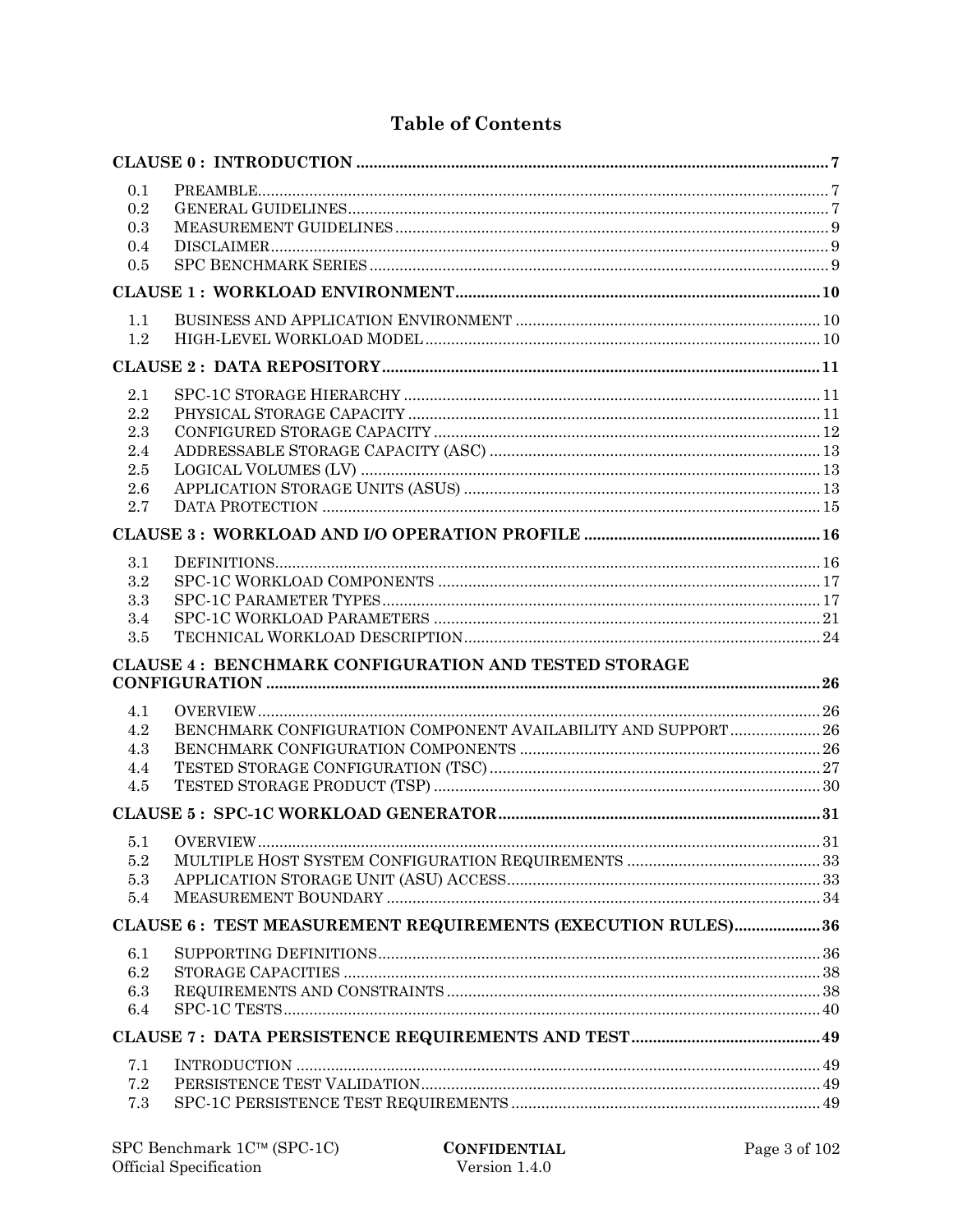# **Table of Contents**

| 0.1        |                                                                |  |
|------------|----------------------------------------------------------------|--|
| 0.2        |                                                                |  |
| 0.3        |                                                                |  |
| 0.4        |                                                                |  |
| 0.5        |                                                                |  |
|            |                                                                |  |
| 1.1        |                                                                |  |
| 1.2        |                                                                |  |
|            |                                                                |  |
| 2.1        |                                                                |  |
| 2.2        |                                                                |  |
| 2.3        |                                                                |  |
| 2.4        |                                                                |  |
| 2.5<br>2.6 |                                                                |  |
| 2.7        |                                                                |  |
|            |                                                                |  |
| 3.1        |                                                                |  |
| 3.2        |                                                                |  |
| 3.3        |                                                                |  |
| 3.4        |                                                                |  |
| $3.5\,$    |                                                                |  |
|            | <b>CLAUSE 4: BENCHMARK CONFIGURATION AND TESTED STORAGE</b>    |  |
|            |                                                                |  |
| 4.1        |                                                                |  |
| 4.2        | BENCHMARK CONFIGURATION COMPONENT AVAILABILITY AND SUPPORT  26 |  |
| 4.3        |                                                                |  |
| 4.4        |                                                                |  |
| 4.5        |                                                                |  |
|            |                                                                |  |
| 5.1        |                                                                |  |
| 5.2        |                                                                |  |
| 5.3<br>5.4 |                                                                |  |
|            | CLAUSE 6: TEST MEASUREMENT REQUIREMENTS (EXECUTION RULES)36    |  |
|            |                                                                |  |
| 6.1        |                                                                |  |
| 6.2        |                                                                |  |
| 6.3<br>6.4 |                                                                |  |
|            |                                                                |  |
| 7.1        |                                                                |  |
| 7.2        |                                                                |  |
| 7.3        |                                                                |  |
|            |                                                                |  |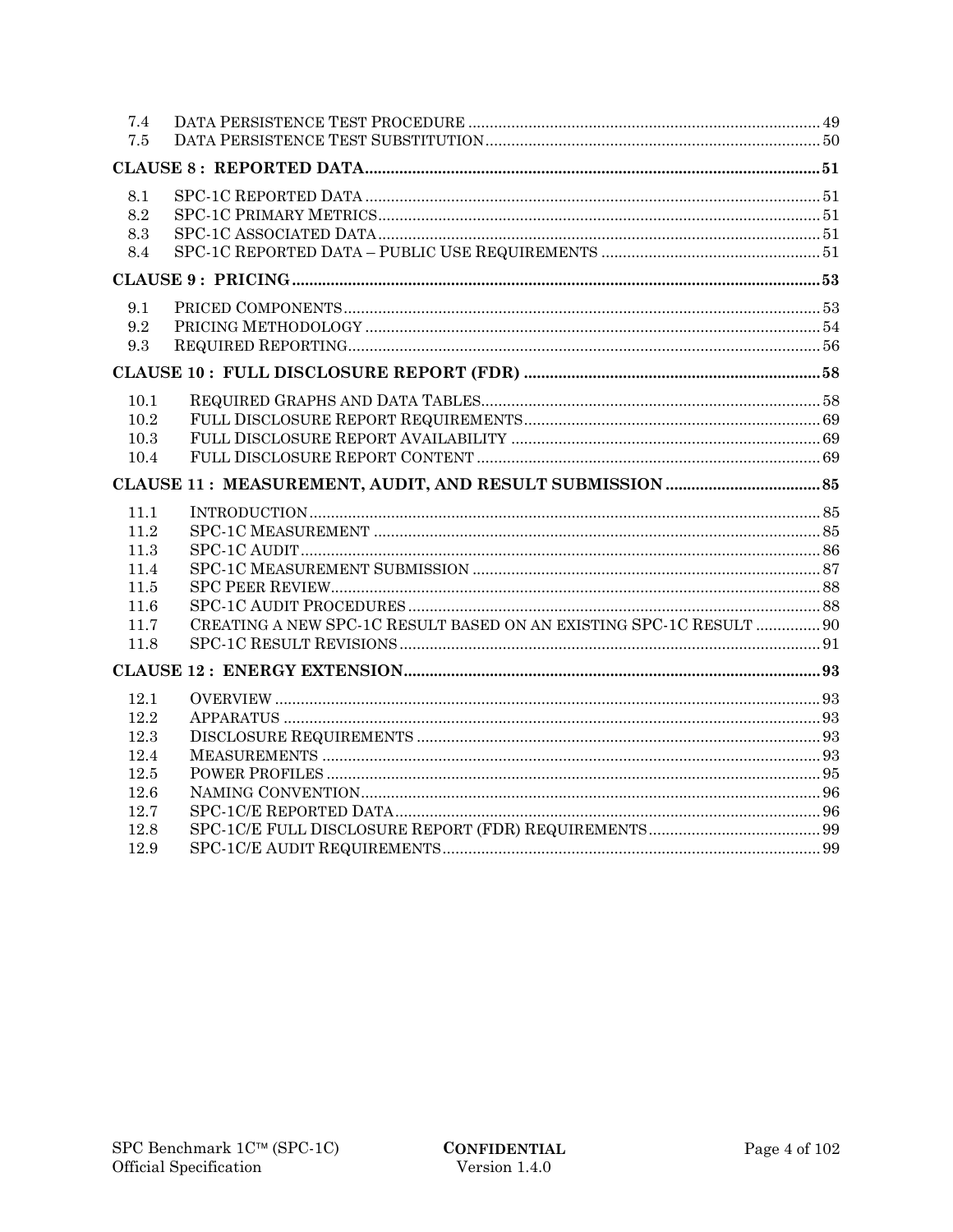| 7.4  |                                                                     |  |
|------|---------------------------------------------------------------------|--|
| 7.5  |                                                                     |  |
|      |                                                                     |  |
| 8.1  |                                                                     |  |
| 8.2  |                                                                     |  |
| 8.3  |                                                                     |  |
| 8.4  |                                                                     |  |
|      |                                                                     |  |
| 9.1  |                                                                     |  |
| 9.2  |                                                                     |  |
| 9.3  |                                                                     |  |
|      |                                                                     |  |
| 10.1 |                                                                     |  |
| 10.2 |                                                                     |  |
| 10.3 |                                                                     |  |
| 10.4 |                                                                     |  |
|      |                                                                     |  |
| 11.1 |                                                                     |  |
| 11.2 |                                                                     |  |
| 11.3 |                                                                     |  |
| 11.4 |                                                                     |  |
| 11.5 |                                                                     |  |
| 11.6 |                                                                     |  |
| 11.7 | CREATING A NEW SPC-1C RESULT BASED ON AN EXISTING SPC-1C RESULT  90 |  |
|      |                                                                     |  |
| 11.8 |                                                                     |  |
|      |                                                                     |  |
| 12.1 |                                                                     |  |
| 12.2 |                                                                     |  |
| 12.3 |                                                                     |  |
| 12.4 |                                                                     |  |
| 12.5 |                                                                     |  |
| 12.6 |                                                                     |  |
| 12.7 |                                                                     |  |
| 12.8 |                                                                     |  |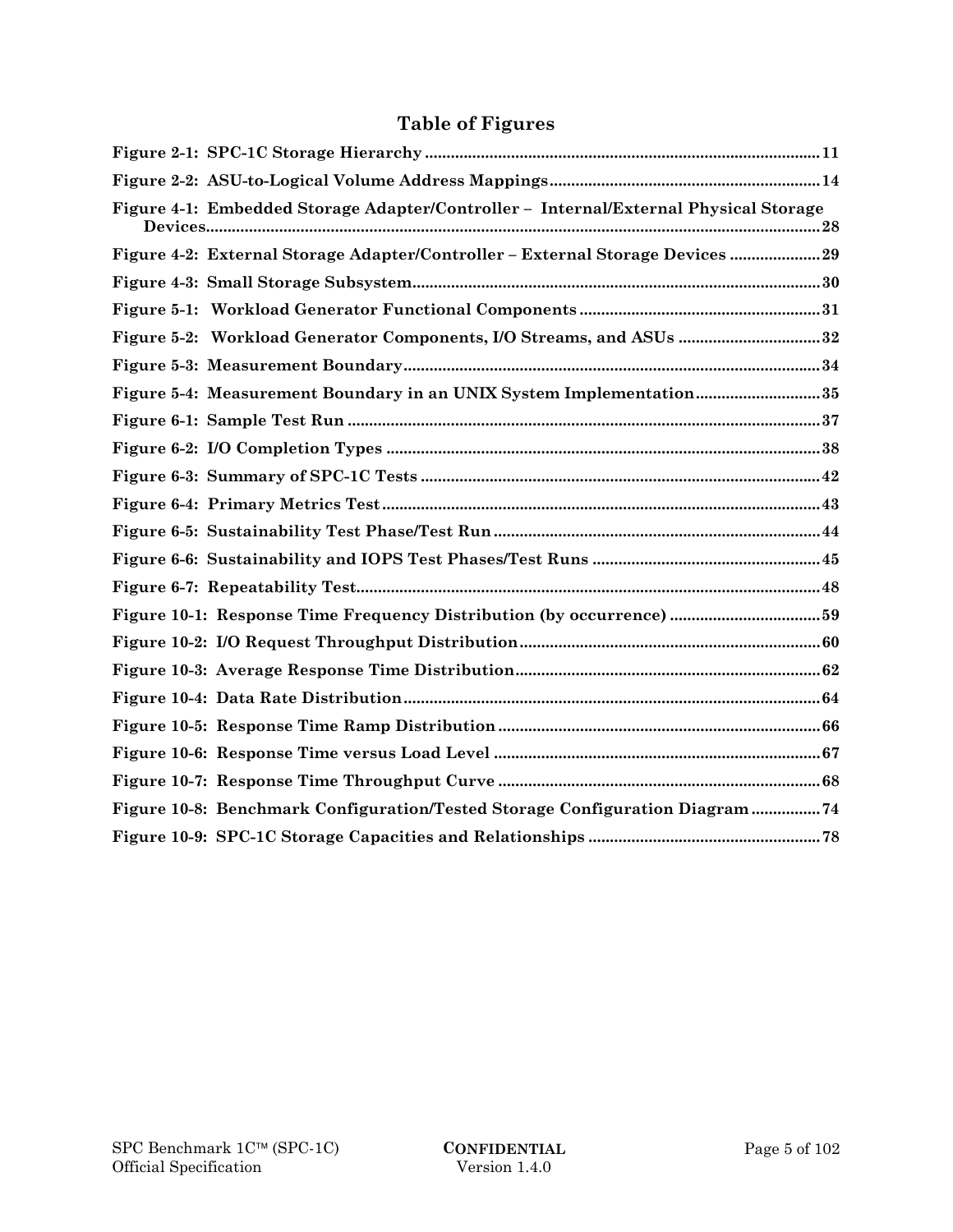# **Table of Figures**

| Figure 4-1: Embedded Storage Adapter/Controller - Internal/External Physical Storage |
|--------------------------------------------------------------------------------------|
| Figure 4-2: External Storage Adapter/Controller - External Storage Devices  29       |
|                                                                                      |
|                                                                                      |
| Figure 5-2: Workload Generator Components, I/O Streams, and ASUs 32                  |
|                                                                                      |
| Figure 5-4: Measurement Boundary in an UNIX System Implementation35                  |
|                                                                                      |
|                                                                                      |
|                                                                                      |
|                                                                                      |
|                                                                                      |
|                                                                                      |
|                                                                                      |
|                                                                                      |
|                                                                                      |
|                                                                                      |
|                                                                                      |
|                                                                                      |
|                                                                                      |
|                                                                                      |
| Figure 10-8: Benchmark Configuration/Tested Storage Configuration Diagram ?4         |
|                                                                                      |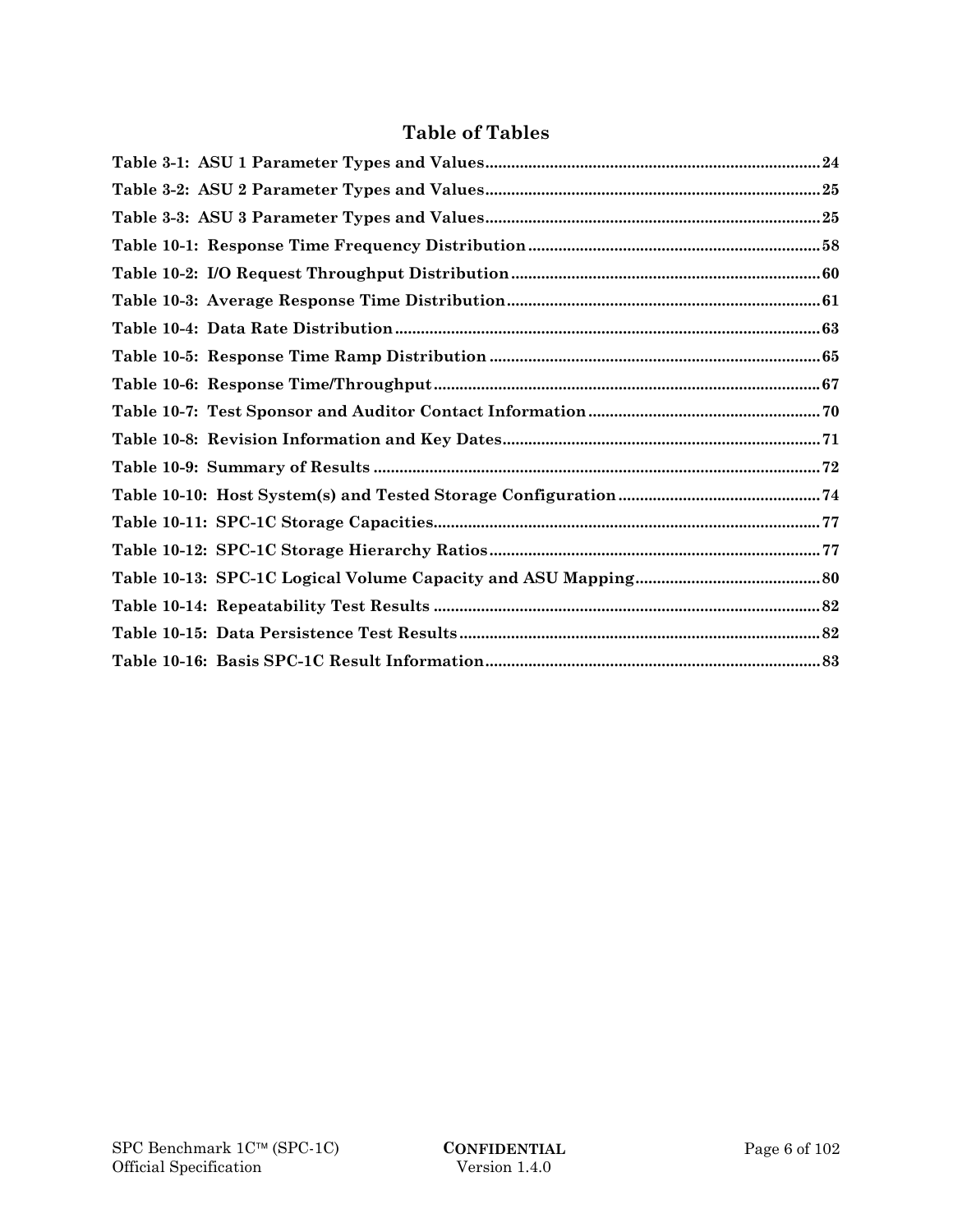# **Table of Tables**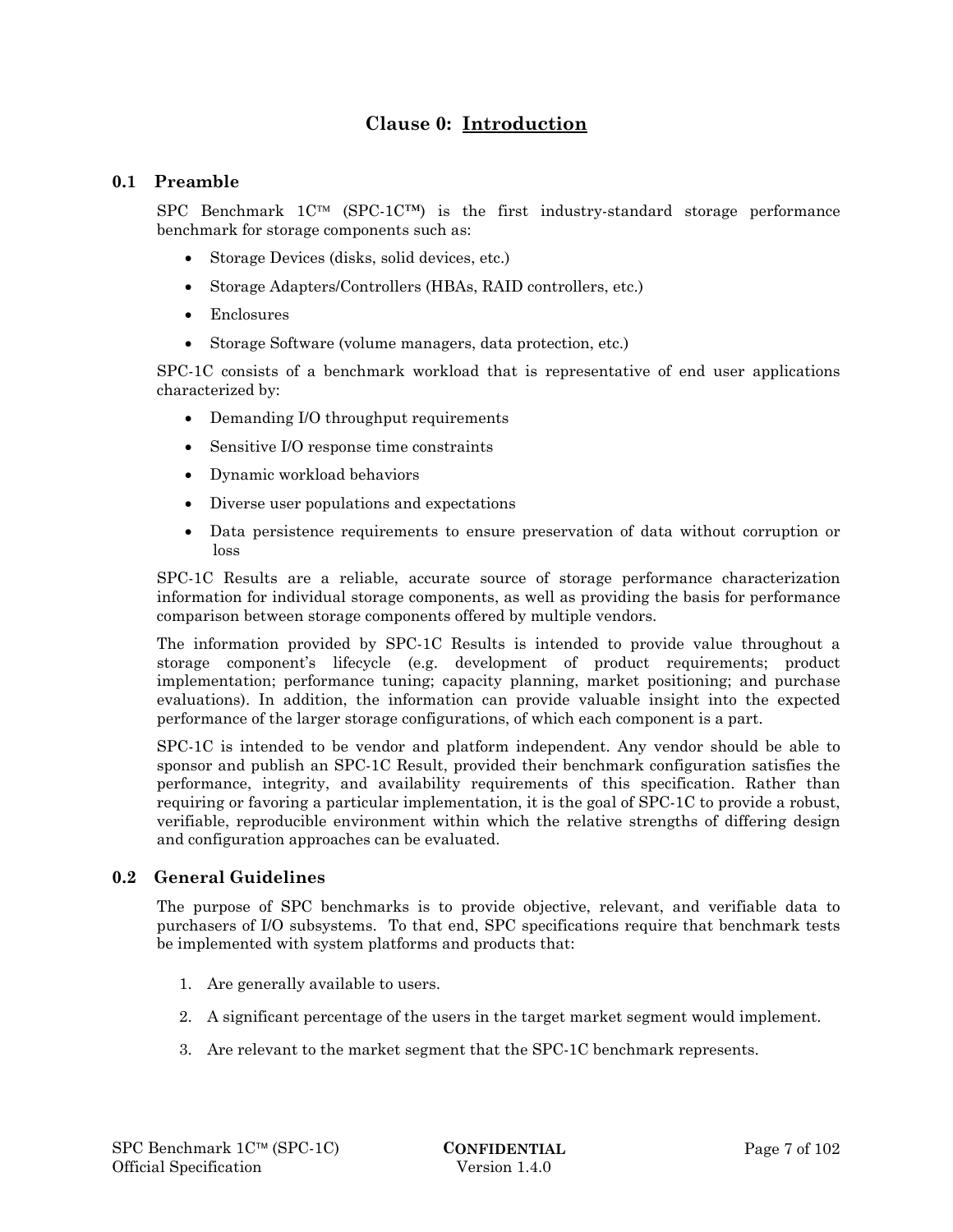# **Clause 0: Introduction**

# **0.1 Preamble**

SPC Benchmark  $1C^{TM}$  (SPC-1C<sup>TM</sup>) is the first industry-standard storage performance benchmark for storage components such as:

- Storage Devices (disks, solid devices, etc.)
- Storage Adapters/Controllers (HBAs, RAID controllers, etc.)
- Enclosures
- Storage Software (volume managers, data protection, etc.)

SPC-1C consists of a benchmark workload that is representative of end user applications characterized by:

- Demanding I/O throughput requirements
- Sensitive I/O response time constraints
- Dynamic workload behaviors
- Diverse user populations and expectations
- Data persistence requirements to ensure preservation of data without corruption or loss

SPC-1C Results are a reliable, accurate source of storage performance characterization information for individual storage components, as well as providing the basis for performance comparison between storage components offered by multiple vendors.

The information provided by SPC-1C Results is intended to provide value throughout a storage component's lifecycle (e.g. development of product requirements; product implementation; performance tuning; capacity planning, market positioning; and purchase evaluations). In addition, the information can provide valuable insight into the expected performance of the larger storage configurations, of which each component is a part.

SPC-1C is intended to be vendor and platform independent. Any vendor should be able to sponsor and publish an SPC-1C Result, provided their benchmark configuration satisfies the performance, integrity, and availability requirements of this specification. Rather than requiring or favoring a particular implementation, it is the goal of SPC-1C to provide a robust, verifiable, reproducible environment within which the relative strengths of differing design and configuration approaches can be evaluated.

# **0.2 General Guidelines**

The purpose of SPC benchmarks is to provide objective, relevant, and verifiable data to purchasers of I/O subsystems. To that end, SPC specifications require that benchmark tests be implemented with system platforms and products that:

- 1. Are generally available to users.
- 2. A significant percentage of the users in the target market segment would implement.
- 3. Are relevant to the market segment that the SPC-1C benchmark represents.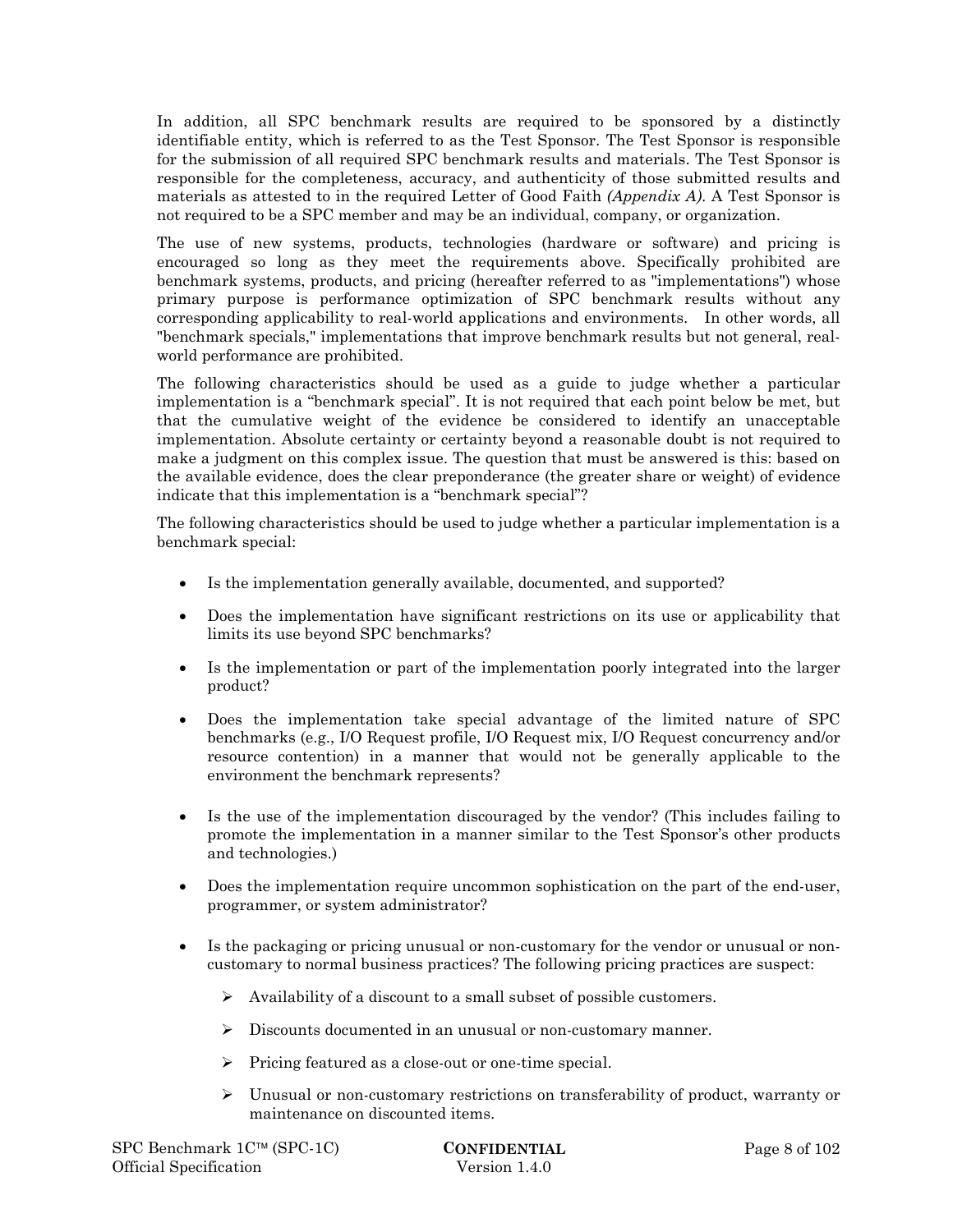In addition, all SPC benchmark results are required to be sponsored by a distinctly identifiable entity, which is referred to as the Test Sponsor. The Test Sponsor is responsible for the submission of all required SPC benchmark results and materials. The Test Sponsor is responsible for the completeness, accuracy, and authenticity of those submitted results and materials as attested to in the required Letter of Good Faith *(Appendix A)*. A Test Sponsor is not required to be a SPC member and may be an individual, company, or organization.

The use of new systems, products, technologies (hardware or software) and pricing is encouraged so long as they meet the requirements above. Specifically prohibited are benchmark systems, products, and pricing (hereafter referred to as "implementations") whose primary purpose is performance optimization of SPC benchmark results without any corresponding applicability to real-world applications and environments. In other words, all "benchmark specials," implementations that improve benchmark results but not general, realworld performance are prohibited.

The following characteristics should be used as a guide to judge whether a particular implementation is a "benchmark special". It is not required that each point below be met, but that the cumulative weight of the evidence be considered to identify an unacceptable implementation. Absolute certainty or certainty beyond a reasonable doubt is not required to make a judgment on this complex issue. The question that must be answered is this: based on the available evidence, does the clear preponderance (the greater share or weight) of evidence indicate that this implementation is a "benchmark special"?

The following characteristics should be used to judge whether a particular implementation is a benchmark special:

- Is the implementation generally available, documented, and supported?
- Does the implementation have significant restrictions on its use or applicability that limits its use beyond SPC benchmarks?
- Is the implementation or part of the implementation poorly integrated into the larger product?
- Does the implementation take special advantage of the limited nature of SPC benchmarks (e.g., I/O Request profile, I/O Request mix, I/O Request concurrency and/or resource contention) in a manner that would not be generally applicable to the environment the benchmark represents?
- Is the use of the implementation discouraged by the vendor? (This includes failing to promote the implementation in a manner similar to the Test Sponsor's other products and technologies.)
- Does the implementation require uncommon sophistication on the part of the end-user, programmer, or system administrator?
- Is the packaging or pricing unusual or non-customary for the vendor or unusual or noncustomary to normal business practices? The following pricing practices are suspect:
	- $\triangleright$  Availability of a discount to a small subset of possible customers.
	- Discounts documented in an unusual or non-customary manner.
	- $\triangleright$  Pricing featured as a close-out or one-time special.
	- $\triangleright$  Unusual or non-customary restrictions on transferability of product, warranty or maintenance on discounted items.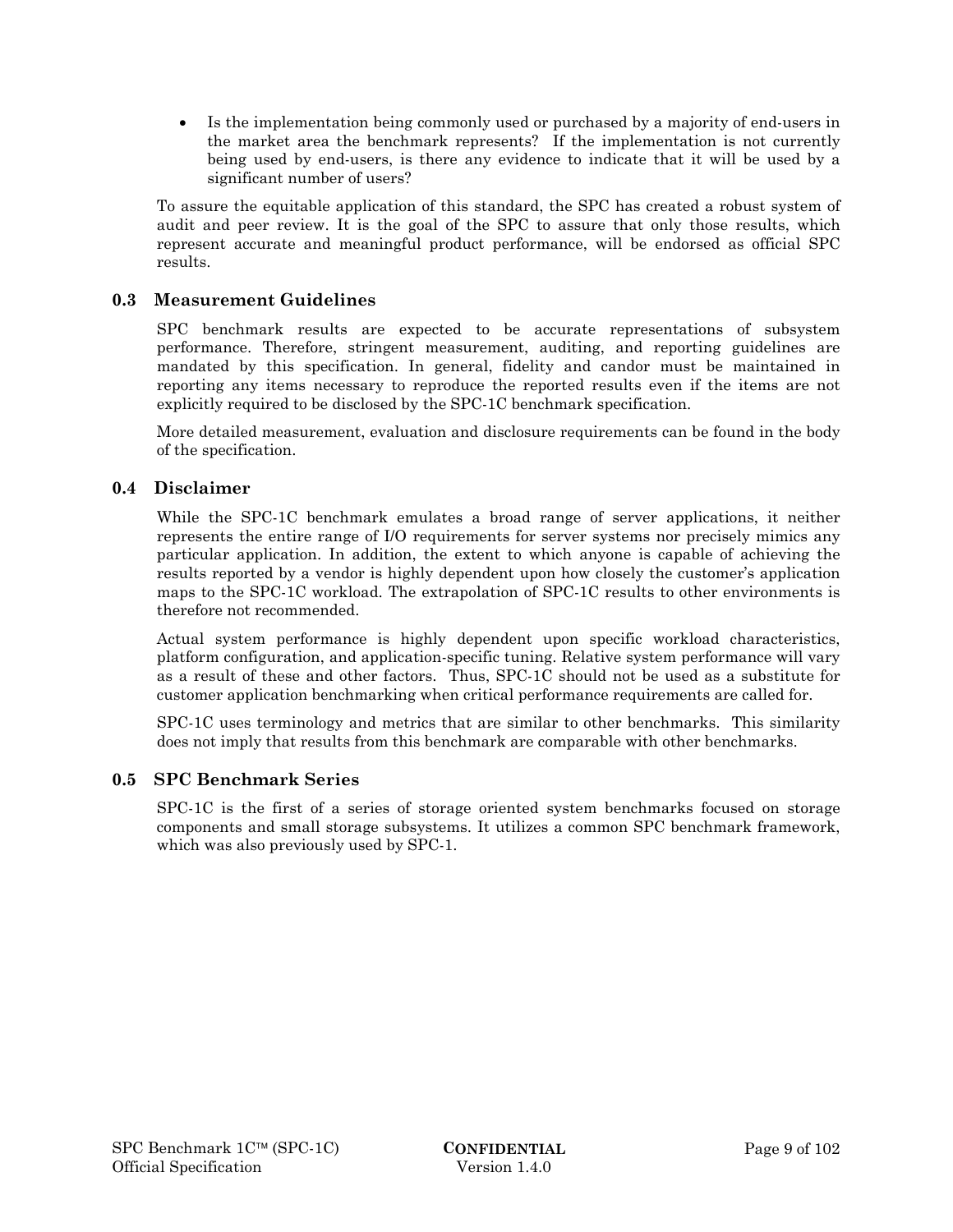Is the implementation being commonly used or purchased by a majority of end-users in the market area the benchmark represents? If the implementation is not currently being used by end-users, is there any evidence to indicate that it will be used by a significant number of users?

To assure the equitable application of this standard, the SPC has created a robust system of audit and peer review. It is the goal of the SPC to assure that only those results, which represent accurate and meaningful product performance, will be endorsed as official SPC results.

# **0.3 Measurement Guidelines**

SPC benchmark results are expected to be accurate representations of subsystem performance. Therefore, stringent measurement, auditing, and reporting guidelines are mandated by this specification. In general, fidelity and candor must be maintained in reporting any items necessary to reproduce the reported results even if the items are not explicitly required to be disclosed by the SPC-1C benchmark specification.

More detailed measurement, evaluation and disclosure requirements can be found in the body of the specification.

### **0.4 Disclaimer**

While the SPC-1C benchmark emulates a broad range of server applications, it neither represents the entire range of I/O requirements for server systems nor precisely mimics any particular application. In addition, the extent to which anyone is capable of achieving the results reported by a vendor is highly dependent upon how closely the customer's application maps to the SPC-1C workload. The extrapolation of SPC-1C results to other environments is therefore not recommended.

Actual system performance is highly dependent upon specific workload characteristics, platform configuration, and application-specific tuning. Relative system performance will vary as a result of these and other factors. Thus, SPC-1C should not be used as a substitute for customer application benchmarking when critical performance requirements are called for.

SPC-1C uses terminology and metrics that are similar to other benchmarks. This similarity does not imply that results from this benchmark are comparable with other benchmarks.

### **0.5 SPC Benchmark Series**

SPC-1C is the first of a series of storage oriented system benchmarks focused on storage components and small storage subsystems. It utilizes a common SPC benchmark framework, which was also previously used by SPC-1.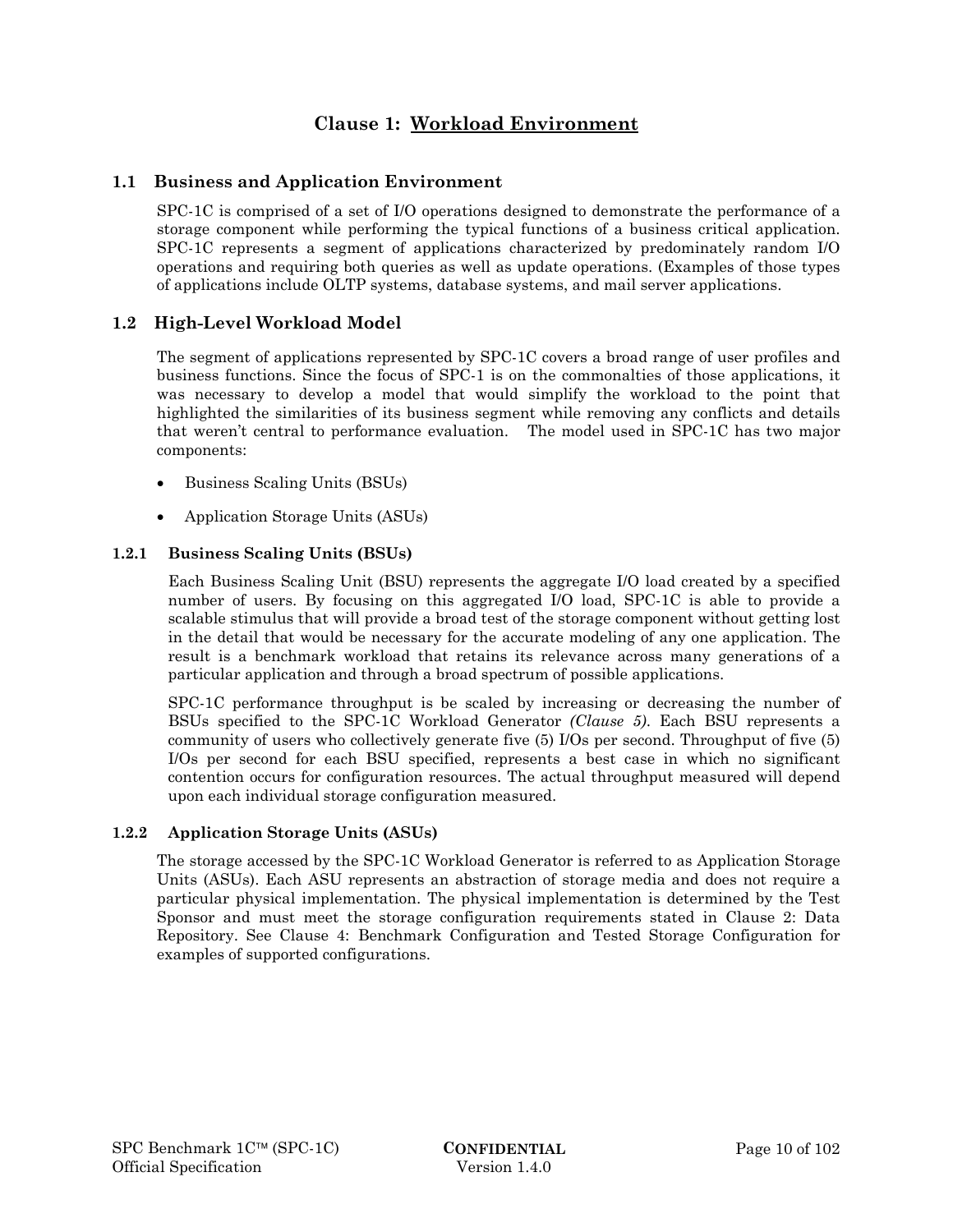# **Clause 1: Workload Environment**

# **1.1 Business and Application Environment**

SPC-1C is comprised of a set of I/O operations designed to demonstrate the performance of a storage component while performing the typical functions of a business critical application. SPC-1C represents a segment of applications characterized by predominately random I/O operations and requiring both queries as well as update operations. (Examples of those types of applications include OLTP systems, database systems, and mail server applications.

# **1.2 High-Level Workload Model**

The segment of applications represented by SPC-1C covers a broad range of user profiles and business functions. Since the focus of SPC-1 is on the commonalties of those applications, it was necessary to develop a model that would simplify the workload to the point that highlighted the similarities of its business segment while removing any conflicts and details that weren't central to performance evaluation. The model used in SPC-1C has two major components:

- Business Scaling Units (BSUs)
- Application Storage Units (ASUs)

### **1.2.1 Business Scaling Units (BSUs)**

Each Business Scaling Unit (BSU) represents the aggregate I/O load created by a specified number of users. By focusing on this aggregated I/O load, SPC-1C is able to provide a scalable stimulus that will provide a broad test of the storage component without getting lost in the detail that would be necessary for the accurate modeling of any one application. The result is a benchmark workload that retains its relevance across many generations of a particular application and through a broad spectrum of possible applications.

SPC-1C performance throughput is be scaled by increasing or decreasing the number of BSUs specified to the SPC-1C Workload Generator *(Clause 5)*. Each BSU represents a community of users who collectively generate five (5) I/Os per second. Throughput of five (5) I/Os per second for each BSU specified, represents a best case in which no significant contention occurs for configuration resources. The actual throughput measured will depend upon each individual storage configuration measured.

### **1.2.2 Application Storage Units (ASUs)**

The storage accessed by the SPC-1C Workload Generator is referred to as Application Storage Units (ASUs). Each ASU represents an abstraction of storage media and does not require a particular physical implementation. The physical implementation is determined by the Test Sponsor and must meet the storage configuration requirements stated in Clause 2: Data Repository. See Clause 4: Benchmark Configuration and Tested Storage Configuration for examples of supported configurations.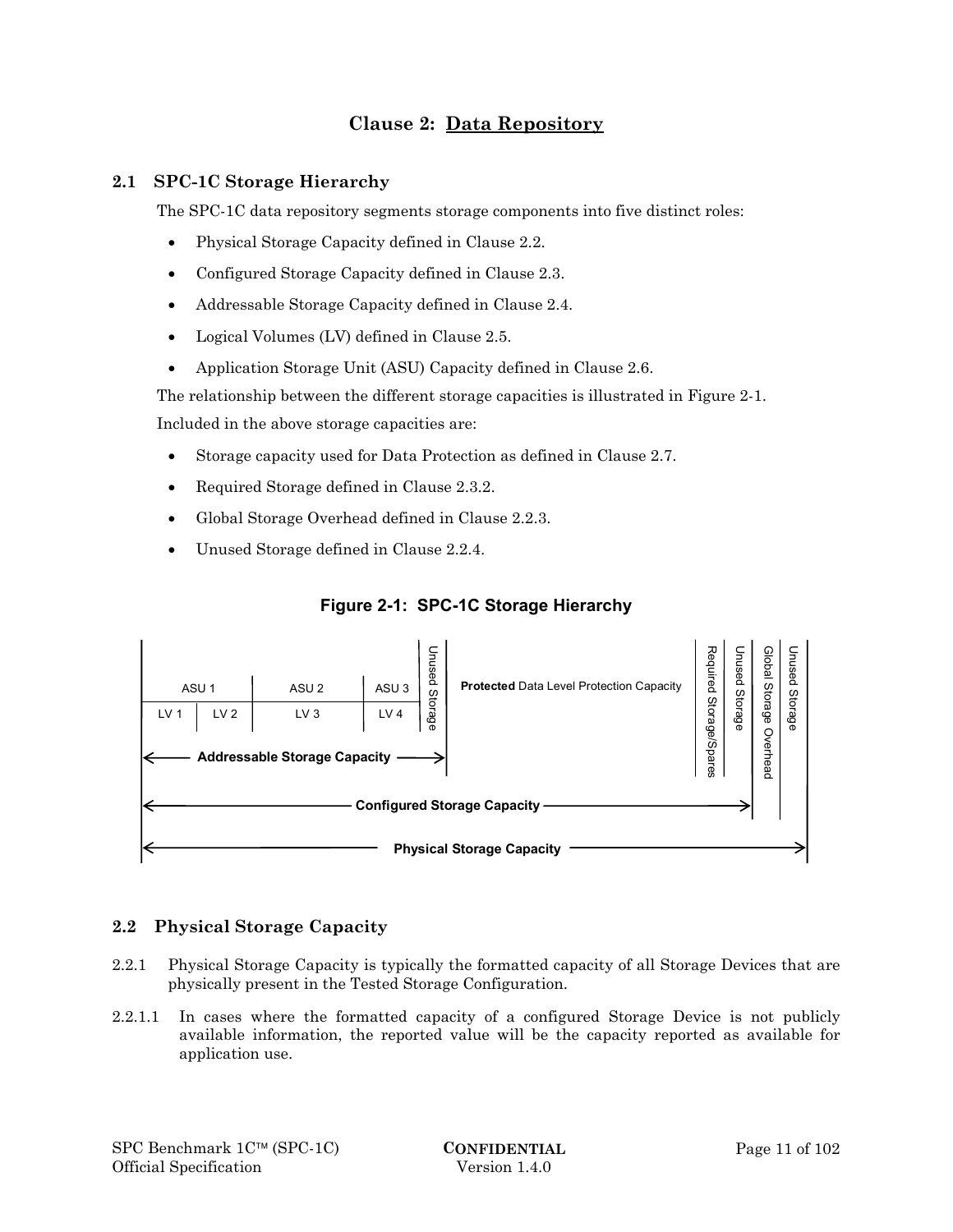# **Clause 2: Data Repository**

# **2.1 SPC-1C Storage Hierarchy**

The SPC-1C data repository segments storage components into five distinct roles:

- Physical Storage Capacity defined in Clause 2.2.
- Configured Storage Capacity defined in Clause 2.3.
- Addressable Storage Capacity defined in Clause 2.4.
- Logical Volumes (LV) defined in Clause 2.5.
- Application Storage Unit (ASU) Capacity defined in Clause 2.6.

The relationship between the different storage capacities is illustrated in Figure 2-1. Included in the above storage capacities are:

- Storage capacity used for Data Protection as defined in Clause 2.7.
- Required Storage defined in Clause 2.3.2.
- Global Storage Overhead defined in Clause 2.2.3.
- Unused Storage defined in Clause 2.2.4.



# **Figure 2-1: SPC-1C Storage Hierarchy**

### **2.2 Physical Storage Capacity**

- 2.2.1 Physical Storage Capacity is typically the formatted capacity of all Storage Devices that are physically present in the Tested Storage Configuration.
- 2.2.1.1 In cases where the formatted capacity of a configured Storage Device is not publicly available information, the reported value will be the capacity reported as available for application use.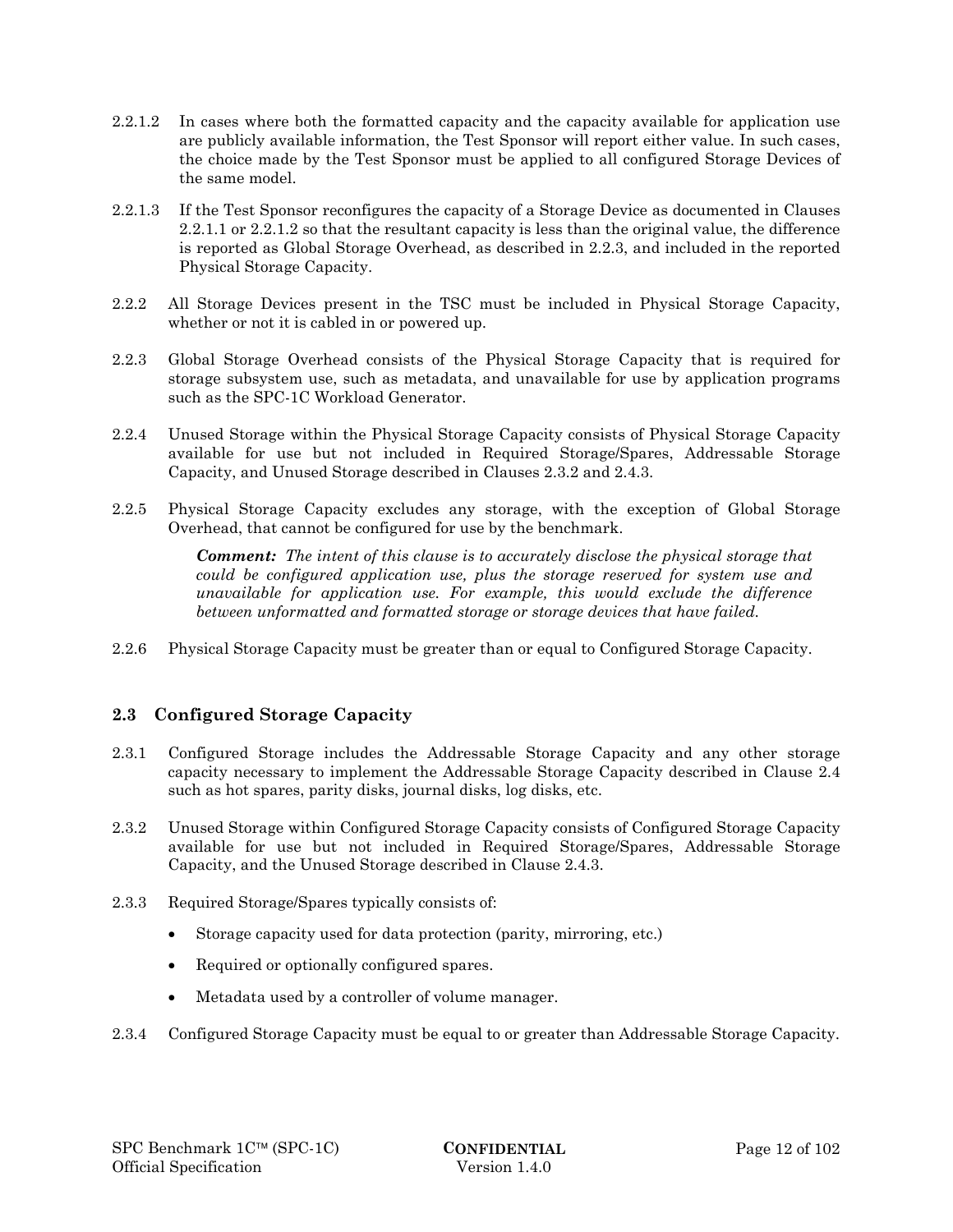- 2.2.1.2 In cases where both the formatted capacity and the capacity available for application use are publicly available information, the Test Sponsor will report either value. In such cases, the choice made by the Test Sponsor must be applied to all configured Storage Devices of the same model.
- 2.2.1.3 If the Test Sponsor reconfigures the capacity of a Storage Device as documented in Clauses 2.2.1.1 or 2.2.1.2 so that the resultant capacity is less than the original value, the difference is reported as Global Storage Overhead, as described in 2.2.3, and included in the reported Physical Storage Capacity.
- 2.2.2 All Storage Devices present in the TSC must be included in Physical Storage Capacity, whether or not it is cabled in or powered up.
- 2.2.3 Global Storage Overhead consists of the Physical Storage Capacity that is required for storage subsystem use, such as metadata, and unavailable for use by application programs such as the SPC-1C Workload Generator.
- 2.2.4 Unused Storage within the Physical Storage Capacity consists of Physical Storage Capacity available for use but not included in Required Storage/Spares, Addressable Storage Capacity, and Unused Storage described in Clauses 2.3.2 and 2.4.3.
- 2.2.5 Physical Storage Capacity excludes any storage, with the exception of Global Storage Overhead, that cannot be configured for use by the benchmark.

*Comment: The intent of this clause is to accurately disclose the physical storage that could be configured application use, plus the storage reserved for system use and unavailable for application use. For example, this would exclude the difference between unformatted and formatted storage or storage devices that have failed.* 

2.2.6 Physical Storage Capacity must be greater than or equal to Configured Storage Capacity.

# **2.3 Configured Storage Capacity**

- 2.3.1 Configured Storage includes the Addressable Storage Capacity and any other storage capacity necessary to implement the Addressable Storage Capacity described in Clause 2.4 such as hot spares, parity disks, journal disks, log disks, etc.
- 2.3.2 Unused Storage within Configured Storage Capacity consists of Configured Storage Capacity available for use but not included in Required Storage/Spares, Addressable Storage Capacity, and the Unused Storage described in Clause 2.4.3.
- 2.3.3 Required Storage/Spares typically consists of:
	- Storage capacity used for data protection (parity, mirroring, etc.)
	- Required or optionally configured spares.
	- Metadata used by a controller of volume manager.
- 2.3.4 Configured Storage Capacity must be equal to or greater than Addressable Storage Capacity.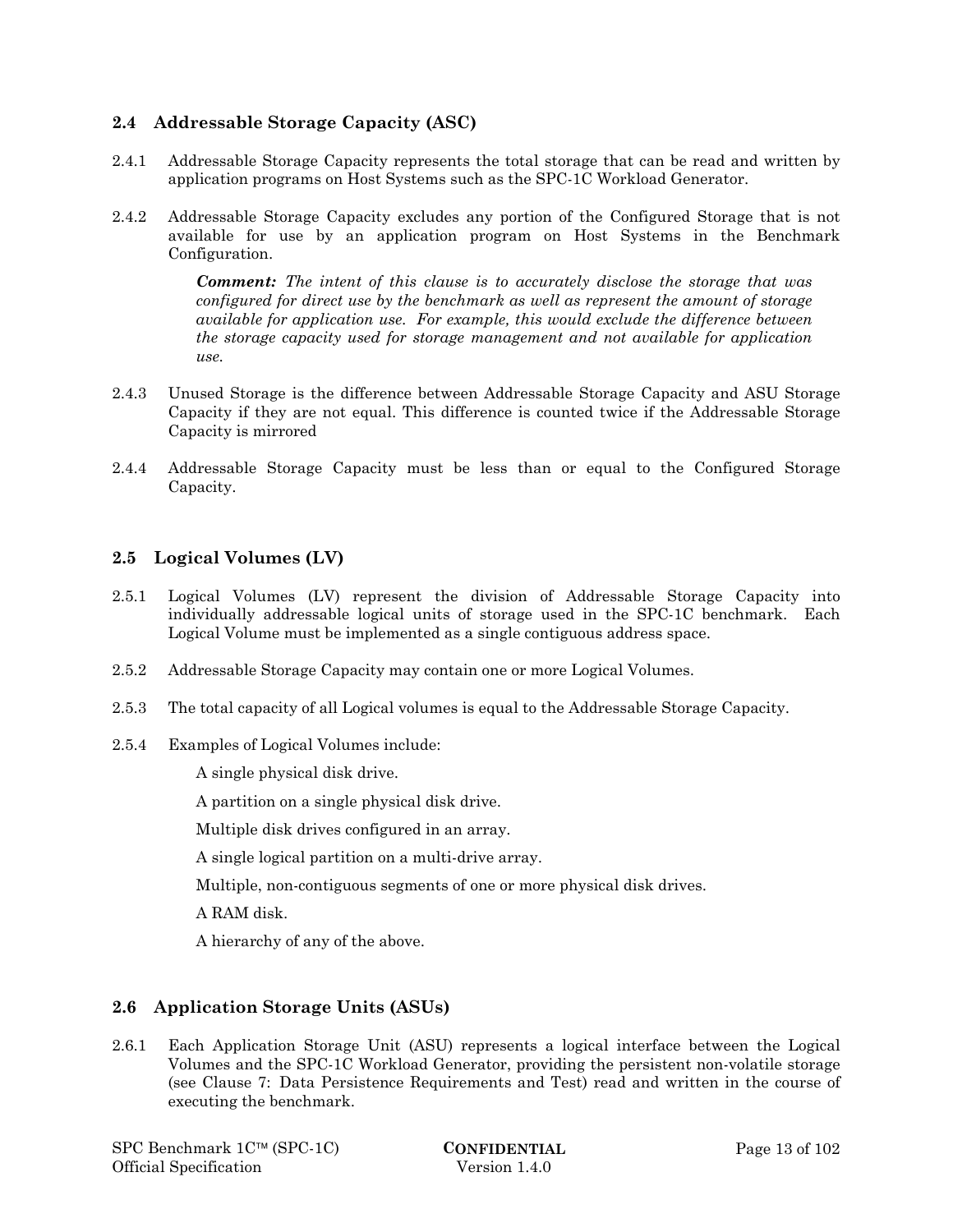# **2.4 Addressable Storage Capacity (ASC)**

- 2.4.1 Addressable Storage Capacity represents the total storage that can be read and written by application programs on Host Systems such as the SPC-1C Workload Generator.
- 2.4.2 Addressable Storage Capacity excludes any portion of the Configured Storage that is not available for use by an application program on Host Systems in the Benchmark Configuration.

*Comment: The intent of this clause is to accurately disclose the storage that was configured for direct use by the benchmark as well as represent the amount of storage available for application use. For example, this would exclude the difference between the storage capacity used for storage management and not available for application use.* 

- 2.4.3 Unused Storage is the difference between Addressable Storage Capacity and ASU Storage Capacity if they are not equal. This difference is counted twice if the Addressable Storage Capacity is mirrored
- 2.4.4 Addressable Storage Capacity must be less than or equal to the Configured Storage Capacity.

# **2.5 Logical Volumes (LV)**

- 2.5.1 Logical Volumes (LV) represent the division of Addressable Storage Capacity into individually addressable logical units of storage used in the SPC-1C benchmark. Each Logical Volume must be implemented as a single contiguous address space.
- 2.5.2 Addressable Storage Capacity may contain one or more Logical Volumes.
- 2.5.3 The total capacity of all Logical volumes is equal to the Addressable Storage Capacity.
- 2.5.4 Examples of Logical Volumes include:

A single physical disk drive.

A partition on a single physical disk drive.

Multiple disk drives configured in an array.

A single logical partition on a multi-drive array.

Multiple, non-contiguous segments of one or more physical disk drives.

A RAM disk.

A hierarchy of any of the above.

# **2.6 Application Storage Units (ASUs)**

2.6.1 Each Application Storage Unit (ASU) represents a logical interface between the Logical Volumes and the SPC-1C Workload Generator, providing the persistent non-volatile storage (see Clause 7: Data Persistence Requirements and Test) read and written in the course of executing the benchmark.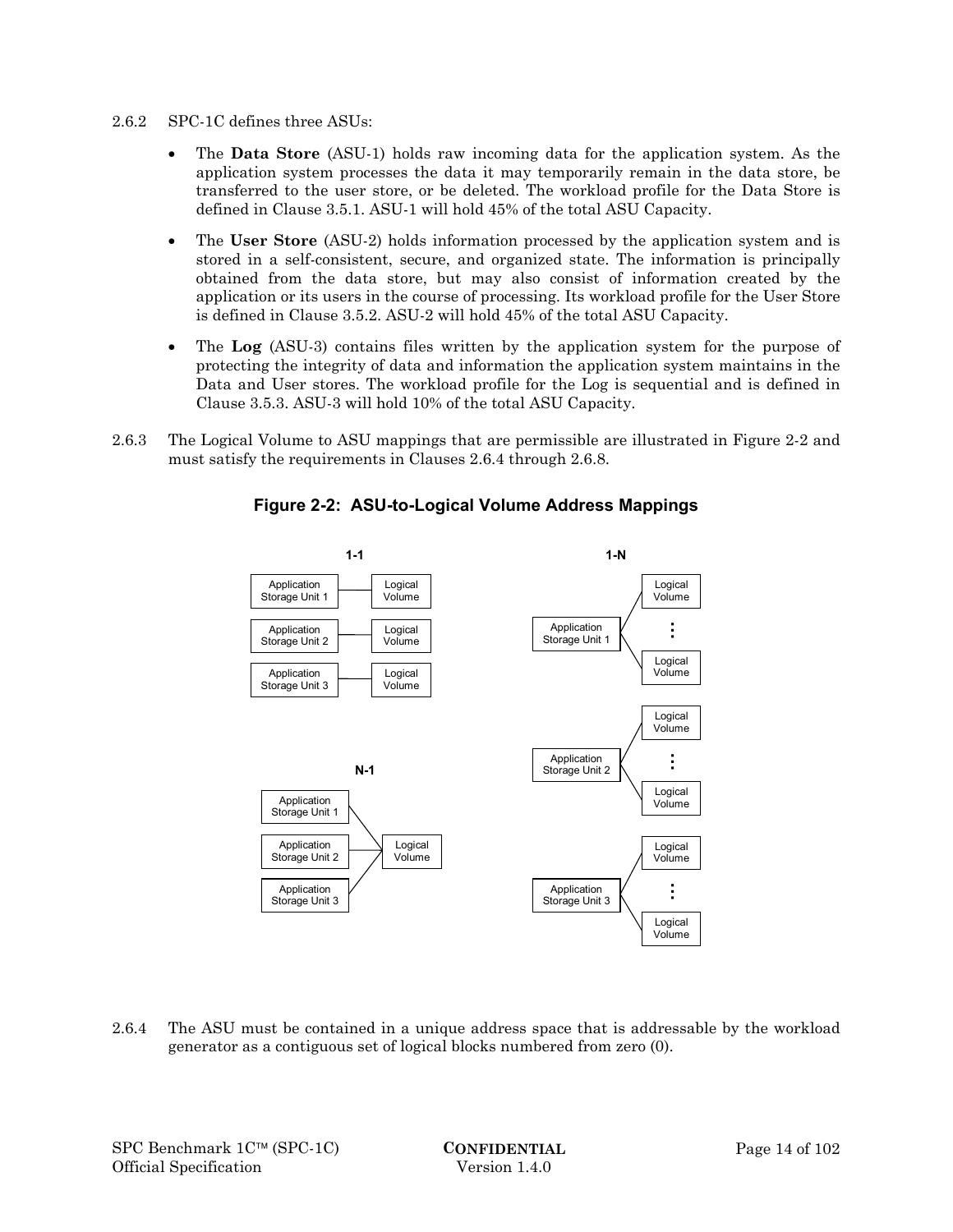- 2.6.2 SPC-1C defines three ASUs:
	- The **Data Store** (ASU-1) holds raw incoming data for the application system. As the application system processes the data it may temporarily remain in the data store, be transferred to the user store, or be deleted. The workload profile for the Data Store is defined in Clause 3.5.1. ASU-1 will hold 45% of the total ASU Capacity.
	- The **User Store** (ASU-2) holds information processed by the application system and is stored in a self-consistent, secure, and organized state. The information is principally obtained from the data store, but may also consist of information created by the application or its users in the course of processing. Its workload profile for the User Store is defined in Clause 3.5.2. ASU-2 will hold 45% of the total ASU Capacity.
	- The **Log** (ASU-3) contains files written by the application system for the purpose of protecting the integrity of data and information the application system maintains in the Data and User stores. The workload profile for the Log is sequential and is defined in Clause 3.5.3. ASU-3 will hold 10% of the total ASU Capacity.
- 2.6.3 The Logical Volume to ASU mappings that are permissible are illustrated in Figure 2-2 and must satisfy the requirements in Clauses 2.6.4 through 2.6.8.



# **Figure 2-2: ASU-to-Logical Volume Address Mappings**

2.6.4 The ASU must be contained in a unique address space that is addressable by the workload generator as a contiguous set of logical blocks numbered from zero (0).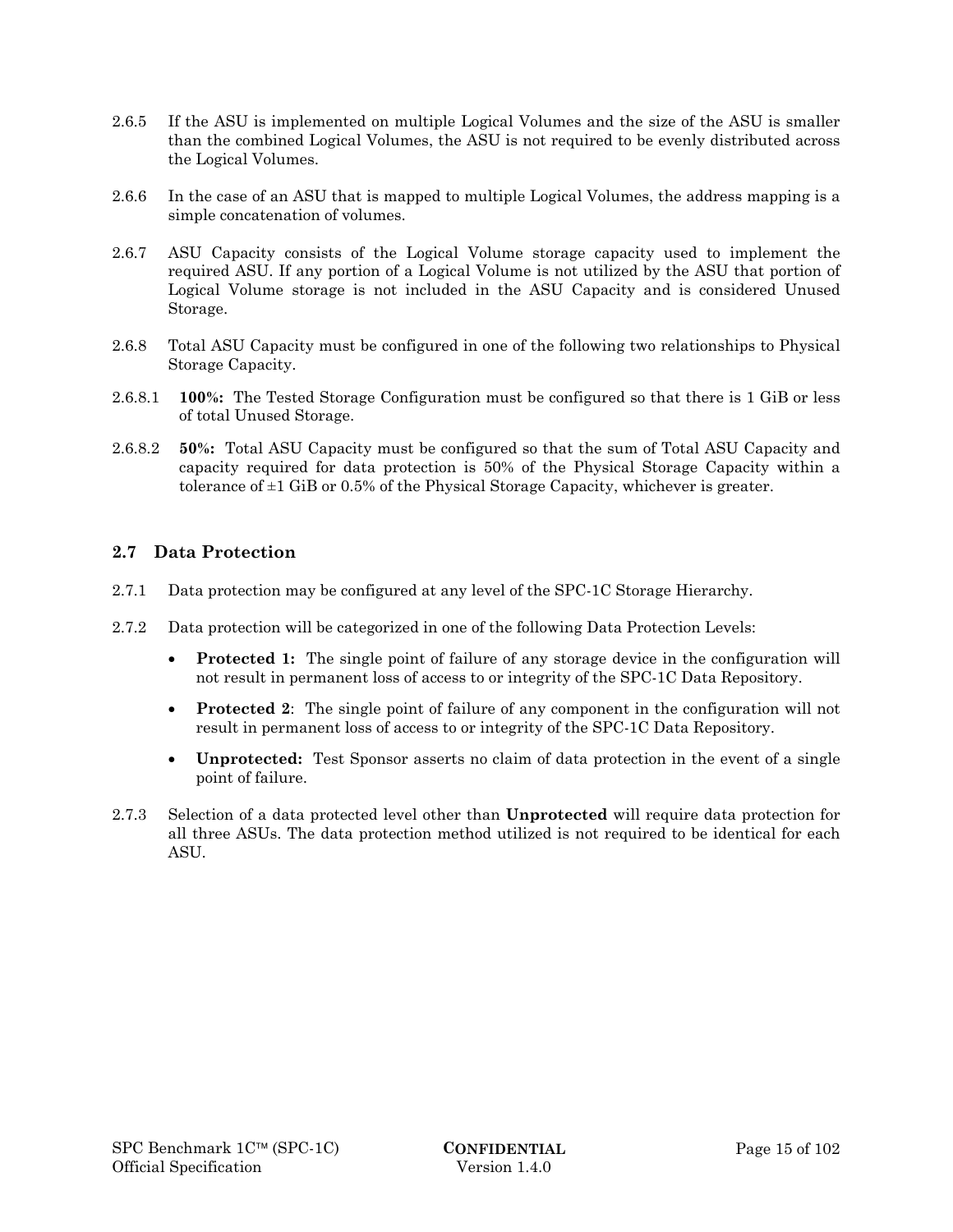- 2.6.5 If the ASU is implemented on multiple Logical Volumes and the size of the ASU is smaller than the combined Logical Volumes, the ASU is not required to be evenly distributed across the Logical Volumes.
- 2.6.6 In the case of an ASU that is mapped to multiple Logical Volumes, the address mapping is a simple concatenation of volumes.
- 2.6.7 ASU Capacity consists of the Logical Volume storage capacity used to implement the required ASU. If any portion of a Logical Volume is not utilized by the ASU that portion of Logical Volume storage is not included in the ASU Capacity and is considered Unused Storage.
- 2.6.8 Total ASU Capacity must be configured in one of the following two relationships to Physical Storage Capacity.
- 2.6.8.1 **100%:** The Tested Storage Configuration must be configured so that there is 1 GiB or less of total Unused Storage.
- 2.6.8.2 **50%:** Total ASU Capacity must be configured so that the sum of Total ASU Capacity and capacity required for data protection is 50% of the Physical Storage Capacity within a tolerance of  $\pm 1$  GiB or 0.5% of the Physical Storage Capacity, whichever is greater.

# **2.7 Data Protection**

- 2.7.1 Data protection may be configured at any level of the SPC-1C Storage Hierarchy.
- 2.7.2 Data protection will be categorized in one of the following Data Protection Levels:
	- **Protected 1:** The single point of failure of any storage device in the configuration will not result in permanent loss of access to or integrity of the SPC-1C Data Repository.
	- **Protected 2**: The single point of failure of any component in the configuration will not result in permanent loss of access to or integrity of the SPC-1C Data Repository.
	- **Unprotected:** Test Sponsor asserts no claim of data protection in the event of a single point of failure.
- 2.7.3 Selection of a data protected level other than **Unprotected** will require data protection for all three ASUs. The data protection method utilized is not required to be identical for each ASU.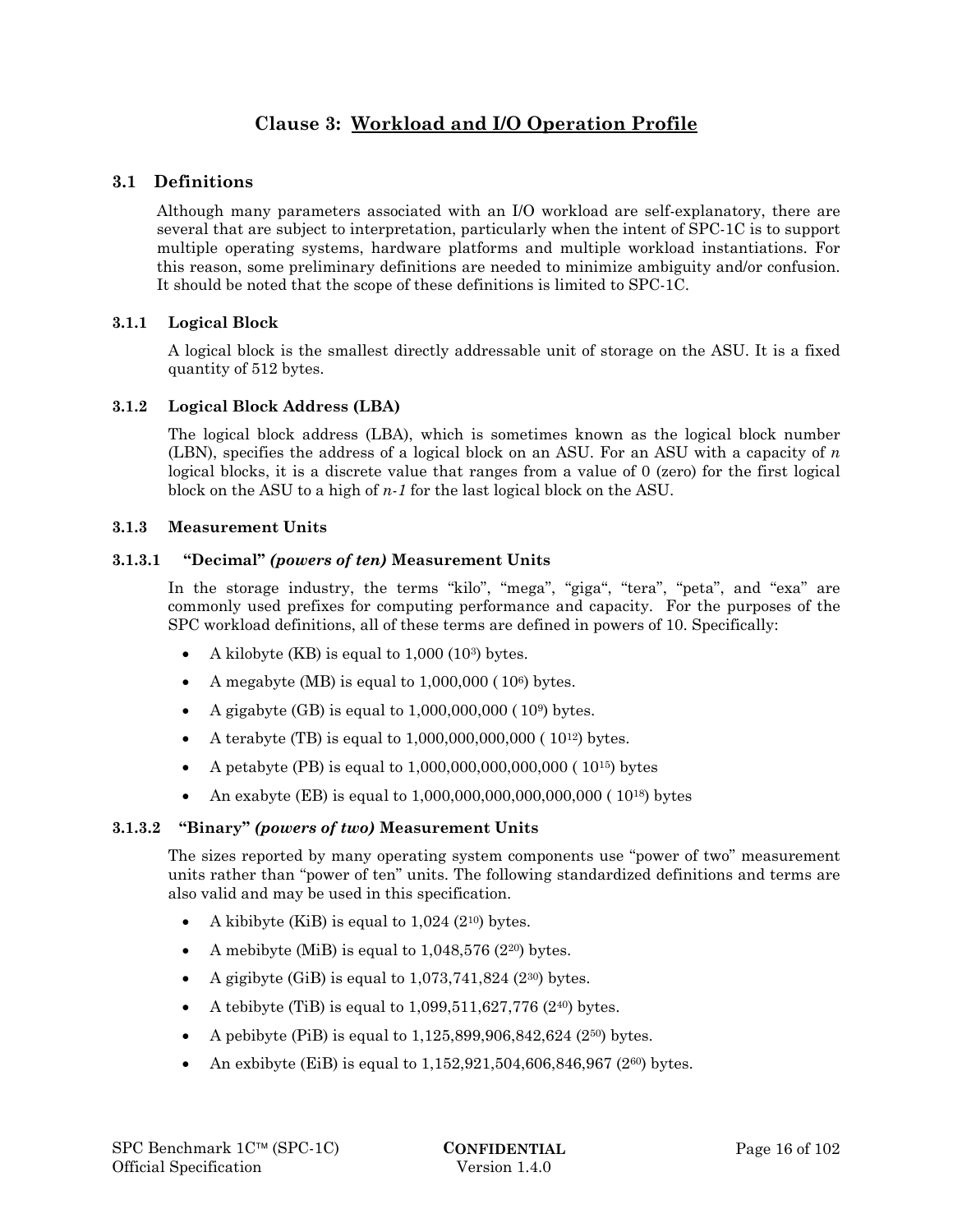# **Clause 3: Workload and I/O Operation Profile**

# **3.1 Definitions**

Although many parameters associated with an I/O workload are self-explanatory, there are several that are subject to interpretation, particularly when the intent of SPC-1C is to support multiple operating systems, hardware platforms and multiple workload instantiations. For this reason, some preliminary definitions are needed to minimize ambiguity and/or confusion. It should be noted that the scope of these definitions is limited to SPC-1C.

# **3.1.1 Logical Block**

A logical block is the smallest directly addressable unit of storage on the ASU. It is a fixed quantity of 512 bytes.

### **3.1.2 Logical Block Address (LBA)**

The logical block address (LBA), which is sometimes known as the logical block number (LBN), specifies the address of a logical block on an ASU. For an ASU with a capacity of *n* logical blocks, it is a discrete value that ranges from a value of 0 (zero) for the first logical block on the ASU to a high of *n-1* for the last logical block on the ASU.

### **3.1.3 Measurement Units**

# **3.1.3.1 "Decimal"** *(powers of ten)* **Measurement Units**

In the storage industry, the terms "kilo", "mega", "giga", "tera", "peta", and "exa" are commonly used prefixes for computing performance and capacity. For the purposes of the SPC workload definitions, all of these terms are defined in powers of 10. Specifically:

- A kilobyte (KB) is equal to 1,000 (103) bytes.
- A megabyte (MB) is equal to  $1,000,000$  ( $10<sup>6</sup>$ ) bytes.
- A gigabyte  $(BB)$  is equal to  $1,000,000,000$  ( $10<sup>9</sup>$ ) bytes.
- A terabyte (TB) is equal to  $1,000,000,000,000$  ( $10^{12}$ ) bytes.
- A petabyte (PB) is equal to  $1,000,000,000,000,000$  ( $10^{15}$ ) bytes
- An exabyte (EB) is equal to  $1,000,000,000,000,000,000$  ( $10^{18}$ ) bytes

### **3.1.3.2 "Binary"** *(powers of two)* **Measurement Units**

The sizes reported by many operating system components use "power of two" measurement units rather than "power of ten" units. The following standardized definitions and terms are also valid and may be used in this specification.

- A kibibyte (KiB) is equal to  $1,024$  (2<sup>10</sup>) bytes.
- A mebibyte (MiB) is equal to  $1,048,576$  (2<sup>20</sup>) bytes.
- A gigibyte (GiB) is equal to  $1,073,741,824$  ( $2^{30}$ ) bytes.
- A tebibyte (TiB) is equal to  $1,099,511,627,776$  (240) bytes.
- A pebibyte (PiB) is equal to 1,125,899,906,842,624 (250) bytes.
- An exbibyte (EiB) is equal to 1,152,921,504,606,846,967 (2<sup>60</sup>) bytes.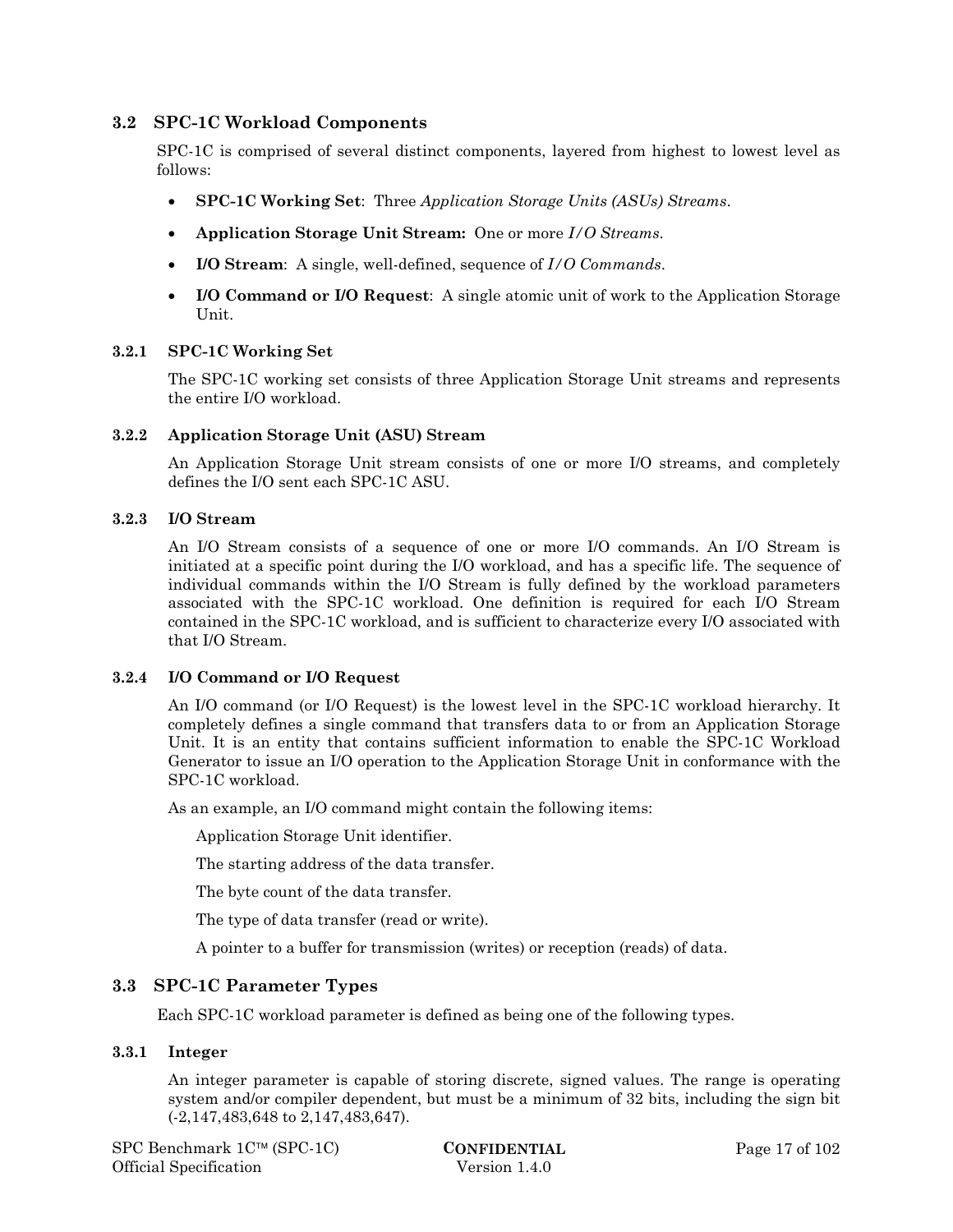### **3.2 SPC-1C Workload Components**

SPC-1C is comprised of several distinct components, layered from highest to lowest level as follows:

- **SPC-1C Working Set**: Three *Application Storage Units (ASUs) Streams*.
- **Application Storage Unit Stream:** One or more *I/O Streams*.
- **I/O Stream**: A single, well-defined, sequence of *I/O Commands*.
- **I/O Command or I/O Request**: A single atomic unit of work to the Application Storage Unit.

# **3.2.1 SPC-1C Working Set**

The SPC-1C working set consists of three Application Storage Unit streams and represents the entire I/O workload.

#### **3.2.2 Application Storage Unit (ASU) Stream**

An Application Storage Unit stream consists of one or more I/O streams, and completely defines the I/O sent each SPC-1C ASU.

#### **3.2.3 I/O Stream**

An I/O Stream consists of a sequence of one or more I/O commands. An I/O Stream is initiated at a specific point during the I/O workload, and has a specific life. The sequence of individual commands within the I/O Stream is fully defined by the workload parameters associated with the SPC-1C workload. One definition is required for each I/O Stream contained in the SPC-1C workload, and is sufficient to characterize every I/O associated with that I/O Stream.

### **3.2.4 I/O Command or I/O Request**

An I/O command (or I/O Request) is the lowest level in the SPC-1C workload hierarchy. It completely defines a single command that transfers data to or from an Application Storage Unit. It is an entity that contains sufficient information to enable the SPC-1C Workload Generator to issue an I/O operation to the Application Storage Unit in conformance with the SPC-1C workload.

As an example, an I/O command might contain the following items:

Application Storage Unit identifier.

The starting address of the data transfer.

The byte count of the data transfer.

The type of data transfer (read or write).

A pointer to a buffer for transmission (writes) or reception (reads) of data.

### **3.3 SPC-1C Parameter Types**

Each SPC-1C workload parameter is defined as being one of the following types.

### **3.3.1 Integer**

An integer parameter is capable of storing discrete, signed values. The range is operating system and/or compiler dependent, but must be a minimum of 32 bits, including the sign bit (-2,147,483,648 to 2,147,483,647).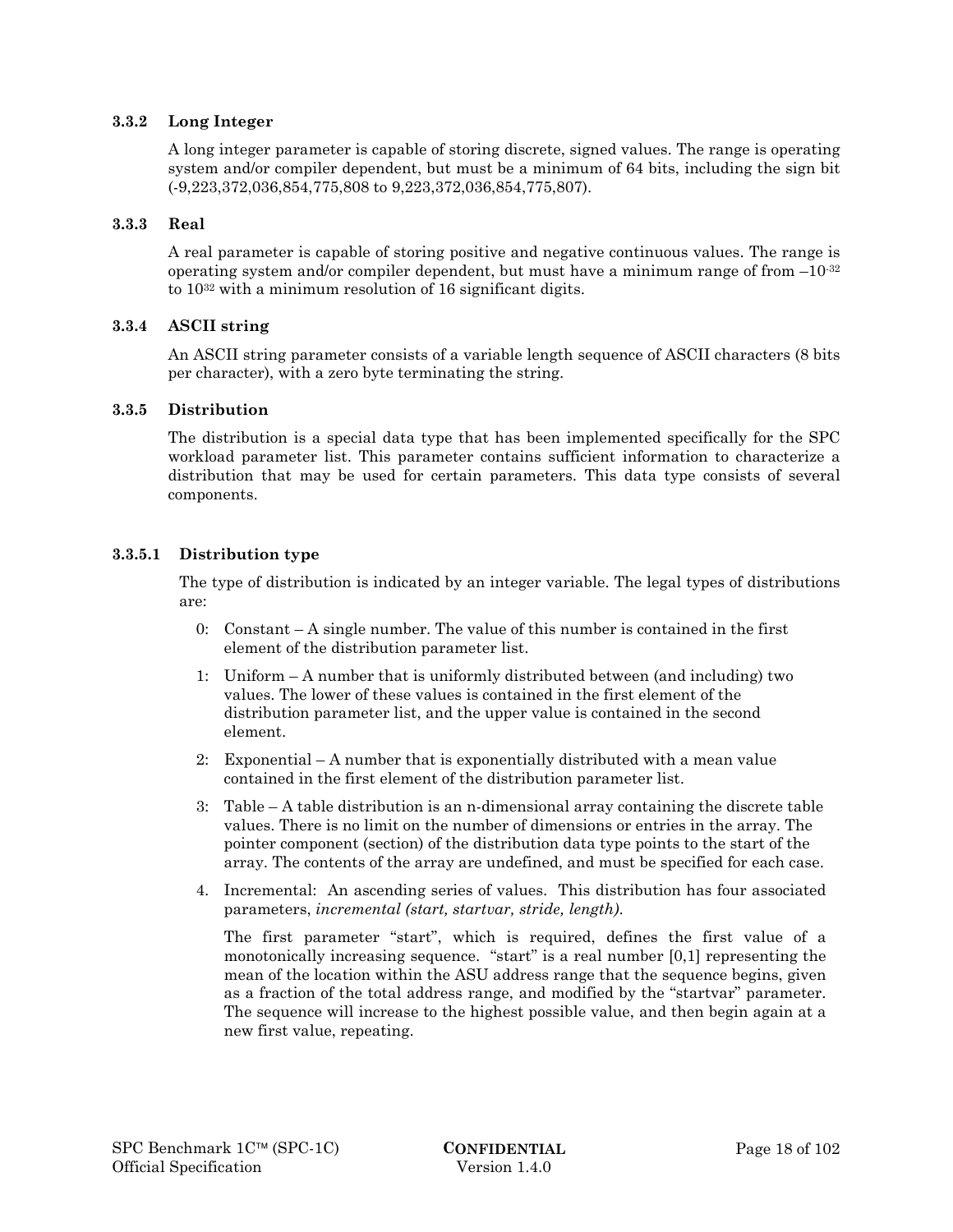#### **3.3.2 Long Integer**

A long integer parameter is capable of storing discrete, signed values. The range is operating system and/or compiler dependent, but must be a minimum of 64 bits, including the sign bit (-9,223,372,036,854,775,808 to 9,223,372,036,854,775,807).

#### **3.3.3 Real**

A real parameter is capable of storing positive and negative continuous values. The range is operating system and/or compiler dependent, but must have a minimum range of from  $-10^{-32}$ to 1032 with a minimum resolution of 16 significant digits.

#### **3.3.4 ASCII string**

An ASCII string parameter consists of a variable length sequence of ASCII characters (8 bits per character), with a zero byte terminating the string.

#### **3.3.5 Distribution**

The distribution is a special data type that has been implemented specifically for the SPC workload parameter list. This parameter contains sufficient information to characterize a distribution that may be used for certain parameters. This data type consists of several components.

#### **3.3.5.1 Distribution type**

The type of distribution is indicated by an integer variable. The legal types of distributions are:

- 0: Constant A single number. The value of this number is contained in the first element of the distribution parameter list.
- 1: Uniform A number that is uniformly distributed between (and including) two values. The lower of these values is contained in the first element of the distribution parameter list, and the upper value is contained in the second element.
- 2: Exponential A number that is exponentially distributed with a mean value contained in the first element of the distribution parameter list.
- 3: Table A table distribution is an n-dimensional array containing the discrete table values. There is no limit on the number of dimensions or entries in the array. The pointer component (section) of the distribution data type points to the start of the array. The contents of the array are undefined, and must be specified for each case.
- 4. Incremental: An ascending series of values. This distribution has four associated parameters, *incremental (start, startvar, stride, length)*.

The first parameter "start", which is required, defines the first value of a monotonically increasing sequence. "start" is a real number [0,1] representing the mean of the location within the ASU address range that the sequence begins, given as a fraction of the total address range, and modified by the "startvar" parameter. The sequence will increase to the highest possible value, and then begin again at a new first value, repeating.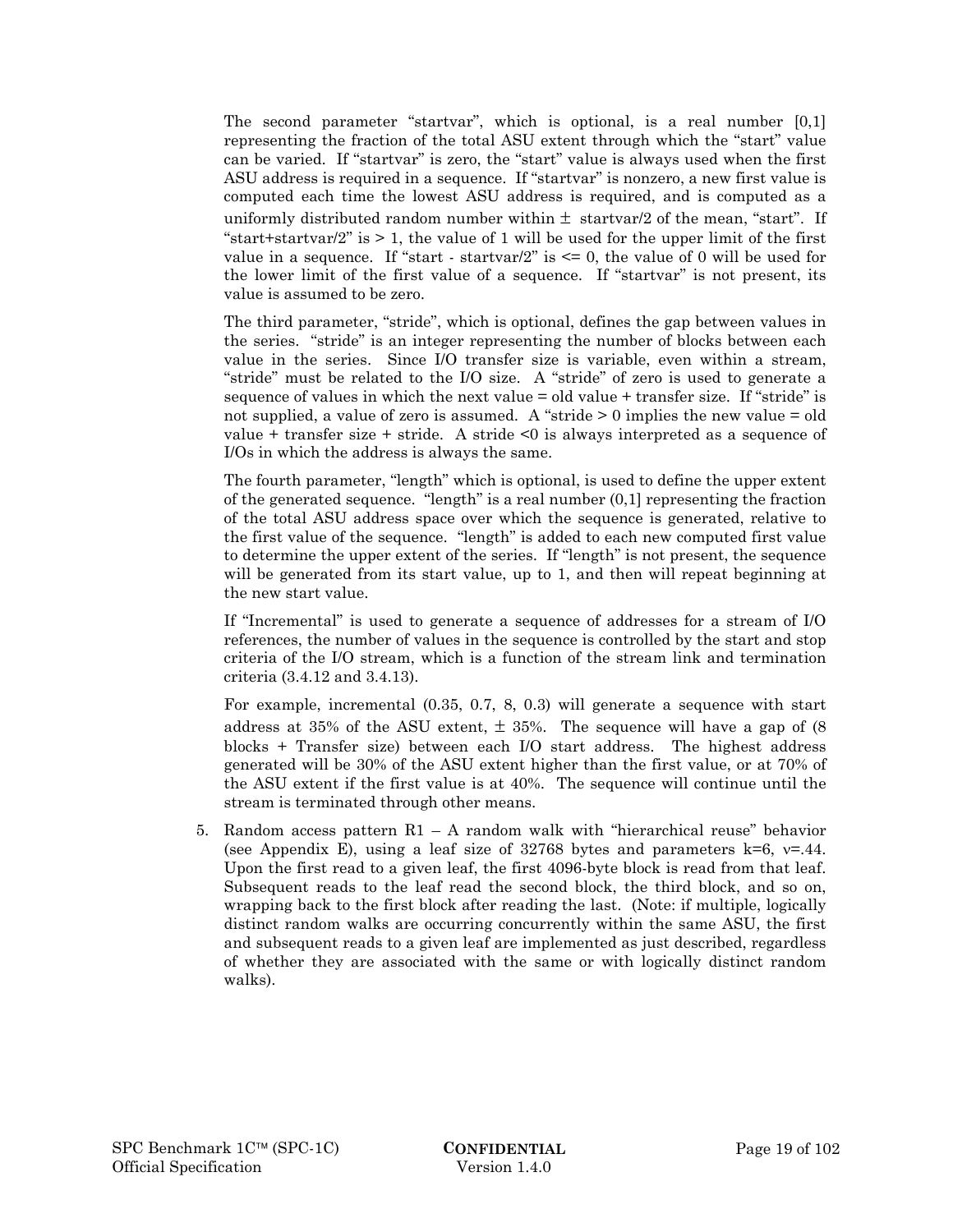The second parameter "startvar", which is optional, is a real number [0,1] representing the fraction of the total ASU extent through which the "start" value can be varied. If "startvar" is zero, the "start" value is always used when the first ASU address is required in a sequence. If "startvar" is nonzero, a new first value is computed each time the lowest ASU address is required, and is computed as a uniformly distributed random number within  $\pm$  startvar/2 of the mean, "start". If "start+startvar/2" is  $> 1$ , the value of 1 will be used for the upper limit of the first value in a sequence. If "start - startvar/2" is  $\leq 0$ , the value of 0 will be used for the lower limit of the first value of a sequence. If "startvar" is not present, its value is assumed to be zero.

The third parameter, "stride", which is optional, defines the gap between values in the series. "stride" is an integer representing the number of blocks between each value in the series. Since I/O transfer size is variable, even within a stream, "stride" must be related to the I/O size. A "stride" of zero is used to generate a sequence of values in which the next value = old value + transfer size. If "stride" is not supplied, a value of zero is assumed. A "stride > 0 implies the new value = old value + transfer size + stride. A stride <0 is always interpreted as a sequence of I/Os in which the address is always the same.

The fourth parameter, "length" which is optional, is used to define the upper extent of the generated sequence. "length" is a real number  $(0,1]$  representing the fraction of the total ASU address space over which the sequence is generated, relative to the first value of the sequence. "length" is added to each new computed first value to determine the upper extent of the series. If "length" is not present, the sequence will be generated from its start value, up to 1, and then will repeat beginning at the new start value.

If "Incremental" is used to generate a sequence of addresses for a stream of I/O references, the number of values in the sequence is controlled by the start and stop criteria of the I/O stream, which is a function of the stream link and termination criteria (3.4.12 and 3.4.13).

For example, incremental (0.35, 0.7, 8, 0.3) will generate a sequence with start address at 35% of the ASU extent,  $\pm$  35%. The sequence will have a gap of (8) blocks + Transfer size) between each I/O start address. The highest address generated will be 30% of the ASU extent higher than the first value, or at 70% of the ASU extent if the first value is at 40%. The sequence will continue until the stream is terminated through other means.

5. Random access pattern R1 – A random walk with "hierarchical reuse" behavior (see Appendix E), using a leaf size of 32768 bytes and parameters k=6,  $v=44$ . Upon the first read to a given leaf, the first 4096-byte block is read from that leaf. Subsequent reads to the leaf read the second block, the third block, and so on, wrapping back to the first block after reading the last. (Note: if multiple, logically distinct random walks are occurring concurrently within the same ASU, the first and subsequent reads to a given leaf are implemented as just described, regardless of whether they are associated with the same or with logically distinct random walks).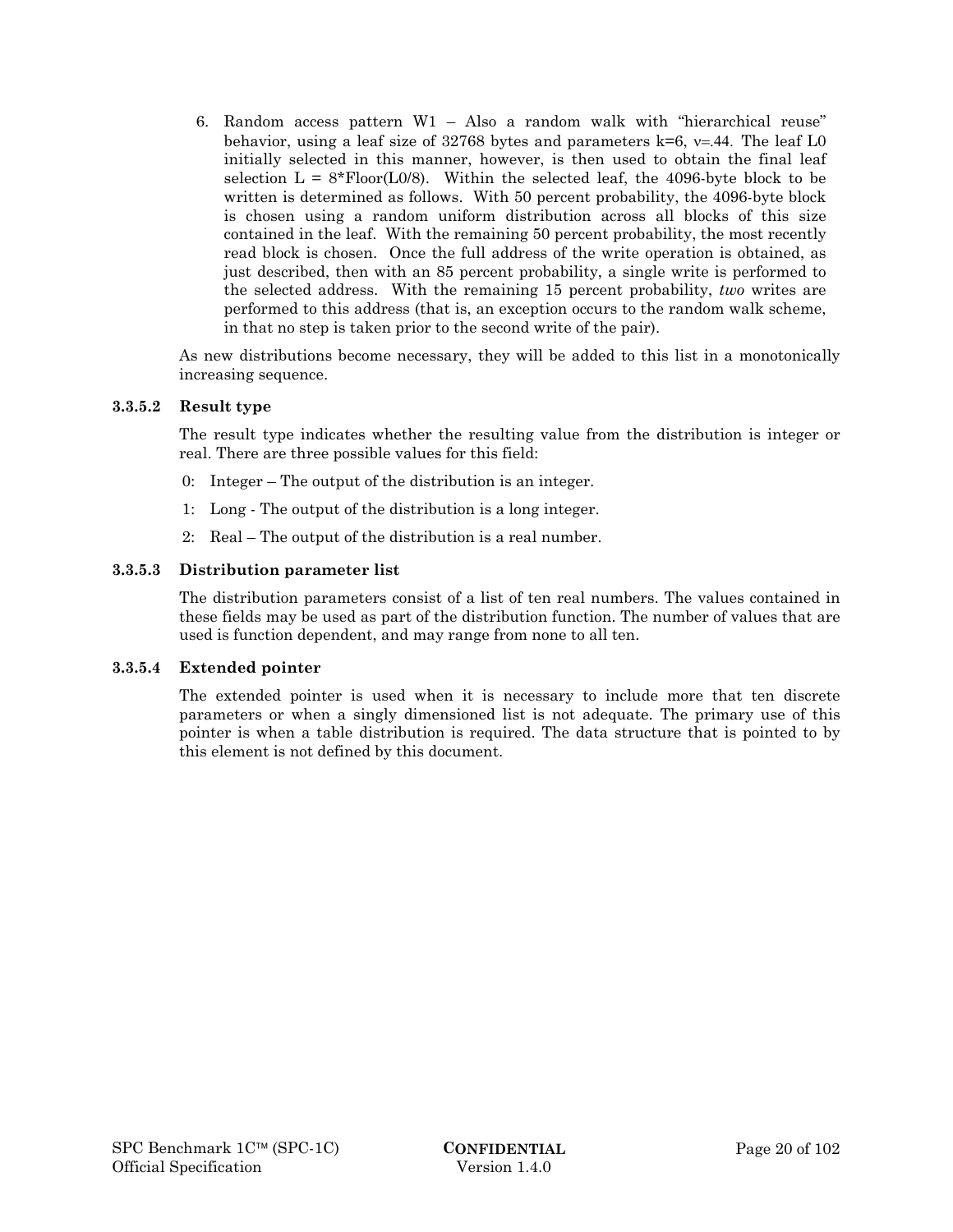6. Random access pattern W1 – Also a random walk with "hierarchical reuse" behavior, using a leaf size of 32768 bytes and parameters  $k=6$ ,  $v=44$ . The leaf L0 initially selected in this manner, however, is then used to obtain the final leaf selection  $L = 8*$  Floor(L0/8). Within the selected leaf, the 4096-byte block to be written is determined as follows. With 50 percent probability, the 4096-byte block is chosen using a random uniform distribution across all blocks of this size contained in the leaf. With the remaining 50 percent probability, the most recently read block is chosen. Once the full address of the write operation is obtained, as just described, then with an 85 percent probability, a single write is performed to the selected address. With the remaining 15 percent probability, *two* writes are performed to this address (that is, an exception occurs to the random walk scheme, in that no step is taken prior to the second write of the pair).

As new distributions become necessary, they will be added to this list in a monotonically increasing sequence.

#### **3.3.5.2 Result type**

The result type indicates whether the resulting value from the distribution is integer or real. There are three possible values for this field:

- 0: Integer The output of the distribution is an integer.
- 1: Long The output of the distribution is a long integer.
- 2: Real The output of the distribution is a real number.

#### **3.3.5.3 Distribution parameter list**

The distribution parameters consist of a list of ten real numbers. The values contained in these fields may be used as part of the distribution function. The number of values that are used is function dependent, and may range from none to all ten.

#### **3.3.5.4 Extended pointer**

The extended pointer is used when it is necessary to include more that ten discrete parameters or when a singly dimensioned list is not adequate. The primary use of this pointer is when a table distribution is required. The data structure that is pointed to by this element is not defined by this document.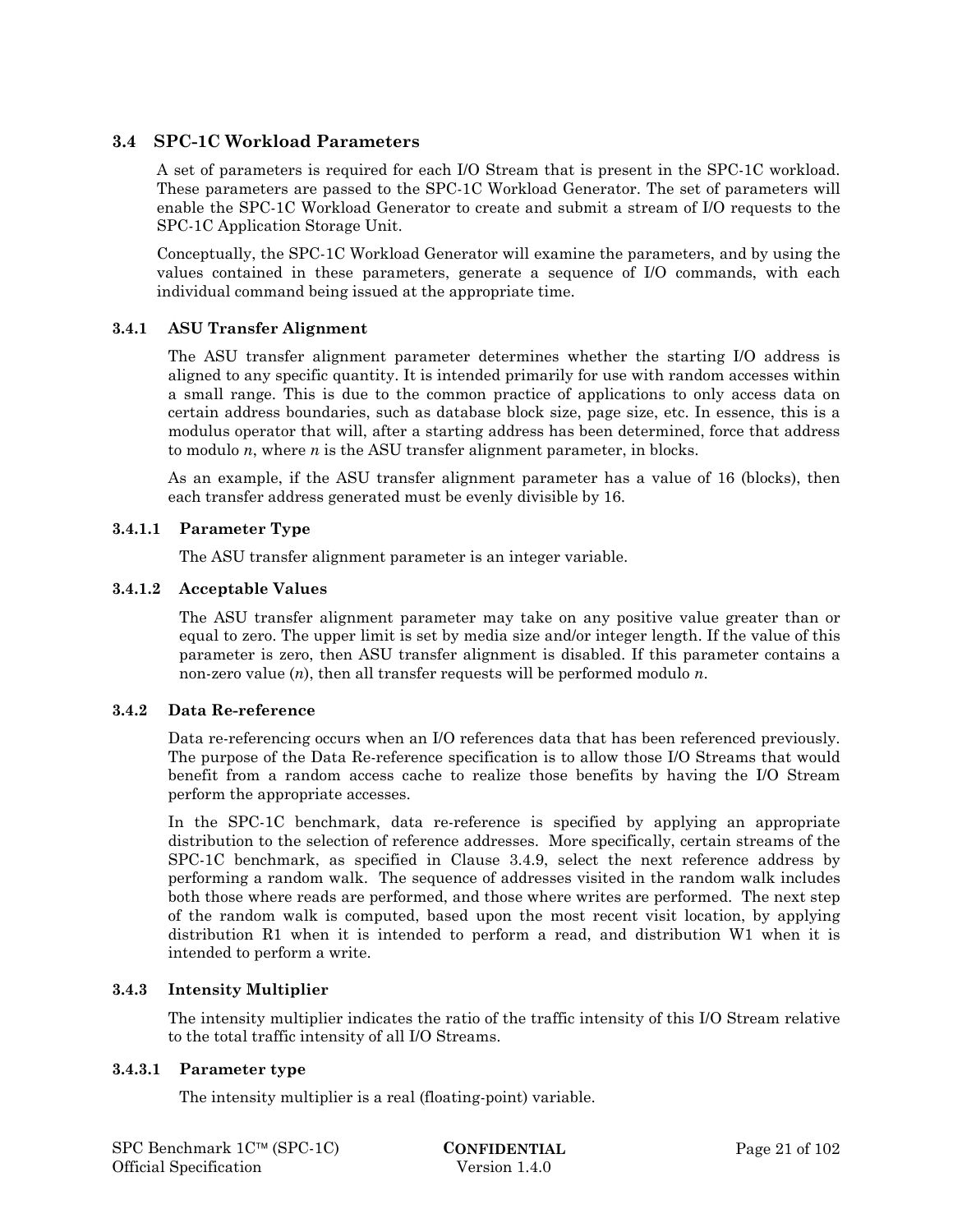# **3.4 SPC-1C Workload Parameters**

A set of parameters is required for each I/O Stream that is present in the SPC-1C workload. These parameters are passed to the SPC-1C Workload Generator. The set of parameters will enable the SPC-1C Workload Generator to create and submit a stream of I/O requests to the SPC-1C Application Storage Unit.

Conceptually, the SPC-1C Workload Generator will examine the parameters, and by using the values contained in these parameters, generate a sequence of I/O commands, with each individual command being issued at the appropriate time*.* 

#### **3.4.1 ASU Transfer Alignment**

The ASU transfer alignment parameter determines whether the starting I/O address is aligned to any specific quantity. It is intended primarily for use with random accesses within a small range. This is due to the common practice of applications to only access data on certain address boundaries, such as database block size, page size, etc. In essence, this is a modulus operator that will, after a starting address has been determined, force that address to modulo *n*, where *n* is the ASU transfer alignment parameter, in blocks.

As an example, if the ASU transfer alignment parameter has a value of 16 (blocks), then each transfer address generated must be evenly divisible by 16.

### **3.4.1.1 Parameter Type**

The ASU transfer alignment parameter is an integer variable.

#### **3.4.1.2 Acceptable Values**

The ASU transfer alignment parameter may take on any positive value greater than or equal to zero. The upper limit is set by media size and/or integer length. If the value of this parameter is zero, then ASU transfer alignment is disabled. If this parameter contains a non-zero value (*n*), then all transfer requests will be performed modulo *n*.

#### **3.4.2 Data Re-reference**

Data re-referencing occurs when an I/O references data that has been referenced previously. The purpose of the Data Re-reference specification is to allow those I/O Streams that would benefit from a random access cache to realize those benefits by having the I/O Stream perform the appropriate accesses.

In the SPC-1C benchmark, data re-reference is specified by applying an appropriate distribution to the selection of reference addresses. More specifically, certain streams of the SPC-1C benchmark, as specified in Clause 3.4.9, select the next reference address by performing a random walk. The sequence of addresses visited in the random walk includes both those where reads are performed, and those where writes are performed. The next step of the random walk is computed, based upon the most recent visit location, by applying distribution R1 when it is intended to perform a read, and distribution W1 when it is intended to perform a write.

### **3.4.3 Intensity Multiplier**

The intensity multiplier indicates the ratio of the traffic intensity of this I/O Stream relative to the total traffic intensity of all I/O Streams.

#### **3.4.3.1 Parameter type**

The intensity multiplier is a real (floating-point) variable.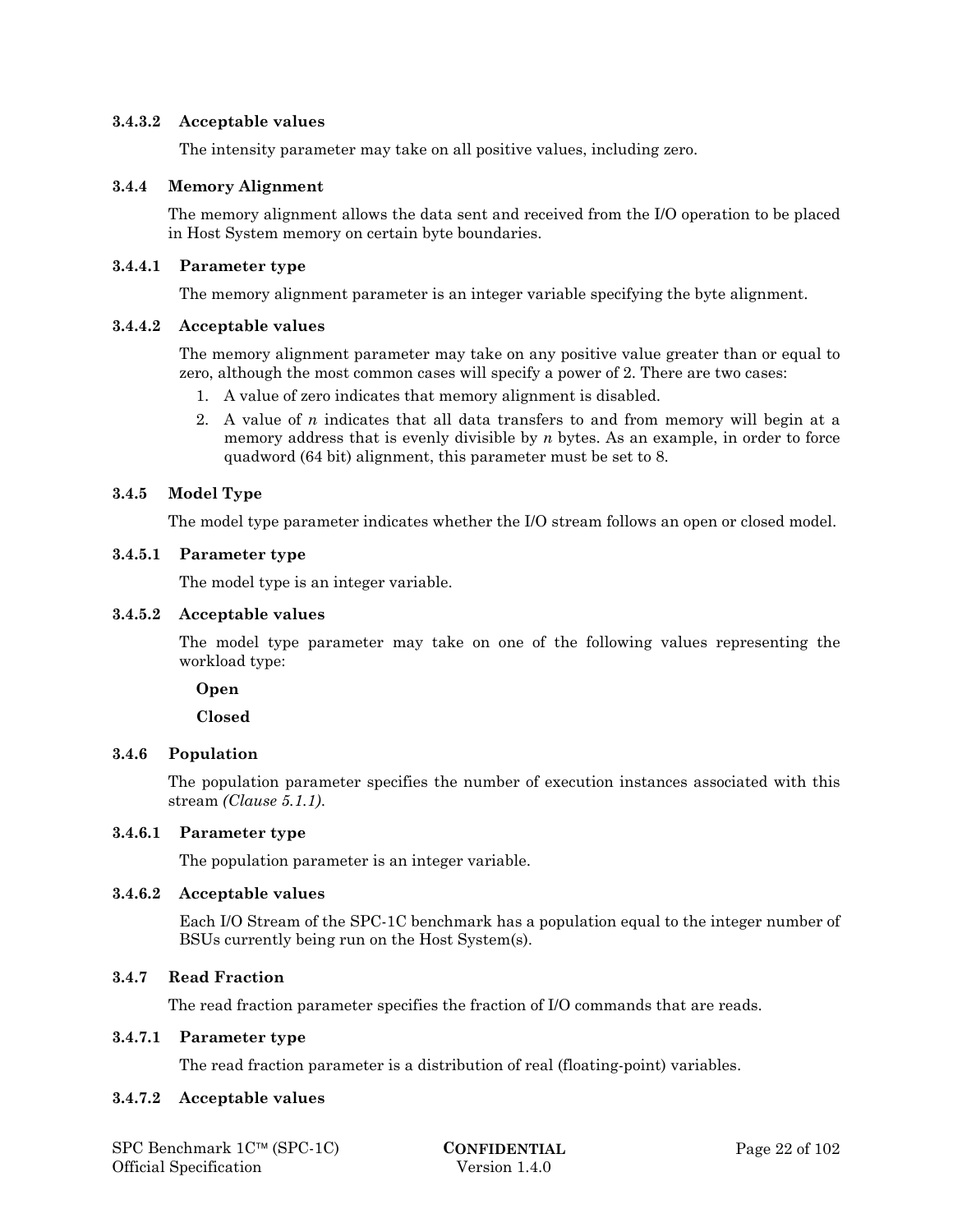#### **3.4.3.2 Acceptable values**

The intensity parameter may take on all positive values, including zero.

#### **3.4.4 Memory Alignment**

The memory alignment allows the data sent and received from the I/O operation to be placed in Host System memory on certain byte boundaries.

#### **3.4.4.1 Parameter type**

The memory alignment parameter is an integer variable specifying the byte alignment.

#### **3.4.4.2 Acceptable values**

The memory alignment parameter may take on any positive value greater than or equal to zero, although the most common cases will specify a power of 2. There are two cases:

- 1. A value of zero indicates that memory alignment is disabled.
- 2. A value of *n* indicates that all data transfers to and from memory will begin at a memory address that is evenly divisible by *n* bytes. As an example, in order to force quadword (64 bit) alignment, this parameter must be set to 8.

### **3.4.5 Model Type**

The model type parameter indicates whether the I/O stream follows an open or closed model.

#### **3.4.5.1 Parameter type**

The model type is an integer variable.

#### **3.4.5.2 Acceptable values**

The model type parameter may take on one of the following values representing the workload type:

#### **Open**

 **Closed** 

### **3.4.6 Population**

The population parameter specifies the number of execution instances associated with this stream *(Clause 5.1.1)*.

#### **3.4.6.1 Parameter type**

The population parameter is an integer variable.

#### **3.4.6.2 Acceptable values**

Each I/O Stream of the SPC-1C benchmark has a population equal to the integer number of BSUs currently being run on the Host System(s).

#### **3.4.7 Read Fraction**

The read fraction parameter specifies the fraction of I/O commands that are reads.

#### **3.4.7.1 Parameter type**

The read fraction parameter is a distribution of real (floating-point) variables.

#### **3.4.7.2 Acceptable values**

| SPC Benchmark $1C^{\text{TM}}$ (SPC-1C) |  |
|-----------------------------------------|--|
| Official Specification                  |  |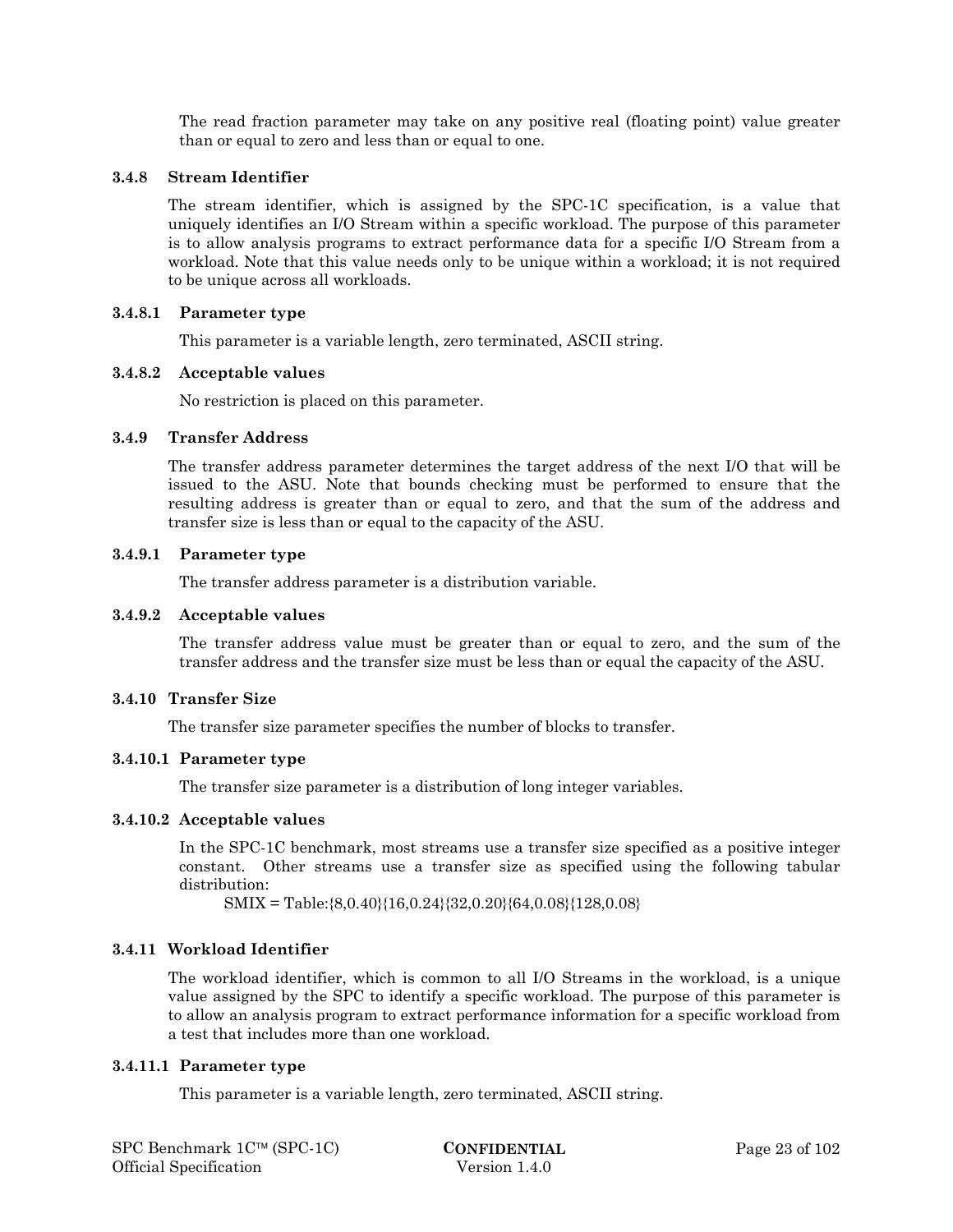The read fraction parameter may take on any positive real (floating point) value greater than or equal to zero and less than or equal to one.

#### **3.4.8 Stream Identifier**

The stream identifier, which is assigned by the SPC-1C specification, is a value that uniquely identifies an I/O Stream within a specific workload. The purpose of this parameter is to allow analysis programs to extract performance data for a specific I/O Stream from a workload. Note that this value needs only to be unique within a workload; it is not required to be unique across all workloads.

#### **3.4.8.1 Parameter type**

This parameter is a variable length, zero terminated, ASCII string.

#### **3.4.8.2 Acceptable values**

No restriction is placed on this parameter.

# **3.4.9 Transfer Address**

The transfer address parameter determines the target address of the next I/O that will be issued to the ASU. Note that bounds checking must be performed to ensure that the resulting address is greater than or equal to zero, and that the sum of the address and transfer size is less than or equal to the capacity of the ASU.

#### **3.4.9.1 Parameter type**

The transfer address parameter is a distribution variable.

#### **3.4.9.2 Acceptable values**

The transfer address value must be greater than or equal to zero, and the sum of the transfer address and the transfer size must be less than or equal the capacity of the ASU.

#### **3.4.10 Transfer Size**

The transfer size parameter specifies the number of blocks to transfer.

#### **3.4.10.1 Parameter type**

The transfer size parameter is a distribution of long integer variables.

#### **3.4.10.2 Acceptable values**

In the SPC-1C benchmark, most streams use a transfer size specified as a positive integer constant. Other streams use a transfer size as specified using the following tabular distribution:

SMIX = Table:{8,0.40}{16,0.24}{32,0.20}{64,0.08}{128,0.08}

### **3.4.11 Workload Identifier**

The workload identifier, which is common to all I/O Streams in the workload, is a unique value assigned by the SPC to identify a specific workload. The purpose of this parameter is to allow an analysis program to extract performance information for a specific workload from a test that includes more than one workload.

#### **3.4.11.1 Parameter type**

This parameter is a variable length, zero terminated, ASCII string.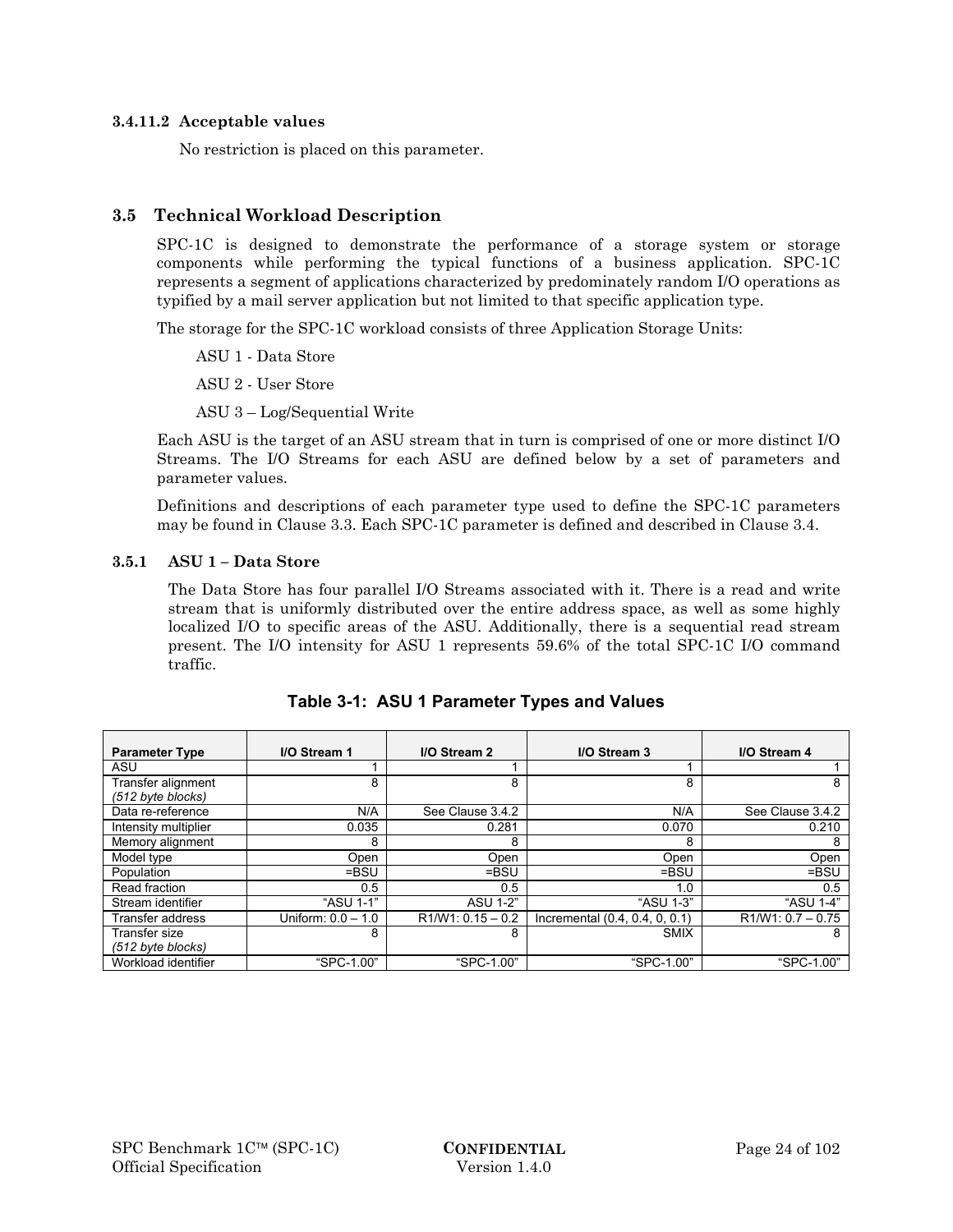#### **3.4.11.2 Acceptable values**

No restriction is placed on this parameter.

# **3.5 Technical Workload Description**

SPC-1C is designed to demonstrate the performance of a storage system or storage components while performing the typical functions of a business application. SPC-1C represents a segment of applications characterized by predominately random I/O operations as typified by a mail server application but not limited to that specific application type.

The storage for the SPC-1C workload consists of three Application Storage Units:

ASU 1 - Data Store

ASU 2 - User Store

ASU 3 – Log/Sequential Write

Each ASU is the target of an ASU stream that in turn is comprised of one or more distinct I/O Streams. The I/O Streams for each ASU are defined below by a set of parameters and parameter values.

Definitions and descriptions of each parameter type used to define the SPC-1C parameters may be found in Clause 3.3. Each SPC-1C parameter is defined and described in Clause 3.4.

#### **3.5.1 ASU 1 – Data Store**

The Data Store has four parallel I/O Streams associated with it. There is a read and write stream that is uniformly distributed over the entire address space, as well as some highly localized I/O to specific areas of the ASU. Additionally, there is a sequential read stream present. The I/O intensity for ASU 1 represents 59.6% of the total SPC-1C I/O command traffic.

| <b>Parameter Type</b>                   | I/O Stream 1         | I/O Stream 2        | I/O Stream 3                   | I/O Stream 4        |
|-----------------------------------------|----------------------|---------------------|--------------------------------|---------------------|
| ASU                                     |                      |                     |                                |                     |
| Transfer alignment<br>(512 byte blocks) | 8                    | 8                   | 8                              | 8                   |
| Data re-reference                       | N/A                  | See Clause 3.4.2    | N/A                            | See Clause 3.4.2    |
| Intensity multiplier                    | 0.035                | 0.281               | 0.070                          | 0.210               |
| Memory alignment                        | 8                    | 8                   | 8                              | 8                   |
| Model type                              | Open                 | Open                | Open                           | Open                |
| Population                              | $=$ BSU              | $=$ BSU             | $=$ BSU                        | $=$ BSU             |
| Read fraction                           | 0.5                  | 0.5                 | 1.0                            | 0.5                 |
| Stream identifier                       | "ASU 1-1"            | <b>ASU 1-2"</b>     | "ASU 1-3"                      | "ASU 1-4"           |
| Transfer address                        | Uniform: $0.0 - 1.0$ | $R1/W1: 0.15 - 0.2$ | Incremental (0.4, 0.4, 0, 0.1) | $R1/W1: 0.7 - 0.75$ |
| Transfer size<br>(512 byte blocks)      | 8                    | 8                   | <b>SMIX</b>                    | 8                   |
| Workload identifier                     | "SPC-1.00"           | "SPC-1.00"          | "SPC-1.00"                     | "SPC-1.00"          |

**Table 3-1: ASU 1 Parameter Types and Values**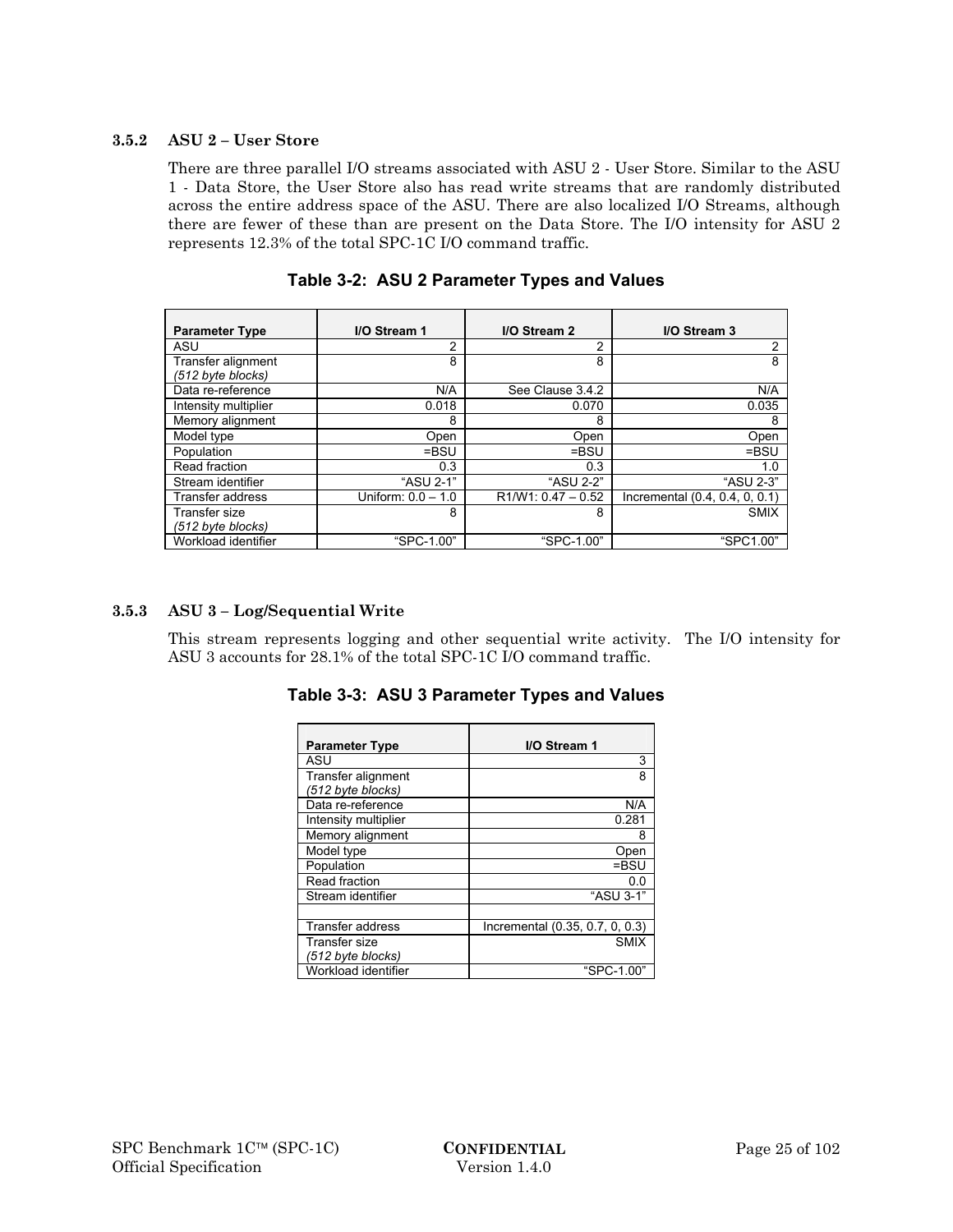#### **3.5.2 ASU 2 – User Store**

There are three parallel I/O streams associated with ASU 2 - User Store. Similar to the ASU 1 - Data Store, the User Store also has read write streams that are randomly distributed across the entire address space of the ASU. There are also localized I/O Streams, although there are fewer of these than are present on the Data Store. The I/O intensity for ASU 2 represents 12.3% of the total SPC-1C I/O command traffic.

| <b>Parameter Type</b>                   | I/O Stream 1         | I/O Stream 2         | I/O Stream 3                   |
|-----------------------------------------|----------------------|----------------------|--------------------------------|
| ASU                                     | 2                    | 2                    | 2                              |
| Transfer alignment<br>(512 byte blocks) | 8                    | 8                    | 8                              |
| Data re-reference                       | N/A                  | See Clause 3.4.2     | N/A                            |
| Intensity multiplier                    | 0.018                | 0.070                | 0.035                          |
| Memory alignment                        | 8                    | 8                    | 8                              |
| Model type                              | Open                 | Open                 | Open                           |
| Population                              | $=$ BSU              | $=$ BSU              | $=$ BSU                        |
| Read fraction                           | 0.3                  | 0.3                  | 1.0                            |
| Stream identifier                       | "ASU 2-1"            | "ASU 2-2"            | "ASU 2-3"                      |
| Transfer address                        | Uniform: $0.0 - 1.0$ | $R1/W1: 0.47 - 0.52$ | Incremental (0.4, 0.4, 0, 0.1) |
| Transfer size<br>(512 byte blocks)      | 8                    | 8                    | <b>SMIX</b>                    |
| Workload identifier                     | "SPC-1.00"           | "SPC-1.00"           | "SPC1.00"                      |

**Table 3-2: ASU 2 Parameter Types and Values** 

#### **3.5.3 ASU 3 – Log/Sequential Write**

This stream represents logging and other sequential write activity. The I/O intensity for ASU 3 accounts for 28.1% of the total SPC-1C I/O command traffic.

| <b>Parameter Type</b>                     | I/O Stream 1                    |
|-------------------------------------------|---------------------------------|
| ASU                                       | 3                               |
| Transfer alignment<br>(512 byte blocks)   | 8                               |
| Data re-reference                         | N/A                             |
| Intensity multiplier                      | 0.281                           |
| Memory alignment                          | 8                               |
| Model type                                | Open                            |
| Population                                | $=$ BSU                         |
| Read fraction                             | 0.0                             |
| Stream identifier                         | "ASU 3-1"                       |
|                                           |                                 |
| <b>Transfer address</b>                   | Incremental (0.35, 0.7, 0, 0.3) |
| <b>Transfer size</b><br>(512 byte blocks) | <b>SMIX</b>                     |
| Workload identifier                       | "SPC-1.00"                      |

**Table 3-3: ASU 3 Parameter Types and Values**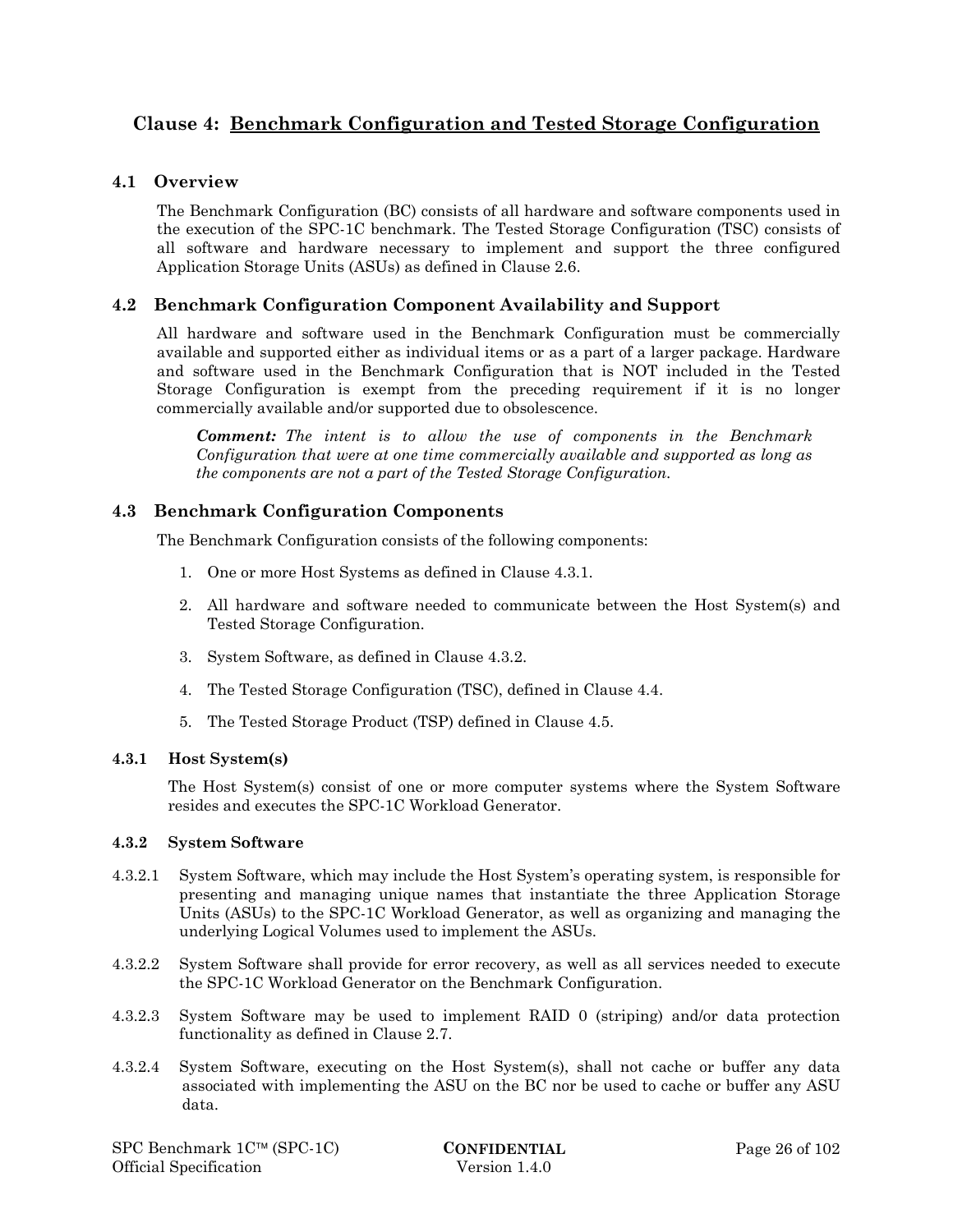# **Clause 4: Benchmark Configuration and Tested Storage Configuration**

# **4.1 Overview**

The Benchmark Configuration (BC) consists of all hardware and software components used in the execution of the SPC-1C benchmark. The Tested Storage Configuration (TSC) consists of all software and hardware necessary to implement and support the three configured Application Storage Units (ASUs) as defined in Clause 2.6.

# **4.2 Benchmark Configuration Component Availability and Support**

All hardware and software used in the Benchmark Configuration must be commercially available and supported either as individual items or as a part of a larger package. Hardware and software used in the Benchmark Configuration that is NOT included in the Tested Storage Configuration is exempt from the preceding requirement if it is no longer commercially available and/or supported due to obsolescence.

*Comment: The intent is to allow the use of components in the Benchmark Configuration that were at one time commercially available and supported as long as the components are not a part of the Tested Storage Configuration.* 

### **4.3 Benchmark Configuration Components**

The Benchmark Configuration consists of the following components:

- 1. One or more Host Systems as defined in Clause 4.3.1.
- 2. All hardware and software needed to communicate between the Host System(s) and Tested Storage Configuration.
- 3. System Software, as defined in Clause 4.3.2.
- 4. The Tested Storage Configuration (TSC), defined in Clause 4.4.
- 5. The Tested Storage Product (TSP) defined in Clause 4.5.

#### **4.3.1 Host System(s)**

The Host System(s) consist of one or more computer systems where the System Software resides and executes the SPC-1C Workload Generator.

#### **4.3.2 System Software**

- 4.3.2.1 System Software, which may include the Host System's operating system, is responsible for presenting and managing unique names that instantiate the three Application Storage Units (ASUs) to the SPC-1C Workload Generator, as well as organizing and managing the underlying Logical Volumes used to implement the ASUs.
- 4.3.2.2 System Software shall provide for error recovery, as well as all services needed to execute the SPC-1C Workload Generator on the Benchmark Configuration.
- 4.3.2.3 System Software may be used to implement RAID 0 (striping) and/or data protection functionality as defined in Clause 2.7.
- 4.3.2.4 System Software, executing on the Host System(s), shall not cache or buffer any data associated with implementing the ASU on the BC nor be used to cache or buffer any ASU data.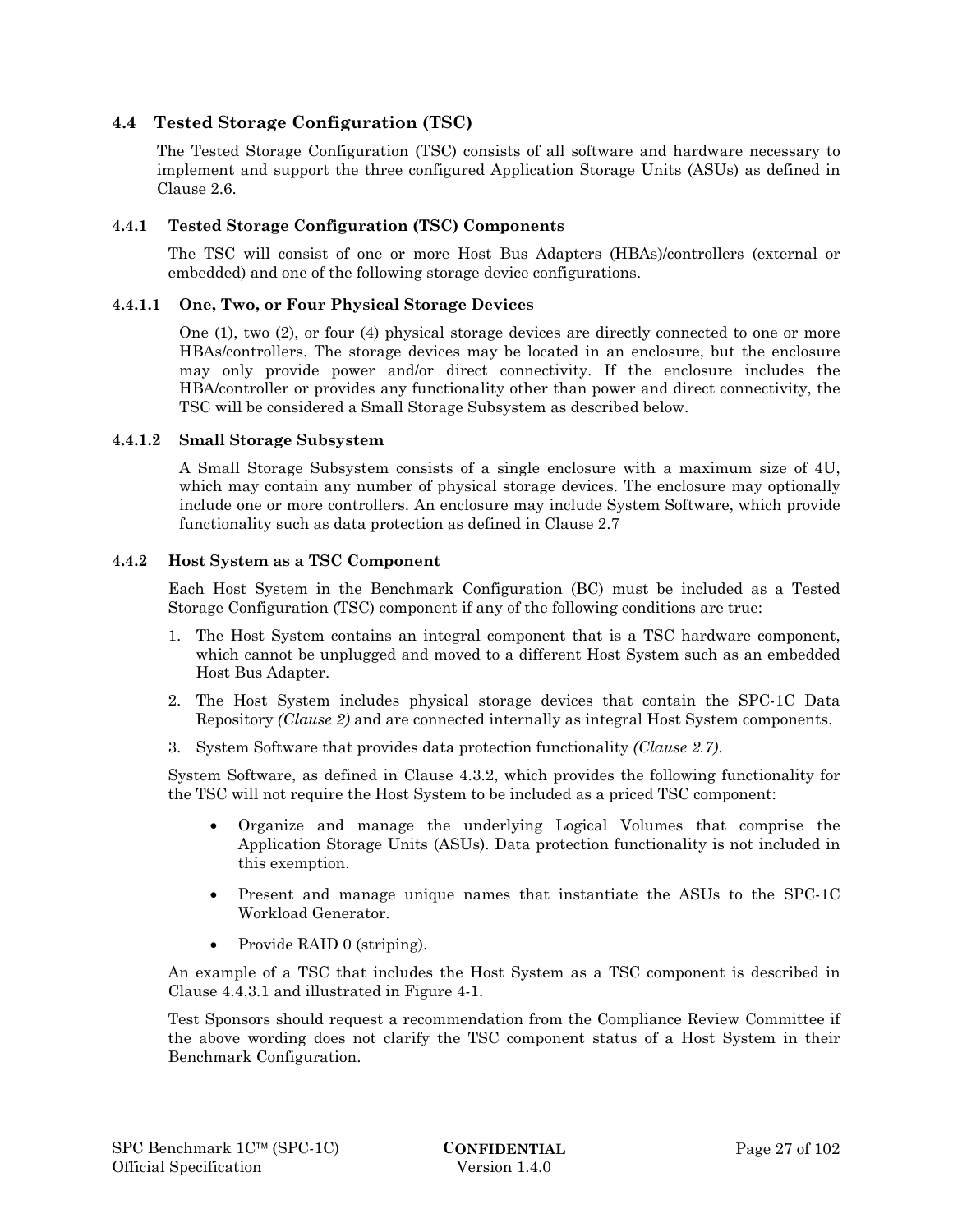# **4.4 Tested Storage Configuration (TSC)**

The Tested Storage Configuration (TSC) consists of all software and hardware necessary to implement and support the three configured Application Storage Units (ASUs) as defined in Clause 2.6.

#### **4.4.1 Tested Storage Configuration (TSC) Components**

The TSC will consist of one or more Host Bus Adapters (HBAs)/controllers (external or embedded) and one of the following storage device configurations.

#### **4.4.1.1 One, Two, or Four Physical Storage Devices**

One (1), two (2), or four (4) physical storage devices are directly connected to one or more HBAs/controllers. The storage devices may be located in an enclosure, but the enclosure may only provide power and/or direct connectivity. If the enclosure includes the HBA/controller or provides any functionality other than power and direct connectivity, the TSC will be considered a Small Storage Subsystem as described below.

#### **4.4.1.2 Small Storage Subsystem**

A Small Storage Subsystem consists of a single enclosure with a maximum size of 4U, which may contain any number of physical storage devices. The enclosure may optionally include one or more controllers. An enclosure may include System Software, which provide functionality such as data protection as defined in Clause 2.7

#### **4.4.2 Host System as a TSC Component**

Each Host System in the Benchmark Configuration (BC) must be included as a Tested Storage Configuration (TSC) component if any of the following conditions are true:

- 1. The Host System contains an integral component that is a TSC hardware component, which cannot be unplugged and moved to a different Host System such as an embedded Host Bus Adapter.
- 2. The Host System includes physical storage devices that contain the SPC-1C Data Repository *(Clause 2)* and are connected internally as integral Host System components.
- 3. System Software that provides data protection functionality *(Clause 2.7)*.

System Software, as defined in Clause 4.3.2, which provides the following functionality for the TSC will not require the Host System to be included as a priced TSC component:

- Organize and manage the underlying Logical Volumes that comprise the Application Storage Units (ASUs). Data protection functionality is not included in this exemption.
- Present and manage unique names that instantiate the ASUs to the SPC-1C Workload Generator.
- Provide RAID 0 (striping).

An example of a TSC that includes the Host System as a TSC component is described in Clause 4.4.3.1 and illustrated in Figure 4-1.

Test Sponsors should request a recommendation from the Compliance Review Committee if the above wording does not clarify the TSC component status of a Host System in their Benchmark Configuration.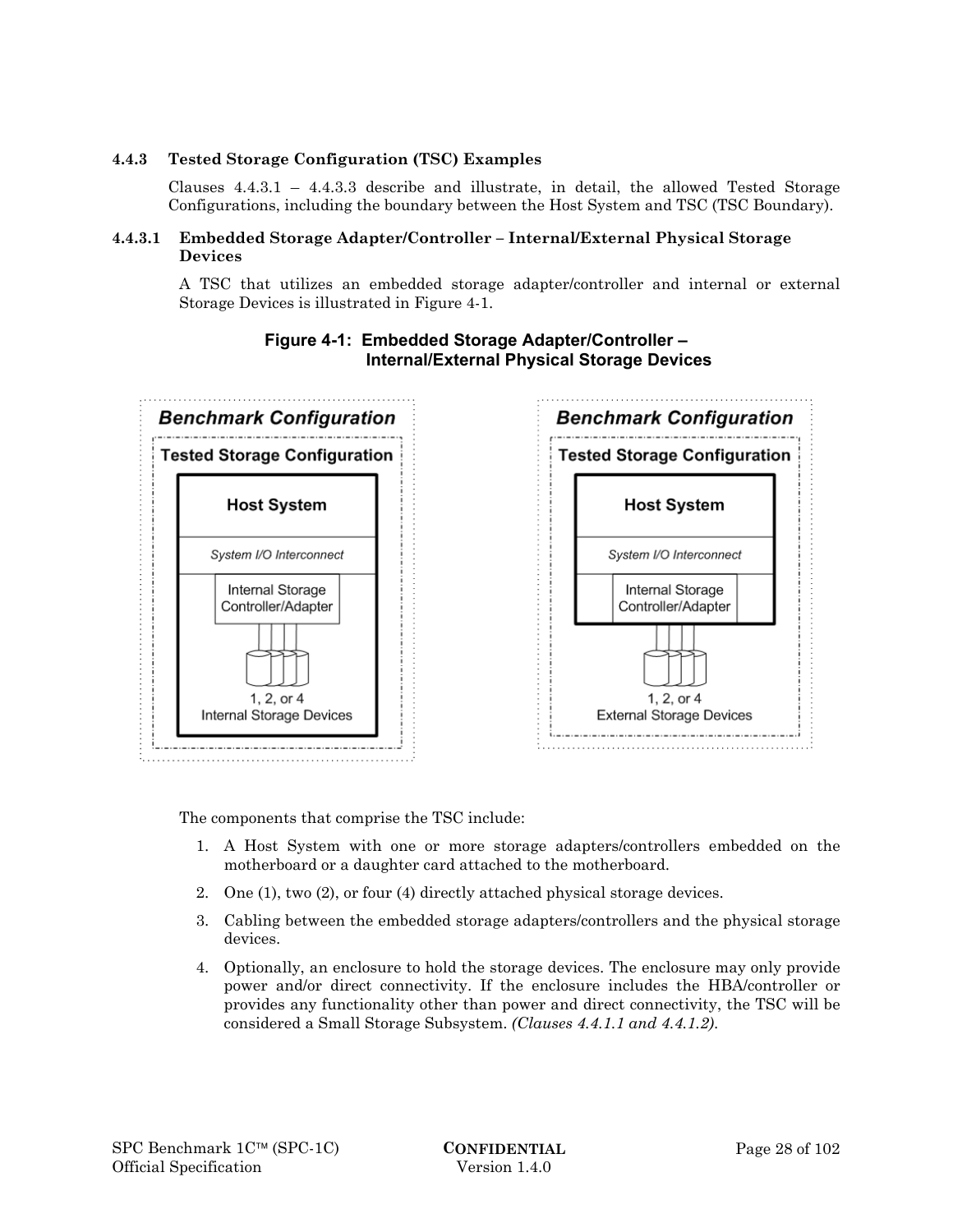### **4.4.3 Tested Storage Configuration (TSC) Examples**

Clauses 4.4.3.1 – 4.4.3.3 describe and illustrate, in detail, the allowed Tested Storage Configurations, including the boundary between the Host System and TSC (TSC Boundary).

#### **4.4.3.1 Embedded Storage Adapter/Controller – Internal/External Physical Storage Devices**

A TSC that utilizes an embedded storage adapter/controller and internal or external Storage Devices is illustrated in Figure 4-1.



# **Figure 4-1: Embedded Storage Adapter/Controller – Internal/External Physical Storage Devices**

The components that comprise the TSC include:

- 1. A Host System with one or more storage adapters/controllers embedded on the motherboard or a daughter card attached to the motherboard.
- 2. One (1), two (2), or four (4) directly attached physical storage devices.
- 3. Cabling between the embedded storage adapters/controllers and the physical storage devices.
- 4. Optionally, an enclosure to hold the storage devices. The enclosure may only provide power and/or direct connectivity. If the enclosure includes the HBA/controller or provides any functionality other than power and direct connectivity, the TSC will be considered a Small Storage Subsystem. *(Clauses 4.4.1.1 and 4.4.1.2)*.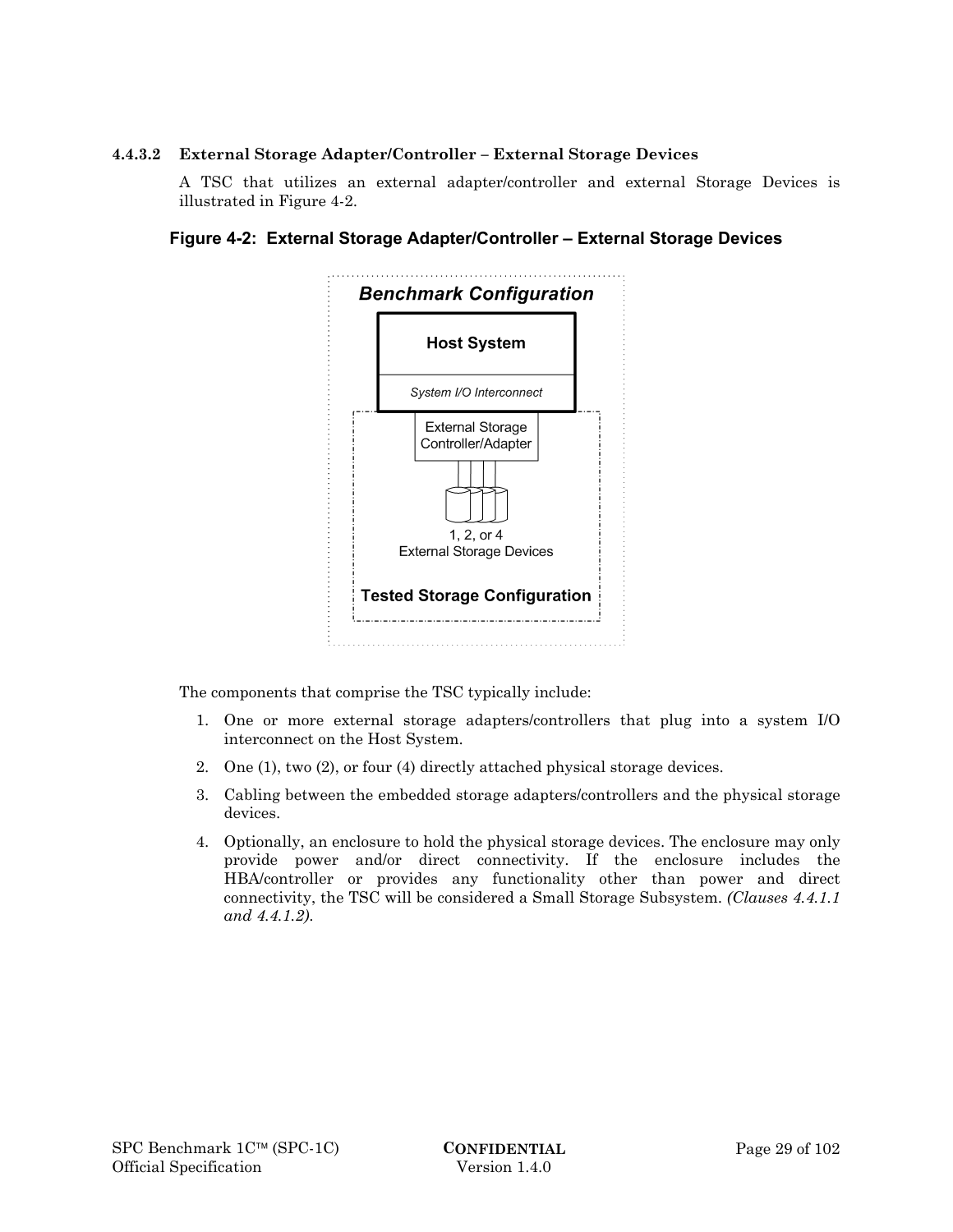#### **4.4.3.2 External Storage Adapter/Controller – External Storage Devices**

A TSC that utilizes an external adapter/controller and external Storage Devices is illustrated in Figure 4-2.





The components that comprise the TSC typically include:

- 1. One or more external storage adapters/controllers that plug into a system I/O interconnect on the Host System.
- 2. One (1), two (2), or four (4) directly attached physical storage devices.
- 3. Cabling between the embedded storage adapters/controllers and the physical storage devices.
- 4. Optionally, an enclosure to hold the physical storage devices. The enclosure may only provide power and/or direct connectivity. If the enclosure includes the HBA/controller or provides any functionality other than power and direct connectivity, the TSC will be considered a Small Storage Subsystem. *(Clauses 4.4.1.1 and 4.4.1.2)*.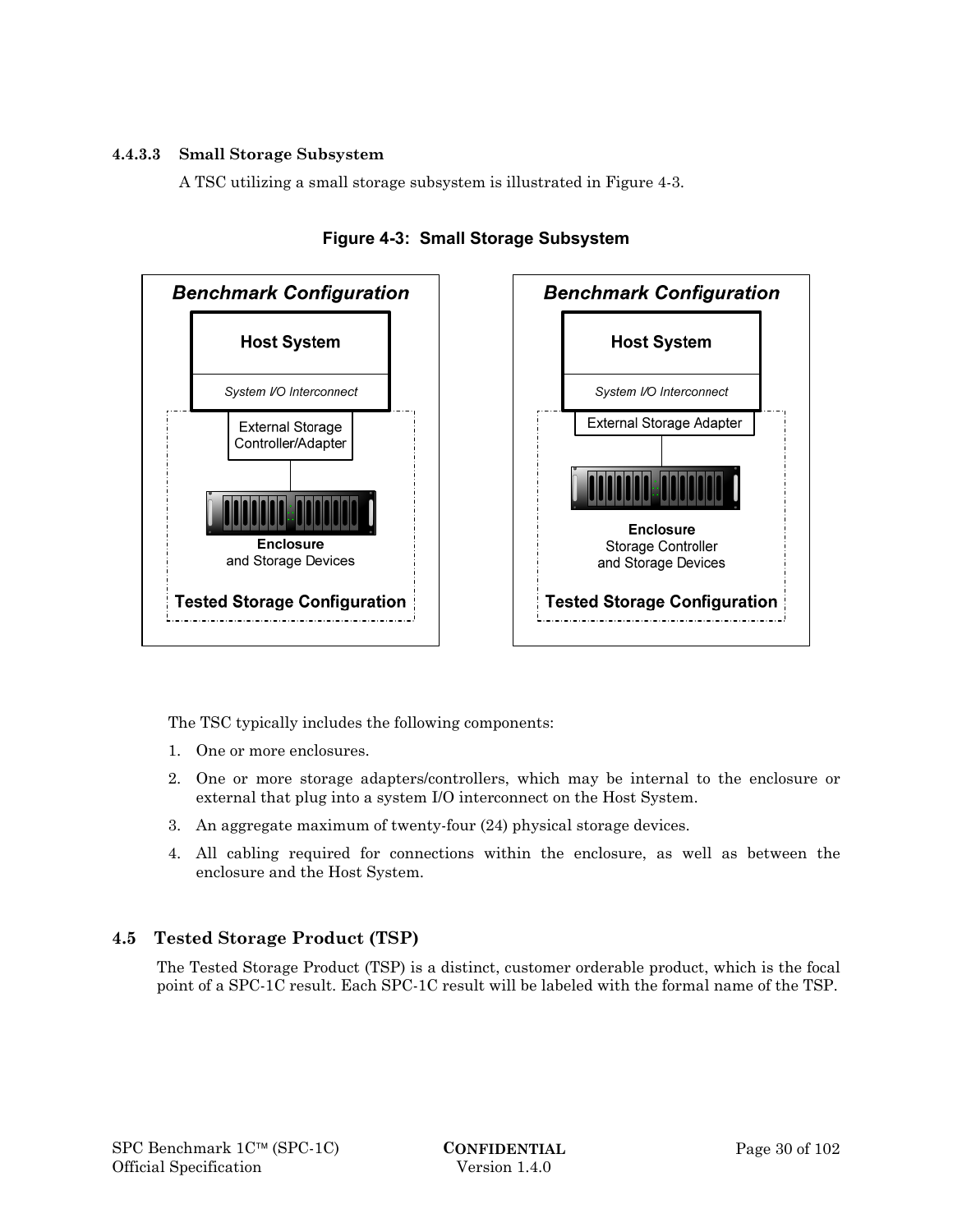#### **4.4.3.3 Small Storage Subsystem**

A TSC utilizing a small storage subsystem is illustrated in Figure 4-3.







The TSC typically includes the following components:

- 1. One or more enclosures.
- 2. One or more storage adapters/controllers, which may be internal to the enclosure or external that plug into a system I/O interconnect on the Host System.
- 3. An aggregate maximum of twenty-four (24) physical storage devices.
- 4. All cabling required for connections within the enclosure, as well as between the enclosure and the Host System.

# **4.5 Tested Storage Product (TSP)**

The Tested Storage Product (TSP) is a distinct, customer orderable product, which is the focal point of a SPC-1C result. Each SPC-1C result will be labeled with the formal name of the TSP.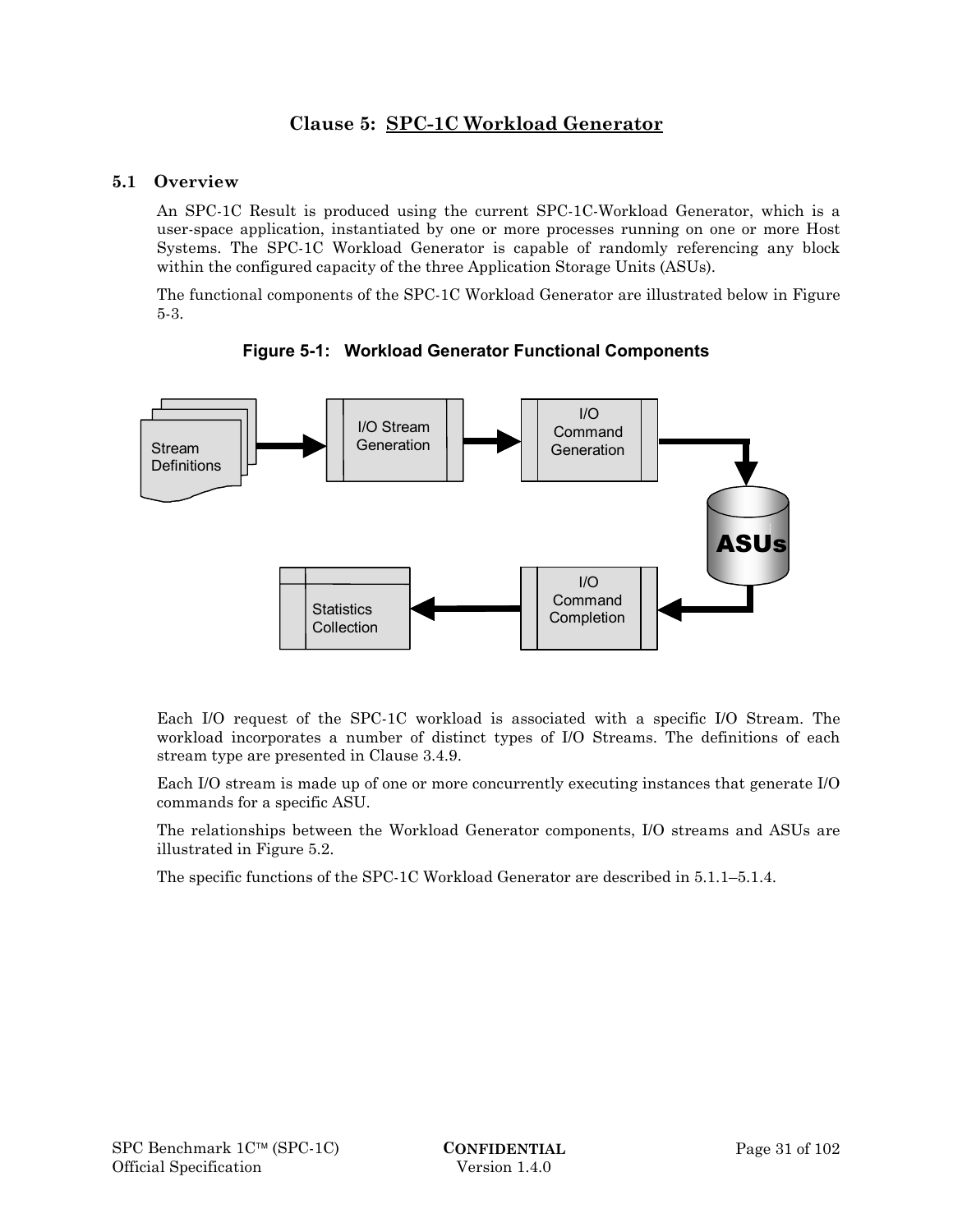# **Clause 5: SPC-1C Workload Generator**

# **5.1 Overview**

An SPC-1C Result is produced using the current SPC-1C-Workload Generator, which is a user-space application, instantiated by one or more processes running on one or more Host Systems. The SPC-1C Workload Generator is capable of randomly referencing any block within the configured capacity of the three Application Storage Units (ASUs).

The functional components of the SPC-1C Workload Generator are illustrated below in Figure 5-3.



**Figure 5-1: Workload Generator Functional Components** 

Each I/O request of the SPC-1C workload is associated with a specific I/O Stream. The workload incorporates a number of distinct types of I/O Streams. The definitions of each stream type are presented in Clause 3.4.9.

Each I/O stream is made up of one or more concurrently executing instances that generate I/O commands for a specific ASU.

The relationships between the Workload Generator components, I/O streams and ASUs are illustrated in Figure 5.2.

The specific functions of the SPC-1C Workload Generator are described in 5.1.1–5.1.4.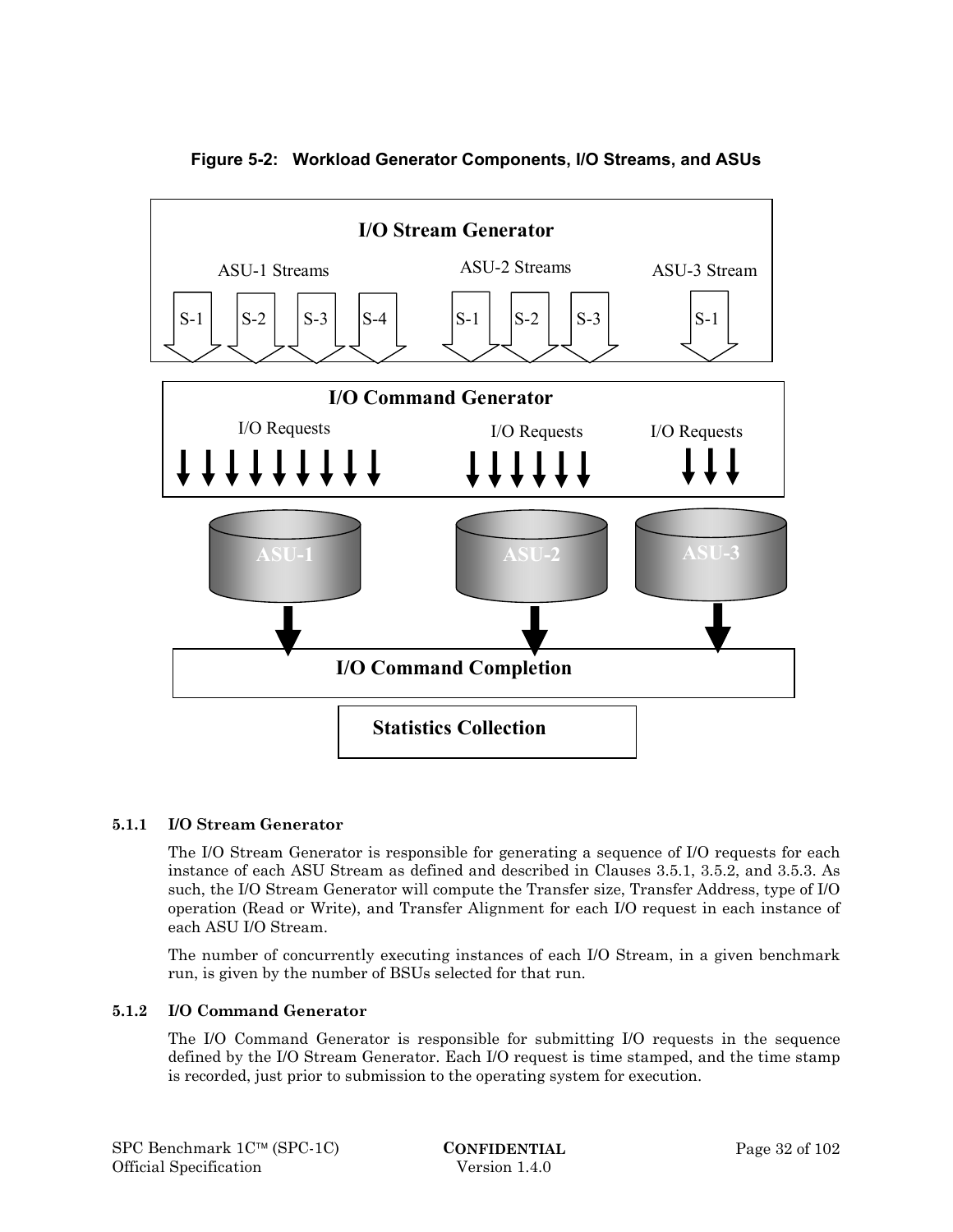

**Figure 5-2: Workload Generator Components, I/O Streams, and ASUs** 

### **5.1.1 I/O Stream Generator**

The I/O Stream Generator is responsible for generating a sequence of I/O requests for each instance of each ASU Stream as defined and described in Clauses 3.5.1, 3.5.2, and 3.5.3. As such, the I/O Stream Generator will compute the Transfer size, Transfer Address, type of I/O operation (Read or Write), and Transfer Alignment for each I/O request in each instance of each ASU I/O Stream.

The number of concurrently executing instances of each I/O Stream, in a given benchmark run, is given by the number of BSUs selected for that run.

#### **5.1.2 I/O Command Generator**

The I/O Command Generator is responsible for submitting I/O requests in the sequence defined by the I/O Stream Generator. Each I/O request is time stamped, and the time stamp is recorded, just prior to submission to the operating system for execution.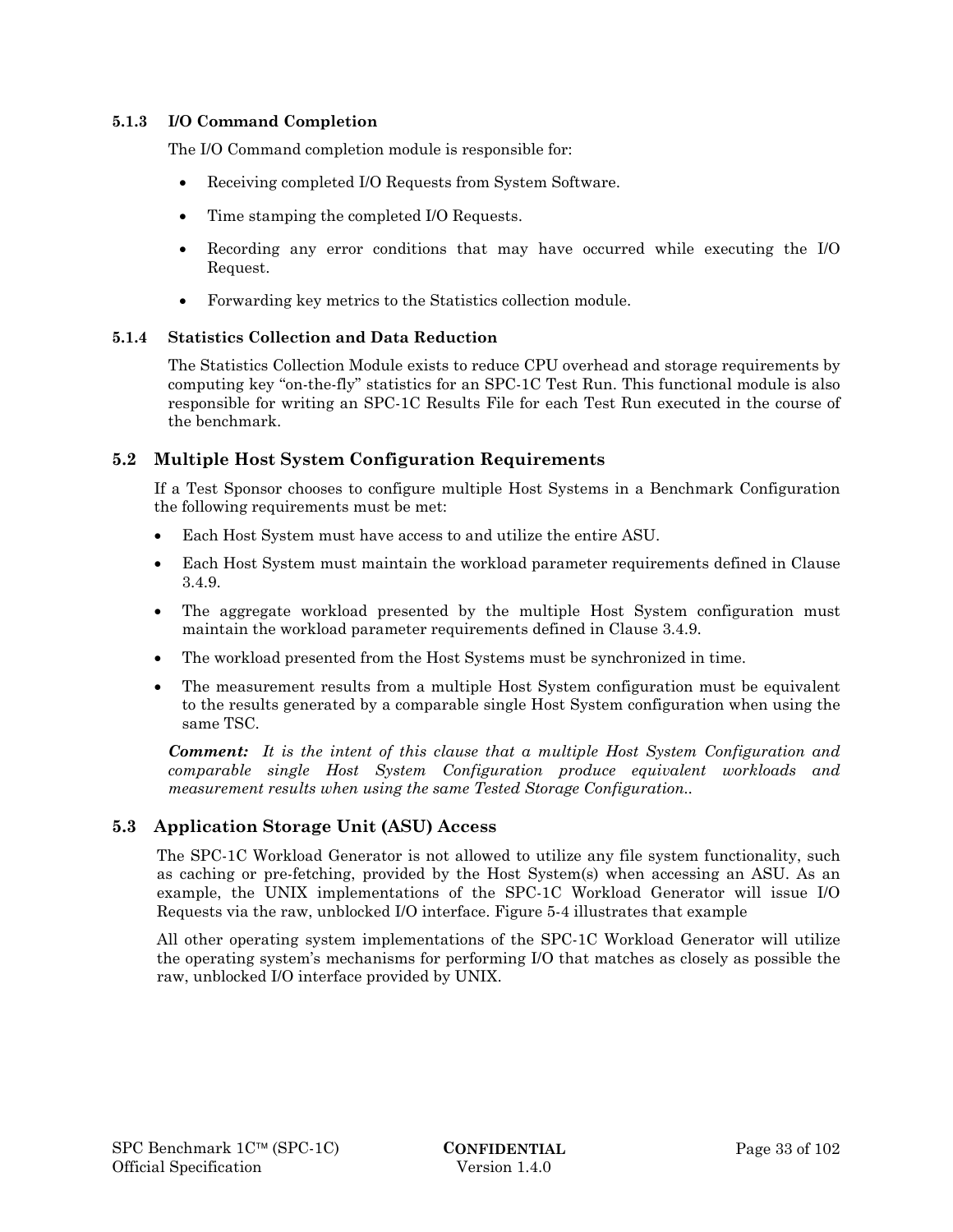#### **5.1.3 I/O Command Completion**

The I/O Command completion module is responsible for:

- Receiving completed I/O Requests from System Software.
- Time stamping the completed I/O Requests.
- Recording any error conditions that may have occurred while executing the I/O Request.
- Forwarding key metrics to the Statistics collection module.

#### **5.1.4 Statistics Collection and Data Reduction**

The Statistics Collection Module exists to reduce CPU overhead and storage requirements by computing key "on-the-fly" statistics for an SPC-1C Test Run. This functional module is also responsible for writing an SPC-1C Results File for each Test Run executed in the course of the benchmark.

### **5.2 Multiple Host System Configuration Requirements**

If a Test Sponsor chooses to configure multiple Host Systems in a Benchmark Configuration the following requirements must be met:

- Each Host System must have access to and utilize the entire ASU.
- Each Host System must maintain the workload parameter requirements defined in Clause 3.4.9.
- The aggregate workload presented by the multiple Host System configuration must maintain the workload parameter requirements defined in Clause 3.4.9.
- The workload presented from the Host Systems must be synchronized in time.
- The measurement results from a multiple Host System configuration must be equivalent to the results generated by a comparable single Host System configuration when using the same TSC.

*Comment: It is the intent of this clause that a multiple Host System Configuration and comparable single Host System Configuration produce equivalent workloads and measurement results when using the same Tested Storage Configuration..* 

### **5.3 Application Storage Unit (ASU) Access**

The SPC-1C Workload Generator is not allowed to utilize any file system functionality, such as caching or pre-fetching, provided by the Host System(s) when accessing an ASU. As an example, the UNIX implementations of the SPC-1C Workload Generator will issue I/O Requests via the raw, unblocked I/O interface. Figure 5-4 illustrates that example

All other operating system implementations of the SPC-1C Workload Generator will utilize the operating system's mechanisms for performing I/O that matches as closely as possible the raw, unblocked I/O interface provided by UNIX.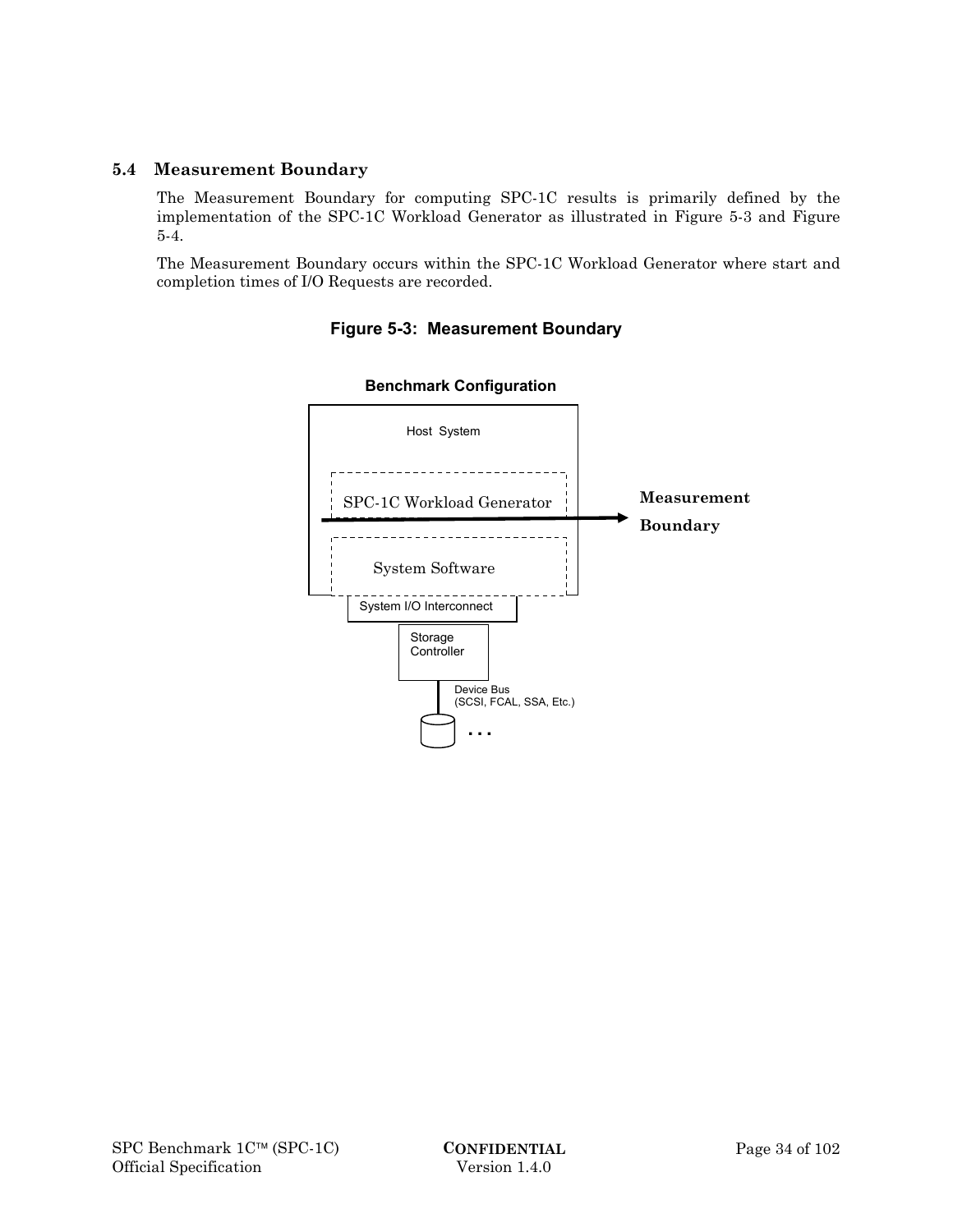# **5.4 Measurement Boundary**

The Measurement Boundary for computing SPC-1C results is primarily defined by the implementation of the SPC-1C Workload Generator as illustrated in Figure 5-3 and Figure 5-4.

The Measurement Boundary occurs within the SPC-1C Workload Generator where start and completion times of I/O Requests are recorded.



# **Figure 5-3: Measurement Boundary**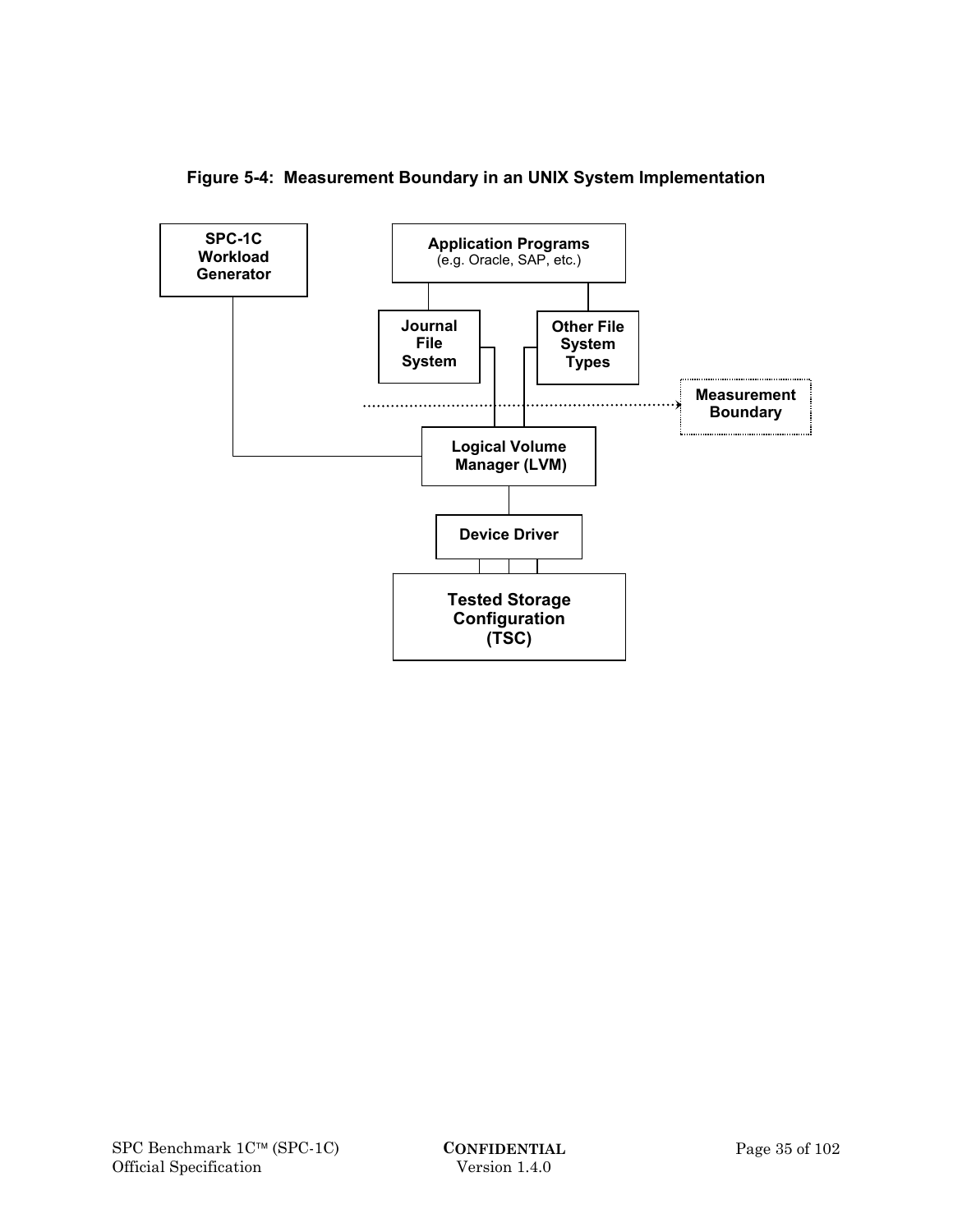

**Figure 5-4: Measurement Boundary in an UNIX System Implementation**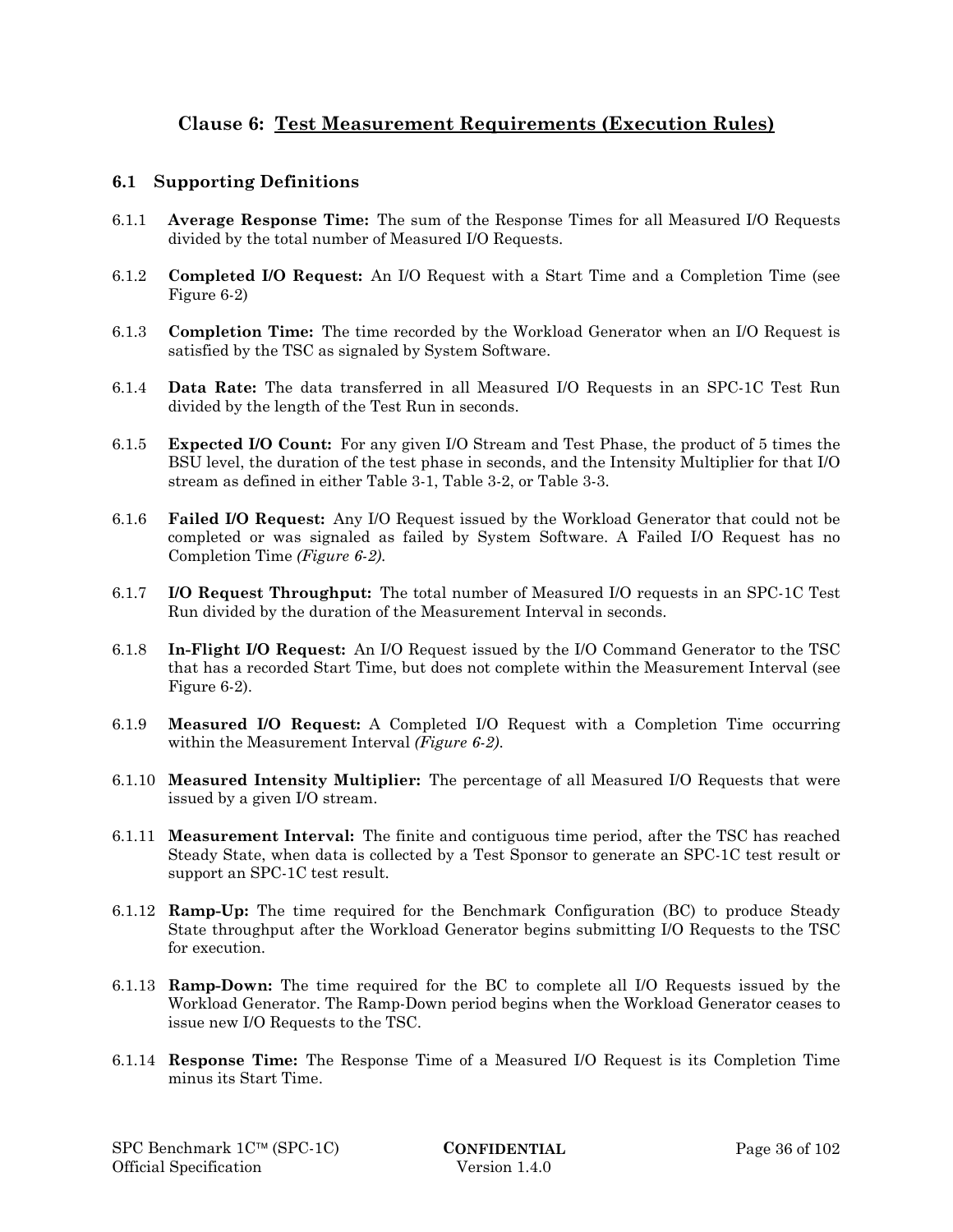# **Clause 6: Test Measurement Requirements (Execution Rules)**

## **6.1 Supporting Definitions**

- 6.1.1 **Average Response Time:** The sum of the Response Times for all Measured I/O Requests divided by the total number of Measured I/O Requests.
- 6.1.2 **Completed I/O Request:** An I/O Request with a Start Time and a Completion Time (see Figure 6-2)
- 6.1.3 **Completion Time:** The time recorded by the Workload Generator when an I/O Request is satisfied by the TSC as signaled by System Software.
- 6.1.4 **Data Rate:** The data transferred in all Measured I/O Requests in an SPC-1C Test Run divided by the length of the Test Run in seconds.
- 6.1.5 **Expected I/O Count:** For any given I/O Stream and Test Phase, the product of 5 times the BSU level, the duration of the test phase in seconds, and the Intensity Multiplier for that I/O stream as defined in either Table 3-1, Table 3-2, or Table 3-3.
- 6.1.6 **Failed I/O Request:** Any I/O Request issued by the Workload Generator that could not be completed or was signaled as failed by System Software. A Failed I/O Request has no Completion Time *(Figure 6-2)*.
- 6.1.7 **I/O Request Throughput:** The total number of Measured I/O requests in an SPC-1C Test Run divided by the duration of the Measurement Interval in seconds.
- 6.1.8 **In-Flight I/O Request:** An I/O Request issued by the I/O Command Generator to the TSC that has a recorded Start Time, but does not complete within the Measurement Interval (see Figure 6-2).
- 6.1.9 **Measured I/O Request:** A Completed I/O Request with a Completion Time occurring within the Measurement Interval *(Figure 6-2)*.
- 6.1.10 **Measured Intensity Multiplier:** The percentage of all Measured I/O Requests that were issued by a given I/O stream.
- 6.1.11 **Measurement Interval:** The finite and contiguous time period, after the TSC has reached Steady State, when data is collected by a Test Sponsor to generate an SPC-1C test result or support an SPC-1C test result.
- 6.1.12 **Ramp-Up:** The time required for the Benchmark Configuration (BC) to produce Steady State throughput after the Workload Generator begins submitting I/O Requests to the TSC for execution.
- 6.1.13 **Ramp-Down:** The time required for the BC to complete all I/O Requests issued by the Workload Generator. The Ramp-Down period begins when the Workload Generator ceases to issue new I/O Requests to the TSC.
- 6.1.14 **Response Time:** The Response Time of a Measured I/O Request is its Completion Time minus its Start Time.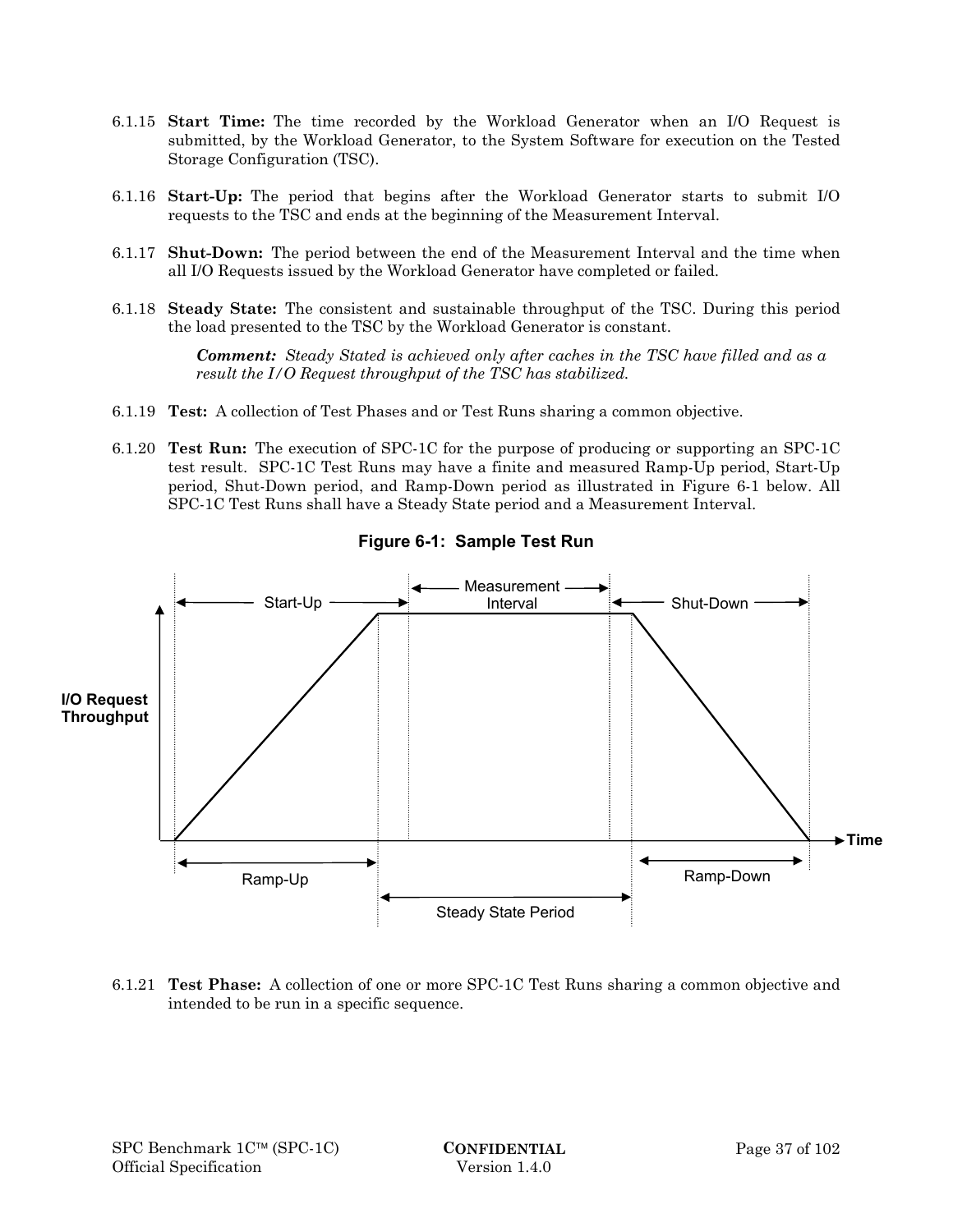- 6.1.15 **Start Time:** The time recorded by the Workload Generator when an I/O Request is submitted, by the Workload Generator, to the System Software for execution on the Tested Storage Configuration (TSC).
- 6.1.16 **Start-Up:** The period that begins after the Workload Generator starts to submit I/O requests to the TSC and ends at the beginning of the Measurement Interval.
- 6.1.17 **Shut-Down:** The period between the end of the Measurement Interval and the time when all I/O Requests issued by the Workload Generator have completed or failed.
- 6.1.18 **Steady State:** The consistent and sustainable throughput of the TSC. During this period the load presented to the TSC by the Workload Generator is constant.

*Comment: Steady Stated is achieved only after caches in the TSC have filled and as a result the I/O Request throughput of the TSC has stabilized.* 

- 6.1.19 **Test:** A collection of Test Phases and or Test Runs sharing a common objective.
- 6.1.20 **Test Run:** The execution of SPC-1C for the purpose of producing or supporting an SPC-1C test result. SPC-1C Test Runs may have a finite and measured Ramp-Up period, Start-Up period, Shut-Down period, and Ramp-Down period as illustrated in Figure 6-1 below. All SPC-1C Test Runs shall have a Steady State period and a Measurement Interval.



**Figure 6-1: Sample Test Run** 

6.1.21 **Test Phase:** A collection of one or more SPC-1C Test Runs sharing a common objective and intended to be run in a specific sequence.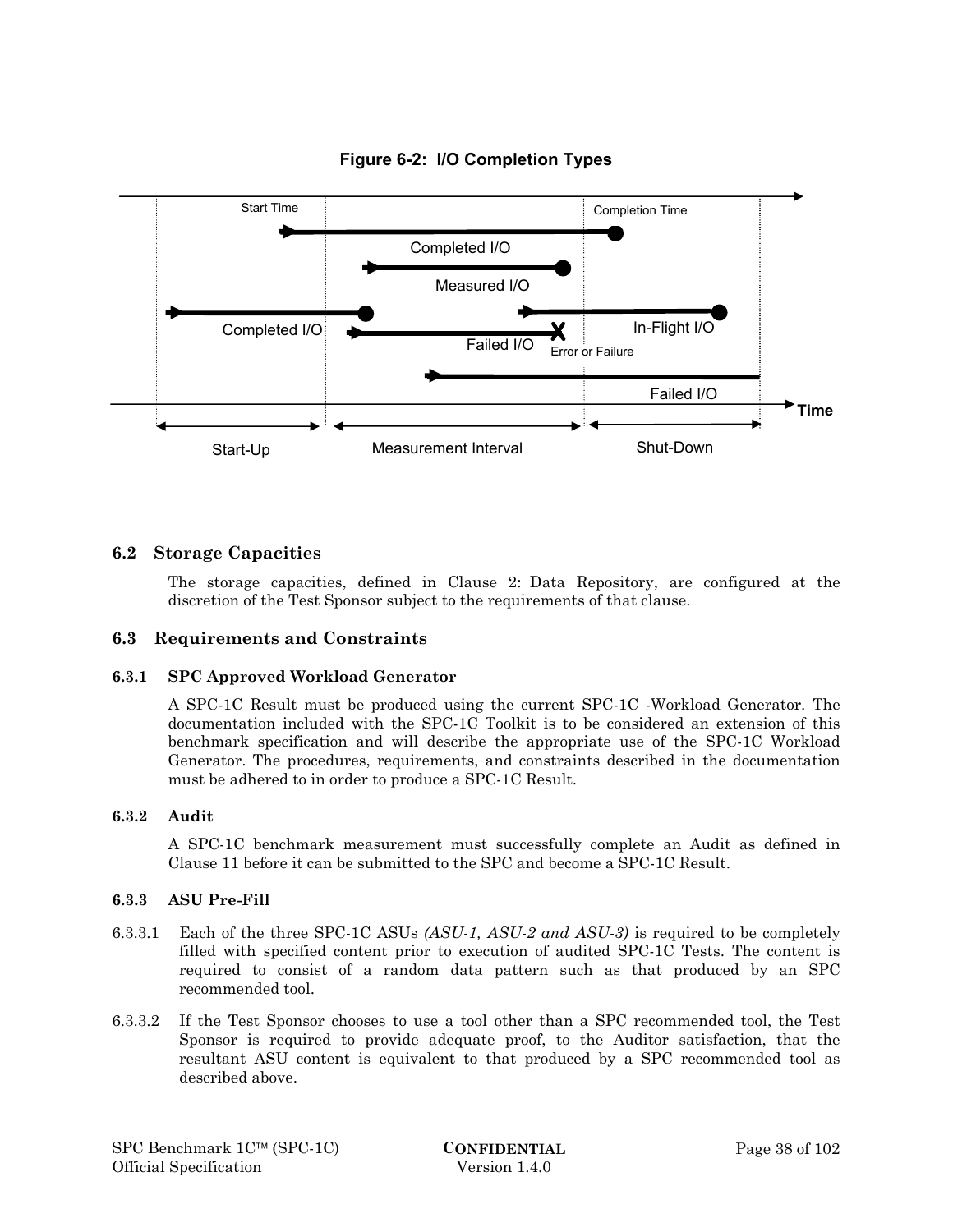

**Figure 6-2: I/O Completion Types** 

## **6.2 Storage Capacities**

The storage capacities, defined in Clause 2: Data Repository, are configured at the discretion of the Test Sponsor subject to the requirements of that clause.

## **6.3 Requirements and Constraints**

#### **6.3.1 SPC Approved Workload Generator**

A SPC-1C Result must be produced using the current SPC-1C -Workload Generator. The documentation included with the SPC-1C Toolkit is to be considered an extension of this benchmark specification and will describe the appropriate use of the SPC-1C Workload Generator. The procedures, requirements, and constraints described in the documentation must be adhered to in order to produce a SPC-1C Result.

#### **6.3.2 Audit**

A SPC-1C benchmark measurement must successfully complete an Audit as defined in Clause 11 before it can be submitted to the SPC and become a SPC-1C Result.

#### **6.3.3 ASU Pre-Fill**

- 6.3.3.1 Each of the three SPC-1C ASUs *(ASU-1, ASU-2 and ASU-3)* is required to be completely filled with specified content prior to execution of audited SPC-1C Tests. The content is required to consist of a random data pattern such as that produced by an SPC recommended tool.
- 6.3.3.2 If the Test Sponsor chooses to use a tool other than a SPC recommended tool, the Test Sponsor is required to provide adequate proof, to the Auditor satisfaction, that the resultant ASU content is equivalent to that produced by a SPC recommended tool as described above.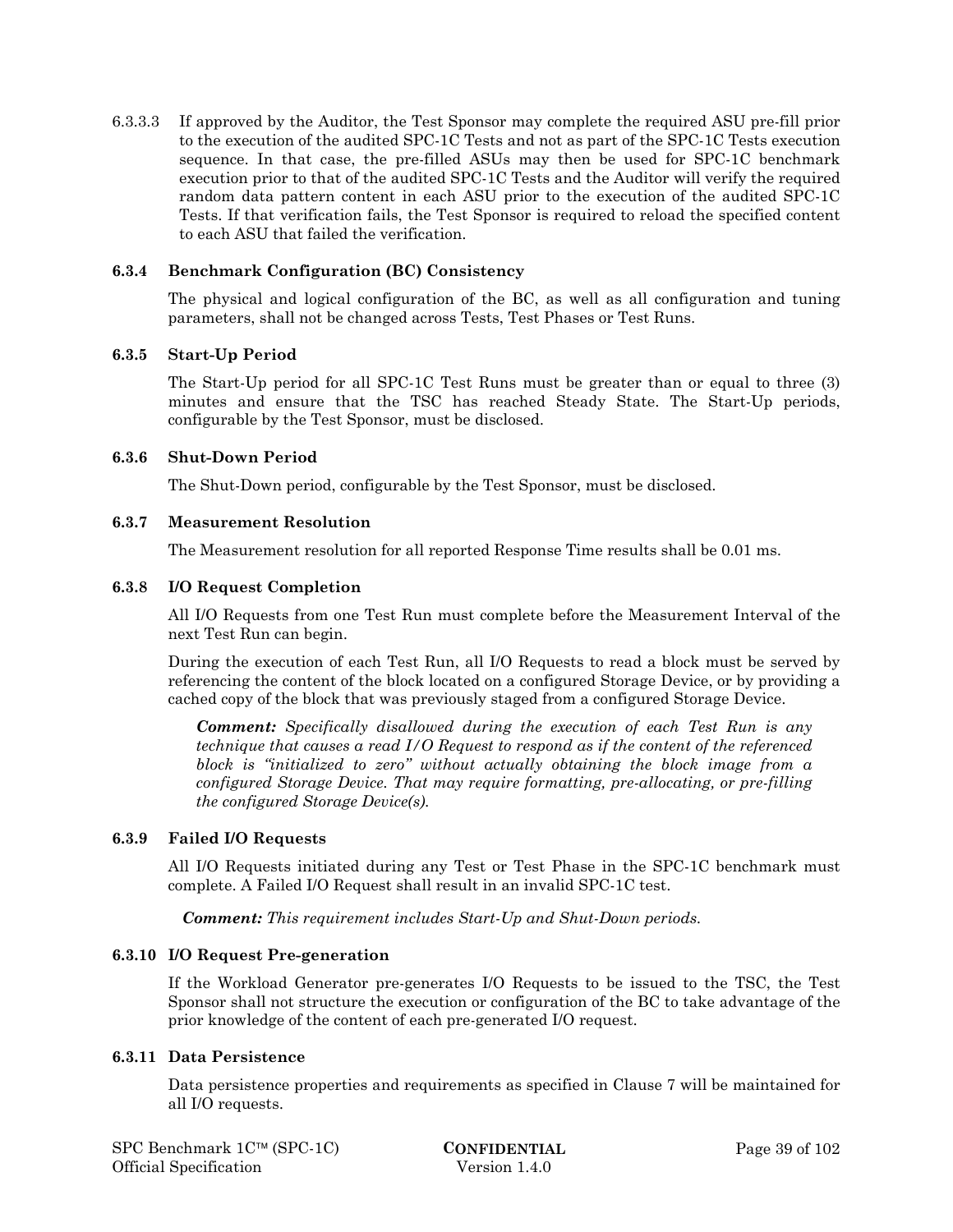6.3.3.3 If approved by the Auditor, the Test Sponsor may complete the required ASU pre-fill prior to the execution of the audited SPC-1C Tests and not as part of the SPC-1C Tests execution sequence. In that case, the pre-filled ASUs may then be used for SPC-1C benchmark execution prior to that of the audited SPC-1C Tests and the Auditor will verify the required random data pattern content in each ASU prior to the execution of the audited SPC-1C Tests. If that verification fails, the Test Sponsor is required to reload the specified content to each ASU that failed the verification.

#### **6.3.4 Benchmark Configuration (BC) Consistency**

The physical and logical configuration of the BC, as well as all configuration and tuning parameters, shall not be changed across Tests, Test Phases or Test Runs.

#### **6.3.5 Start-Up Period**

The Start-Up period for all SPC-1C Test Runs must be greater than or equal to three (3) minutes and ensure that the TSC has reached Steady State. The Start-Up periods, configurable by the Test Sponsor, must be disclosed.

#### **6.3.6 Shut-Down Period**

The Shut-Down period, configurable by the Test Sponsor, must be disclosed.

#### **6.3.7 Measurement Resolution**

The Measurement resolution for all reported Response Time results shall be 0.01 ms.

#### **6.3.8 I/O Request Completion**

All I/O Requests from one Test Run must complete before the Measurement Interval of the next Test Run can begin.

During the execution of each Test Run, all I/O Requests to read a block must be served by referencing the content of the block located on a configured Storage Device, or by providing a cached copy of the block that was previously staged from a configured Storage Device.

*Comment: Specifically disallowed during the execution of each Test Run is any technique that causes a read I/O Request to respond as if the content of the referenced block is "initialized to zero" without actually obtaining the block image from a configured Storage Device. That may require formatting, pre-allocating, or pre-filling the configured Storage Device(s).* 

#### **6.3.9 Failed I/O Requests**

All I/O Requests initiated during any Test or Test Phase in the SPC-1C benchmark must complete. A Failed I/O Request shall result in an invalid SPC-1C test.

*Comment: This requirement includes Start-Up and Shut-Down periods.* 

#### **6.3.10 I/O Request Pre-generation**

If the Workload Generator pre-generates I/O Requests to be issued to the TSC, the Test Sponsor shall not structure the execution or configuration of the BC to take advantage of the prior knowledge of the content of each pre-generated I/O request.

#### **6.3.11 Data Persistence**

Data persistence properties and requirements as specified in Clause 7 will be maintained for all I/O requests.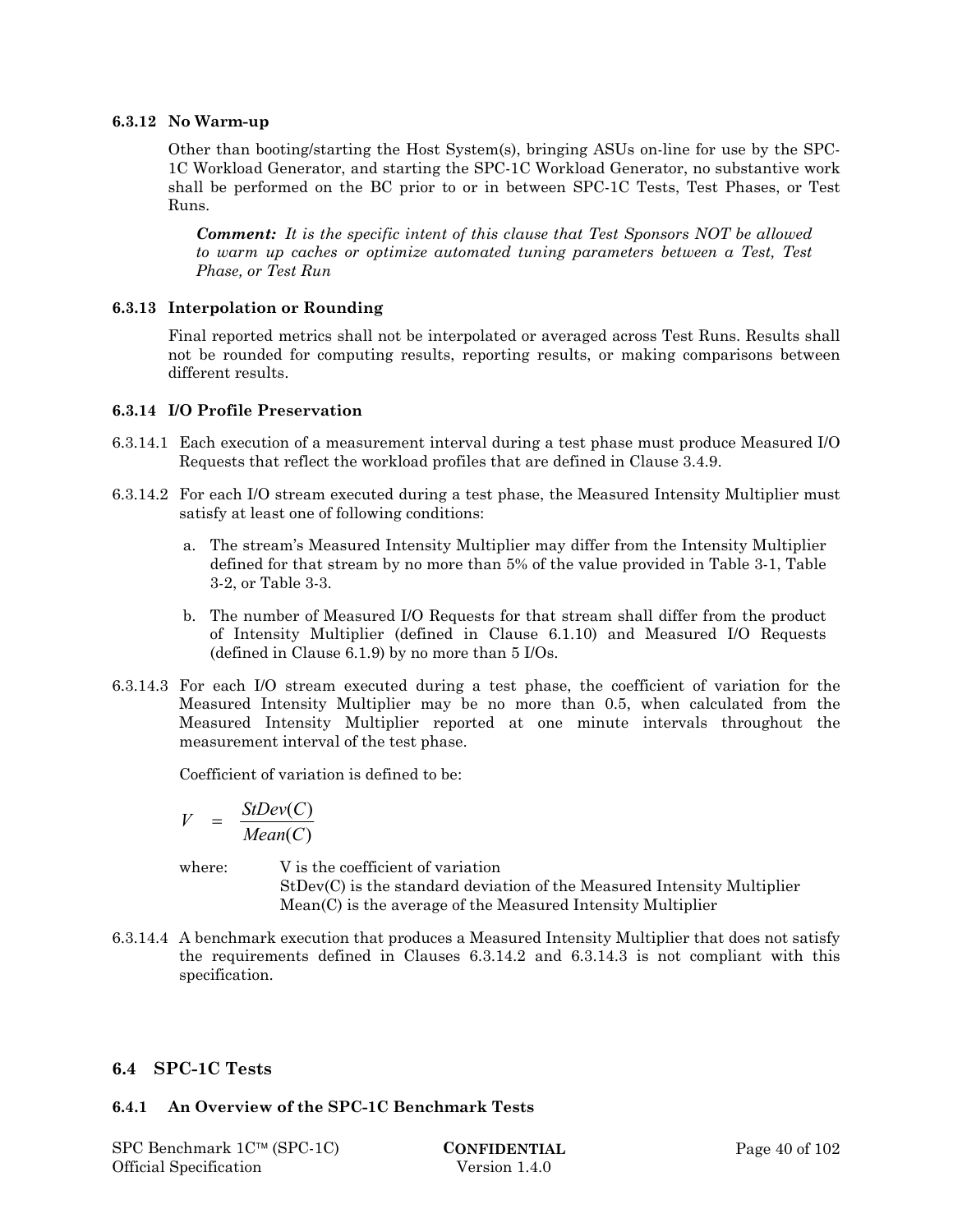#### **6.3.12 No Warm-up**

Other than booting/starting the Host System(s), bringing ASUs on-line for use by the SPC-1C Workload Generator, and starting the SPC-1C Workload Generator, no substantive work shall be performed on the BC prior to or in between SPC-1C Tests, Test Phases, or Test Runs.

*Comment: It is the specific intent of this clause that Test Sponsors NOT be allowed to warm up caches or optimize automated tuning parameters between a Test, Test Phase, or Test Run* 

#### **6.3.13 Interpolation or Rounding**

Final reported metrics shall not be interpolated or averaged across Test Runs. Results shall not be rounded for computing results, reporting results, or making comparisons between different results.

#### **6.3.14 I/O Profile Preservation**

- 6.3.14.1 Each execution of a measurement interval during a test phase must produce Measured I/O Requests that reflect the workload profiles that are defined in Clause 3.4.9.
- 6.3.14.2 For each I/O stream executed during a test phase, the Measured Intensity Multiplier must satisfy at least one of following conditions:
	- a. The stream's Measured Intensity Multiplier may differ from the Intensity Multiplier defined for that stream by no more than 5% of the value provided in Table 3-1, Table 3-2, or Table 3-3.
	- b. The number of Measured I/O Requests for that stream shall differ from the product of Intensity Multiplier (defined in Clause 6.1.10) and Measured I/O Requests (defined in Clause 6.1.9) by no more than 5 I/Os.
- 6.3.14.3 For each I/O stream executed during a test phase, the coefficient of variation for the Measured Intensity Multiplier may be no more than 0.5, when calculated from the Measured Intensity Multiplier reported at one minute intervals throughout the measurement interval of the test phase.

Coefficient of variation is defined to be:

$$
V = \frac{StDev(C)}{Mean(C)}
$$

where:  $V$  is the coefficient of variation StDev(C) is the standard deviation of the Measured Intensity Multiplier Mean(C) is the average of the Measured Intensity Multiplier

6.3.14.4 A benchmark execution that produces a Measured Intensity Multiplier that does not satisfy the requirements defined in Clauses 6.3.14.2 and 6.3.14.3 is not compliant with this specification.

## **6.4 SPC-1C Tests**

## **6.4.1 An Overview of the SPC-1C Benchmark Tests**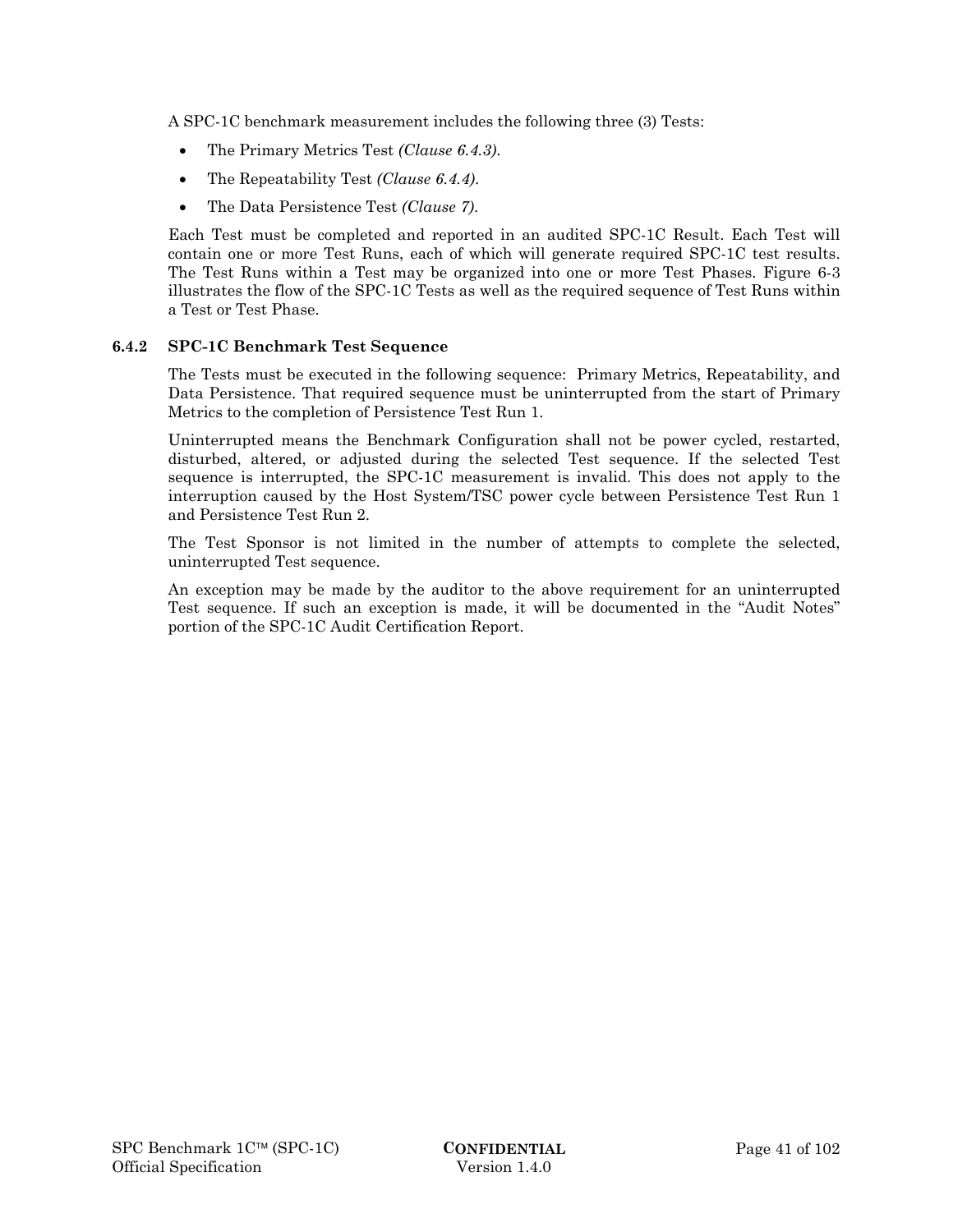A SPC-1C benchmark measurement includes the following three (3) Tests:

- The Primary Metrics Test *(Clause 6.4.3)*.
- The Repeatability Test *(Clause 6.4.4)*.
- The Data Persistence Test *(Clause 7)*.

Each Test must be completed and reported in an audited SPC-1C Result. Each Test will contain one or more Test Runs, each of which will generate required SPC-1C test results. The Test Runs within a Test may be organized into one or more Test Phases. Figure 6-3 illustrates the flow of the SPC-1C Tests as well as the required sequence of Test Runs within a Test or Test Phase.

## **6.4.2 SPC-1C Benchmark Test Sequence**

The Tests must be executed in the following sequence: Primary Metrics, Repeatability, and Data Persistence. That required sequence must be uninterrupted from the start of Primary Metrics to the completion of Persistence Test Run 1.

Uninterrupted means the Benchmark Configuration shall not be power cycled, restarted, disturbed, altered, or adjusted during the selected Test sequence. If the selected Test sequence is interrupted, the SPC-1C measurement is invalid. This does not apply to the interruption caused by the Host System/TSC power cycle between Persistence Test Run 1 and Persistence Test Run 2.

The Test Sponsor is not limited in the number of attempts to complete the selected, uninterrupted Test sequence.

An exception may be made by the auditor to the above requirement for an uninterrupted Test sequence. If such an exception is made, it will be documented in the "Audit Notes" portion of the SPC-1C Audit Certification Report.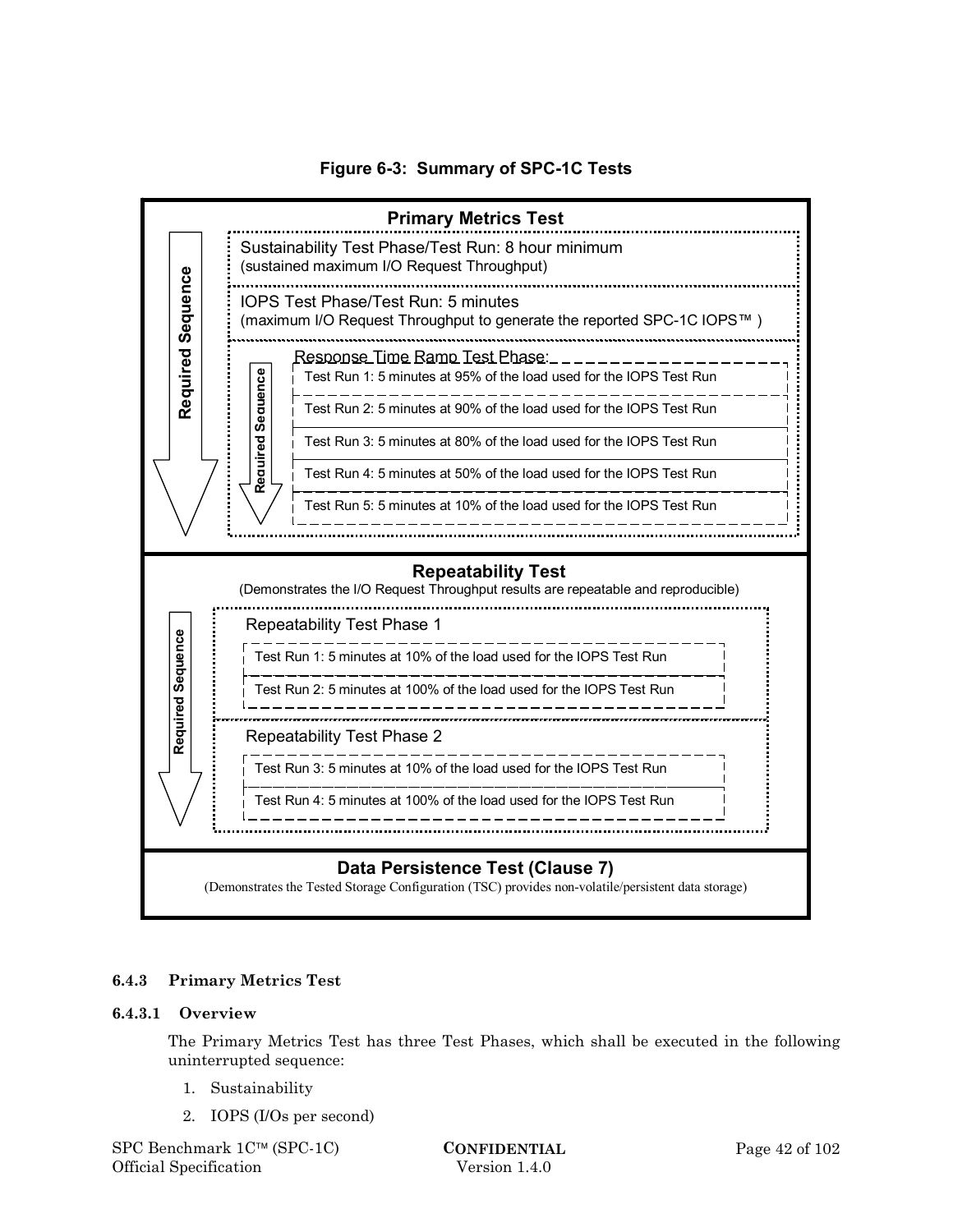**Figure 6-3: Summary of SPC-1C Tests** 



## **6.4.3 Primary Metrics Test**

#### **6.4.3.1 Overview**

The Primary Metrics Test has three Test Phases, which shall be executed in the following uninterrupted sequence:

- 1. Sustainability
- 2. IOPS (I/Os per second)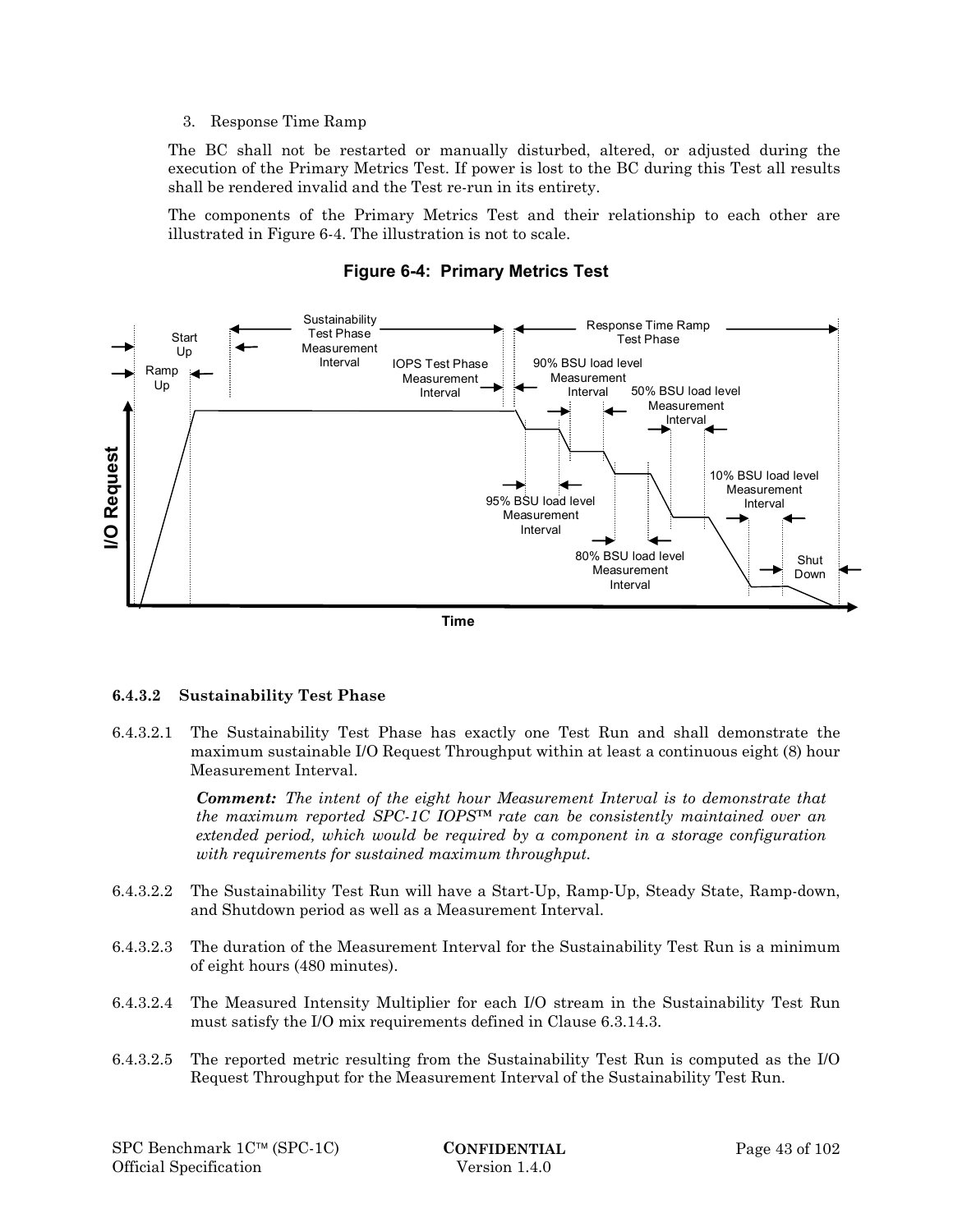#### 3. Response Time Ramp

The BC shall not be restarted or manually disturbed, altered, or adjusted during the execution of the Primary Metrics Test. If power is lost to the BC during this Test all results shall be rendered invalid and the Test re-run in its entirety.

The components of the Primary Metrics Test and their relationship to each other are illustrated in Figure 6-4. The illustration is not to scale.



## **Figure 6-4: Primary Metrics Test**

#### **6.4.3.2 Sustainability Test Phase**

6.4.3.2.1 The Sustainability Test Phase has exactly one Test Run and shall demonstrate the maximum sustainable I/O Request Throughput within at least a continuous eight (8) hour Measurement Interval.

> *Comment: The intent of the eight hour Measurement Interval is to demonstrate that the maximum reported SPC-1C IOPS™ rate can be consistently maintained over an extended period, which would be required by a component in a storage configuration with requirements for sustained maximum throughput.*

- 6.4.3.2.2 The Sustainability Test Run will have a Start-Up, Ramp-Up, Steady State, Ramp-down, and Shutdown period as well as a Measurement Interval.
- 6.4.3.2.3 The duration of the Measurement Interval for the Sustainability Test Run is a minimum of eight hours (480 minutes).
- 6.4.3.2.4 The Measured Intensity Multiplier for each I/O stream in the Sustainability Test Run must satisfy the I/O mix requirements defined in Clause 6.3.14.3.
- 6.4.3.2.5 The reported metric resulting from the Sustainability Test Run is computed as the I/O Request Throughput for the Measurement Interval of the Sustainability Test Run.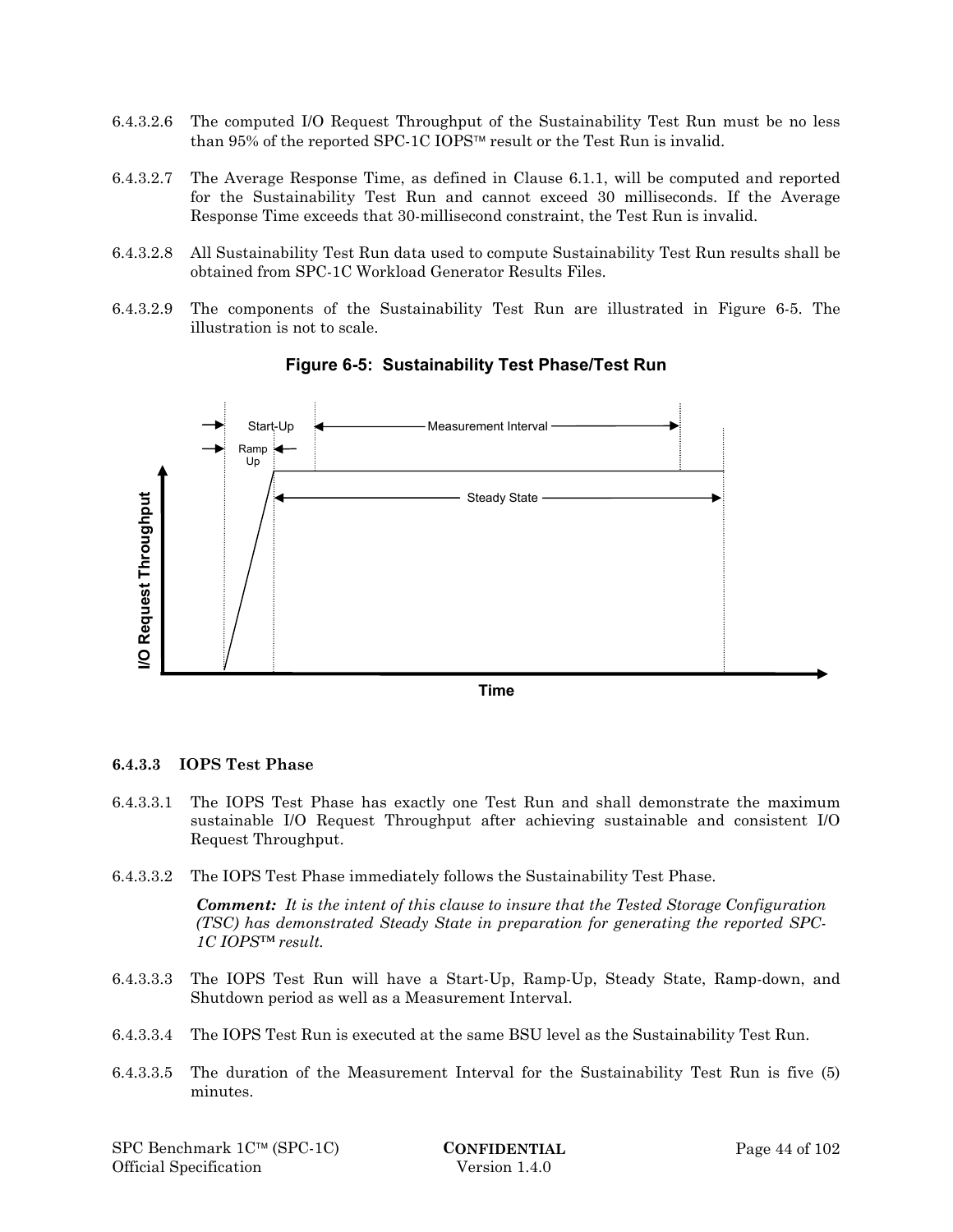- 6.4.3.2.6 The computed I/O Request Throughput of the Sustainability Test Run must be no less than 95% of the reported SPC-1C IOPS<sup>™</sup> result or the Test Run is invalid.
- 6.4.3.2.7 The Average Response Time, as defined in Clause 6.1.1, will be computed and reported for the Sustainability Test Run and cannot exceed 30 milliseconds. If the Average Response Time exceeds that 30-millisecond constraint, the Test Run is invalid.
- 6.4.3.2.8 All Sustainability Test Run data used to compute Sustainability Test Run results shall be obtained from SPC-1C Workload Generator Results Files.
- 6.4.3.2.9 The components of the Sustainability Test Run are illustrated in Figure 6-5. The illustration is not to scale.



**Figure 6-5: Sustainability Test Phase/Test Run** 

**Time** 

#### **6.4.3.3 IOPS Test Phase**

- 6.4.3.3.1 The IOPS Test Phase has exactly one Test Run and shall demonstrate the maximum sustainable I/O Request Throughput after achieving sustainable and consistent I/O Request Throughput.
- 6.4.3.3.2 The IOPS Test Phase immediately follows the Sustainability Test Phase.

*Comment: It is the intent of this clause to insure that the Tested Storage Configuration (TSC) has demonstrated Steady State in preparation for generating the reported SPC-1C IOPS™ result.* 

- 6.4.3.3.3 The IOPS Test Run will have a Start-Up, Ramp-Up, Steady State, Ramp-down, and Shutdown period as well as a Measurement Interval.
- 6.4.3.3.4 The IOPS Test Run is executed at the same BSU level as the Sustainability Test Run.
- 6.4.3.3.5 The duration of the Measurement Interval for the Sustainability Test Run is five (5) minutes.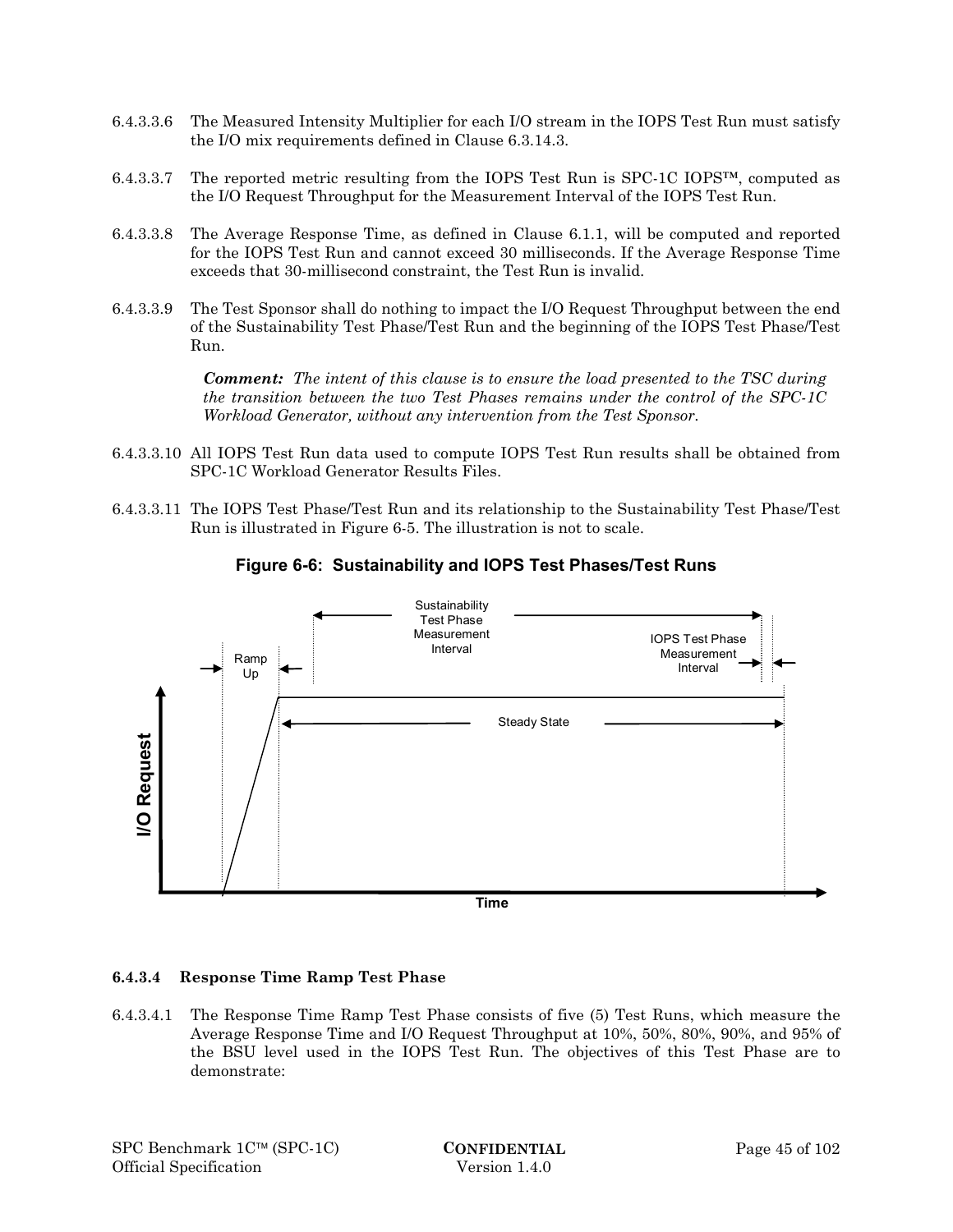- 6.4.3.3.6 The Measured Intensity Multiplier for each I/O stream in the IOPS Test Run must satisfy the I/O mix requirements defined in Clause 6.3.14.3.
- 6.4.3.3.7 The reported metric resulting from the IOPS Test Run is SPC-1C IOPS™, computed as the I/O Request Throughput for the Measurement Interval of the IOPS Test Run.
- 6.4.3.3.8 The Average Response Time, as defined in Clause 6.1.1, will be computed and reported for the IOPS Test Run and cannot exceed 30 milliseconds. If the Average Response Time exceeds that 30-millisecond constraint, the Test Run is invalid.
- 6.4.3.3.9 The Test Sponsor shall do nothing to impact the I/O Request Throughput between the end of the Sustainability Test Phase/Test Run and the beginning of the IOPS Test Phase/Test Run.

*Comment: The intent of this clause is to ensure the load presented to the TSC during the transition between the two Test Phases remains under the control of the SPC-1C Workload Generator, without any intervention from the Test Sponsor.* 

- 6.4.3.3.10 All IOPS Test Run data used to compute IOPS Test Run results shall be obtained from SPC-1C Workload Generator Results Files.
- 6.4.3.3.11 The IOPS Test Phase/Test Run and its relationship to the Sustainability Test Phase/Test Run is illustrated in Figure 6-5. The illustration is not to scale.



## **Figure 6-6: Sustainability and IOPS Test Phases/Test Runs**

#### **6.4.3.4 Response Time Ramp Test Phase**

6.4.3.4.1 The Response Time Ramp Test Phase consists of five (5) Test Runs, which measure the Average Response Time and I/O Request Throughput at 10%, 50%, 80%, 90%, and 95% of the BSU level used in the IOPS Test Run. The objectives of this Test Phase are to demonstrate: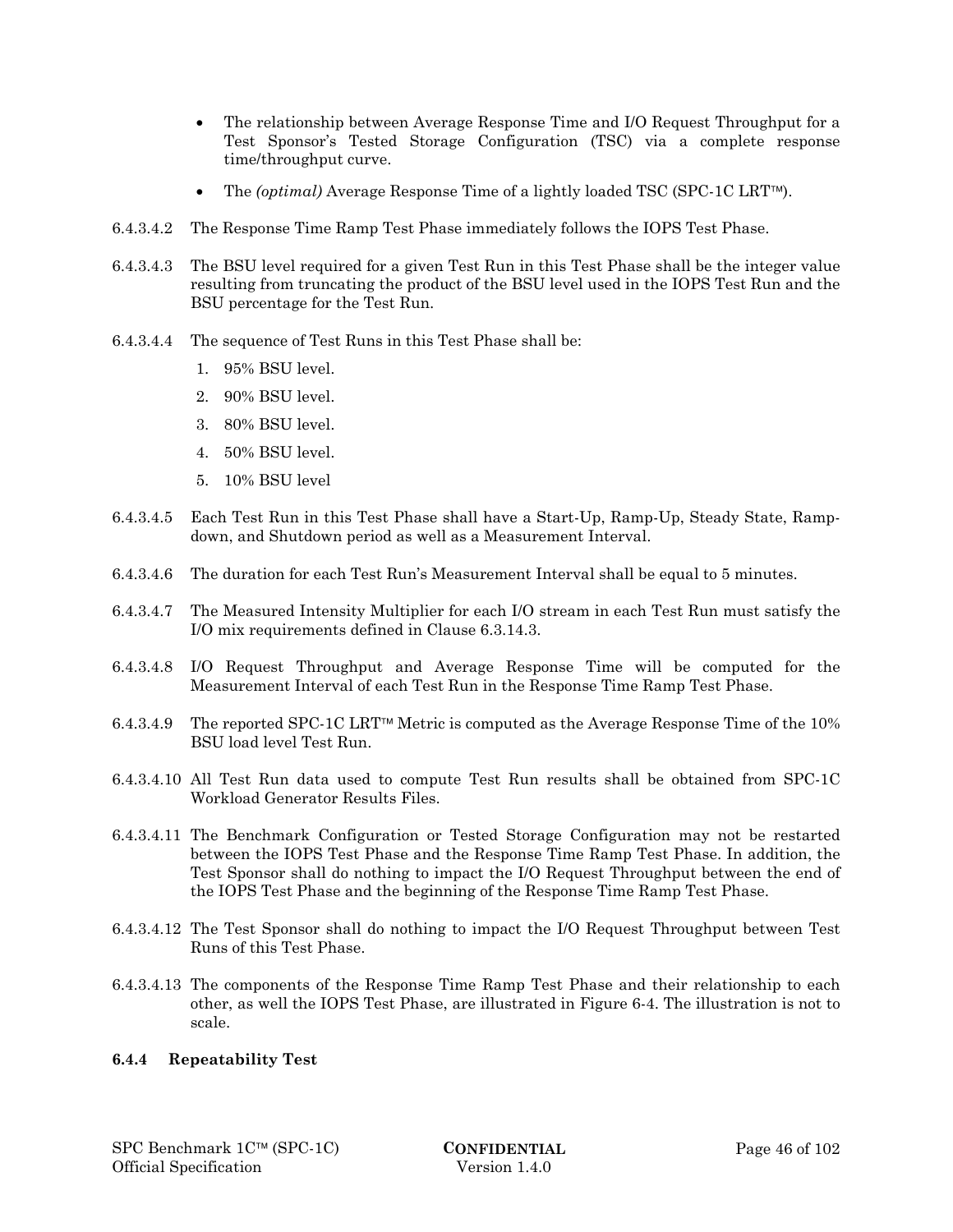- The relationship between Average Response Time and I/O Request Throughput for a Test Sponsor's Tested Storage Configuration (TSC) via a complete response time/throughput curve.
- The *(optimal)* Average Response Time of a lightly loaded TSC (SPC-1C LRT<sup>IM</sup>).
- 6.4.3.4.2 The Response Time Ramp Test Phase immediately follows the IOPS Test Phase.
- 6.4.3.4.3 The BSU level required for a given Test Run in this Test Phase shall be the integer value resulting from truncating the product of the BSU level used in the IOPS Test Run and the BSU percentage for the Test Run.
- 6.4.3.4.4 The sequence of Test Runs in this Test Phase shall be:
	- 1. 95% BSU level.
	- 2. 90% BSU level.
	- 3. 80% BSU level.
	- 4. 50% BSU level.
	- 5. 10% BSU level
- 6.4.3.4.5 Each Test Run in this Test Phase shall have a Start-Up, Ramp-Up, Steady State, Rampdown, and Shutdown period as well as a Measurement Interval.
- 6.4.3.4.6 The duration for each Test Run's Measurement Interval shall be equal to 5 minutes.
- 6.4.3.4.7 The Measured Intensity Multiplier for each I/O stream in each Test Run must satisfy the I/O mix requirements defined in Clause 6.3.14.3.
- 6.4.3.4.8 I/O Request Throughput and Average Response Time will be computed for the Measurement Interval of each Test Run in the Response Time Ramp Test Phase.
- 6.4.3.4.9 The reported SPC-1C LRT<sup> $\text{TM}$ </sup> Metric is computed as the Average Response Time of the 10% BSU load level Test Run.
- 6.4.3.4.10 All Test Run data used to compute Test Run results shall be obtained from SPC-1C Workload Generator Results Files.
- 6.4.3.4.11 The Benchmark Configuration or Tested Storage Configuration may not be restarted between the IOPS Test Phase and the Response Time Ramp Test Phase. In addition, the Test Sponsor shall do nothing to impact the I/O Request Throughput between the end of the IOPS Test Phase and the beginning of the Response Time Ramp Test Phase.
- 6.4.3.4.12 The Test Sponsor shall do nothing to impact the I/O Request Throughput between Test Runs of this Test Phase.
- 6.4.3.4.13 The components of the Response Time Ramp Test Phase and their relationship to each other, as well the IOPS Test Phase, are illustrated in Figure 6-4. The illustration is not to scale.

## **6.4.4 Repeatability Test**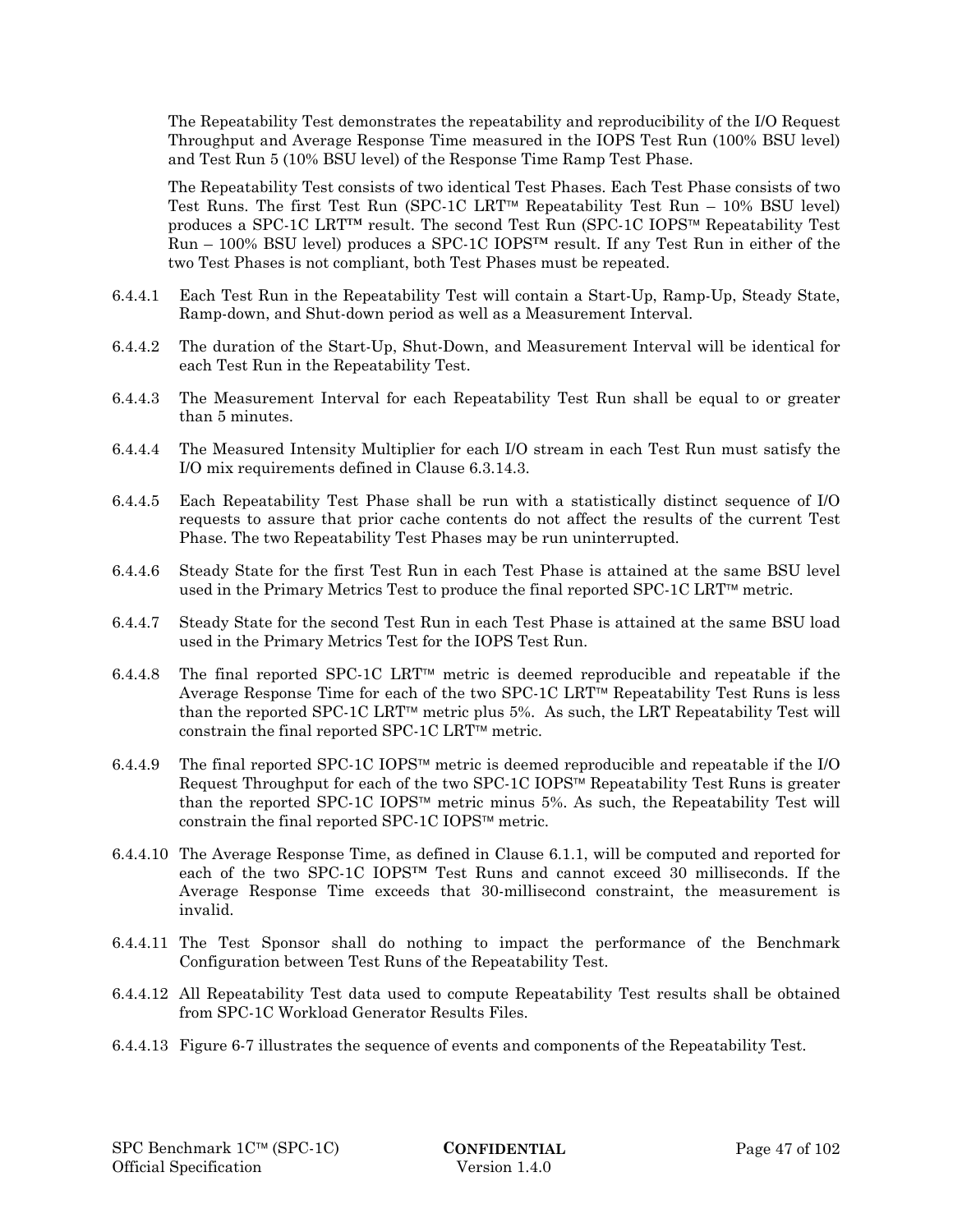The Repeatability Test demonstrates the repeatability and reproducibility of the I/O Request Throughput and Average Response Time measured in the IOPS Test Run (100% BSU level) and Test Run 5 (10% BSU level) of the Response Time Ramp Test Phase.

The Repeatability Test consists of two identical Test Phases. Each Test Phase consists of two Test Runs. The first Test Run (SPC-1C LRT<sup> $M$ </sup> Repeatability Test Run – 10% BSU level) produces a SPC-1C LRT<sup>IM</sup> result. The second Test Run (SPC-1C IOPS<sup>IM</sup> Repeatability Test  $Run - 100\%$  BSU level) produces a SPC-1C IOPS<sup>TM</sup> result. If any Test Run in either of the two Test Phases is not compliant, both Test Phases must be repeated.

- 6.4.4.1 Each Test Run in the Repeatability Test will contain a Start-Up, Ramp-Up, Steady State, Ramp-down, and Shut-down period as well as a Measurement Interval.
- 6.4.4.2 The duration of the Start-Up, Shut-Down, and Measurement Interval will be identical for each Test Run in the Repeatability Test.
- 6.4.4.3 The Measurement Interval for each Repeatability Test Run shall be equal to or greater than 5 minutes.
- 6.4.4.4 The Measured Intensity Multiplier for each I/O stream in each Test Run must satisfy the I/O mix requirements defined in Clause 6.3.14.3.
- 6.4.4.5 Each Repeatability Test Phase shall be run with a statistically distinct sequence of I/O requests to assure that prior cache contents do not affect the results of the current Test Phase. The two Repeatability Test Phases may be run uninterrupted.
- 6.4.4.6 Steady State for the first Test Run in each Test Phase is attained at the same BSU level used in the Primary Metrics Test to produce the final reported  $SPC-1C LRT^{\pi}$  metric.
- 6.4.4.7 Steady State for the second Test Run in each Test Phase is attained at the same BSU load used in the Primary Metrics Test for the IOPS Test Run.
- 6.4.4.8 The final reported SPC-1C LRT<sup> $M$ </sup> metric is deemed reproducible and repeatable if the Average Response Time for each of the two SPC-1C LRT<sup> $M$ </sup> Repeatability Test Runs is less than the reported SPC-1C LRT<sup>IM</sup> metric plus 5%. As such, the LRT Repeatability Test will constrain the final reported SPC-1C LRT<sup> $m$ </sup> metric.
- 6.4.4.9 The final reported SPC-1C IOPS<sup> $M$ </sup> metric is deemed reproducible and repeatable if the I/O Request Throughput for each of the two SPC-1C IOPS<sup> $M$ </sup> Repeatability Test Runs is greater than the reported SPC-1C IOPS<sup> $m$ </sup> metric minus 5%. As such, the Repeatability Test will constrain the final reported SPC-1C IOPS $\text{TM}$  metric.
- 6.4.4.10 The Average Response Time, as defined in Clause 6.1.1, will be computed and reported for each of the two SPC-1C IOPS™ Test Runs and cannot exceed 30 milliseconds. If the Average Response Time exceeds that 30-millisecond constraint, the measurement is invalid.
- 6.4.4.11 The Test Sponsor shall do nothing to impact the performance of the Benchmark Configuration between Test Runs of the Repeatability Test.
- 6.4.4.12 All Repeatability Test data used to compute Repeatability Test results shall be obtained from SPC-1C Workload Generator Results Files.
- 6.4.4.13 Figure 6-7 illustrates the sequence of events and components of the Repeatability Test.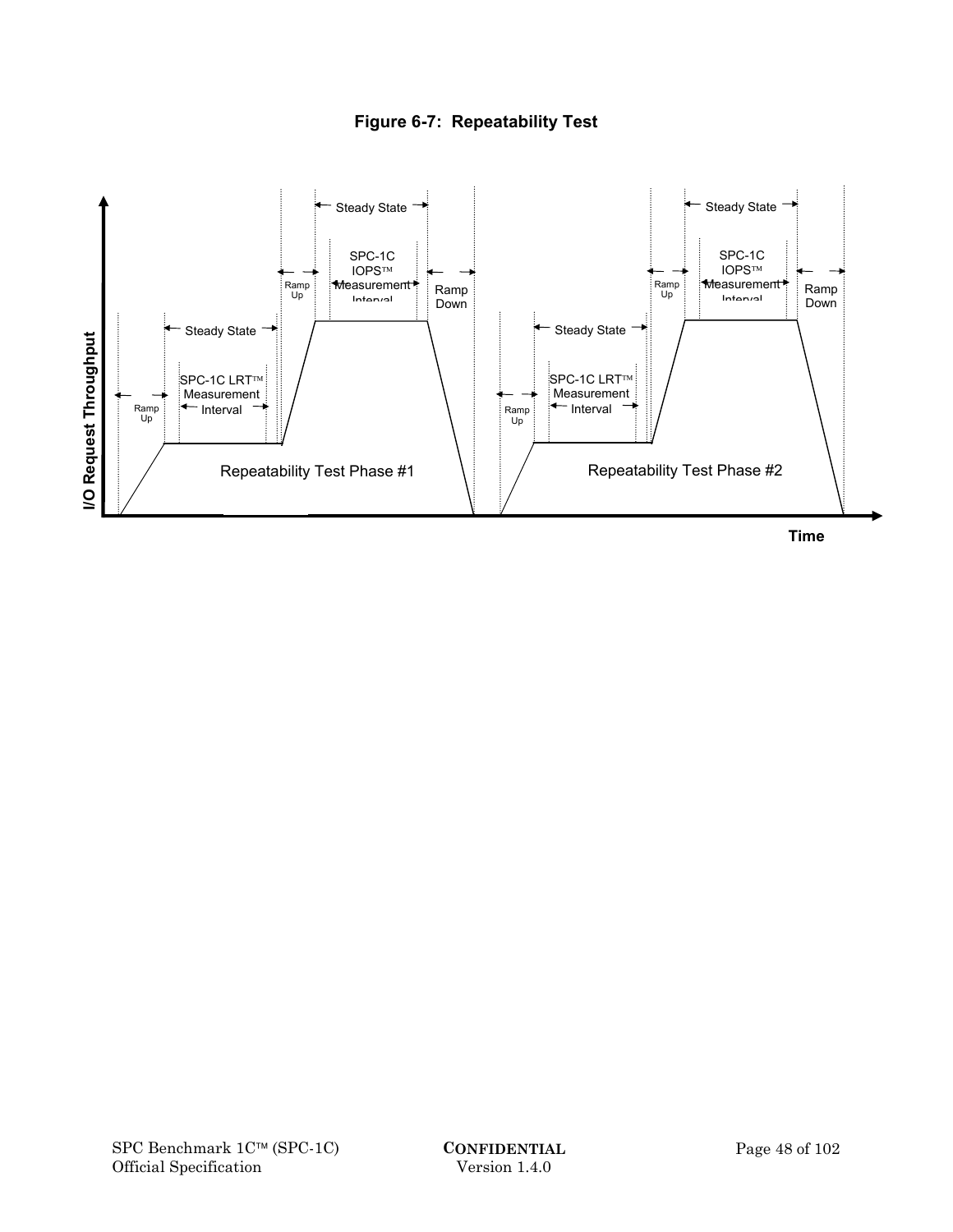

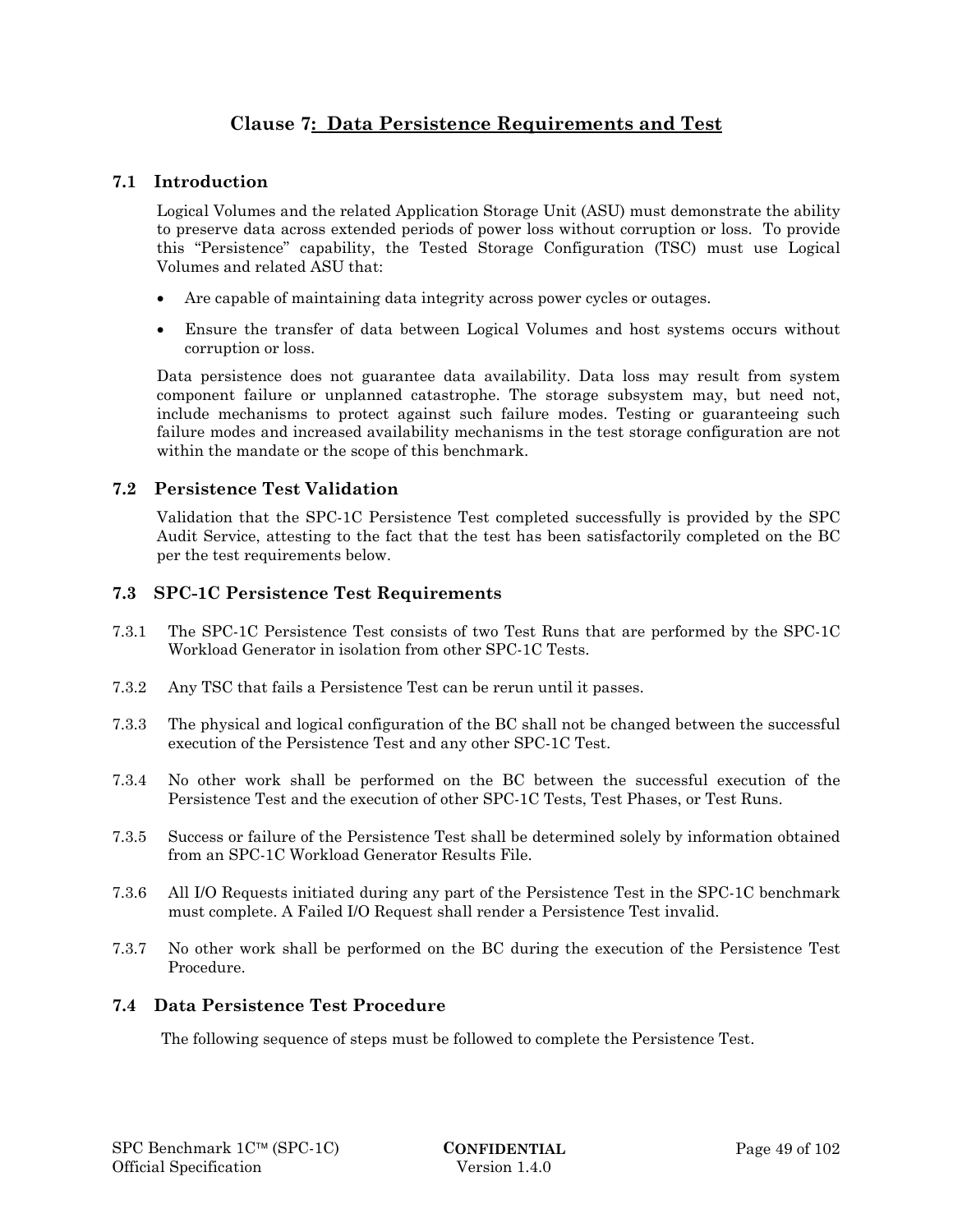# **Clause 7: Data Persistence Requirements and Test**

# **7.1 Introduction**

Logical Volumes and the related Application Storage Unit (ASU) must demonstrate the ability to preserve data across extended periods of power loss without corruption or loss. To provide this "Persistence" capability, the Tested Storage Configuration (TSC) must use Logical Volumes and related ASU that:

- Are capable of maintaining data integrity across power cycles or outages.
- Ensure the transfer of data between Logical Volumes and host systems occurs without corruption or loss.

Data persistence does not guarantee data availability. Data loss may result from system component failure or unplanned catastrophe. The storage subsystem may, but need not, include mechanisms to protect against such failure modes. Testing or guaranteeing such failure modes and increased availability mechanisms in the test storage configuration are not within the mandate or the scope of this benchmark.

# **7.2 Persistence Test Validation**

Validation that the SPC-1C Persistence Test completed successfully is provided by the SPC Audit Service, attesting to the fact that the test has been satisfactorily completed on the BC per the test requirements below.

## **7.3 SPC-1C Persistence Test Requirements**

- 7.3.1 The SPC-1C Persistence Test consists of two Test Runs that are performed by the SPC-1C Workload Generator in isolation from other SPC-1C Tests.
- 7.3.2 Any TSC that fails a Persistence Test can be rerun until it passes.
- 7.3.3 The physical and logical configuration of the BC shall not be changed between the successful execution of the Persistence Test and any other SPC-1C Test.
- 7.3.4 No other work shall be performed on the BC between the successful execution of the Persistence Test and the execution of other SPC-1C Tests, Test Phases, or Test Runs.
- 7.3.5 Success or failure of the Persistence Test shall be determined solely by information obtained from an SPC-1C Workload Generator Results File.
- 7.3.6 All I/O Requests initiated during any part of the Persistence Test in the SPC-1C benchmark must complete. A Failed I/O Request shall render a Persistence Test invalid.
- 7.3.7 No other work shall be performed on the BC during the execution of the Persistence Test Procedure.

## **7.4 Data Persistence Test Procedure**

The following sequence of steps must be followed to complete the Persistence Test.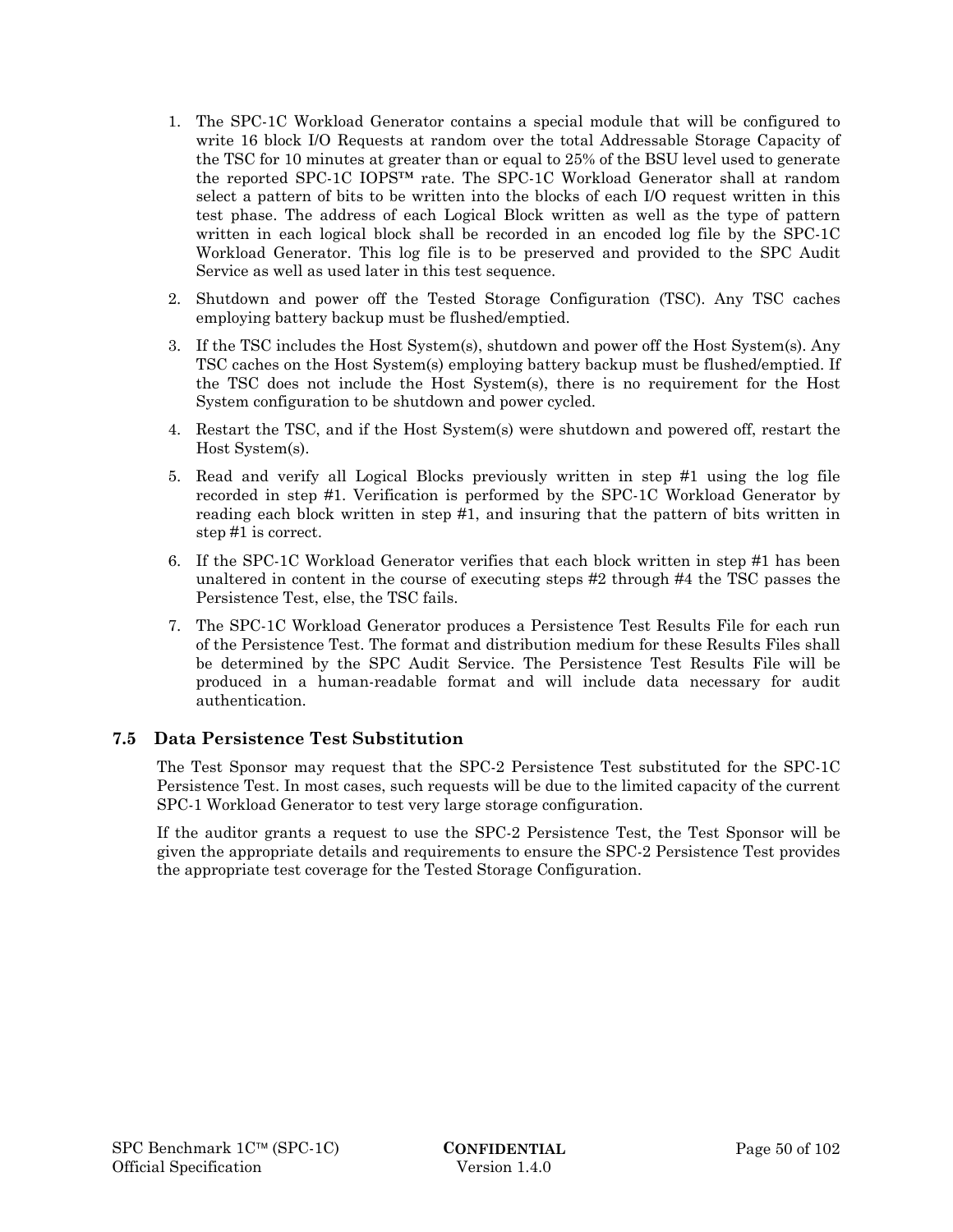- 1. The SPC-1C Workload Generator contains a special module that will be configured to write 16 block I/O Requests at random over the total Addressable Storage Capacity of the TSC for 10 minutes at greater than or equal to 25% of the BSU level used to generate the reported SPC-1C IOPS™ rate. The SPC-1C Workload Generator shall at random select a pattern of bits to be written into the blocks of each I/O request written in this test phase. The address of each Logical Block written as well as the type of pattern written in each logical block shall be recorded in an encoded log file by the SPC-1C Workload Generator. This log file is to be preserved and provided to the SPC Audit Service as well as used later in this test sequence.
- 2. Shutdown and power off the Tested Storage Configuration (TSC). Any TSC caches employing battery backup must be flushed/emptied.
- 3. If the TSC includes the Host System(s), shutdown and power off the Host System(s). Any TSC caches on the Host System(s) employing battery backup must be flushed/emptied. If the TSC does not include the Host System(s), there is no requirement for the Host System configuration to be shutdown and power cycled.
- 4. Restart the TSC, and if the Host System(s) were shutdown and powered off, restart the Host System(s).
- 5. Read and verify all Logical Blocks previously written in step #1 using the log file recorded in step #1. Verification is performed by the SPC-1C Workload Generator by reading each block written in step #1, and insuring that the pattern of bits written in step #1 is correct.
- 6. If the SPC-1C Workload Generator verifies that each block written in step #1 has been unaltered in content in the course of executing steps #2 through #4 the TSC passes the Persistence Test, else, the TSC fails.
- 7. The SPC-1C Workload Generator produces a Persistence Test Results File for each run of the Persistence Test. The format and distribution medium for these Results Files shall be determined by the SPC Audit Service. The Persistence Test Results File will be produced in a human-readable format and will include data necessary for audit authentication.

## **7.5 Data Persistence Test Substitution**

The Test Sponsor may request that the SPC-2 Persistence Test substituted for the SPC-1C Persistence Test. In most cases, such requests will be due to the limited capacity of the current SPC-1 Workload Generator to test very large storage configuration.

If the auditor grants a request to use the SPC-2 Persistence Test, the Test Sponsor will be given the appropriate details and requirements to ensure the SPC-2 Persistence Test provides the appropriate test coverage for the Tested Storage Configuration.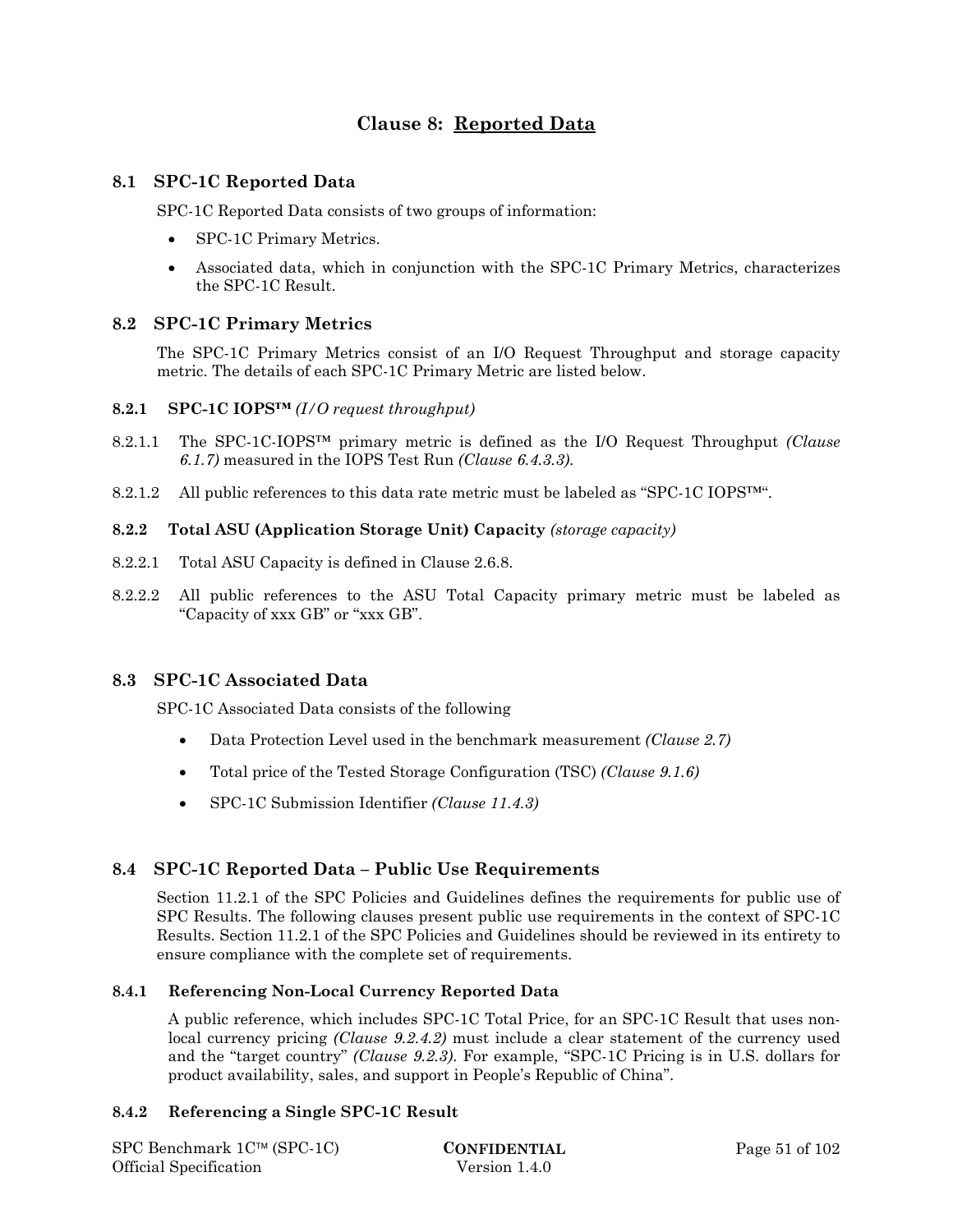# **Clause 8: Reported Data**

## **8.1 SPC-1C Reported Data**

SPC-1C Reported Data consists of two groups of information:

- SPC-1C Primary Metrics.
- Associated data, which in conjunction with the SPC-1C Primary Metrics, characterizes the SPC-1C Result.

# **8.2 SPC-1C Primary Metrics**

The SPC-1C Primary Metrics consist of an I/O Request Throughput and storage capacity metric. The details of each SPC-1C Primary Metric are listed below.

#### **8.2.1 SPC-1C IOPS™** *(I/O request throughput)*

- 8.2.1.1 The SPC-1C-IOPS™ primary metric is defined as the I/O Request Throughput *(Clause 6.1.7)* measured in the IOPS Test Run *(Clause 6.4.3.3)*.
- 8.2.1.2 All public references to this data rate metric must be labeled as "SPC-1C IOPS<sup>™".</sup>

## **8.2.2 Total ASU (Application Storage Unit) Capacity** *(storage capacity)*

- 8.2.2.1 Total ASU Capacity is defined in Clause 2.6.8.
- 8.2.2.2 All public references to the ASU Total Capacity primary metric must be labeled as "Capacity of xxx GB" or "xxx GB".

## **8.3 SPC-1C Associated Data**

SPC-1C Associated Data consists of the following

- Data Protection Level used in the benchmark measurement *(Clause 2.7)*
- Total price of the Tested Storage Configuration (TSC) *(Clause 9.1.6)*
- SPC-1C Submission Identifier *(Clause 11.4.3)*

# **8.4 SPC-1C Reported Data – Public Use Requirements**

Section 11.2.1 of the SPC Policies and Guidelines defines the requirements for public use of SPC Results. The following clauses present public use requirements in the context of SPC-1C Results. Section 11.2.1 of the SPC Policies and Guidelines should be reviewed in its entirety to ensure compliance with the complete set of requirements.

## **8.4.1 Referencing Non-Local Currency Reported Data**

A public reference, which includes SPC-1C Total Price, for an SPC-1C Result that uses nonlocal currency pricing *(Clause 9.2.4.2)* must include a clear statement of the currency used and the "target country" *(Clause 9.2.3)*. For example, "SPC-1C Pricing is in U.S. dollars for product availability, sales, and support in People's Republic of China".

## **8.4.2 Referencing a Single SPC-1C Result**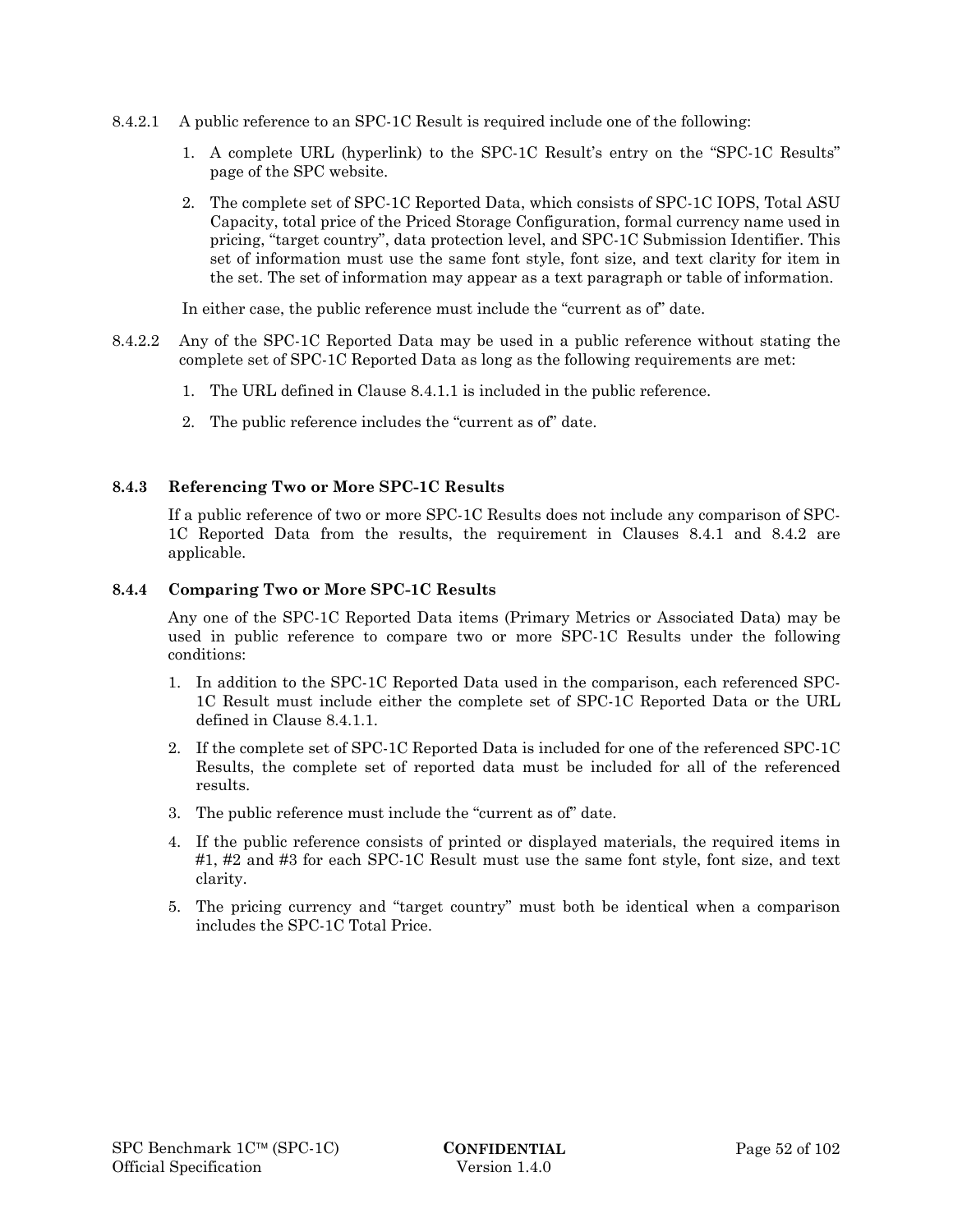- 8.4.2.1 A public reference to an SPC-1C Result is required include one of the following:
	- 1. A complete URL (hyperlink) to the SPC-1C Result's entry on the "SPC-1C Results" page of the SPC website.
	- 2. The complete set of SPC-1C Reported Data, which consists of SPC-1C IOPS, Total ASU Capacity, total price of the Priced Storage Configuration, formal currency name used in pricing, "target country", data protection level, and SPC-1C Submission Identifier. This set of information must use the same font style, font size, and text clarity for item in the set. The set of information may appear as a text paragraph or table of information.

In either case, the public reference must include the "current as of" date.

- 8.4.2.2 Any of the SPC-1C Reported Data may be used in a public reference without stating the complete set of SPC-1C Reported Data as long as the following requirements are met:
	- 1. The URL defined in Clause 8.4.1.1 is included in the public reference.
	- 2. The public reference includes the "current as of" date.

#### **8.4.3 Referencing Two or More SPC-1C Results**

If a public reference of two or more SPC-1C Results does not include any comparison of SPC-1C Reported Data from the results, the requirement in Clauses 8.4.1 and 8.4.2 are applicable.

#### **8.4.4 Comparing Two or More SPC-1C Results**

Any one of the SPC-1C Reported Data items (Primary Metrics or Associated Data) may be used in public reference to compare two or more SPC-1C Results under the following conditions:

- 1. In addition to the SPC-1C Reported Data used in the comparison, each referenced SPC-1C Result must include either the complete set of SPC-1C Reported Data or the URL defined in Clause 8.4.1.1.
- 2. If the complete set of SPC-1C Reported Data is included for one of the referenced SPC-1C Results, the complete set of reported data must be included for all of the referenced results.
- 3. The public reference must include the "current as of" date.
- 4. If the public reference consists of printed or displayed materials, the required items in #1, #2 and #3 for each SPC-1C Result must use the same font style, font size, and text clarity.
- 5. The pricing currency and "target country" must both be identical when a comparison includes the SPC-1C Total Price.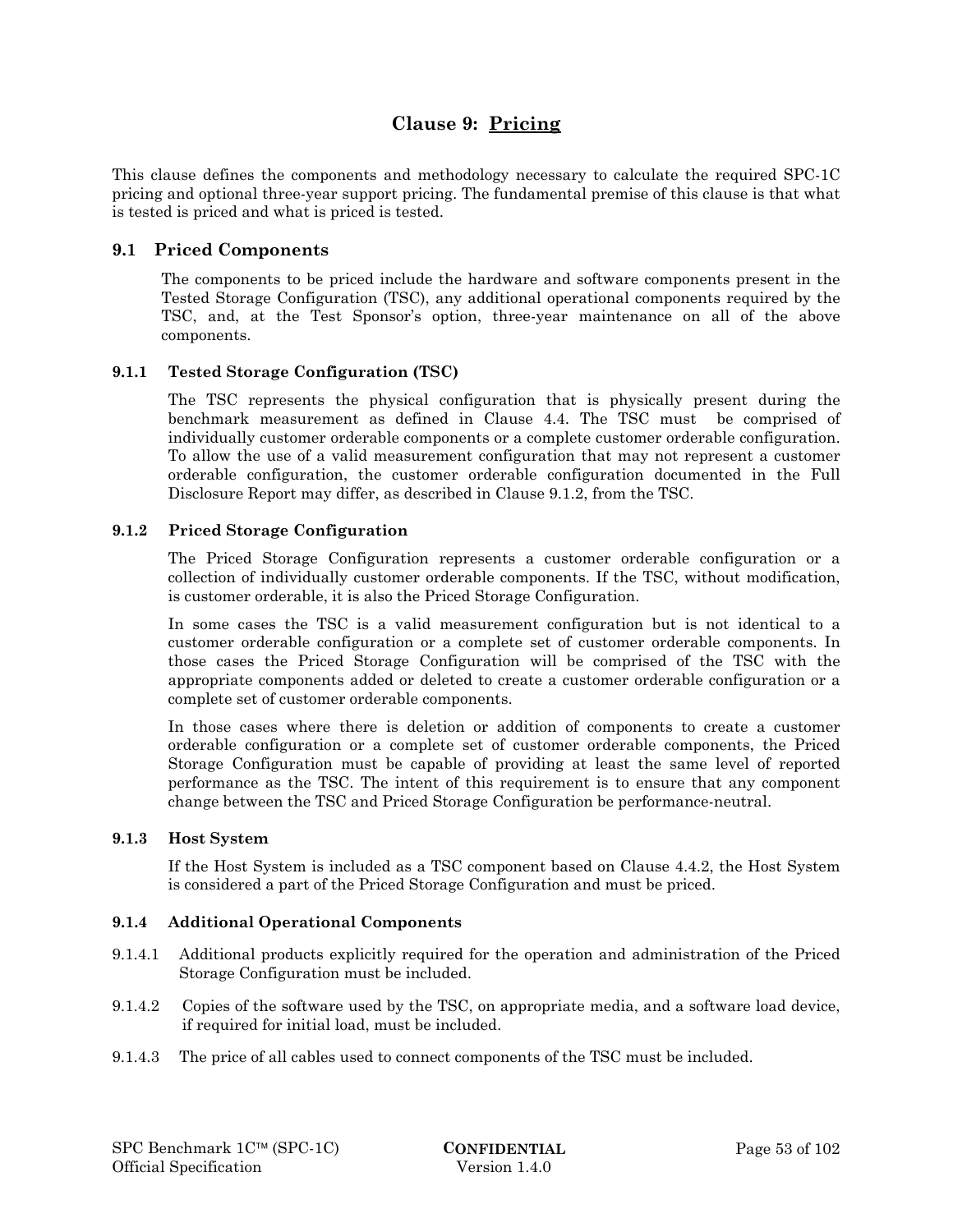# **Clause 9: Pricing**

This clause defines the components and methodology necessary to calculate the required SPC-1C pricing and optional three-year support pricing. The fundamental premise of this clause is that what is tested is priced and what is priced is tested.

## **9.1 Priced Components**

The components to be priced include the hardware and software components present in the Tested Storage Configuration (TSC), any additional operational components required by the TSC, and, at the Test Sponsor's option, three-year maintenance on all of the above components.

## **9.1.1 Tested Storage Configuration (TSC)**

The TSC represents the physical configuration that is physically present during the benchmark measurement as defined in Clause 4.4. The TSC must be comprised of individually customer orderable components or a complete customer orderable configuration. To allow the use of a valid measurement configuration that may not represent a customer orderable configuration, the customer orderable configuration documented in the Full Disclosure Report may differ, as described in Clause 9.1.2, from the TSC.

## **9.1.2 Priced Storage Configuration**

The Priced Storage Configuration represents a customer orderable configuration or a collection of individually customer orderable components. If the TSC, without modification, is customer orderable, it is also the Priced Storage Configuration.

In some cases the TSC is a valid measurement configuration but is not identical to a customer orderable configuration or a complete set of customer orderable components. In those cases the Priced Storage Configuration will be comprised of the TSC with the appropriate components added or deleted to create a customer orderable configuration or a complete set of customer orderable components.

In those cases where there is deletion or addition of components to create a customer orderable configuration or a complete set of customer orderable components, the Priced Storage Configuration must be capable of providing at least the same level of reported performance as the TSC. The intent of this requirement is to ensure that any component change between the TSC and Priced Storage Configuration be performance-neutral.

## **9.1.3 Host System**

If the Host System is included as a TSC component based on Clause 4.4.2, the Host System is considered a part of the Priced Storage Configuration and must be priced.

## **9.1.4 Additional Operational Components**

- 9.1.4.1 Additional products explicitly required for the operation and administration of the Priced Storage Configuration must be included.
- 9.1.4.2 Copies of the software used by the TSC, on appropriate media, and a software load device, if required for initial load, must be included.
- 9.1.4.3 The price of all cables used to connect components of the TSC must be included.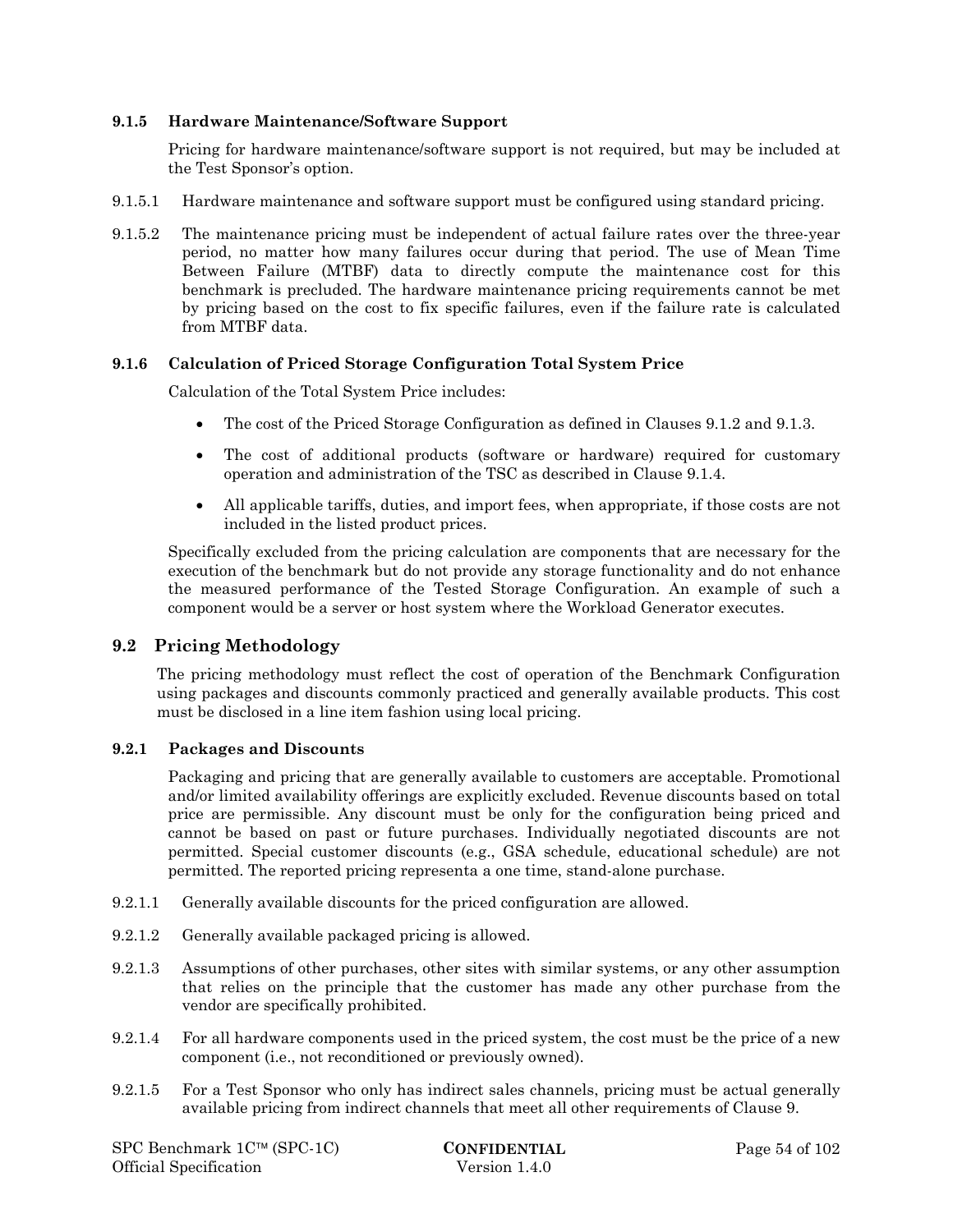#### **9.1.5 Hardware Maintenance/Software Support**

Pricing for hardware maintenance/software support is not required, but may be included at the Test Sponsor's option.

- 9.1.5.1 Hardware maintenance and software support must be configured using standard pricing.
- 9.1.5.2 The maintenance pricing must be independent of actual failure rates over the three-year period, no matter how many failures occur during that period. The use of Mean Time Between Failure (MTBF) data to directly compute the maintenance cost for this benchmark is precluded. The hardware maintenance pricing requirements cannot be met by pricing based on the cost to fix specific failures, even if the failure rate is calculated from MTBF data.

#### **9.1.6 Calculation of Priced Storage Configuration Total System Price**

Calculation of the Total System Price includes:

- The cost of the Priced Storage Configuration as defined in Clauses 9.1.2 and 9.1.3.
- The cost of additional products (software or hardware) required for customary operation and administration of the TSC as described in Clause 9.1.4.
- All applicable tariffs, duties, and import fees, when appropriate, if those costs are not included in the listed product prices.

Specifically excluded from the pricing calculation are components that are necessary for the execution of the benchmark but do not provide any storage functionality and do not enhance the measured performance of the Tested Storage Configuration. An example of such a component would be a server or host system where the Workload Generator executes.

## **9.2 Pricing Methodology**

The pricing methodology must reflect the cost of operation of the Benchmark Configuration using packages and discounts commonly practiced and generally available products. This cost must be disclosed in a line item fashion using local pricing.

#### **9.2.1 Packages and Discounts**

Packaging and pricing that are generally available to customers are acceptable. Promotional and/or limited availability offerings are explicitly excluded. Revenue discounts based on total price are permissible. Any discount must be only for the configuration being priced and cannot be based on past or future purchases. Individually negotiated discounts are not permitted. Special customer discounts (e.g., GSA schedule, educational schedule) are not permitted. The reported pricing representa a one time, stand-alone purchase.

- 9.2.1.1 Generally available discounts for the priced configuration are allowed.
- 9.2.1.2 Generally available packaged pricing is allowed.
- 9.2.1.3 Assumptions of other purchases, other sites with similar systems, or any other assumption that relies on the principle that the customer has made any other purchase from the vendor are specifically prohibited.
- 9.2.1.4 For all hardware components used in the priced system, the cost must be the price of a new component (i.e., not reconditioned or previously owned).
- 9.2.1.5 For a Test Sponsor who only has indirect sales channels, pricing must be actual generally available pricing from indirect channels that meet all other requirements of Clause 9.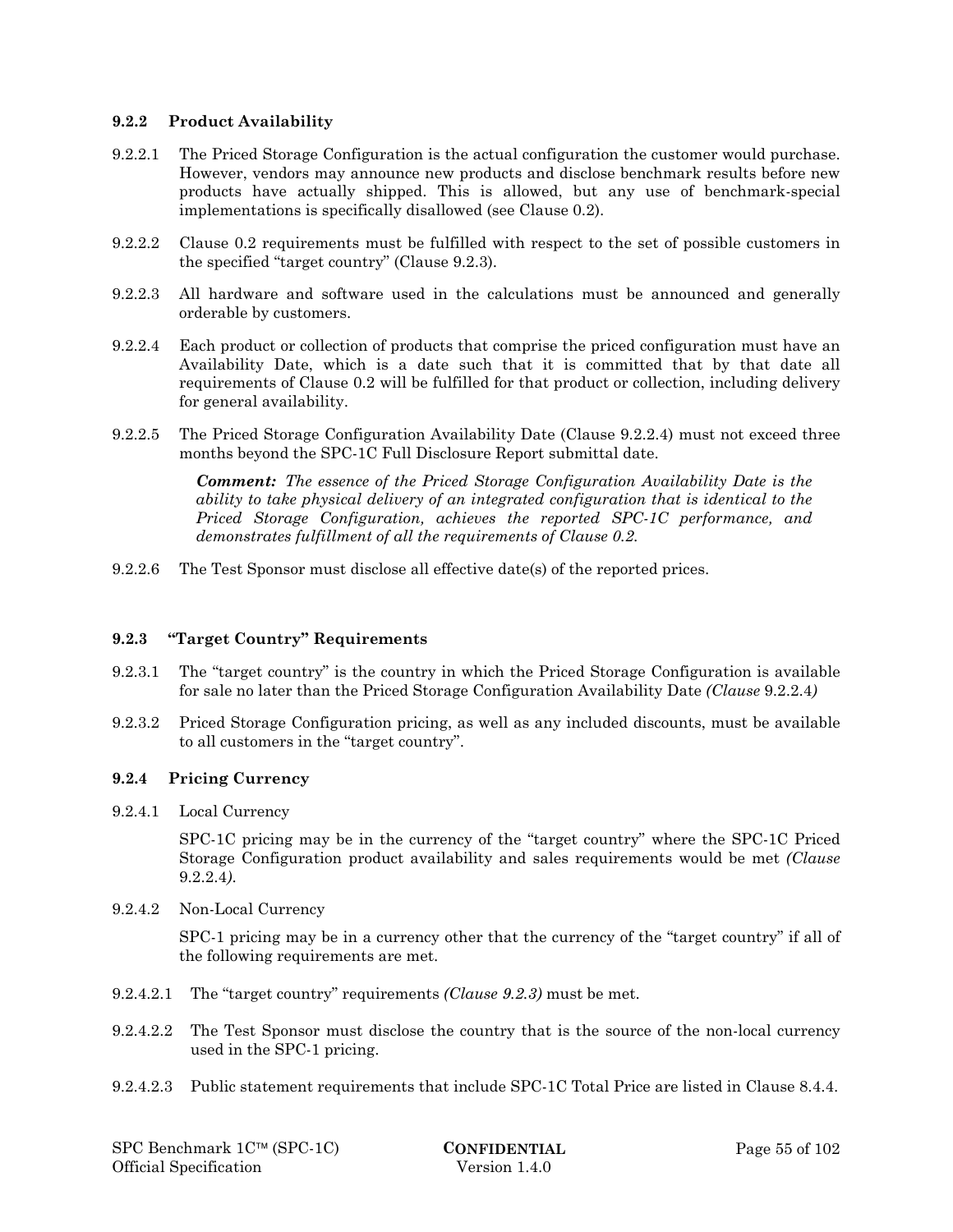#### **9.2.2 Product Availability**

- 9.2.2.1 The Priced Storage Configuration is the actual configuration the customer would purchase. However, vendors may announce new products and disclose benchmark results before new products have actually shipped. This is allowed, but any use of benchmark-special implementations is specifically disallowed (see Clause 0.2).
- 9.2.2.2 Clause 0.2 requirements must be fulfilled with respect to the set of possible customers in the specified "target country" (Clause 9.2.3).
- 9.2.2.3 All hardware and software used in the calculations must be announced and generally orderable by customers.
- 9.2.2.4 Each product or collection of products that comprise the priced configuration must have an Availability Date, which is a date such that it is committed that by that date all requirements of Clause 0.2 will be fulfilled for that product or collection, including delivery for general availability.
- 9.2.2.5 The Priced Storage Configuration Availability Date (Clause 9.2.2.4) must not exceed three months beyond the SPC-1C Full Disclosure Report submittal date.

*Comment: The essence of the Priced Storage Configuration Availability Date is the ability to take physical delivery of an integrated configuration that is identical to the Priced Storage Configuration, achieves the reported SPC-1C performance, and demonstrates fulfillment of all the requirements of Clause 0.2.* 

9.2.2.6 The Test Sponsor must disclose all effective date(s) of the reported prices.

#### **9.2.3 "Target Country" Requirements**

- 9.2.3.1 The "target country" is the country in which the Priced Storage Configuration is available for sale no later than the Priced Storage Configuration Availability Date *(Clause* 9.2.2.4*)*
- 9.2.3.2 Priced Storage Configuration pricing, as well as any included discounts, must be available to all customers in the "target country".

#### **9.2.4 Pricing Currency**

9.2.4.1 Local Currency

SPC-1C pricing may be in the currency of the "target country" where the SPC-1C Priced Storage Configuration product availability and sales requirements would be met *(Clause*  9.2.2.4*)*.

9.2.4.2 Non-Local Currency

SPC-1 pricing may be in a currency other that the currency of the "target country" if all of the following requirements are met.

- 9.2.4.2.1 The "target country" requirements *(Clause 9.2.3)* must be met.
- 9.2.4.2.2 The Test Sponsor must disclose the country that is the source of the non-local currency used in the SPC-1 pricing.
- 9.2.4.2.3 Public statement requirements that include SPC-1C Total Price are listed in Clause 8.4.4.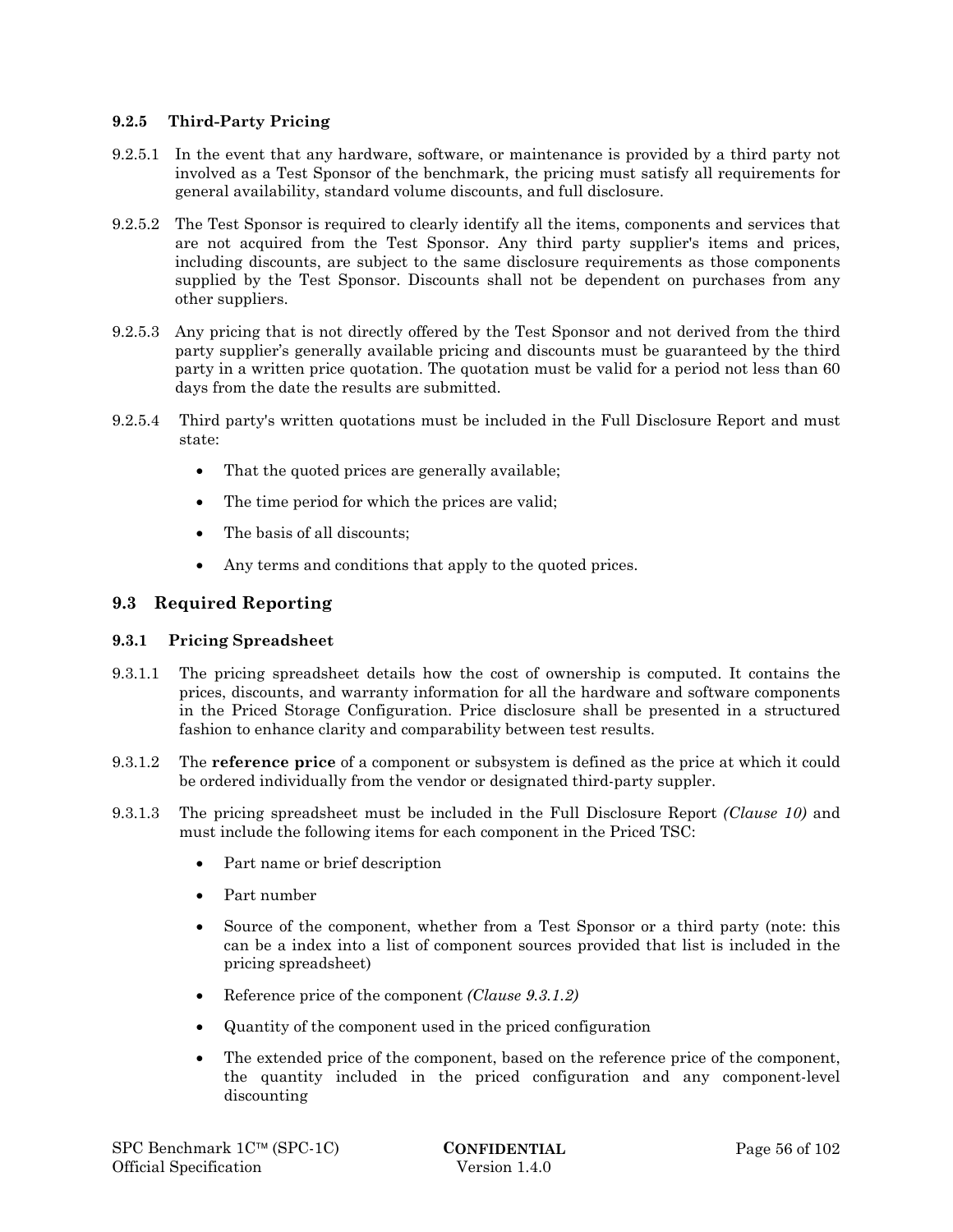#### **9.2.5 Third-Party Pricing**

- 9.2.5.1 In the event that any hardware, software, or maintenance is provided by a third party not involved as a Test Sponsor of the benchmark, the pricing must satisfy all requirements for general availability, standard volume discounts, and full disclosure.
- 9.2.5.2 The Test Sponsor is required to clearly identify all the items, components and services that are not acquired from the Test Sponsor. Any third party supplier's items and prices, including discounts, are subject to the same disclosure requirements as those components supplied by the Test Sponsor. Discounts shall not be dependent on purchases from any other suppliers.
- 9.2.5.3 Any pricing that is not directly offered by the Test Sponsor and not derived from the third party supplier's generally available pricing and discounts must be guaranteed by the third party in a written price quotation. The quotation must be valid for a period not less than 60 days from the date the results are submitted.
- 9.2.5.4 Third party's written quotations must be included in the Full Disclosure Report and must state:
	- That the quoted prices are generally available;
	- The time period for which the prices are valid;
	- The basis of all discounts:
	- Any terms and conditions that apply to the quoted prices.

## **9.3 Required Reporting**

## **9.3.1 Pricing Spreadsheet**

- 9.3.1.1 The pricing spreadsheet details how the cost of ownership is computed. It contains the prices, discounts, and warranty information for all the hardware and software components in the Priced Storage Configuration. Price disclosure shall be presented in a structured fashion to enhance clarity and comparability between test results.
- 9.3.1.2 The **reference price** of a component or subsystem is defined as the price at which it could be ordered individually from the vendor or designated third-party suppler.
- 9.3.1.3 The pricing spreadsheet must be included in the Full Disclosure Report *(Clause 10)* and must include the following items for each component in the Priced TSC:
	- Part name or brief description
	- Part number
	- Source of the component, whether from a Test Sponsor or a third party (note: this can be a index into a list of component sources provided that list is included in the pricing spreadsheet)
	- Reference price of the component *(Clause 9.3.1.2)*
	- Quantity of the component used in the priced configuration
	- The extended price of the component, based on the reference price of the component, the quantity included in the priced configuration and any component-level discounting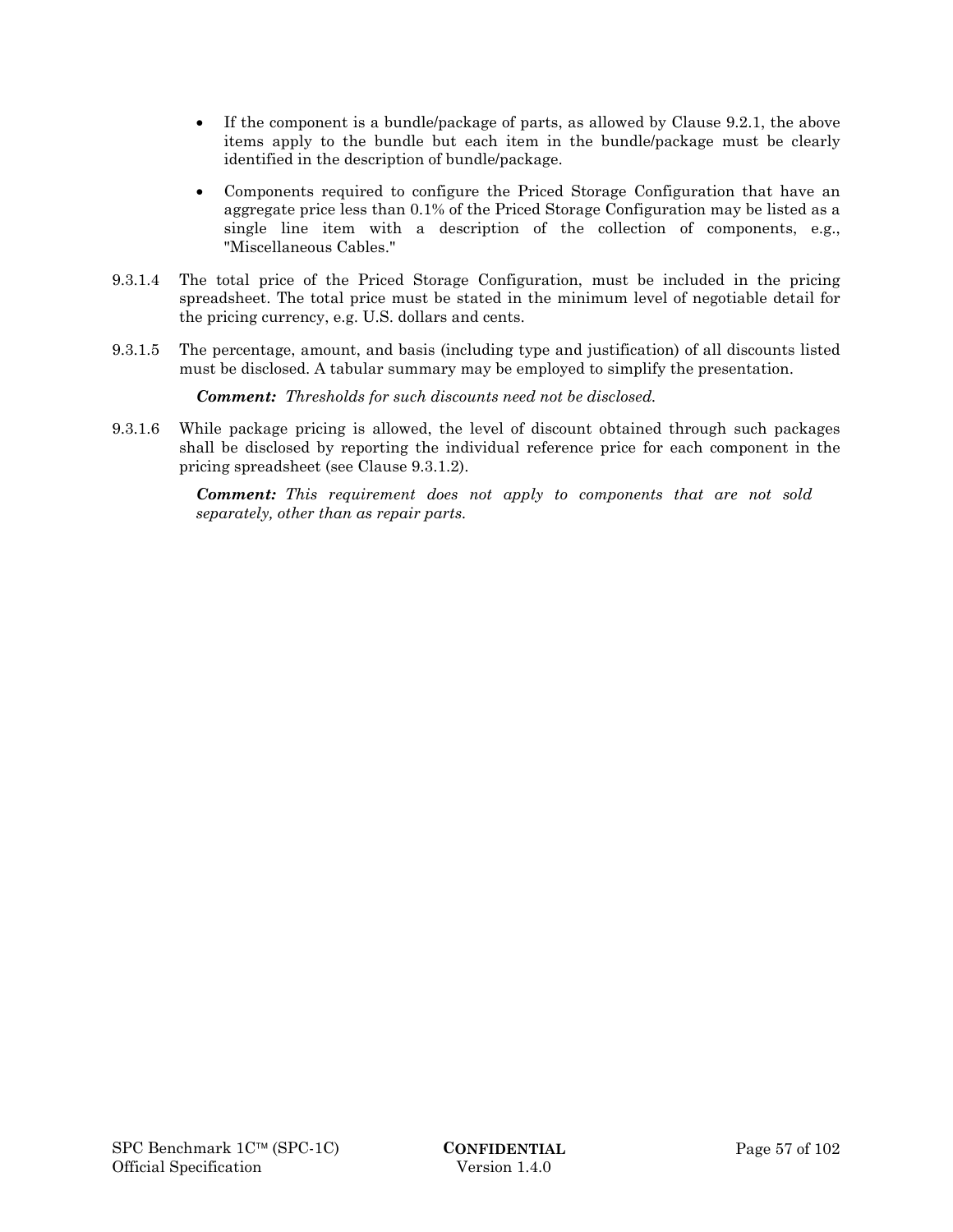- If the component is a bundle/package of parts, as allowed by Clause 9.2.1, the above items apply to the bundle but each item in the bundle/package must be clearly identified in the description of bundle/package.
- Components required to configure the Priced Storage Configuration that have an aggregate price less than 0.1% of the Priced Storage Configuration may be listed as a single line item with a description of the collection of components, e.g., "Miscellaneous Cables."
- 9.3.1.4 The total price of the Priced Storage Configuration, must be included in the pricing spreadsheet. The total price must be stated in the minimum level of negotiable detail for the pricing currency, e.g. U.S. dollars and cents.
- 9.3.1.5 The percentage, amount, and basis (including type and justification) of all discounts listed must be disclosed. A tabular summary may be employed to simplify the presentation.

*Comment: Thresholds for such discounts need not be disclosed.* 

9.3.1.6 While package pricing is allowed, the level of discount obtained through such packages shall be disclosed by reporting the individual reference price for each component in the pricing spreadsheet (see Clause 9.3.1.2).

> *Comment: This requirement does not apply to components that are not sold separately, other than as repair parts.*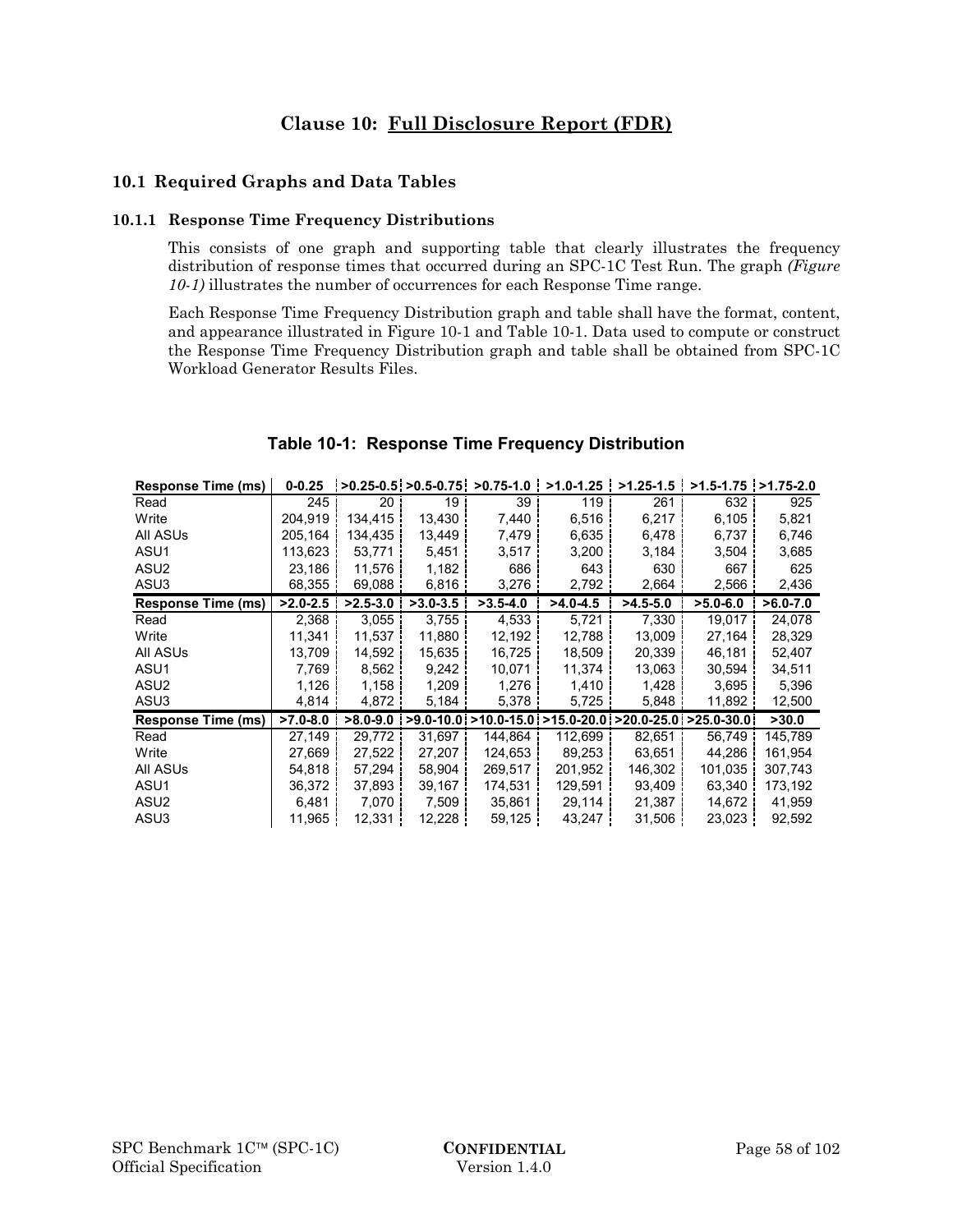# **Clause 10: Full Disclosure Report (FDR)**

## **10.1 Required Graphs and Data Tables**

#### **10.1.1 Response Time Frequency Distributions**

This consists of one graph and supporting table that clearly illustrates the frequency distribution of response times that occurred during an SPC-1C Test Run. The graph *(Figure 10-1)* illustrates the number of occurrences for each Response Time range.

Each Response Time Frequency Distribution graph and table shall have the format, content, and appearance illustrated in Figure 10-1 and Table 10-1. Data used to compute or construct the Response Time Frequency Distribution graph and table shall be obtained from SPC-1C Workload Generator Results Files.

| <b>Response Time (ms)</b> | $0 - 0.25$   |              | $>0.25 - 0.5$ > 0.5 - 0.75 | $>0.75-1.0$                                              | $>1.0 - 1.25$ | $>1.25 - 1.5$ | $>1.5 - 1.75$ $>1.75 - 2.0$ |              |
|---------------------------|--------------|--------------|----------------------------|----------------------------------------------------------|---------------|---------------|-----------------------------|--------------|
| Read                      | 245          | 20           | 19                         | 39 <sup>1</sup>                                          | 119           | 261           | 632                         | 925          |
| Write                     | 204.919      | 134.415      | 13,430                     | 7,440                                                    | 6.516         | 6,217         | 6.105                       | 5,821        |
| All ASUs                  | 205.164      | 134,435      | 13,449                     | 7.479                                                    | 6,635         | 6,478         | 6,737                       | 6,746        |
| ASU1                      | 113,623      | 53,771       | 5,451                      | 3,517                                                    | 3,200         | 3,184         | 3,504                       | 3,685        |
| ASU <sub>2</sub>          | 23,186       | 11,576       | 1,182                      | 686                                                      | 643           | 630           | 667                         | 625          |
| ASU3                      | 68,355       | 69,088       | 6,816                      | 3,276                                                    | 2,792         | 2,664         | 2,566                       | 2,436        |
| <b>Response Time (ms)</b> | $>2.0 - 2.5$ | $>2.5 - 3.0$ | $>3.0 - 3.5$               | $>3.5-4.0$                                               | $>4.0 - 4.5$  | $>4.5 - 5.0$  | $>5.0-6.0$                  | $>6.0 - 7.0$ |
| Read                      | 2,368        | 3,055        | 3,755                      | 4,533                                                    | 5,721         | 7,330         | 19.017                      | 24,078       |
| Write                     | 11,341       | 11,537       | 11,880                     | 12,192                                                   | 12,788        | 13,009        | 27,164                      | 28,329       |
| All ASUs                  | 13,709       | 14,592       | 15,635                     | 16,725                                                   | 18,509        | 20,339        | 46,181                      | 52,407       |
| ASU1                      | 7,769        | 8,562        | 9,242                      | 10,071                                                   | 11,374        | 13,063        | 30,594                      | 34,511       |
| ASU2                      | 1,126        | 1,158        | 1,209                      | 1,276                                                    | 1,410         | 1,428         | 3,695                       | 5,396        |
| ASU3                      | 4,814        | 4,872        | 5,184                      | 5,378                                                    | 5,725         | 5,848         | 11,892                      | 12,500       |
| <b>Response Time (ms)</b> | $>7.0 - 8.0$ | $>8.0 - 9.0$ |                            | >9.0-10.0 >10.0-15.0 >15.0-20.0 >20.0-25.0 >25.0-30.0 \, |               |               |                             | >30.0        |
| Read                      | 27,149       | 29,772       | 31,697                     | 144,864                                                  | 112,699       | 82,651        | 56,749                      | 145,789      |
| Write                     | 27,669       | 27,522       | 27,207                     | 124,653丨                                                 | 89,253        | 63,651        | 44,286                      | 161,954      |
| All ASUs                  | 54.818       | 57,294       | 58,904                     | 269,517                                                  | 201,952       | 146,302       | 101,035                     | 307,743      |
| ASU1                      | 36,372       | 37,893       | 39,167                     | 174,531 i                                                | 129,591       | 93,409        | 63,340                      | 173,192      |
| ASU <sub>2</sub>          | 6,481        | 7,070        | 7,509                      | 35,861                                                   | 29,114        | 21,387        | 14,672                      | 41,959       |
| ASU3                      | 11,965       | 12,331       | 12,228                     | 59,125                                                   | 43,247        | 31,506        | 23,023                      | 92,592       |

## **Table 10-1: Response Time Frequency Distribution**

 $\sim$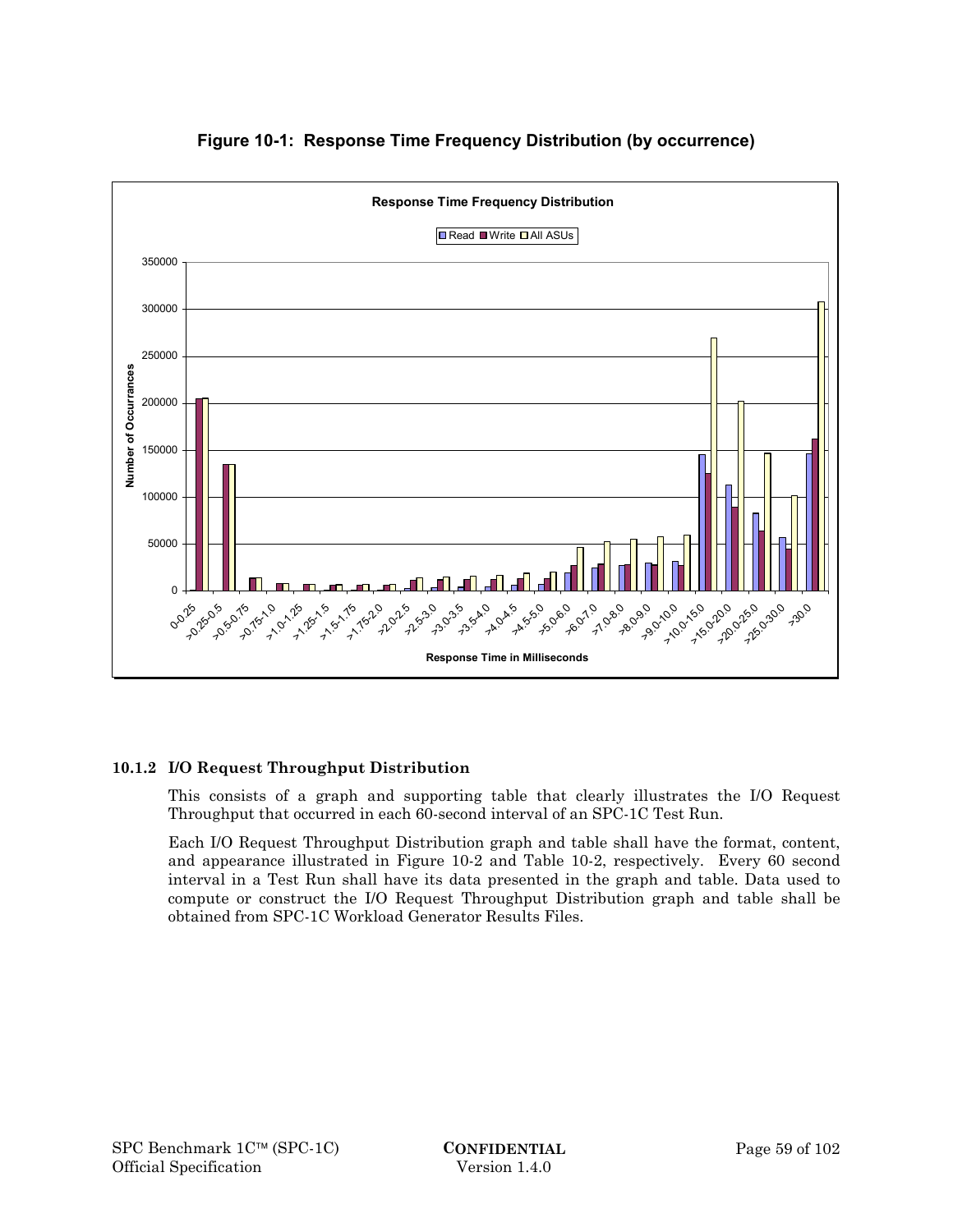

# **Figure 10-1: Response Time Frequency Distribution (by occurrence)**

# **10.1.2 I/O Request Throughput Distribution**

This consists of a graph and supporting table that clearly illustrates the I/O Request Throughput that occurred in each 60-second interval of an SPC-1C Test Run.

Each I/O Request Throughput Distribution graph and table shall have the format, content, and appearance illustrated in Figure 10-2 and Table 10-2, respectively. Every 60 second interval in a Test Run shall have its data presented in the graph and table. Data used to compute or construct the I/O Request Throughput Distribution graph and table shall be obtained from SPC-1C Workload Generator Results Files.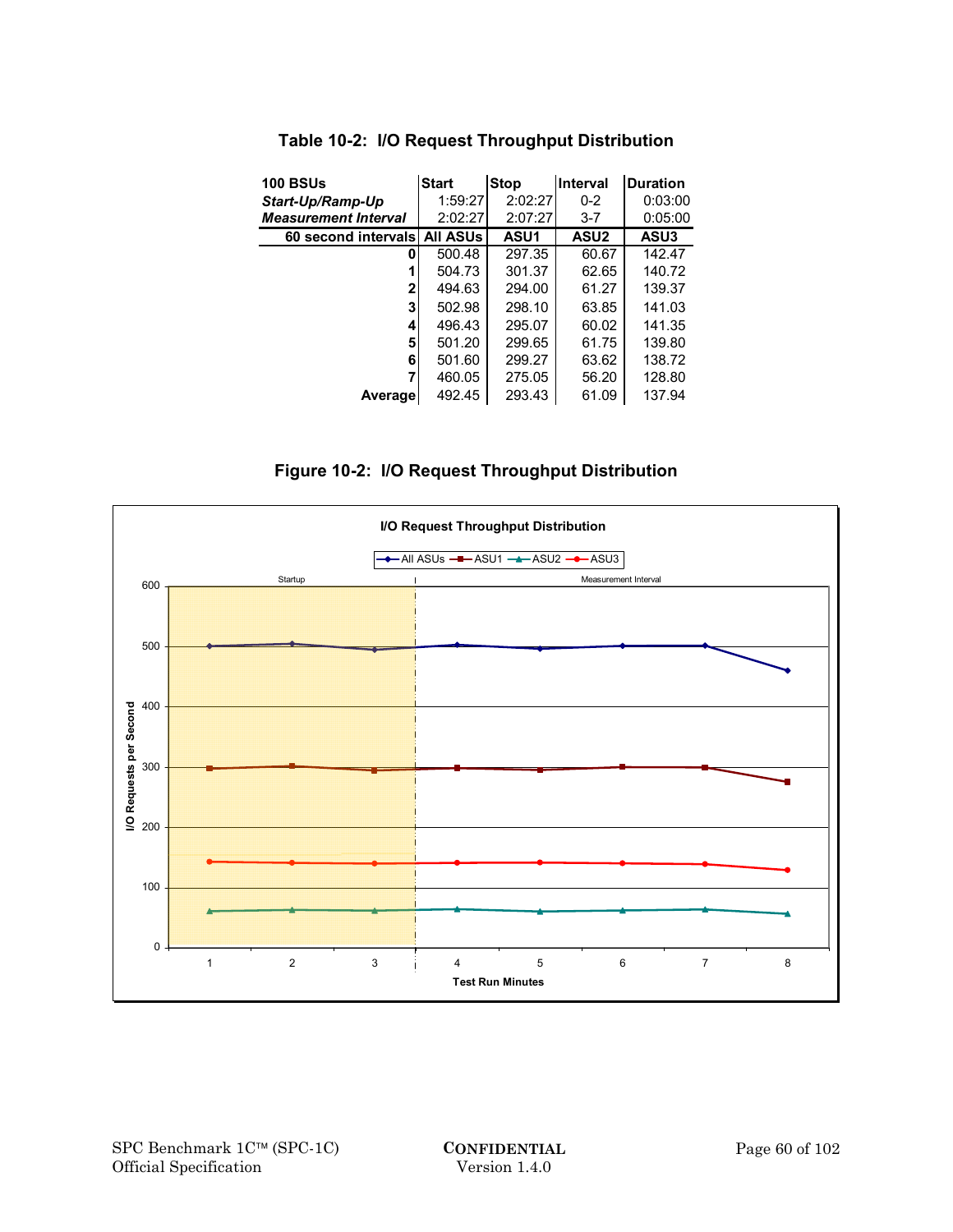| <b>100 BSUs</b>              | <b>Start</b> | <b>Stop</b> | Interval         | <b>Duration</b> |
|------------------------------|--------------|-------------|------------------|-----------------|
| Start-Up/Ramp-Up             | 1:59:27      | 2:02:27     | $0 - 2$          | 0:03:00         |
| <b>Measurement Interval</b>  | 2:02:27      | 2:07:27     | $3 - 7$          | 0:05:00         |
| 60 second intervals All ASUs |              | ASU1        | ASU <sub>2</sub> | ASU3            |
| 0                            | 500.48       | 297.35      | 60.67            | 142.47          |
|                              | 504.73       | 301.37      | 62.65            | 140.72          |
| 2                            | 494.63       | 294.00      | 61.27            | 139.37          |
| 3                            | 502.98       | 298.10      | 63.85            | 141.03          |
| 4                            | 496.43       | 295.07      | 60.02            | 141.35          |
| 5                            | 501.20       | 299.65      | 61.75            | 139.80          |
| 6                            | 501.60       | 299.27      | 63.62            | 138.72          |
|                              | 460.05       | 275.05      | 56.20            | 128.80          |
| <b>Average</b>               | 492.45       | 293.43      | 61.09            | 137.94          |

# **Table 10-2: I/O Request Throughput Distribution**

**Figure 10-2: I/O Request Throughput Distribution** 

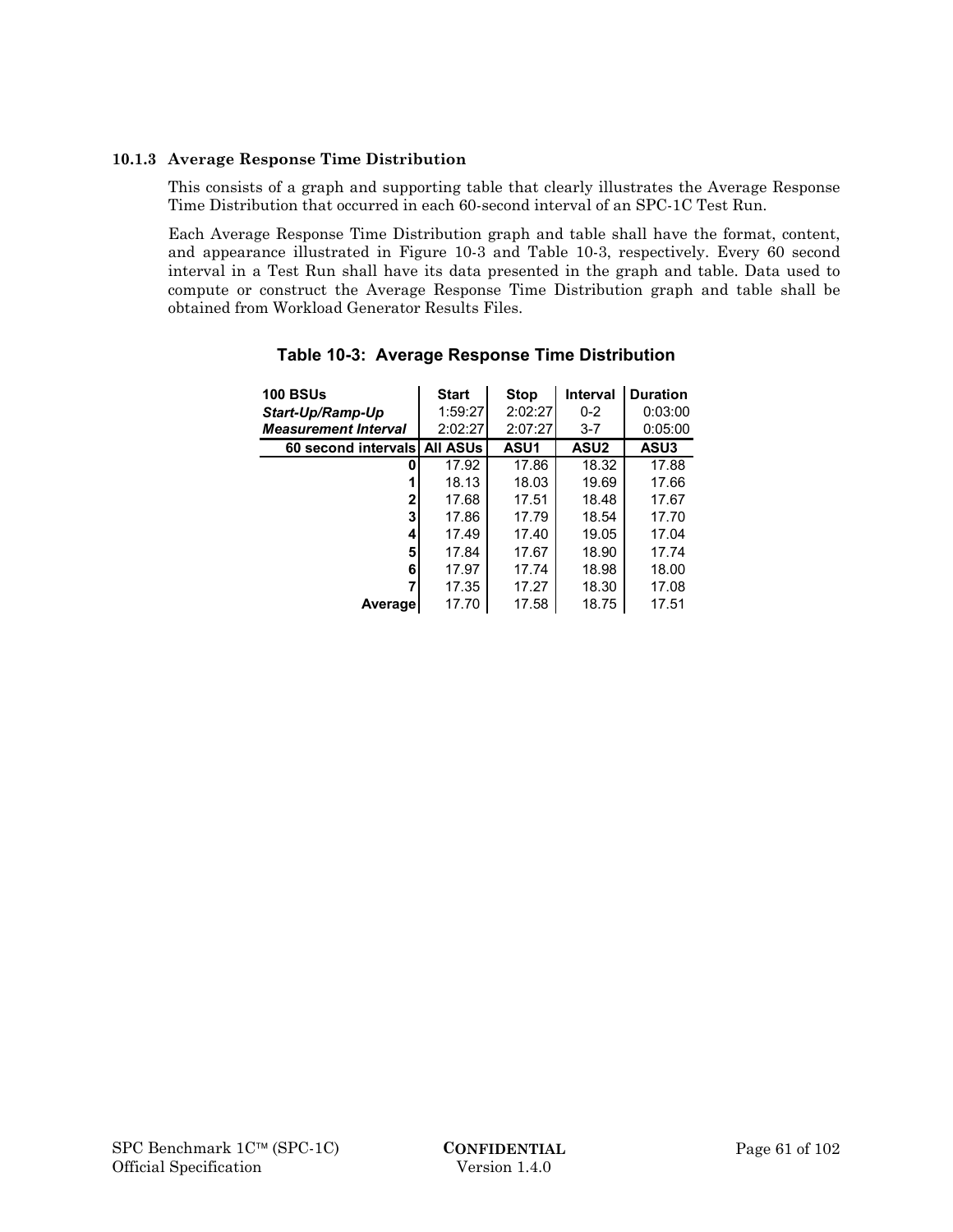#### **10.1.3 Average Response Time Distribution**

This consists of a graph and supporting table that clearly illustrates the Average Response Time Distribution that occurred in each 60-second interval of an SPC-1C Test Run.

Each Average Response Time Distribution graph and table shall have the format, content, and appearance illustrated in Figure 10-3 and Table 10-3, respectively. Every 60 second interval in a Test Run shall have its data presented in the graph and table. Data used to compute or construct the Average Response Time Distribution graph and table shall be obtained from Workload Generator Results Files.

| <b>100 BSUs</b>              | <b>Start</b> | <b>Stop</b> | Interval         | <b>Duration</b> |
|------------------------------|--------------|-------------|------------------|-----------------|
| Start-Up/Ramp-Up             | 1:59:27      | 2:02:27     | $0 - 2$          | 0:03:00         |
| <b>Measurement Interval</b>  | 2:02:27      | 2:07:27     | $3 - 7$          | 0:05:00         |
| 60 second intervals All ASUs |              | <b>ASU1</b> | ASU <sub>2</sub> | ASU3            |
| 0                            | 17.92        | 17.86       | 18.32            | 17.88           |
|                              | 18.13        | 18.03       | 19.69            | 17.66           |
| 2                            | 17.68        | 17.51       | 18.48            | 17.67           |
| 3                            | 17.86        | 17.79       | 18.54            | 17.70           |
| 4                            | 17.49        | 17.40       | 19.05            | 17.04           |
| 5                            | 17.84        | 17.67       | 18.90            | 17.74           |
| 6                            | 17.97        | 17.74       | 18.98            | 18.00           |
|                              | 17.35        | 17.27       | 18.30            | 17.08           |
| Average                      | 17.70        | 17.58       | 18.75            | 17.51           |

**Table 10-3: Average Response Time Distribution**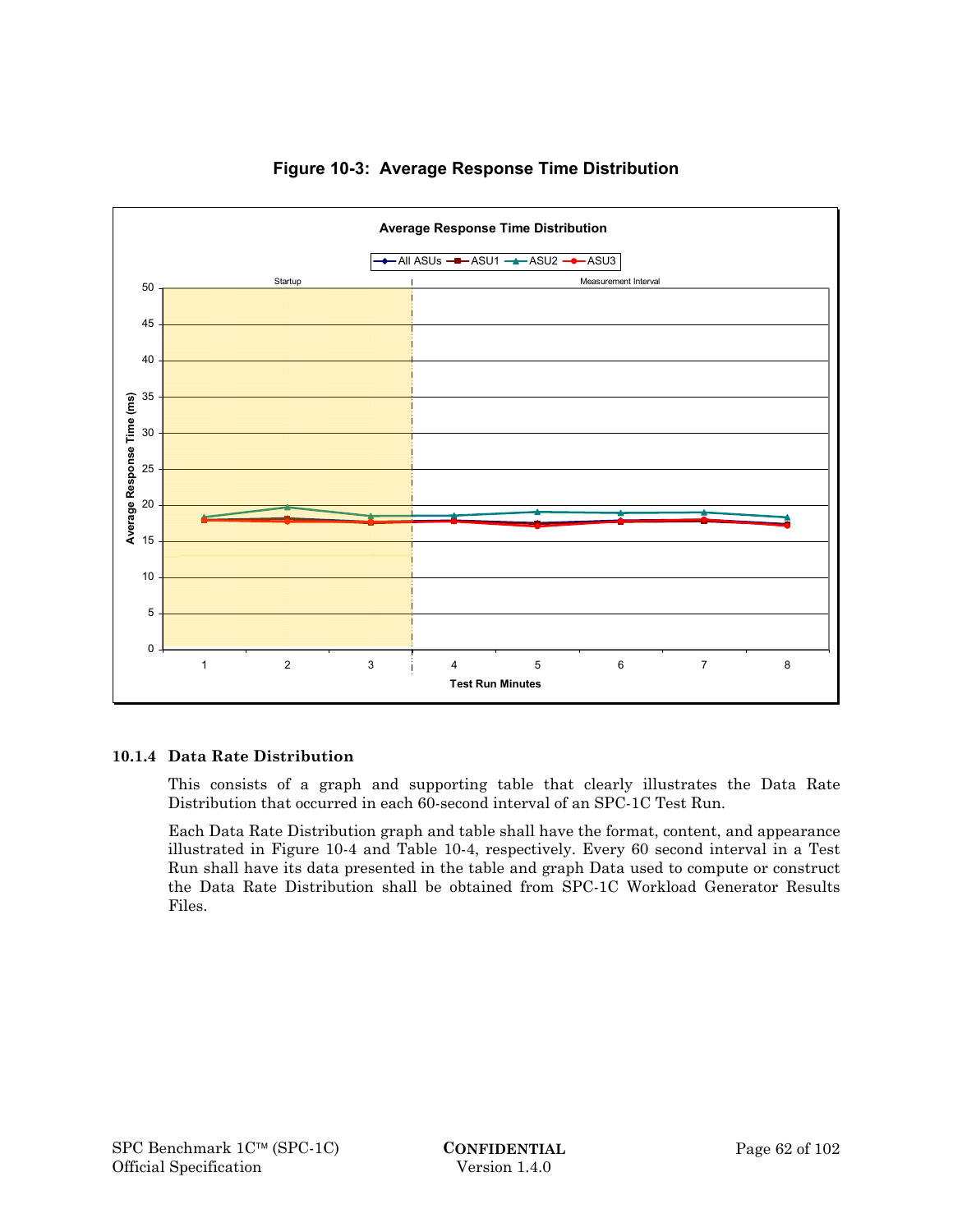

# **Figure 10-3: Average Response Time Distribution**

## **10.1.4 Data Rate Distribution**

This consists of a graph and supporting table that clearly illustrates the Data Rate Distribution that occurred in each 60-second interval of an SPC-1C Test Run.

Each Data Rate Distribution graph and table shall have the format, content, and appearance illustrated in Figure 10-4 and Table 10-4, respectively. Every 60 second interval in a Test Run shall have its data presented in the table and graph Data used to compute or construct the Data Rate Distribution shall be obtained from SPC-1C Workload Generator Results Files.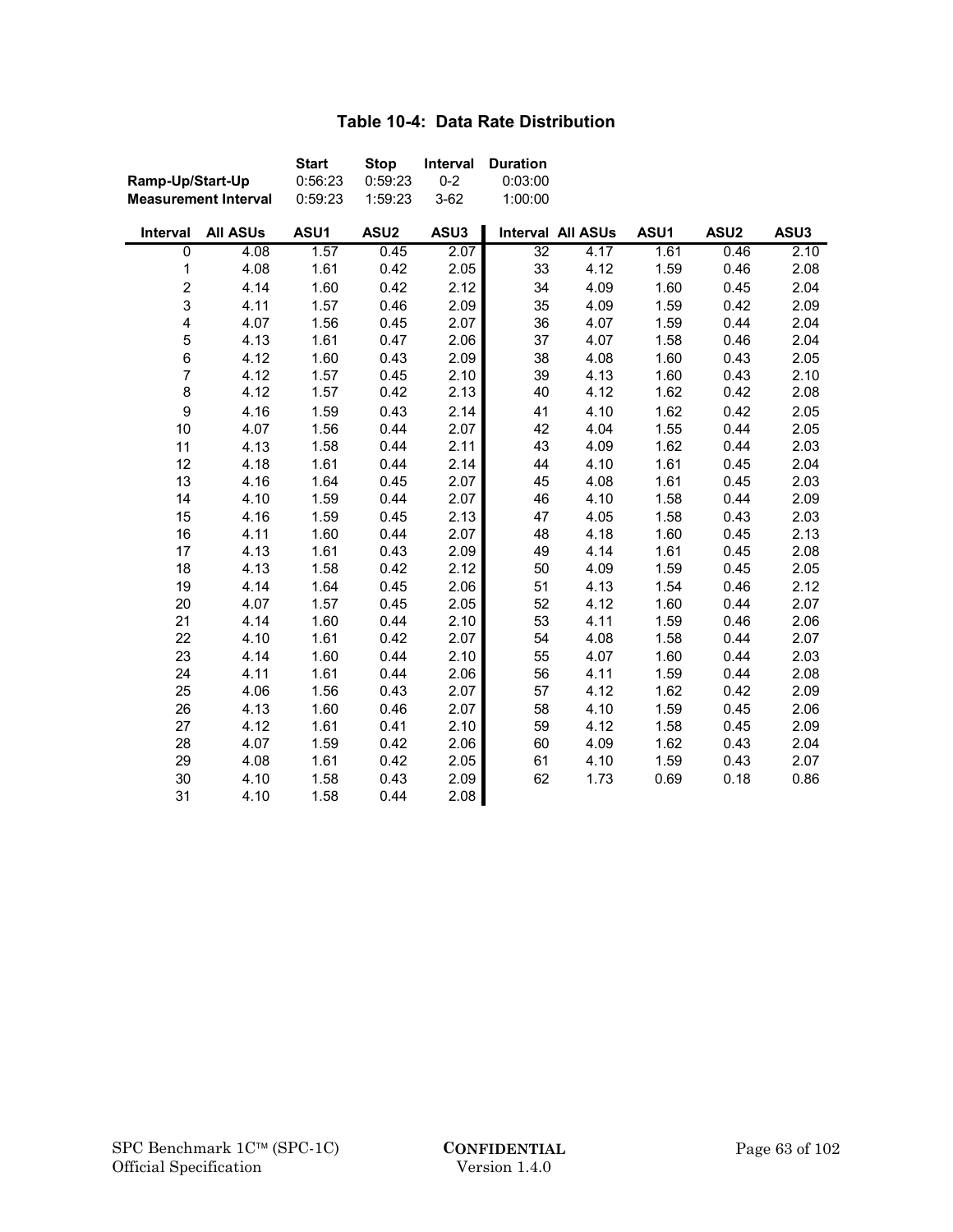# **Table 10-4: Data Rate Distribution**

| Ramp-Up/Start-Up         |                             | <b>Start</b><br>0:56:23 | <b>Stop</b><br>0:59:23 | Interval<br>$0 - 2$ | <b>Duration</b><br>0:03:00 |                   |      |                  |      |
|--------------------------|-----------------------------|-------------------------|------------------------|---------------------|----------------------------|-------------------|------|------------------|------|
|                          | <b>Measurement Interval</b> | 0:59:23                 | 1:59:23                | $3 - 62$            | 1:00:00                    |                   |      |                  |      |
| Interval                 | <b>All ASUs</b>             | ASU1                    | ASU <sub>2</sub>       | ASU3                |                            | Interval All ASUs | ASU1 | ASU <sub>2</sub> | ASU3 |
| $\overline{0}$           | 4.08                        | 1.57                    | 0.45                   | 2.07                | $\overline{32}$            | 4.17              | 1.61 | 0.46             | 2.10 |
| 1                        | 4.08                        | 1.61                    | 0.42                   | 2.05                | 33                         | 4.12              | 1.59 | 0.46             | 2.08 |
| $\overline{\mathbf{c}}$  | 4.14                        | 1.60                    | 0.42                   | 2.12                | 34                         | 4.09              | 1.60 | 0.45             | 2.04 |
| 3                        | 4.11                        | 1.57                    | 0.46                   | 2.09                | 35                         | 4.09              | 1.59 | 0.42             | 2.09 |
| 4                        | 4.07                        | 1.56                    | 0.45                   | 2.07                | 36                         | 4.07              | 1.59 | 0.44             | 2.04 |
| 5                        | 4.13                        | 1.61                    | 0.47                   | 2.06                | 37                         | 4.07              | 1.58 | 0.46             | 2.04 |
| 6                        | 4.12                        | 1.60                    | 0.43                   | 2.09                | 38                         | 4.08              | 1.60 | 0.43             | 2.05 |
| $\overline{\mathcal{I}}$ | 4.12                        | 1.57                    | 0.45                   | 2.10                | 39                         | 4.13              | 1.60 | 0.43             | 2.10 |
| 8                        | 4.12                        | 1.57                    | 0.42                   | 2.13                | 40                         | 4.12              | 1.62 | 0.42             | 2.08 |
| 9                        | 4.16                        | 1.59                    | 0.43                   | 2.14                | 41                         | 4.10              | 1.62 | 0.42             | 2.05 |
| 10                       | 4.07                        | 1.56                    | 0.44                   | 2.07                | 42                         | 4.04              | 1.55 | 0.44             | 2.05 |
| 11                       | 4.13                        | 1.58                    | 0.44                   | 2.11                | 43                         | 4.09              | 1.62 | 0.44             | 2.03 |
| 12                       | 4.18                        | 1.61                    | 0.44                   | 2.14                | 44                         | 4.10              | 1.61 | 0.45             | 2.04 |
| 13                       | 4.16                        | 1.64                    | 0.45                   | 2.07                | 45                         | 4.08              | 1.61 | 0.45             | 2.03 |
| 14                       | 4.10                        | 1.59                    | 0.44                   | 2.07                | 46                         | 4.10              | 1.58 | 0.44             | 2.09 |
| 15                       | 4.16                        | 1.59                    | 0.45                   | 2.13                | 47                         | 4.05              | 1.58 | 0.43             | 2.03 |
| 16                       | 4.11                        | 1.60                    | 0.44                   | 2.07                | 48                         | 4.18              | 1.60 | 0.45             | 2.13 |
| 17                       | 4.13                        | 1.61                    | 0.43                   | 2.09                | 49                         | 4.14              | 1.61 | 0.45             | 2.08 |
| 18                       | 4.13                        | 1.58                    | 0.42                   | 2.12                | 50                         | 4.09              | 1.59 | 0.45             | 2.05 |
| 19                       | 4.14                        | 1.64                    | 0.45                   | 2.06                | 51                         | 4.13              | 1.54 | 0.46             | 2.12 |
| 20                       | 4.07                        | 1.57                    | 0.45                   | 2.05                | 52                         | 4.12              | 1.60 | 0.44             | 2.07 |
| 21                       | 4.14                        | 1.60                    | 0.44                   | 2.10                | 53                         | 4.11              | 1.59 | 0.46             | 2.06 |
| 22                       | 4.10                        | 1.61                    | 0.42                   | 2.07                | 54                         | 4.08              | 1.58 | 0.44             | 2.07 |
| 23                       | 4.14                        | 1.60                    | 0.44                   | 2.10                | 55                         | 4.07              | 1.60 | 0.44             | 2.03 |
| 24                       | 4.11                        | 1.61                    | 0.44                   | 2.06                | 56                         | 4.11              | 1.59 | 0.44             | 2.08 |
| 25                       | 4.06                        | 1.56                    | 0.43                   | 2.07                | 57                         | 4.12              | 1.62 | 0.42             | 2.09 |
| 26                       | 4.13                        | 1.60                    | 0.46                   | 2.07                | 58                         | 4.10              | 1.59 | 0.45             | 2.06 |
| 27                       | 4.12                        | 1.61                    | 0.41                   | 2.10                | 59                         | 4.12              | 1.58 | 0.45             | 2.09 |
| 28                       | 4.07                        | 1.59                    | 0.42                   | 2.06                | 60                         | 4.09              | 1.62 | 0.43             | 2.04 |
| 29                       | 4.08                        | 1.61                    | 0.42                   | 2.05                | 61                         | 4.10              | 1.59 | 0.43             | 2.07 |
| 30                       | 4.10                        | 1.58                    | 0.43                   | 2.09                | 62                         | 1.73              | 0.69 | 0.18             | 0.86 |
| 31                       | 4.10                        | 1.58                    | 0.44                   | 2.08                |                            |                   |      |                  |      |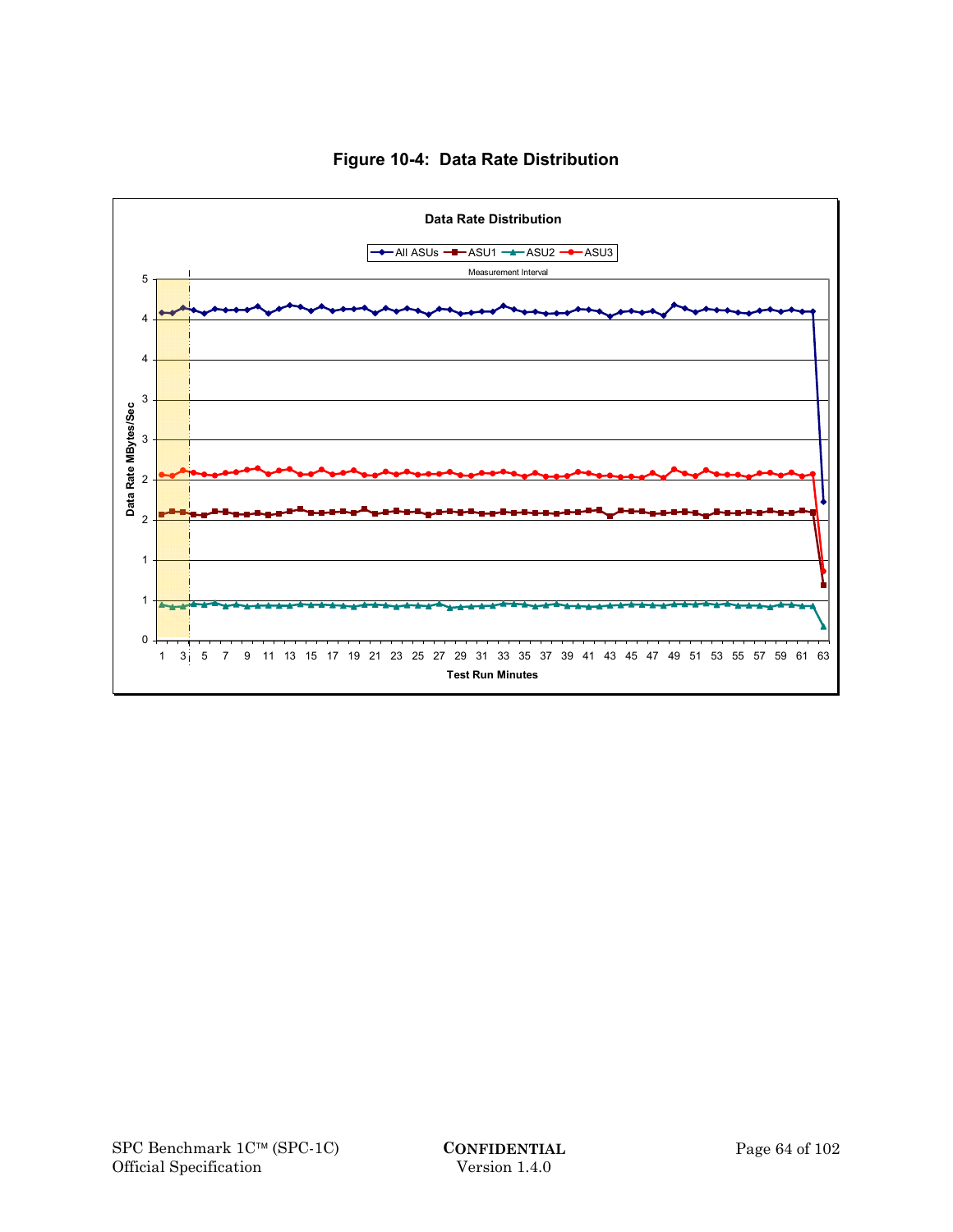

# **Figure 10-4: Data Rate Distribution**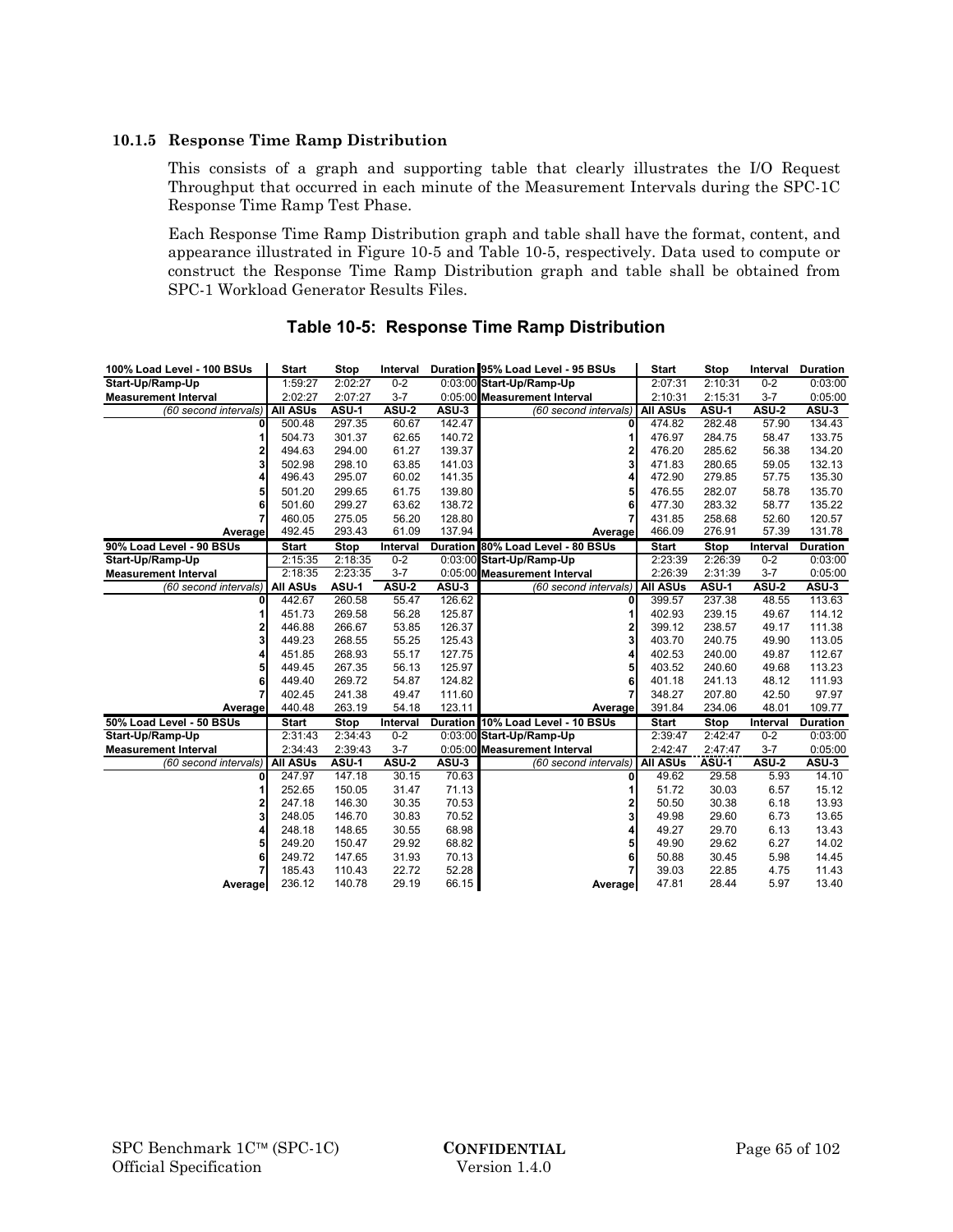#### **10.1.5 Response Time Ramp Distribution**

This consists of a graph and supporting table that clearly illustrates the I/O Request Throughput that occurred in each minute of the Measurement Intervals during the SPC-1C Response Time Ramp Test Phase.

Each Response Time Ramp Distribution graph and table shall have the format, content, and appearance illustrated in Figure 10-5 and Table 10-5, respectively. Data used to compute or construct the Response Time Ramp Distribution graph and table shall be obtained from SPC-1 Workload Generator Results Files.

| 100% Load Level - 100 BSUs  | <b>Start</b>    | Stop         | Interval     |        | Duration 95% Load Level - 95 BSUs | <b>Start</b>    | <b>Stop</b> | Interval     | <b>Duration</b> |
|-----------------------------|-----------------|--------------|--------------|--------|-----------------------------------|-----------------|-------------|--------------|-----------------|
| Start-Up/Ramp-Up            | 1:59:27         | 2:02:27      | $0 - 2$      |        | 0:03:00 Start-Up/Ramp-Up          | 2:07:31         | 2:10:31     | $0 - 2$      | 0:03:00         |
| <b>Measurement Interval</b> | 2:02:27         | 2:07:27      | $3 - 7$      |        | 0:05:00 Measurement Interval      | 2:10:31         | 2:15:31     | $3 - 7$      | 0:05:00         |
| (60 second intervals)       | <b>All ASUs</b> | ASU-1        | ASU-2        | ASU-3  | (60 second intervals)             | <b>All ASUs</b> | ASU-1       | <b>ASU-2</b> | ASU-3           |
| 0                           | 500.48          | 297.35       | 60.67        | 142.47 | $\mathbf{0}$                      | 474.82          | 282.48      | 57.90        | 134.43          |
|                             | 504.73          | 301.37       | 62.65        | 140.72 |                                   | 476.97          | 284.75      | 58.47        | 133.75          |
| 2                           | 494.63          | 294.00       | 61.27        | 139.37 | 2                                 | 476.20          | 285.62      | 56.38        | 134.20          |
| 3                           | 502.98          | 298.10       | 63.85        | 141.03 | 3                                 | 471.83          | 280.65      | 59.05        | 132.13          |
| 4                           | 496.43          | 295.07       | 60.02        | 141.35 |                                   | 472.90          | 279.85      | 57.75        | 135.30          |
| 5                           | 501.20          | 299.65       | 61.75        | 139.80 | 5                                 | 476.55          | 282.07      | 58.78        | 135.70          |
| 6                           | 501.60          | 299.27       | 63.62        | 138.72 | 6                                 | 477.30          | 283.32      | 58.77        | 135.22          |
| 7                           | 460.05          | 275.05       | 56.20        | 128.80 |                                   | 431.85          | 258.68      | 52.60        | 120.57          |
| Average                     | 492.45          | 293.43       | 61.09        | 137.94 | Average                           | 466.09          | 276.91      | 57.39        | 131.78          |
| 90% Load Level - 90 BSUs    | <b>Start</b>    | <b>Stop</b>  | Interval     |        | Duration 80% Load Level - 80 BSUs | <b>Start</b>    | <b>Stop</b> | Interval     | <b>Duration</b> |
| Start-Up/Ramp-Up            | 2:15:35         | 2:18:35      | $0 - 2$      |        | 0:03:00 Start-Up/Ramp-Up          | 2:23:39         | 2:26:39     | $0 - 2$      | 0:03:00         |
| <b>Measurement Interval</b> | 2:18:35         | 2:23:35      | $3 - 7$      |        | 0:05:00 Measurement Interval      | 2:26:39         | 2:31:39     | $3 - 7$      | 0:05:00         |
| (60 second intervals)       | <b>All ASUs</b> | <b>ASU-1</b> | <b>ASU-2</b> | ASU-3  | (60 second intervals)             | <b>All ASUs</b> | ASU-1       | ASU-2        | ASU-3           |
| 0                           | 442.67          | 260.58       | 55.47        | 126.62 | 0                                 | 399.57          | 237.38      | 48.55        | 113.63          |
|                             | 451.73          | 269.58       | 56.28        | 125.87 |                                   | 402.93          | 239.15      | 49.67        | 114.12          |
| $\overline{\mathbf{2}}$     | 446.88          | 266.67       | 53.85        | 126.37 | 2                                 | 399.12          | 238.57      | 49.17        | 111.38          |
| 3                           | 449.23          | 268.55       | 55.25        | 125.43 | 3                                 | 403.70          | 240.75      | 49.90        | 113.05          |
| 4                           | 451.85          | 268.93       | 55.17        | 127.75 | 4                                 | 402.53          | 240.00      | 49.87        | 112.67          |
| 5                           | 449.45          | 267.35       | 56.13        | 125.97 | 5                                 | 403.52          | 240.60      | 49.68        | 113.23          |
| 6                           | 449.40          | 269.72       | 54.87        | 124.82 | 6                                 | 401.18          | 241.13      | 48.12        | 111.93          |
| 7                           | 402.45          | 241.38       | 49.47        | 111.60 |                                   | 348.27          | 207.80      | 42.50        | 97.97           |
| Average                     | 440.48          | 263.19       | 54.18        | 123.11 | Average                           | 391.84          | 234.06      | 48.01        | 109.77          |
| 50% Load Level - 50 BSUs    | <b>Start</b>    | <b>Stop</b>  | Interval     |        | Duration 10% Load Level - 10 BSUs | <b>Start</b>    | <b>Stop</b> | Interval     | <b>Duration</b> |
| Start-Up/Ramp-Up            | 2:31:43         | 2:34:43      | $0-2$        |        | 0:03:00 Start-Up/Ramp-Up          | 2:39:47         | 2:42:47     | $0 - 2$      | 0:03:00         |
| <b>Measurement Interval</b> | 2:34:43         | 2:39:43      | $3 - 7$      |        | 0:05:00 Measurement Interval      | 2:42:47         | 2:47:47     | $3 - 7$      | 0:05:00         |
| (60 second intervals)       | <b>All ASUs</b> | ASU-1        | <b>ASU-2</b> | ASU-3  | (60 second intervals)             | <b>All ASUs</b> | ASU-1       | <b>ASU-2</b> | ASU-3           |
| 0                           | 247.97          | 147.18       | 30.15        | 70.63  | 0                                 | 49.62           | 29.58       | 5.93         | 14.10           |
|                             | 252.65          | 150.05       | 31.47        | 71.13  | 1                                 | 51.72           | 30.03       | 6.57         | 15.12           |
| 2                           | 247.18          | 146.30       | 30.35        | 70.53  | 2                                 | 50.50           | 30.38       | 6.18         | 13.93           |
| 3                           | 248.05          | 146.70       | 30.83        | 70.52  | 3                                 | 49.98           | 29.60       | 6.73         | 13.65           |
| 4                           | 248.18          | 148.65       | 30.55        | 68.98  | 4                                 | 49.27           | 29.70       | 6.13         | 13.43           |
| 5                           | 249.20          | 150.47       | 29.92        | 68.82  | 5                                 | 49.90           | 29.62       | 6.27         | 14.02           |
| 6                           | 249.72          | 147.65       | 31.93        | 70.13  | 6                                 | 50.88           | 30.45       | 5.98         | 14.45           |
|                             | 185.43          | 110.43       | 22.72        | 52.28  |                                   | 39.03           | 22.85       | 4.75         | 11.43           |
| Average                     | 236.12          | 140.78       | 29.19        | 66.15  | Average                           | 47.81           | 28.44       | 5.97         | 13.40           |

## **Table 10-5: Response Time Ramp Distribution**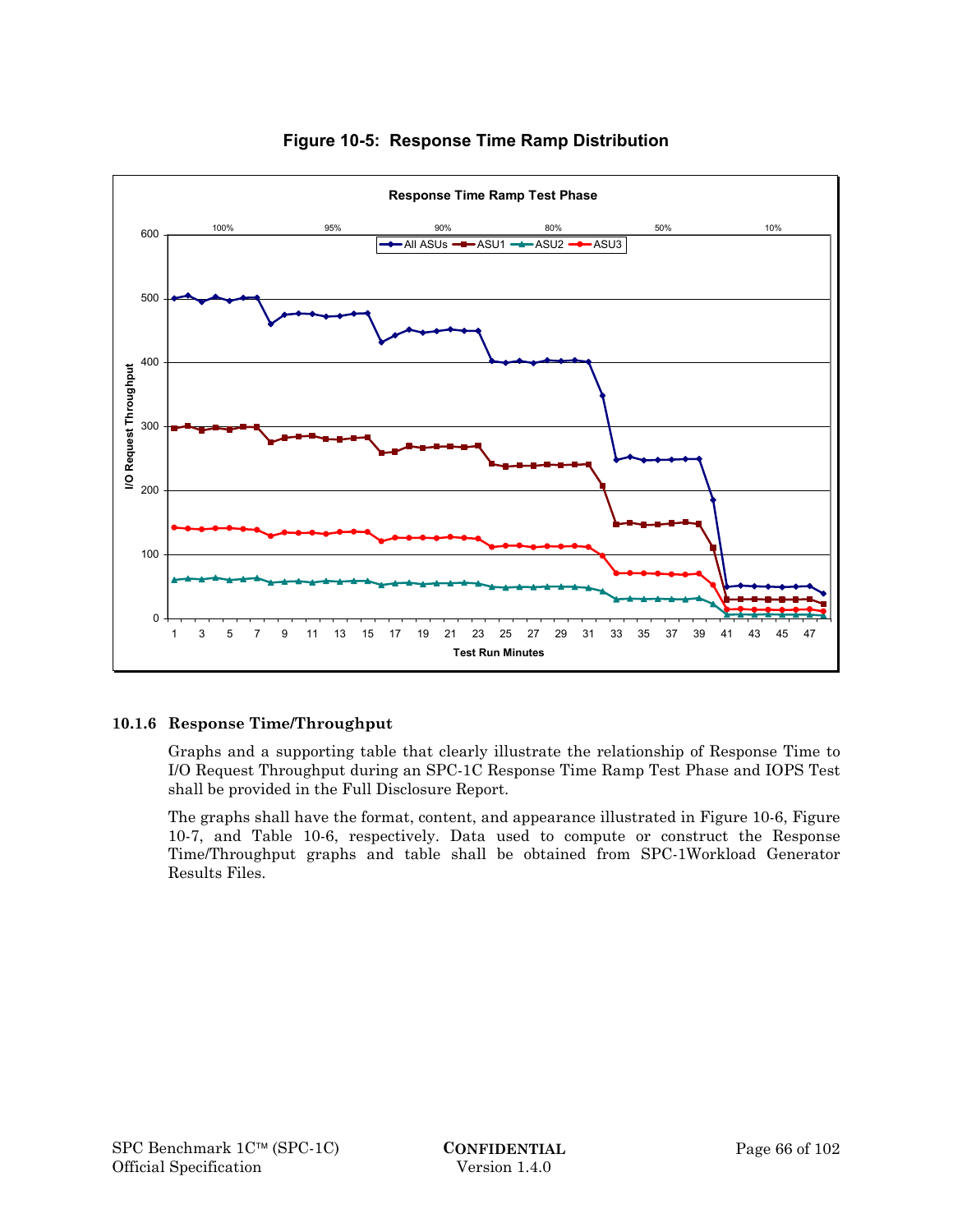

# **Figure 10-5: Response Time Ramp Distribution**

# **10.1.6 Response Time/Throughput**

Graphs and a supporting table that clearly illustrate the relationship of Response Time to I/O Request Throughput during an SPC-1C Response Time Ramp Test Phase and IOPS Test shall be provided in the Full Disclosure Report.

The graphs shall have the format, content, and appearance illustrated in Figure 10-6, Figure 10-7, and Table 10-6, respectively. Data used to compute or construct the Response Time/Throughput graphs and table shall be obtained from SPC-1Workload Generator Results Files.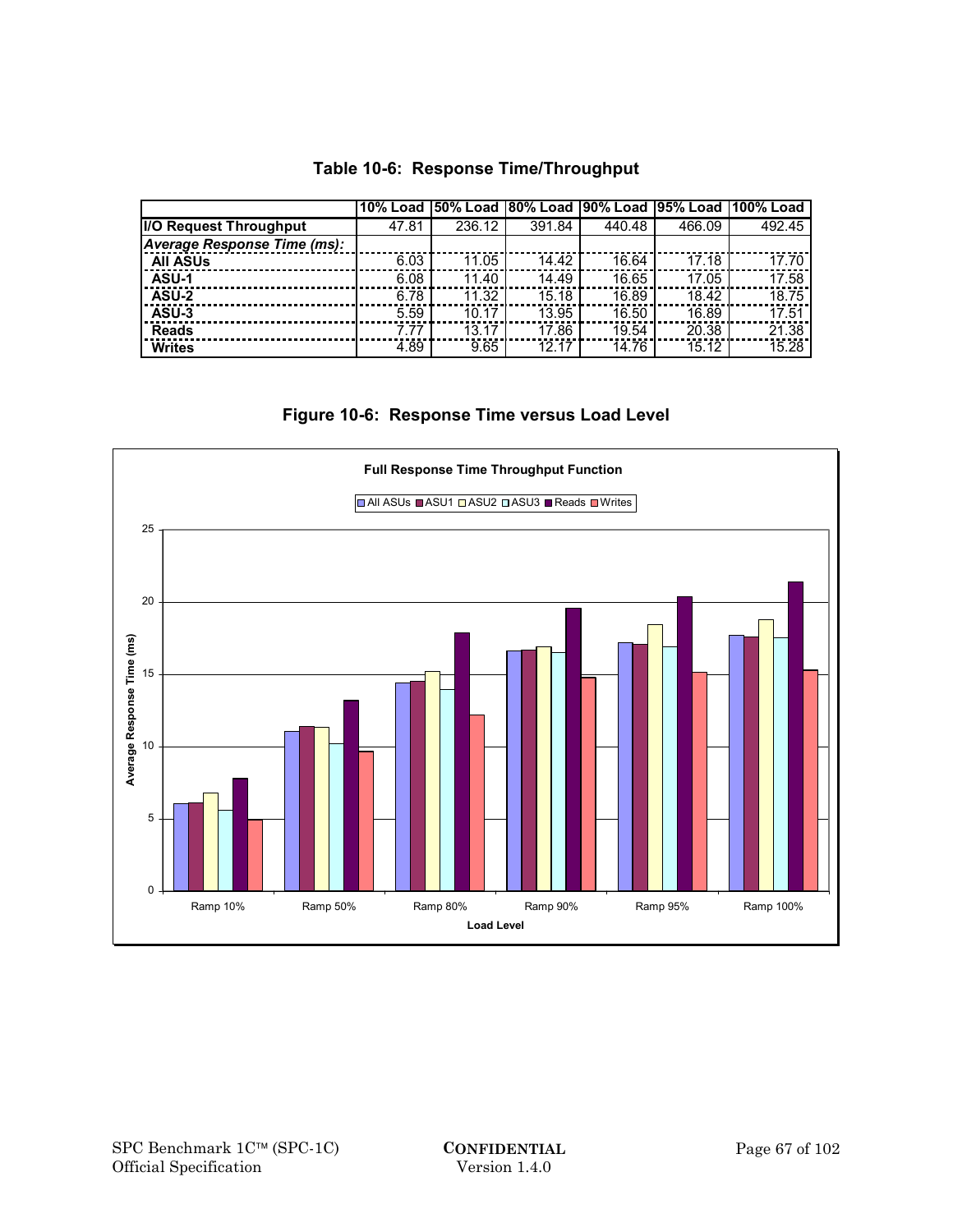|  |  | Table 10-6: Response Time/Throughput |
|--|--|--------------------------------------|
|--|--|--------------------------------------|

| <b>IIO Request Throughput</b> | 47.81 | 236.12 | 391.84 | 440.48 | 466.09 | 492.45 |
|-------------------------------|-------|--------|--------|--------|--------|--------|
| Average Response Time (ms):   |       |        |        |        |        |        |
| <b>All ASUs</b>               | 6.03  | 11.05  | 14.42  | 16.64  | 17.18  | 17.70  |
| <b>ASU-1</b>                  | 6.08  | 11.40  | 14.49  | 16.65  | 17.05  | 17.58  |
| ASU-2                         | 6.78  | 11.32  | 15.18  | 16.89  | 18.42  | 18.75  |
| ASU-3                         | 5.59  | 10.17  | 13.95  | 16.50  | 16.89  | 17.51  |
| <b>Reads</b>                  | 7.77  | 13.17  | 17.86  | 19.54  | 20.38  | 21.38  |
| <b>Writes</b>                 | 4.89  | 9.65   | 12.17  | 14.76  | 15.12  | 15.28  |

# **Figure 10-6: Response Time versus Load Level**

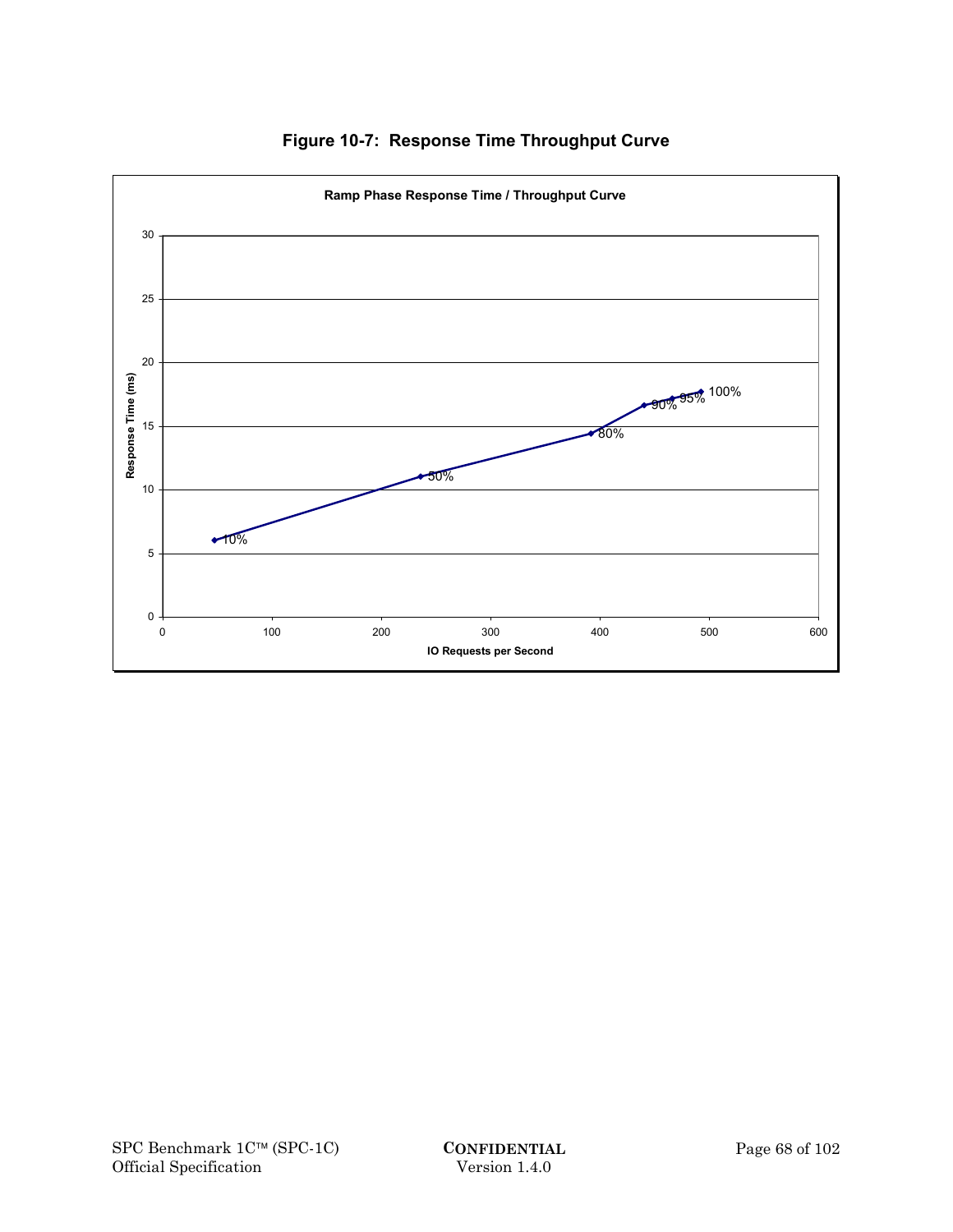

**Figure 10-7: Response Time Throughput Curve**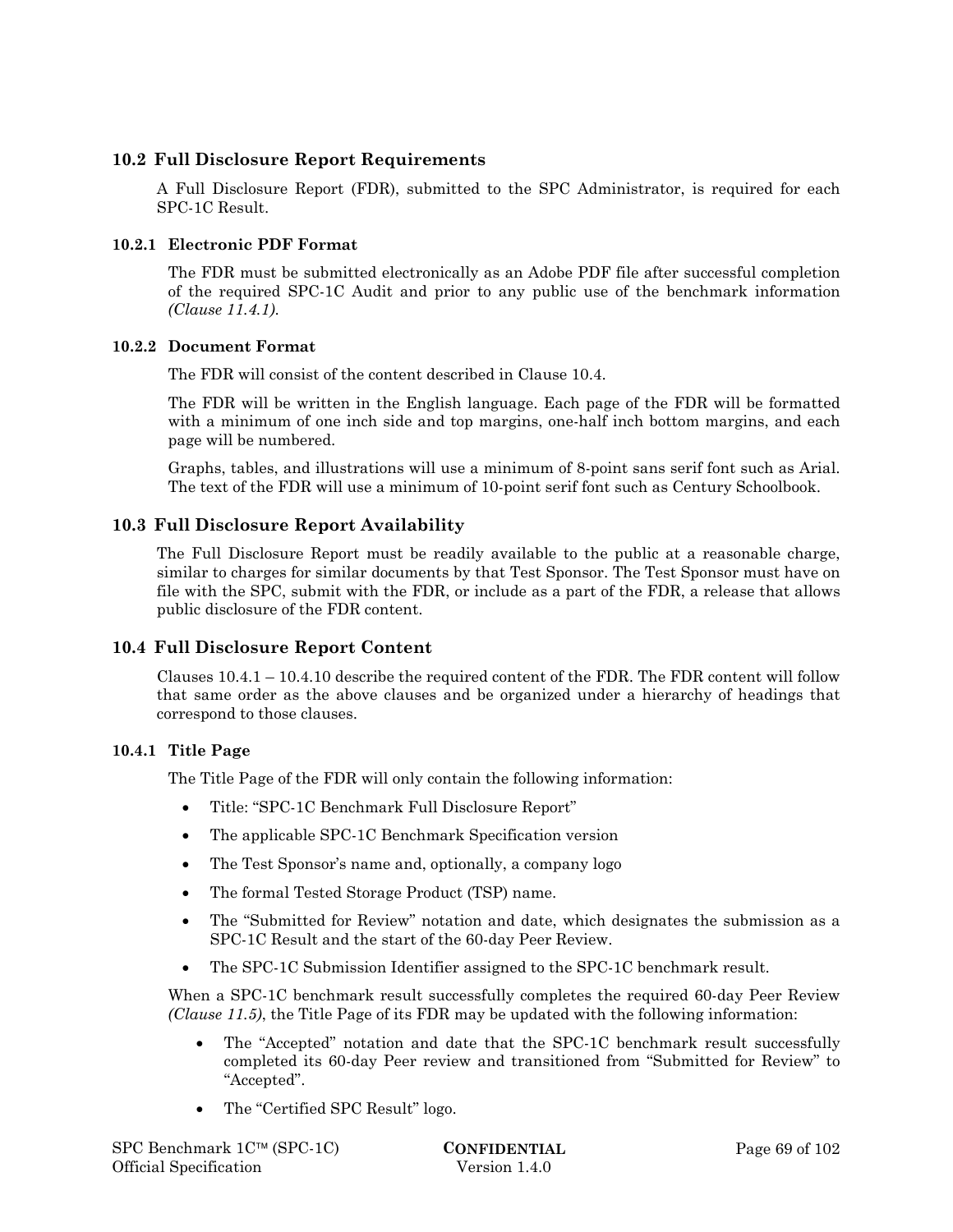## **10.2 Full Disclosure Report Requirements**

A Full Disclosure Report (FDR), submitted to the SPC Administrator, is required for each SPC-1C Result.

## **10.2.1 Electronic PDF Format**

The FDR must be submitted electronically as an Adobe PDF file after successful completion of the required SPC-1C Audit and prior to any public use of the benchmark information *(Clause 11.4.1)*.

#### **10.2.2 Document Format**

The FDR will consist of the content described in Clause 10.4.

The FDR will be written in the English language. Each page of the FDR will be formatted with a minimum of one inch side and top margins, one-half inch bottom margins, and each page will be numbered.

Graphs, tables, and illustrations will use a minimum of 8-point sans serif font such as Arial. The text of the FDR will use a minimum of 10-point serif font such as Century Schoolbook.

## **10.3 Full Disclosure Report Availability**

The Full Disclosure Report must be readily available to the public at a reasonable charge, similar to charges for similar documents by that Test Sponsor. The Test Sponsor must have on file with the SPC, submit with the FDR, or include as a part of the FDR, a release that allows public disclosure of the FDR content.

## **10.4 Full Disclosure Report Content**

Clauses 10.4.1 – 10.4.10 describe the required content of the FDR. The FDR content will follow that same order as the above clauses and be organized under a hierarchy of headings that correspond to those clauses.

## **10.4.1 Title Page**

The Title Page of the FDR will only contain the following information:

- Title: "SPC-1C Benchmark Full Disclosure Report"
- The applicable SPC-1C Benchmark Specification version
- The Test Sponsor's name and, optionally, a company logo
- The formal Tested Storage Product (TSP) name.
- The "Submitted for Review" notation and date, which designates the submission as a SPC-1C Result and the start of the 60-day Peer Review.
- The SPC-1C Submission Identifier assigned to the SPC-1C benchmark result.

When a SPC-1C benchmark result successfully completes the required 60-day Peer Review *(Clause 11.5)*, the Title Page of its FDR may be updated with the following information:

- The "Accepted" notation and date that the SPC-1C benchmark result successfully completed its 60-day Peer review and transitioned from "Submitted for Review" to "Accepted".
- The "Certified SPC Result" logo.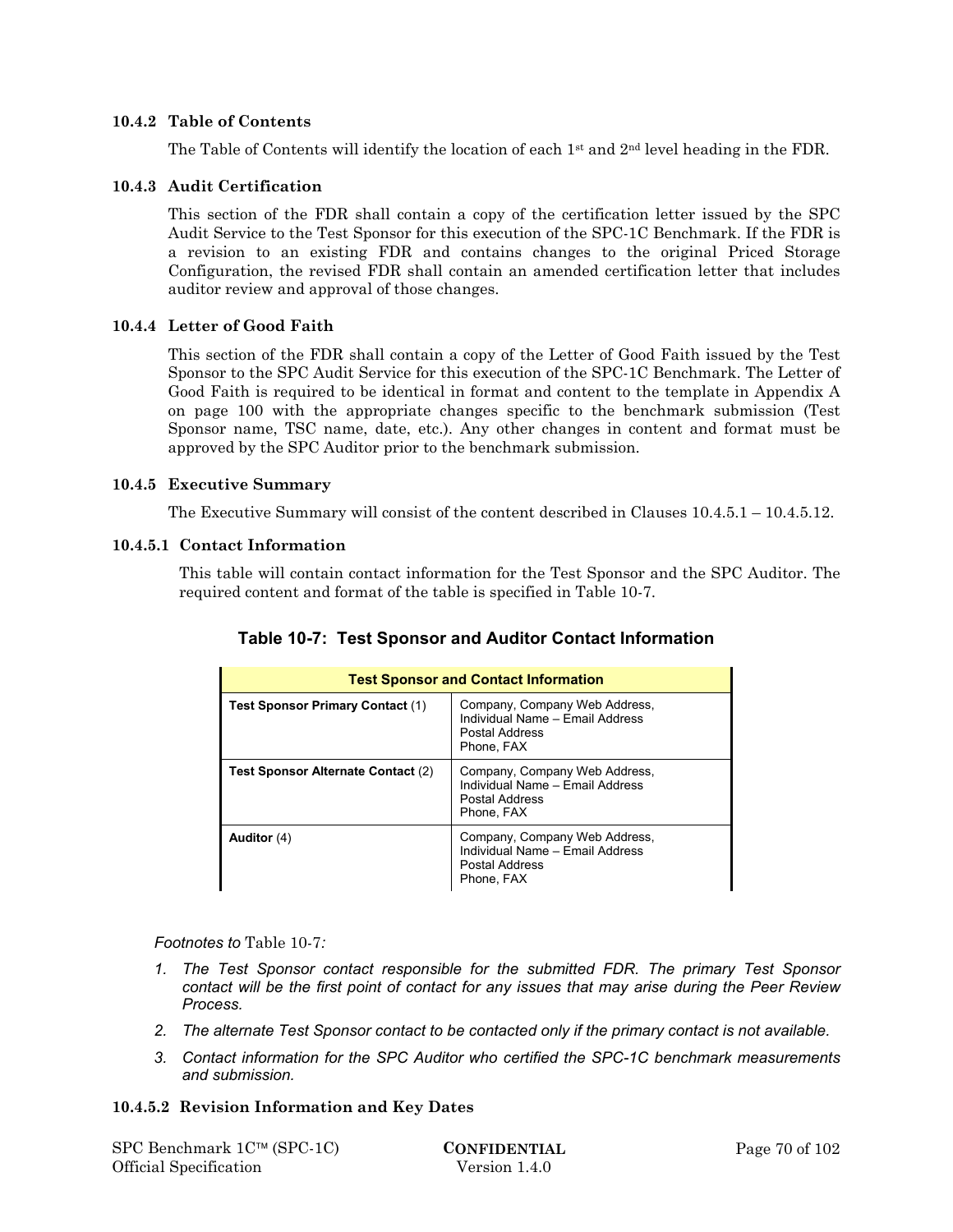#### **10.4.2 Table of Contents**

The Table of Contents will identify the location of each  $1<sup>st</sup>$  and  $2<sup>nd</sup>$  level heading in the FDR.

#### **10.4.3 Audit Certification**

This section of the FDR shall contain a copy of the certification letter issued by the SPC Audit Service to the Test Sponsor for this execution of the SPC-1C Benchmark. If the FDR is a revision to an existing FDR and contains changes to the original Priced Storage Configuration, the revised FDR shall contain an amended certification letter that includes auditor review and approval of those changes.

#### **10.4.4 Letter of Good Faith**

This section of the FDR shall contain a copy of the Letter of Good Faith issued by the Test Sponsor to the SPC Audit Service for this execution of the SPC-1C Benchmark. The Letter of Good Faith is required to be identical in format and content to the template in Appendix A on page 100 with the appropriate changes specific to the benchmark submission (Test Sponsor name, TSC name, date, etc.). Any other changes in content and format must be approved by the SPC Auditor prior to the benchmark submission.

#### **10.4.5 Executive Summary**

The Executive Summary will consist of the content described in Clauses 10.4.5.1 – 10.4.5.12.

#### **10.4.5.1 Contact Information**

This table will contain contact information for the Test Sponsor and the SPC Auditor. The required content and format of the table is specified in Table 10-7.

| <b>Test Sponsor and Contact Information</b> |                                                                                                  |  |  |  |  |  |  |
|---------------------------------------------|--------------------------------------------------------------------------------------------------|--|--|--|--|--|--|
| Test Sponsor Primary Contact (1)            | Company, Company Web Address,<br>Individual Name - Email Address<br>Postal Address<br>Phone, FAX |  |  |  |  |  |  |
| Test Sponsor Alternate Contact (2)          | Company, Company Web Address,<br>Individual Name - Email Address<br>Postal Address<br>Phone, FAX |  |  |  |  |  |  |
| Auditor $(4)$                               | Company, Company Web Address,<br>Individual Name - Email Address<br>Postal Address<br>Phone, FAX |  |  |  |  |  |  |

# **Table 10-7: Test Sponsor and Auditor Contact Information**

*Footnotes to* Table 10-7*:* 

- *1. The Test Sponsor contact responsible for the submitted FDR. The primary Test Sponsor contact will be the first point of contact for any issues that may arise during the Peer Review Process.*
- *2. The alternate Test Sponsor contact to be contacted only if the primary contact is not available.*
- *3. Contact information for the SPC Auditor who certified the SPC-1C benchmark measurements and submission.*

#### **10.4.5.2 Revision Information and Key Dates**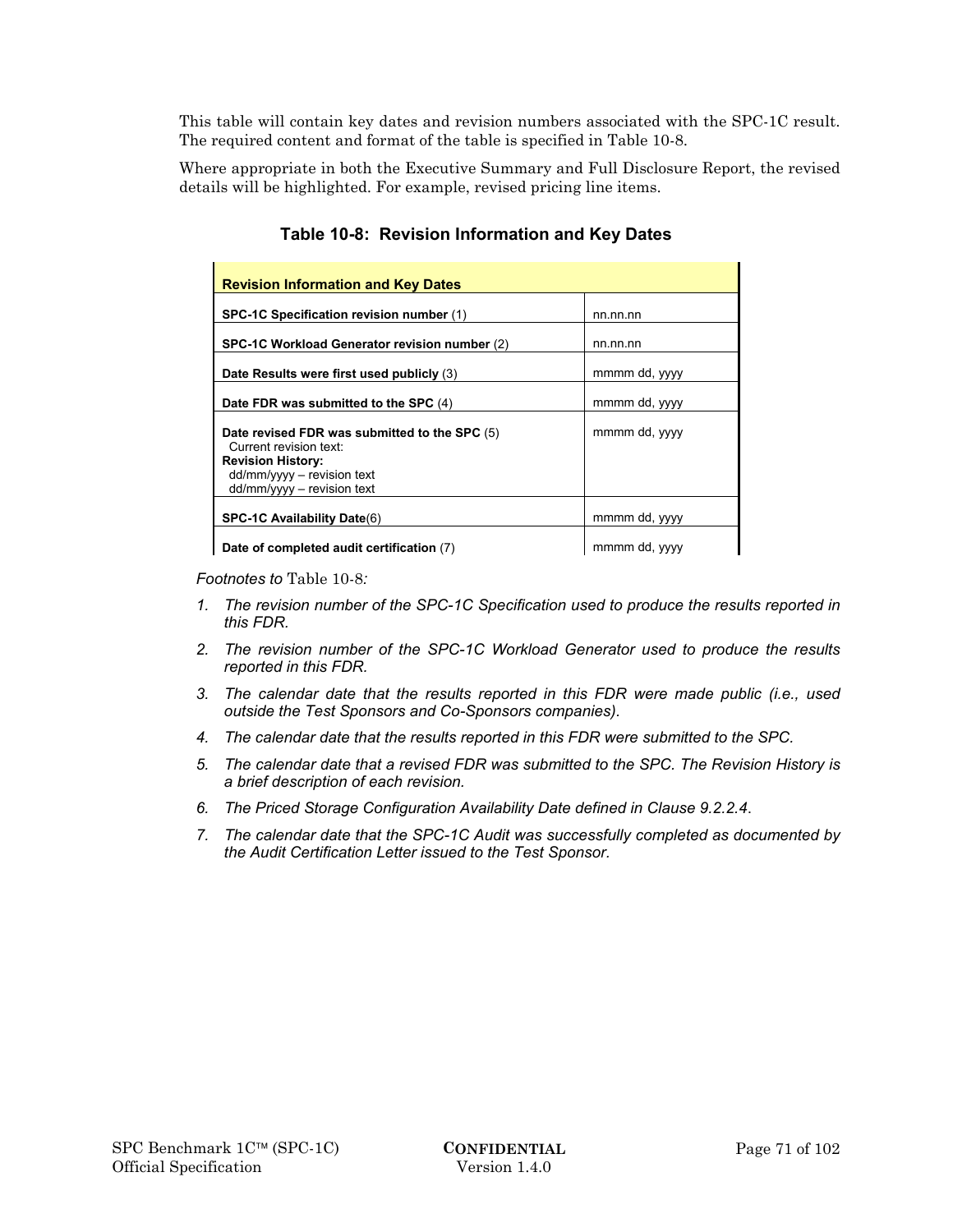This table will contain key dates and revision numbers associated with the SPC-1C result. The required content and format of the table is specified in Table 10-8.

Where appropriate in both the Executive Summary and Full Disclosure Report, the revised details will be highlighted. For example, revised pricing line items.

| <b>Revision Information and Key Dates</b>                                                                                                                          |               |
|--------------------------------------------------------------------------------------------------------------------------------------------------------------------|---------------|
| SPC-1C Specification revision number (1)                                                                                                                           | nn.nn.nn      |
| SPC-1C Workload Generator revision number (2)                                                                                                                      | nn.nn.nn      |
| Date Results were first used publicly (3)                                                                                                                          | mmmm dd, yyyy |
| Date FDR was submitted to the SPC (4)                                                                                                                              | mmmm dd, yyyy |
| Date revised FDR was submitted to the SPC (5)<br>Current revision text:<br><b>Revision History:</b><br>$dd/mm/yyy - revision text$<br>$dd/mm/vyvy - revision text$ | mmmm dd, yyyy |
| SPC-1C Availability Date(6)                                                                                                                                        | mmmm dd, yyyy |
| Date of completed audit certification (7)                                                                                                                          | mmmm dd, yyyy |

# **Table 10-8: Revision Information and Key Dates**

*Footnotes to* Table 10-8*:* 

- *1. The revision number of the SPC-1C Specification used to produce the results reported in this FDR.*
- *2. The revision number of the SPC-1C Workload Generator used to produce the results reported in this FDR.*
- *3. The calendar date that the results reported in this FDR were made public (i.e., used outside the Test Sponsors and Co-Sponsors companies).*
- *4. The calendar date that the results reported in this FDR were submitted to the SPC.*
- *5. The calendar date that a revised FDR was submitted to the SPC. The Revision History is a brief description of each revision.*
- *6. The Priced Storage Configuration Availability Date defined in Clause 9.2.2.4*.
- *7. The calendar date that the SPC-1C Audit was successfully completed as documented by the Audit Certification Letter issued to the Test Sponsor.*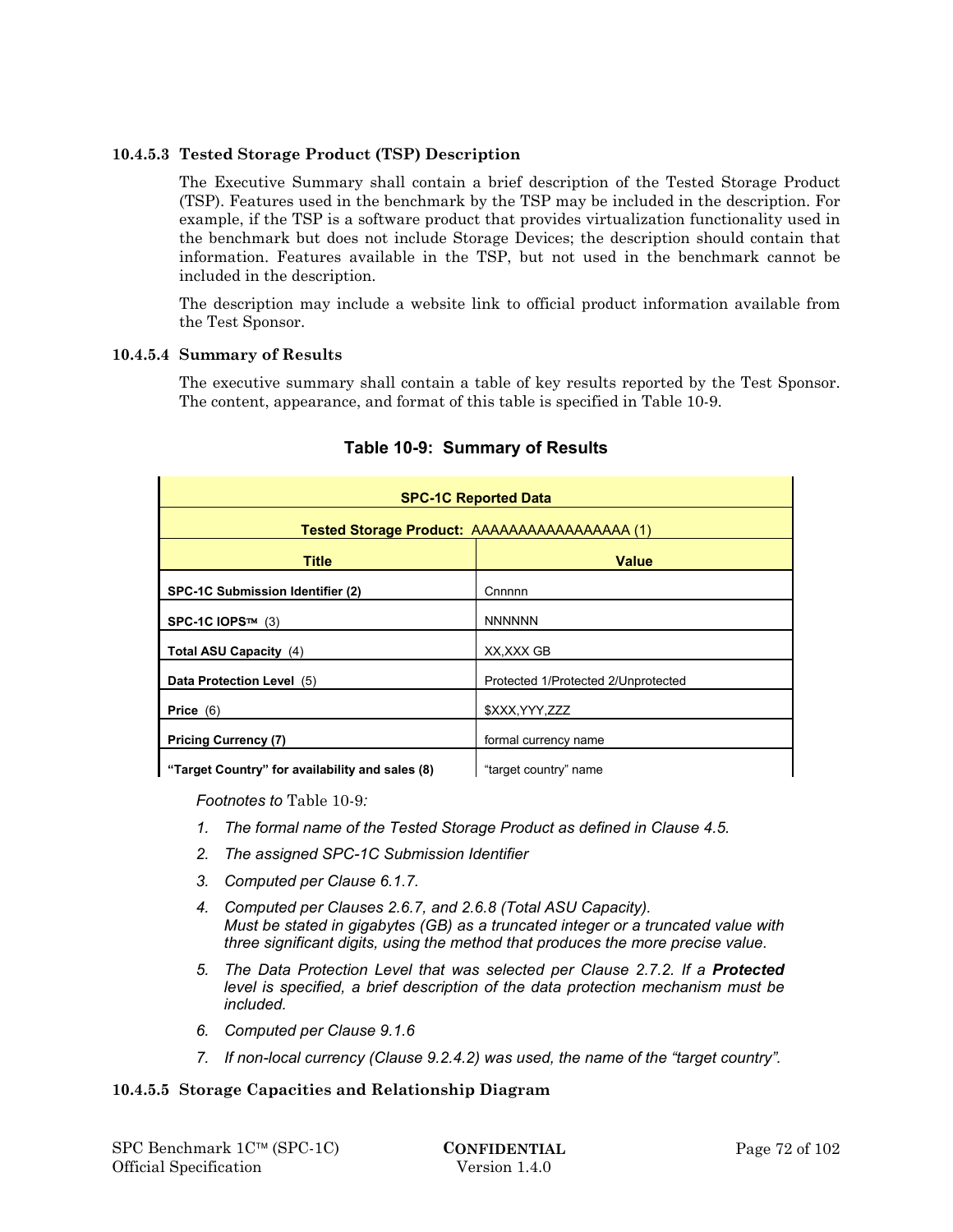## **10.4.5.3 Tested Storage Product (TSP) Description**

The Executive Summary shall contain a brief description of the Tested Storage Product (TSP). Features used in the benchmark by the TSP may be included in the description. For example, if the TSP is a software product that provides virtualization functionality used in the benchmark but does not include Storage Devices; the description should contain that information. Features available in the TSP, but not used in the benchmark cannot be included in the description.

The description may include a website link to official product information available from the Test Sponsor.

#### **10.4.5.4 Summary of Results**

The executive summary shall contain a table of key results reported by the Test Sponsor. The content, appearance, and format of this table is specified in Table 10-9.

| <b>SPC-1C Reported Data</b>                     |                                     |  |  |  |
|-------------------------------------------------|-------------------------------------|--|--|--|
| Tested Storage Product: AAAAAAAAAAAAAAAAA (1)   |                                     |  |  |  |
| <b>Title</b><br><b>Value</b>                    |                                     |  |  |  |
| SPC-1C Submission Identifier (2)                | Cnnnnn                              |  |  |  |
| SPC-1C IOPS™ (3)                                | <b>NNNNNN</b>                       |  |  |  |
| Total ASU Capacity (4)                          | XX, XXX GB                          |  |  |  |
| Data Protection Level (5)                       | Protected 1/Protected 2/Unprotected |  |  |  |
| Price $(6)$                                     | \$XXX, YYY, ZZZ                     |  |  |  |
| <b>Pricing Currency (7)</b>                     | formal currency name                |  |  |  |
| "Target Country" for availability and sales (8) | "target country" name               |  |  |  |

## **Table 10-9: Summary of Results**

**Target Country" for availability and sales (8) Target country" name** 

*Footnotes to* Table 10-9*:* 

- *1. The formal name of the Tested Storage Product as defined in Clause 4.5.*
- *2. The assigned SPC-1C Submission Identifier*
- *3. Computed per Clause 6.1.7.*
- *4. Computed per Clauses 2.6.7, and 2.6.8 (Total ASU Capacity). Must be stated in gigabytes (GB) as a truncated integer or a truncated value with three significant digits, using the method that produces the more precise value.*
- *5. The Data Protection Level that was selected per Clause 2.7.2. If a Protected level is specified, a brief description of the data protection mechanism must be included.*
- *6. Computed per Clause 9.1.6*
- *7. If non-local currency (Clause 9.2.4.2) was used, the name of the "target country".*

## **10.4.5.5 Storage Capacities and Relationship Diagram**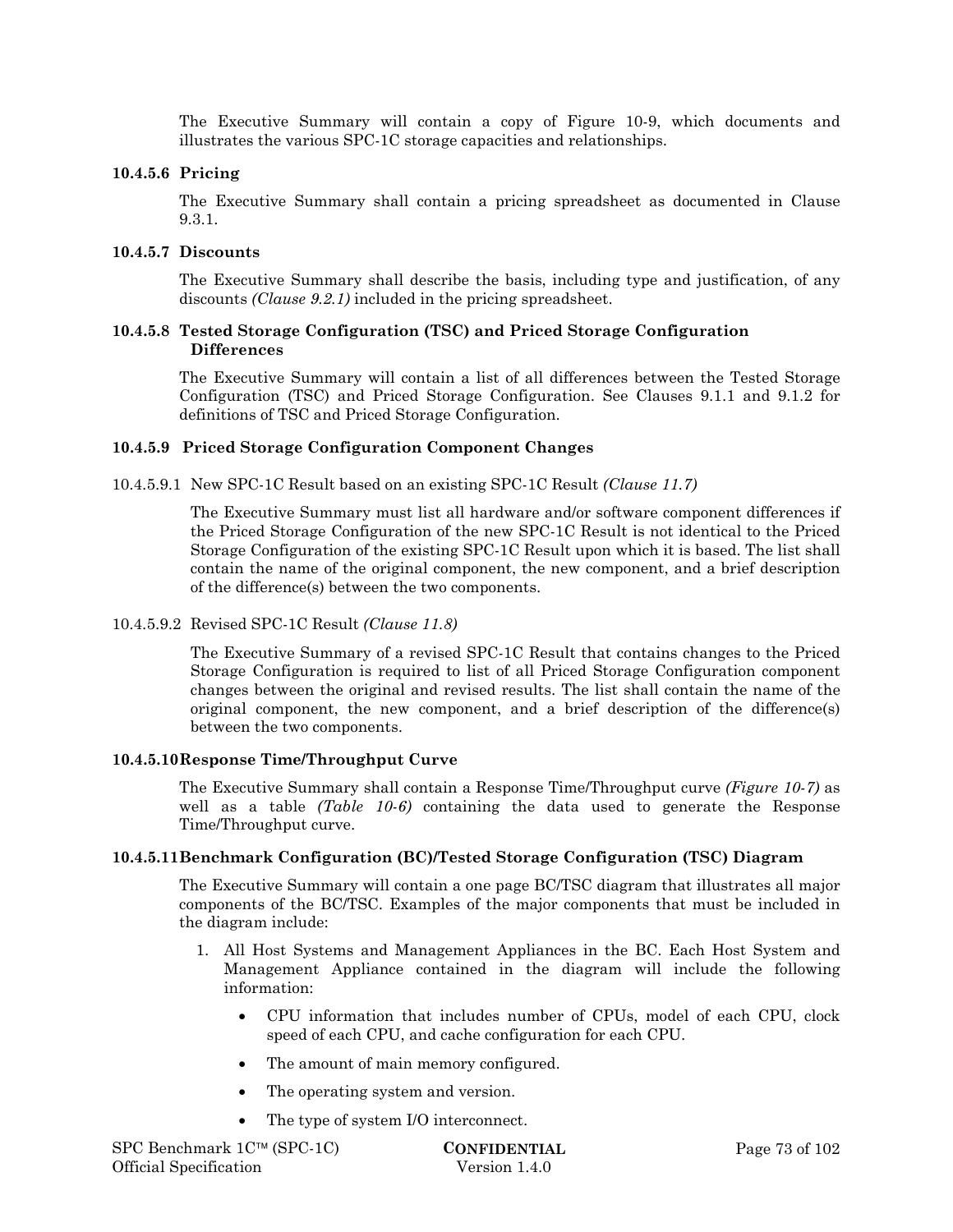The Executive Summary will contain a copy of Figure 10-9, which documents and illustrates the various SPC-1C storage capacities and relationships.

#### **10.4.5.6 Pricing**

The Executive Summary shall contain a pricing spreadsheet as documented in Clause 9.3.1.

#### **10.4.5.7 Discounts**

The Executive Summary shall describe the basis, including type and justification, of any discounts *(Clause 9.2.1)* included in the pricing spreadsheet.

#### **10.4.5.8 Tested Storage Configuration (TSC) and Priced Storage Configuration Differences**

The Executive Summary will contain a list of all differences between the Tested Storage Configuration (TSC) and Priced Storage Configuration. See Clauses 9.1.1 and 9.1.2 for definitions of TSC and Priced Storage Configuration.

#### **10.4.5.9 Priced Storage Configuration Component Changes**

10.4.5.9.1 New SPC-1C Result based on an existing SPC-1C Result *(Clause 11.7)*

The Executive Summary must list all hardware and/or software component differences if the Priced Storage Configuration of the new SPC-1C Result is not identical to the Priced Storage Configuration of the existing SPC-1C Result upon which it is based. The list shall contain the name of the original component, the new component, and a brief description of the difference(s) between the two components.

#### 10.4.5.9.2 Revised SPC-1C Result *(Clause 11.8)*

The Executive Summary of a revised SPC-1C Result that contains changes to the Priced Storage Configuration is required to list of all Priced Storage Configuration component changes between the original and revised results. The list shall contain the name of the original component, the new component, and a brief description of the difference(s) between the two components.

#### **10.4.5.10Response Time/Throughput Curve**

The Executive Summary shall contain a Response Time/Throughput curve *(Figure 10-7)* as well as a table *(Table 10-6)* containing the data used to generate the Response Time/Throughput curve.

#### **10.4.5.11Benchmark Configuration (BC)/Tested Storage Configuration (TSC) Diagram**

The Executive Summary will contain a one page BC/TSC diagram that illustrates all major components of the BC/TSC. Examples of the major components that must be included in the diagram include:

- 1. All Host Systems and Management Appliances in the BC. Each Host System and Management Appliance contained in the diagram will include the following information:
	- CPU information that includes number of CPUs, model of each CPU, clock speed of each CPU, and cache configuration for each CPU.
	- The amount of main memory configured.
	- The operating system and version.
	- The type of system I/O interconnect.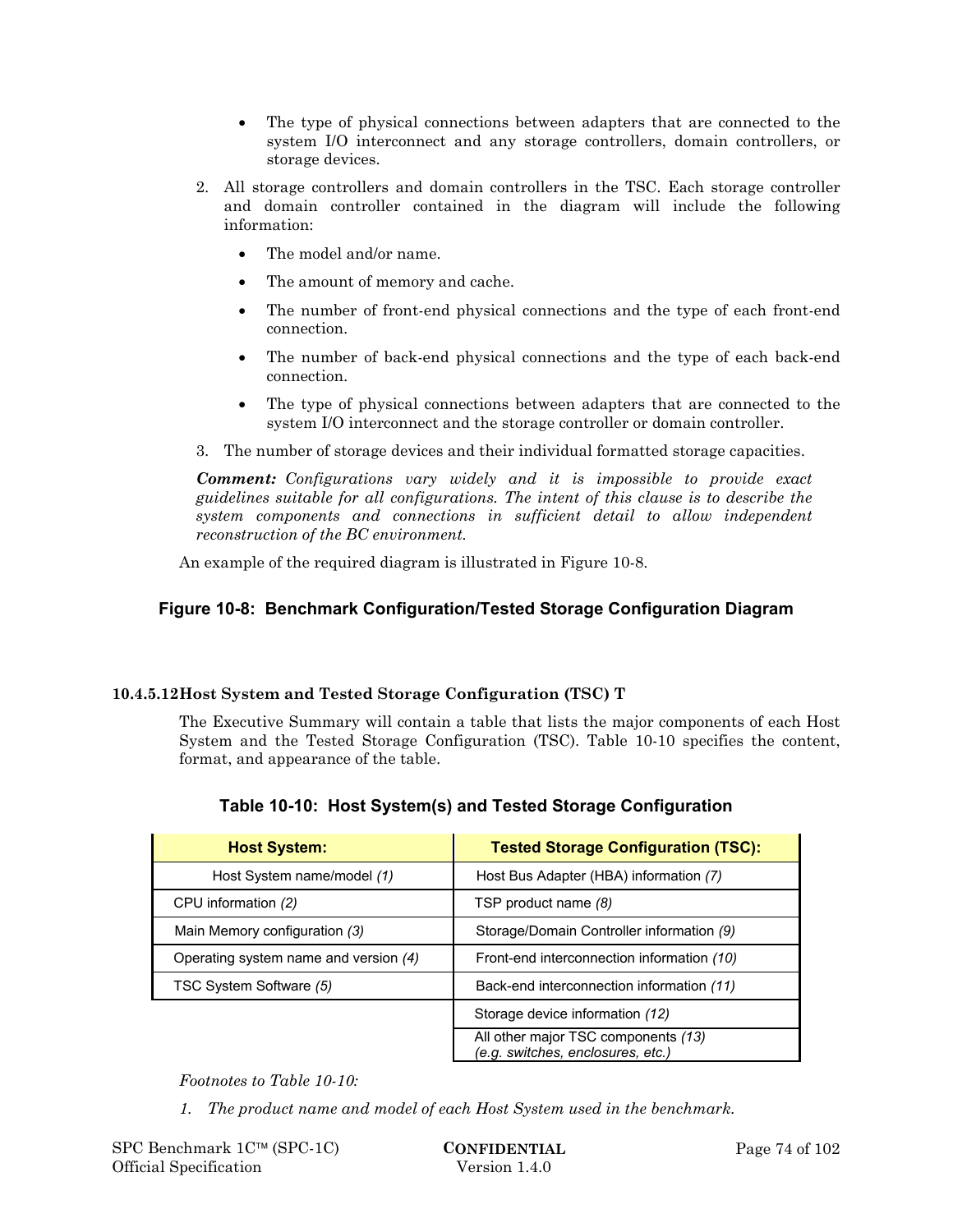- The type of physical connections between adapters that are connected to the system I/O interconnect and any storage controllers, domain controllers, or storage devices.
- 2. All storage controllers and domain controllers in the TSC. Each storage controller and domain controller contained in the diagram will include the following information:
	- The model and/or name.
	- The amount of memory and cache.
	- The number of front-end physical connections and the type of each front-end connection.
	- The number of back-end physical connections and the type of each back-end connection.
	- The type of physical connections between adapters that are connected to the system I/O interconnect and the storage controller or domain controller.
- 3. The number of storage devices and their individual formatted storage capacities.

*Comment: Configurations vary widely and it is impossible to provide exact guidelines suitable for all configurations. The intent of this clause is to describe the system components and connections in sufficient detail to allow independent reconstruction of the BC environment.* 

An example of the required diagram is illustrated in Figure 10-8.

## **Figure 10-8: Benchmark Configuration/Tested Storage Configuration Diagram**

## **10.4.5.12Host System and Tested Storage Configuration (TSC) T**

The Executive Summary will contain a table that lists the major components of each Host System and the Tested Storage Configuration (TSC). Table 10-10 specifies the content, format, and appearance of the table.

| <b>Host System:</b>                   | <b>Tested Storage Configuration (TSC):</b>                               |
|---------------------------------------|--------------------------------------------------------------------------|
| Host System name/model (1)            | Host Bus Adapter (HBA) information (7)                                   |
| CPU information (2)                   | TSP product name (8)                                                     |
| Main Memory configuration (3)         | Storage/Domain Controller information (9)                                |
| Operating system name and version (4) | Front-end interconnection information (10)                               |
| TSC System Software (5)               | Back-end interconnection information (11)                                |
|                                       | Storage device information (12)                                          |
|                                       | All other major TSC components (13)<br>(e.g. switches, enclosures, etc.) |

## **Table 10-10: Host System(s) and Tested Storage Configuration**

*Footnotes to Table 10-10:* 

*1. The product name and model of each Host System used in the benchmark.*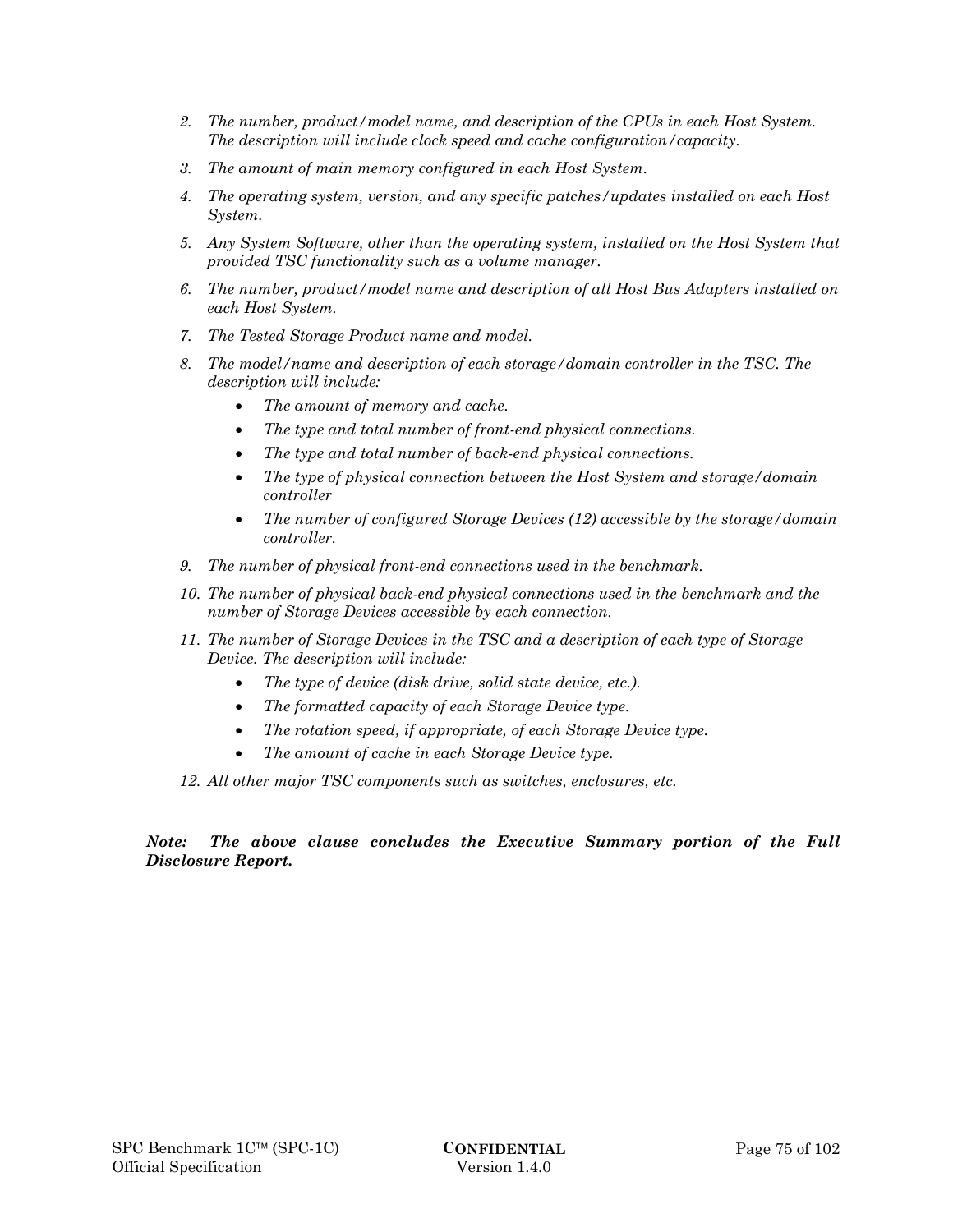- *2. The number, product/model name, and description of the CPUs in each Host System. The description will include clock speed and cache configuration/capacity.*
- *3. The amount of main memory configured in each Host System.*
- *4. The operating system, version, and any specific patches/updates installed on each Host System.*
- *5. Any System Software, other than the operating system, installed on the Host System that provided TSC functionality such as a volume manager.*
- *6. The number, product/model name and description of all Host Bus Adapters installed on each Host System.*
- *7. The Tested Storage Product name and model.*
- *8. The model/name and description of each storage/domain controller in the TSC. The description will include:* 
	- *The amount of memory and cache.*
	- *The type and total number of front-end physical connections.*
	- *The type and total number of back-end physical connections.*
	- *The type of physical connection between the Host System and storage/domain controller*
	- *The number of configured Storage Devices (12) accessible by the storage/domain controller.*
- *9. The number of physical front-end connections used in the benchmark.*
- *10. The number of physical back-end physical connections used in the benchmark and the number of Storage Devices accessible by each connection.*
- *11. The number of Storage Devices in the TSC and a description of each type of Storage Device. The description will include:* 
	- *The type of device (disk drive, solid state device, etc.).*
	- *The formatted capacity of each Storage Device type.*
	- *The rotation speed, if appropriate, of each Storage Device type.*
	- *The amount of cache in each Storage Device type.*
- *12. All other major TSC components such as switches, enclosures, etc.*

#### *Note: The above clause concludes the Executive Summary portion of the Full Disclosure Report.*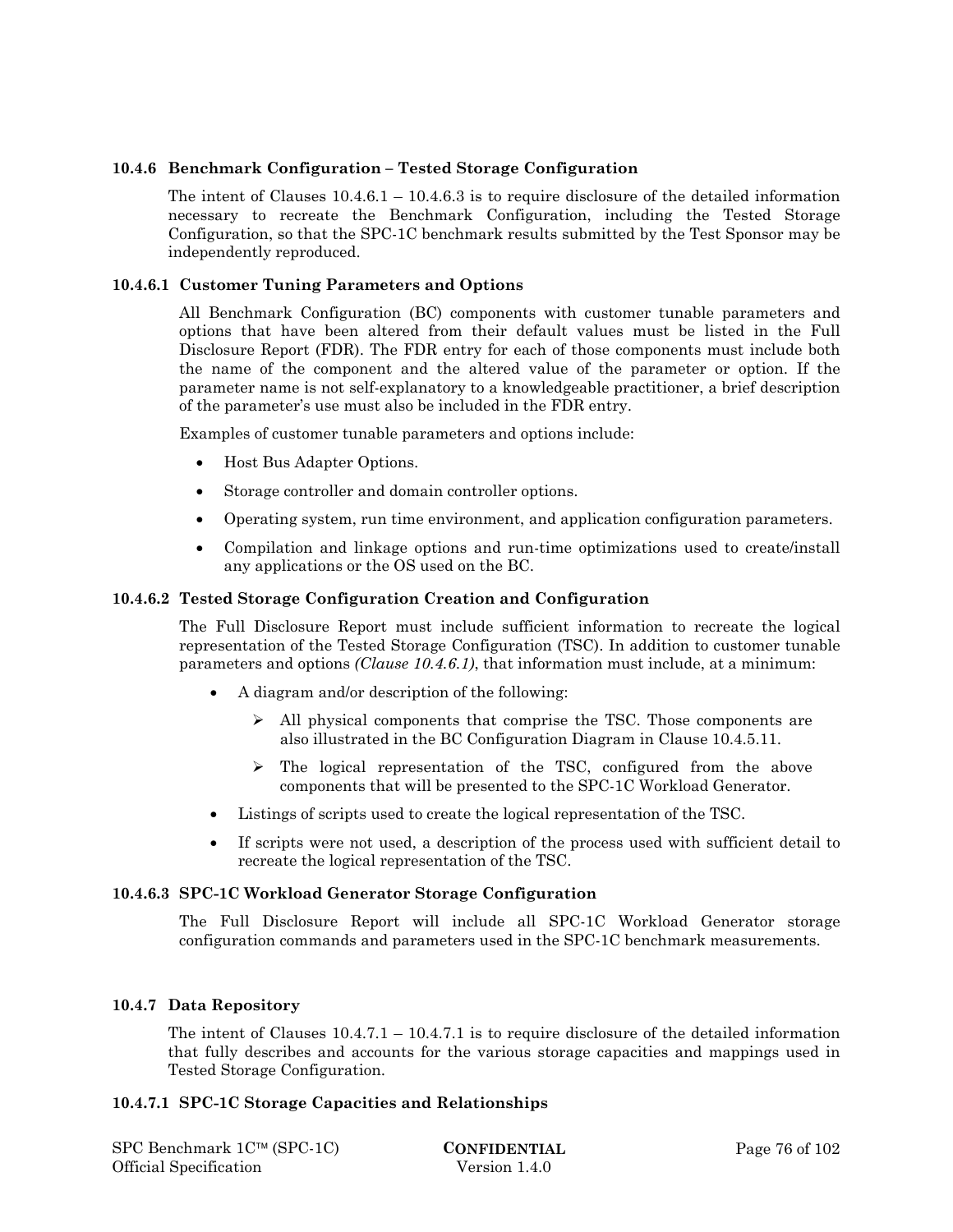#### **10.4.6 Benchmark Configuration – Tested Storage Configuration**

The intent of Clauses  $10.4.6.1 - 10.4.6.3$  is to require disclosure of the detailed information necessary to recreate the Benchmark Configuration, including the Tested Storage Configuration, so that the SPC-1C benchmark results submitted by the Test Sponsor may be independently reproduced.

#### **10.4.6.1 Customer Tuning Parameters and Options**

All Benchmark Configuration (BC) components with customer tunable parameters and options that have been altered from their default values must be listed in the Full Disclosure Report (FDR). The FDR entry for each of those components must include both the name of the component and the altered value of the parameter or option. If the parameter name is not self-explanatory to a knowledgeable practitioner, a brief description of the parameter's use must also be included in the FDR entry.

Examples of customer tunable parameters and options include:

- Host Bus Adapter Options.
- Storage controller and domain controller options.
- Operating system, run time environment, and application configuration parameters.
- Compilation and linkage options and run-time optimizations used to create/install any applications or the OS used on the BC.

#### **10.4.6.2 Tested Storage Configuration Creation and Configuration**

The Full Disclosure Report must include sufficient information to recreate the logical representation of the Tested Storage Configuration (TSC). In addition to customer tunable parameters and options *(Clause 10.4.6.1)*, that information must include, at a minimum:

- A diagram and/or description of the following:
	- $\triangleright$  All physical components that comprise the TSC. Those components are also illustrated in the BC Configuration Diagram in Clause 10.4.5.11.
	- $\geq$  The logical representation of the TSC, configured from the above components that will be presented to the SPC-1C Workload Generator.
- Listings of scripts used to create the logical representation of the TSC.
- If scripts were not used, a description of the process used with sufficient detail to recreate the logical representation of the TSC.

#### **10.4.6.3 SPC-1C Workload Generator Storage Configuration**

The Full Disclosure Report will include all SPC-1C Workload Generator storage configuration commands and parameters used in the SPC-1C benchmark measurements.

#### **10.4.7 Data Repository**

The intent of Clauses  $10.4.7.1 - 10.4.7.1$  is to require disclosure of the detailed information that fully describes and accounts for the various storage capacities and mappings used in Tested Storage Configuration.

#### **10.4.7.1 SPC-1C Storage Capacities and Relationships**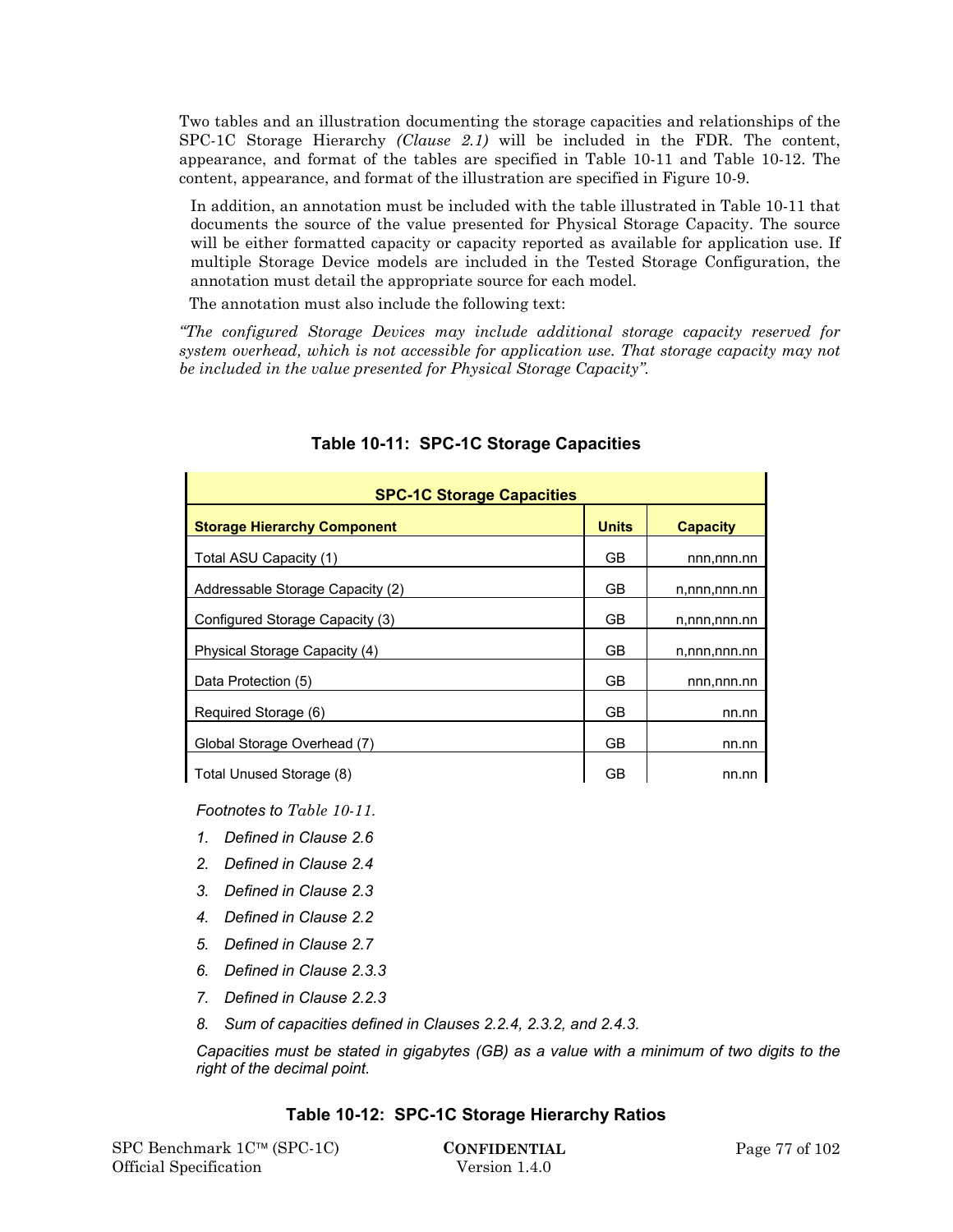Two tables and an illustration documenting the storage capacities and relationships of the SPC-1C Storage Hierarchy *(Clause 2.1)* will be included in the FDR. The content, appearance, and format of the tables are specified in Table 10-11 and Table 10-12. The content, appearance, and format of the illustration are specified in Figure 10-9.

In addition, an annotation must be included with the table illustrated in Table 10-11 that documents the source of the value presented for Physical Storage Capacity. The source will be either formatted capacity or capacity reported as available for application use. If multiple Storage Device models are included in the Tested Storage Configuration, the annotation must detail the appropriate source for each model.

The annotation must also include the following text:

*"The configured Storage Devices may include additional storage capacity reserved for system overhead, which is not accessible for application use. That storage capacity may not be included in the value presented for Physical Storage Capacity".*

| <b>SPC-1C Storage Capacities</b>                                      |    |              |  |  |  |  |
|-----------------------------------------------------------------------|----|--------------|--|--|--|--|
| <b>Units</b><br><b>Storage Hierarchy Component</b><br><b>Capacity</b> |    |              |  |  |  |  |
| Total ASU Capacity (1)                                                | GB | nnn,nnn.nn   |  |  |  |  |
| Addressable Storage Capacity (2)                                      | GB | n,nnn,nnn.nn |  |  |  |  |
| Configured Storage Capacity (3)                                       | GВ | n,nnn,nnn.nn |  |  |  |  |
| Physical Storage Capacity (4)                                         | GB | n,nnn,nnn.nn |  |  |  |  |
| Data Protection (5)                                                   | GB | nnn,nnn.nn   |  |  |  |  |
| Required Storage (6)                                                  | GB | nn.nn        |  |  |  |  |
| Global Storage Overhead (7)                                           | GB | nn.nn        |  |  |  |  |
| Total Unused Storage (8)                                              | GВ | nn.nn        |  |  |  |  |

## **Table 10-11: SPC-1C Storage Capacities**

*Footnotes to Table 10-11.* 

- *1. Defined in Clause 2.6*
- 
- *2. Defined in Clause 2.4*
- *3. Defined in Clause 2.3*
- *4. Defined in Clause 2.2*
- *5. Defined in Clause 2.7*
- *6. Defined in Clause 2.3.3*
- *7. Defined in Clause 2.2.3*
- *8. Sum of capacities defined in Clauses 2.2.4, 2.3.2, and 2.4.3.*

*Capacities must be stated in gigabytes (GB) as a value with a minimum of two digits to the right of the decimal point.* 

## **Table 10-12: SPC-1C Storage Hierarchy Ratios**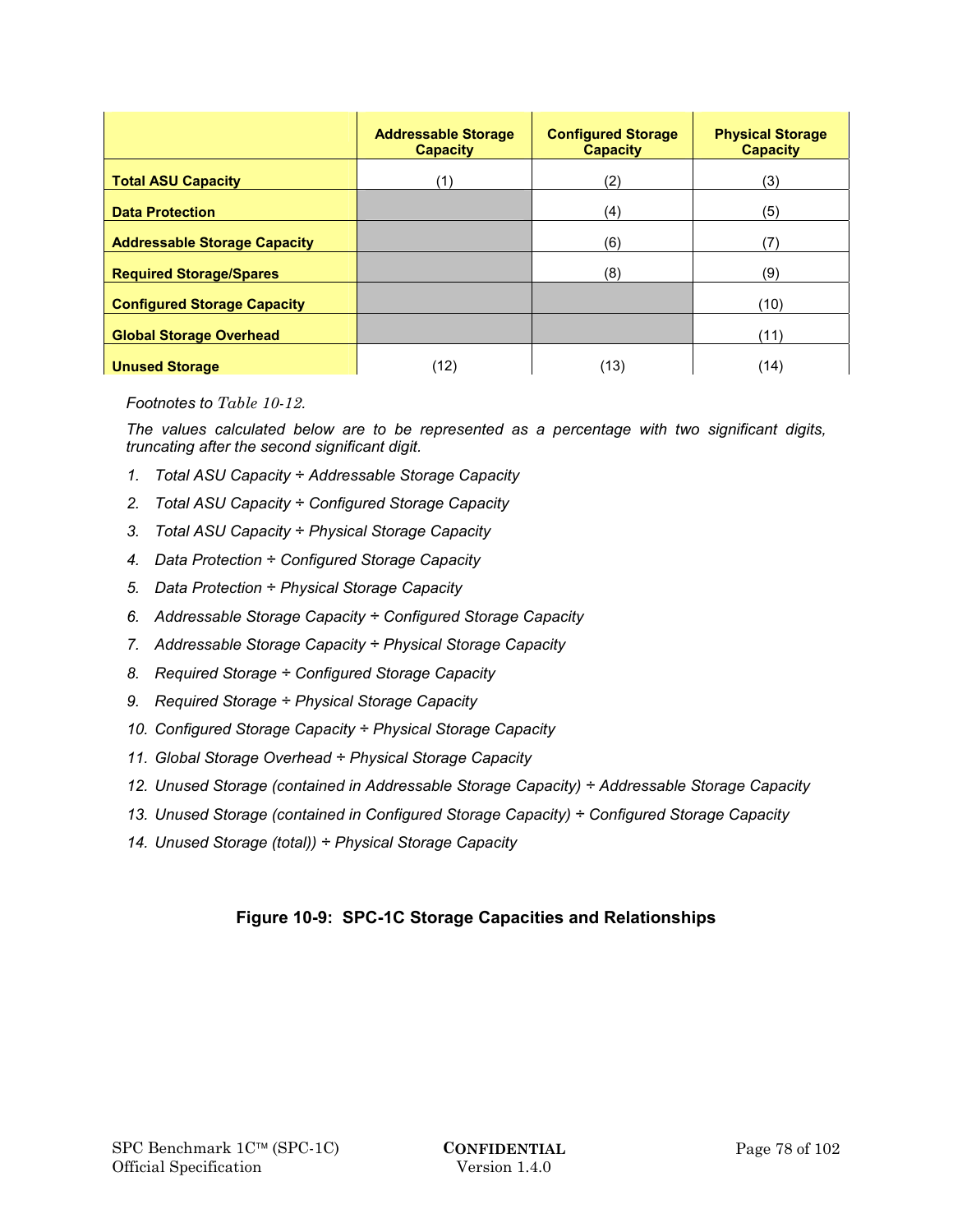|                                     | <b>Addressable Storage</b><br><b>Capacity</b> | <b>Configured Storage</b><br><b>Capacity</b> | <b>Physical Storage</b><br><b>Capacity</b> |
|-------------------------------------|-----------------------------------------------|----------------------------------------------|--------------------------------------------|
| <b>Total ASU Capacity</b>           | (1)                                           | (2)                                          | (3)                                        |
| <b>Data Protection</b>              |                                               | (4)                                          | (5)                                        |
| <b>Addressable Storage Capacity</b> |                                               | (6)                                          | (7)                                        |
| <b>Required Storage/Spares</b>      |                                               | (8)                                          | (9)                                        |
| <b>Configured Storage Capacity</b>  |                                               |                                              | (10)                                       |
| <b>Global Storage Overhead</b>      |                                               |                                              | (11)                                       |
| <b>Unused Storage</b>               | (12)                                          | (13)                                         | (14)                                       |

*Footnotes to Table 10-12.* 

*The values calculated below are to be represented as a percentage with two significant digits, truncating after the second significant digit.* 

- *1. Total ASU Capacity ÷ Addressable Storage Capacity*
- *2. Total ASU Capacity ÷ Configured Storage Capacity*
- *3. Total ASU Capacity ÷ Physical Storage Capacity*
- *4. Data Protection ÷ Configured Storage Capacity*
- *5. Data Protection ÷ Physical Storage Capacity*
- *6. Addressable Storage Capacity ÷ Configured Storage Capacity*
- *7. Addressable Storage Capacity ÷ Physical Storage Capacity*
- *8. Required Storage ÷ Configured Storage Capacity*
- *9. Required Storage ÷ Physical Storage Capacity*
- *10. Configured Storage Capacity ÷ Physical Storage Capacity*
- *11. Global Storage Overhead ÷ Physical Storage Capacity*
- *12. Unused Storage (contained in Addressable Storage Capacity) ÷ Addressable Storage Capacity*
- *13. Unused Storage (contained in Configured Storage Capacity) ÷ Configured Storage Capacity*
- *14. Unused Storage (total)) ÷ Physical Storage Capacity*

## **Figure 10-9: SPC-1C Storage Capacities and Relationships**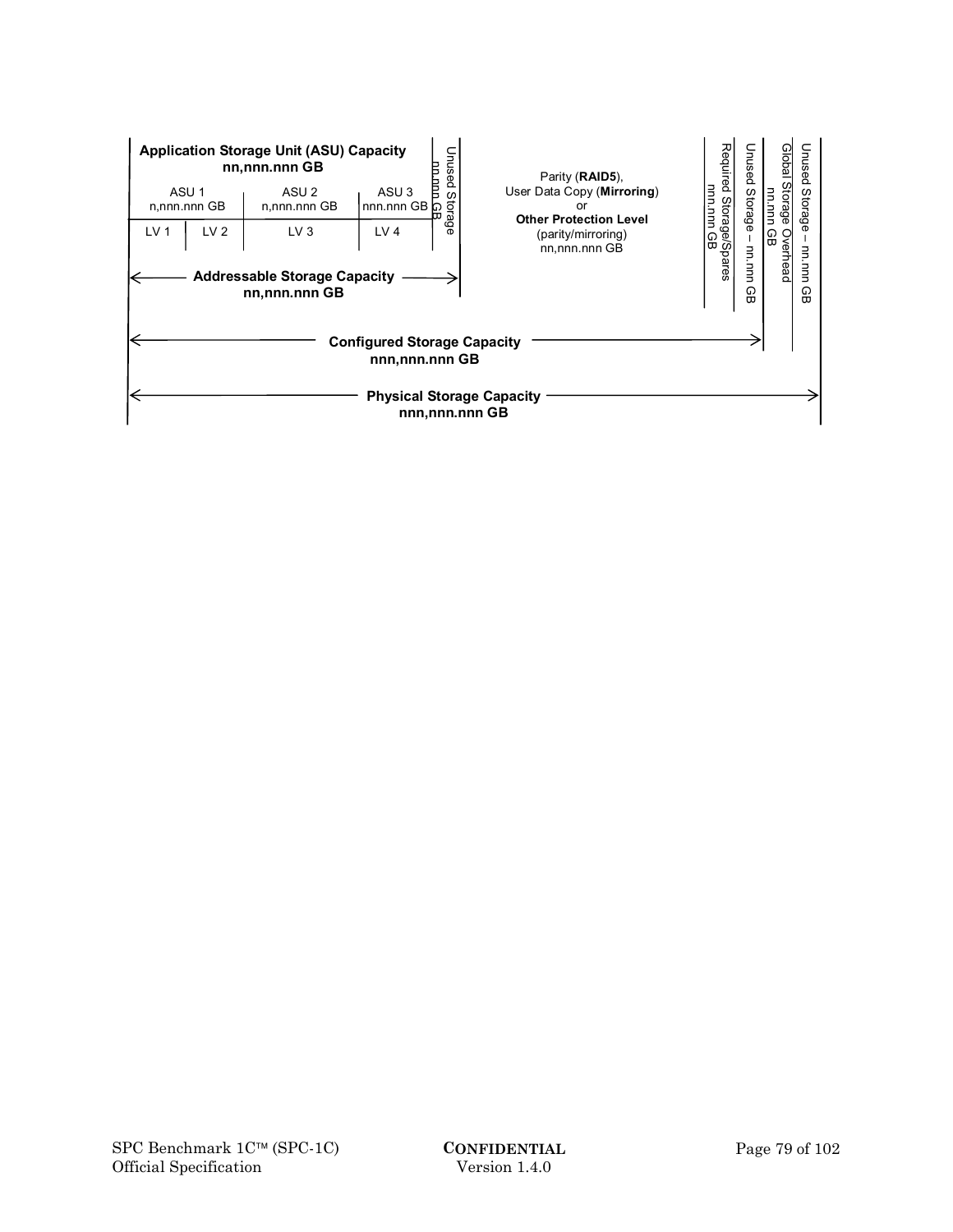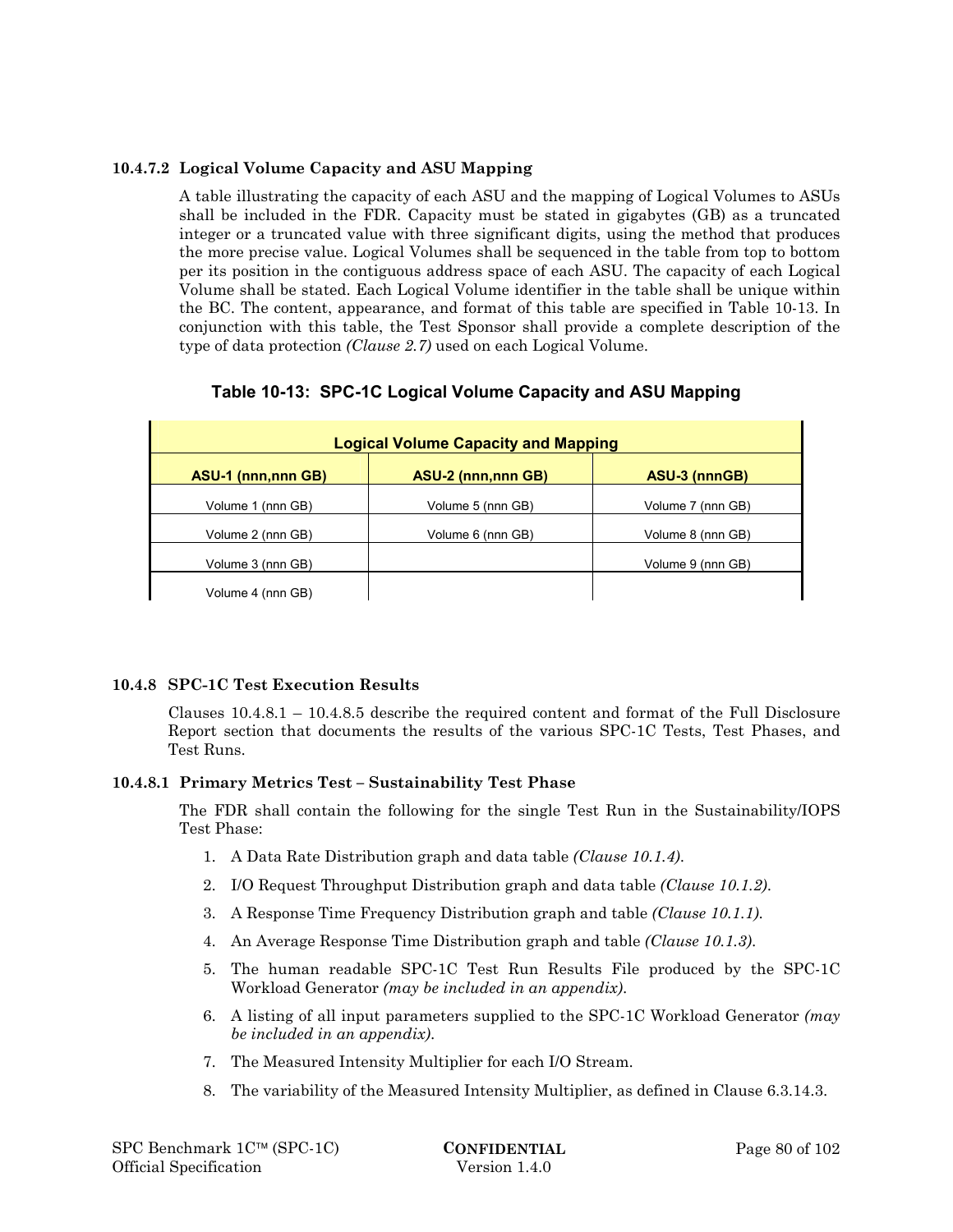## **10.4.7.2 Logical Volume Capacity and ASU Mapping**

A table illustrating the capacity of each ASU and the mapping of Logical Volumes to ASUs shall be included in the FDR. Capacity must be stated in gigabytes (GB) as a truncated integer or a truncated value with three significant digits, using the method that produces the more precise value. Logical Volumes shall be sequenced in the table from top to bottom per its position in the contiguous address space of each ASU. The capacity of each Logical Volume shall be stated. Each Logical Volume identifier in the table shall be unique within the BC. The content, appearance, and format of this table are specified in Table 10-13. In conjunction with this table, the Test Sponsor shall provide a complete description of the type of data protection *(Clause 2.7)* used on each Logical Volume.

|  |  |  | Table 10-13: SPC-1C Logical Volume Capacity and ASU Mapping |
|--|--|--|-------------------------------------------------------------|
|--|--|--|-------------------------------------------------------------|

| <b>Logical Volume Capacity and Mapping</b> |                           |                   |  |  |  |
|--------------------------------------------|---------------------------|-------------------|--|--|--|
| <b>ASU-1 (nnn,nnn GB)</b>                  | <b>ASU-2 (nnn,nnn GB)</b> | ASU-3 (nnnGB)     |  |  |  |
| Volume 1 (nnn GB)                          | Volume 5 (nnn GB)         | Volume 7 (nnn GB) |  |  |  |
| Volume 2 (nnn GB)                          | Volume 6 (nnn GB)         | Volume 8 (nnn GB) |  |  |  |
| Volume 3 (nnn GB)                          |                           | Volume 9 (nnn GB) |  |  |  |
| Volume 4 (nnn GB)                          |                           |                   |  |  |  |

## **10.4.8 SPC-1C Test Execution Results**

Clauses 10.4.8.1 – 10.4.8.5 describe the required content and format of the Full Disclosure Report section that documents the results of the various SPC-1C Tests, Test Phases, and Test Runs.

## **10.4.8.1 Primary Metrics Test – Sustainability Test Phase**

The FDR shall contain the following for the single Test Run in the Sustainability/IOPS Test Phase:

- 1. A Data Rate Distribution graph and data table *(Clause 10.1.4)*.
- 2. I/O Request Throughput Distribution graph and data table *(Clause 10.1.2)*.
- 3. A Response Time Frequency Distribution graph and table *(Clause 10.1.1)*.
- 4. An Average Response Time Distribution graph and table *(Clause 10.1.3)*.
- 5. The human readable SPC-1C Test Run Results File produced by the SPC-1C Workload Generator *(may be included in an appendix)*.
- 6. A listing of all input parameters supplied to the SPC-1C Workload Generator *(may be included in an appendix)*.
- 7. The Measured Intensity Multiplier for each I/O Stream.
- 8. The variability of the Measured Intensity Multiplier, as defined in Clause 6.3.14.3.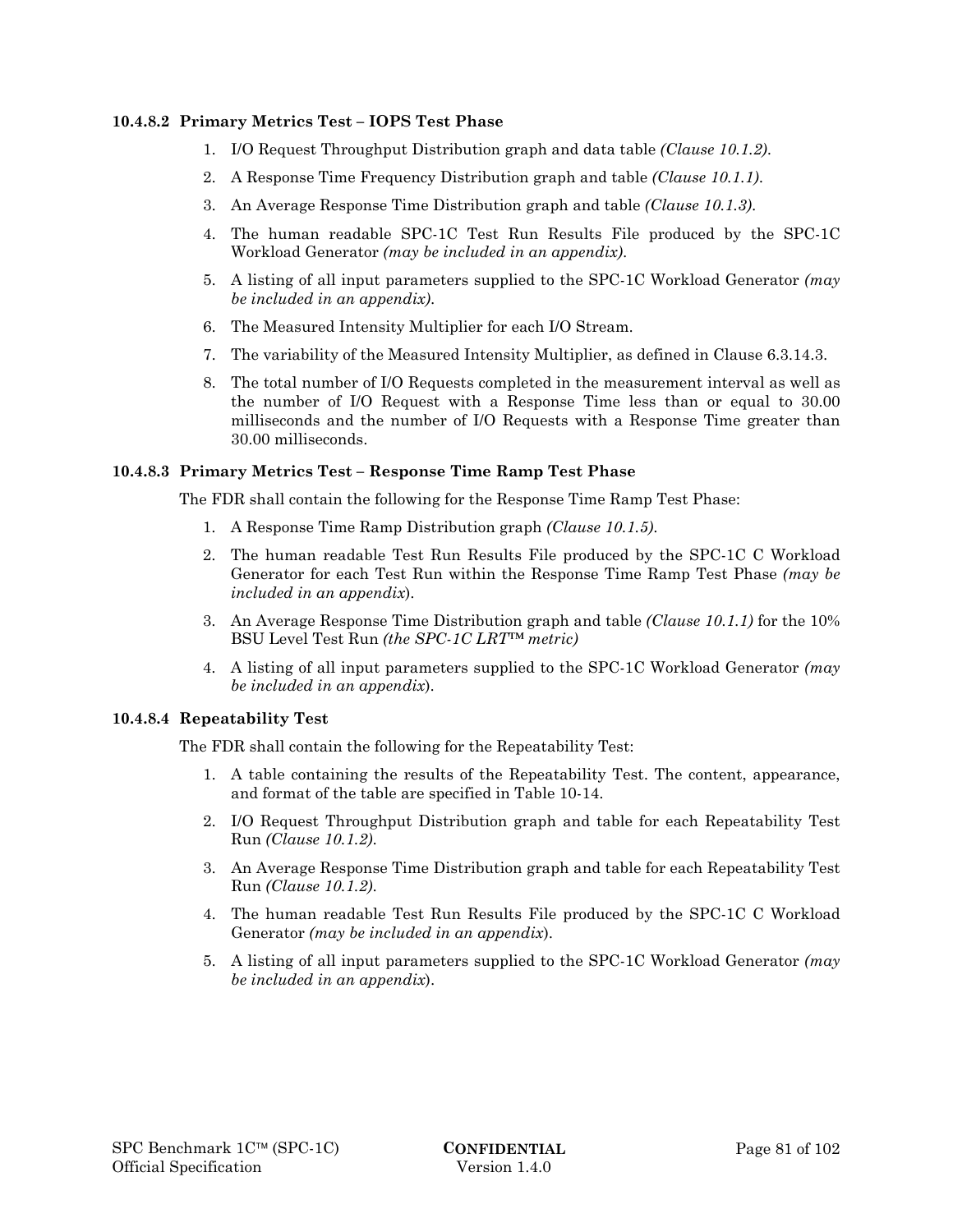#### **10.4.8.2 Primary Metrics Test – IOPS Test Phase**

- 1. I/O Request Throughput Distribution graph and data table *(Clause 10.1.2)*.
- 2. A Response Time Frequency Distribution graph and table *(Clause 10.1.1)*.
- 3. An Average Response Time Distribution graph and table *(Clause 10.1.3)*.
- 4. The human readable SPC-1C Test Run Results File produced by the SPC-1C Workload Generator *(may be included in an appendix)*.
- 5. A listing of all input parameters supplied to the SPC-1C Workload Generator *(may be included in an appendix)*.
- 6. The Measured Intensity Multiplier for each I/O Stream.
- 7. The variability of the Measured Intensity Multiplier, as defined in Clause 6.3.14.3.
- 8. The total number of I/O Requests completed in the measurement interval as well as the number of I/O Request with a Response Time less than or equal to 30.00 milliseconds and the number of I/O Requests with a Response Time greater than 30.00 milliseconds.

#### **10.4.8.3 Primary Metrics Test – Response Time Ramp Test Phase**

The FDR shall contain the following for the Response Time Ramp Test Phase:

- 1. A Response Time Ramp Distribution graph *(Clause 10.1.5)*.
- 2. The human readable Test Run Results File produced by the SPC-1C C Workload Generator for each Test Run within the Response Time Ramp Test Phase *(may be included in an appendix*).
- 3. An Average Response Time Distribution graph and table *(Clause 10.1.1)* for the 10% BSU Level Test Run *(the SPC-1C LRT™ metric)*
- 4. A listing of all input parameters supplied to the SPC-1C Workload Generator *(may be included in an appendix*).

#### **10.4.8.4 Repeatability Test**

The FDR shall contain the following for the Repeatability Test:

- 1. A table containing the results of the Repeatability Test. The content, appearance, and format of the table are specified in Table 10-14.
- 2. I/O Request Throughput Distribution graph and table for each Repeatability Test Run *(Clause 10.1.2)*.
- 3. An Average Response Time Distribution graph and table for each Repeatability Test Run *(Clause 10.1.2)*.
- 4. The human readable Test Run Results File produced by the SPC-1C C Workload Generator *(may be included in an appendix*).
- 5. A listing of all input parameters supplied to the SPC-1C Workload Generator *(may be included in an appendix*).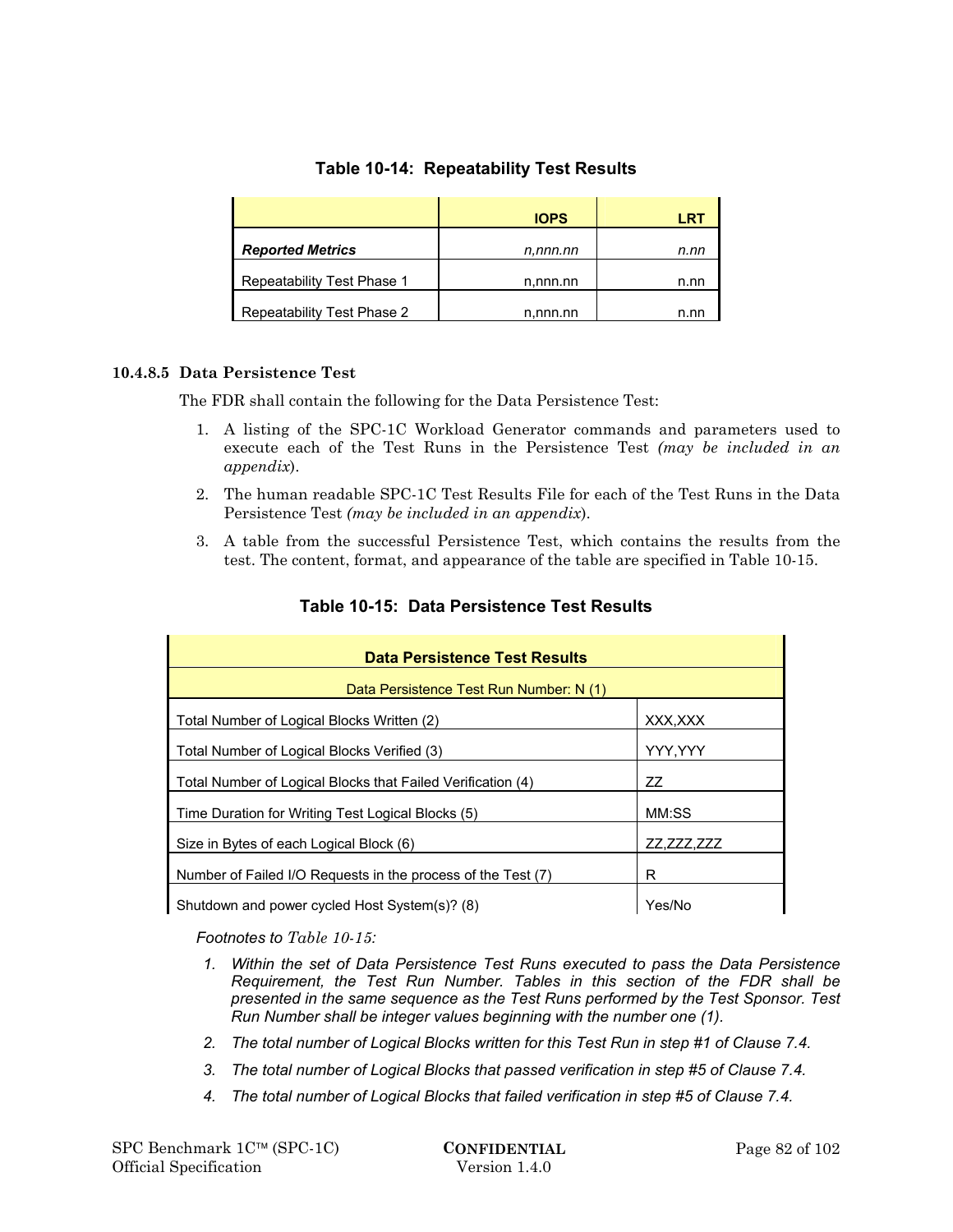|                            | <b>IOPS</b> | LRT  |
|----------------------------|-------------|------|
| <b>Reported Metrics</b>    | n.nnn.nn    | n.nn |
| Repeatability Test Phase 1 | n,nnn.nn    | n.nn |
| Repeatability Test Phase 2 | n,nnn.nn    | n.nn |

## **Table 10-14: Repeatability Test Results**

## **10.4.8.5 Data Persistence Test**

The FDR shall contain the following for the Data Persistence Test:

- 1. A listing of the SPC-1C Workload Generator commands and parameters used to execute each of the Test Runs in the Persistence Test *(may be included in an appendix*).
- 2. The human readable SPC-1C Test Results File for each of the Test Runs in the Data Persistence Test *(may be included in an appendix*).
- 3. A table from the successful Persistence Test, which contains the results from the test. The content, format, and appearance of the table are specified in Table 10-15.

| Data Persistence Test Results                                |            |  |  |  |
|--------------------------------------------------------------|------------|--|--|--|
| Data Persistence Test Run Number: N (1)                      |            |  |  |  |
| Total Number of Logical Blocks Written (2)                   | XXX.XXX    |  |  |  |
| Total Number of Logical Blocks Verified (3)                  | YYY, YYY   |  |  |  |
| Total Number of Logical Blocks that Failed Verification (4)  | 77         |  |  |  |
| Time Duration for Writing Test Logical Blocks (5)            | MM:SS      |  |  |  |
| Size in Bytes of each Logical Block (6)                      | ZZ,ZZZ,ZZZ |  |  |  |
| Number of Failed I/O Requests in the process of the Test (7) | R          |  |  |  |
| Shutdown and power cycled Host System(s)? (8)                | Yes/No     |  |  |  |

## **Table 10-15: Data Persistence Test Results**

*Footnotes to Table 10-15:* 

- *1. Within the set of Data Persistence Test Runs executed to pass the Data Persistence Requirement, the Test Run Number. Tables in this section of the FDR shall be presented in the same sequence as the Test Runs performed by the Test Sponsor. Test Run Number shall be integer values beginning with the number one (1).*
- *2. The total number of Logical Blocks written for this Test Run in step #1 of Clause 7.4.*
- *3. The total number of Logical Blocks that passed verification in step #5 of Clause 7.4.*
- *4. The total number of Logical Blocks that failed verification in step #5 of Clause 7.4.*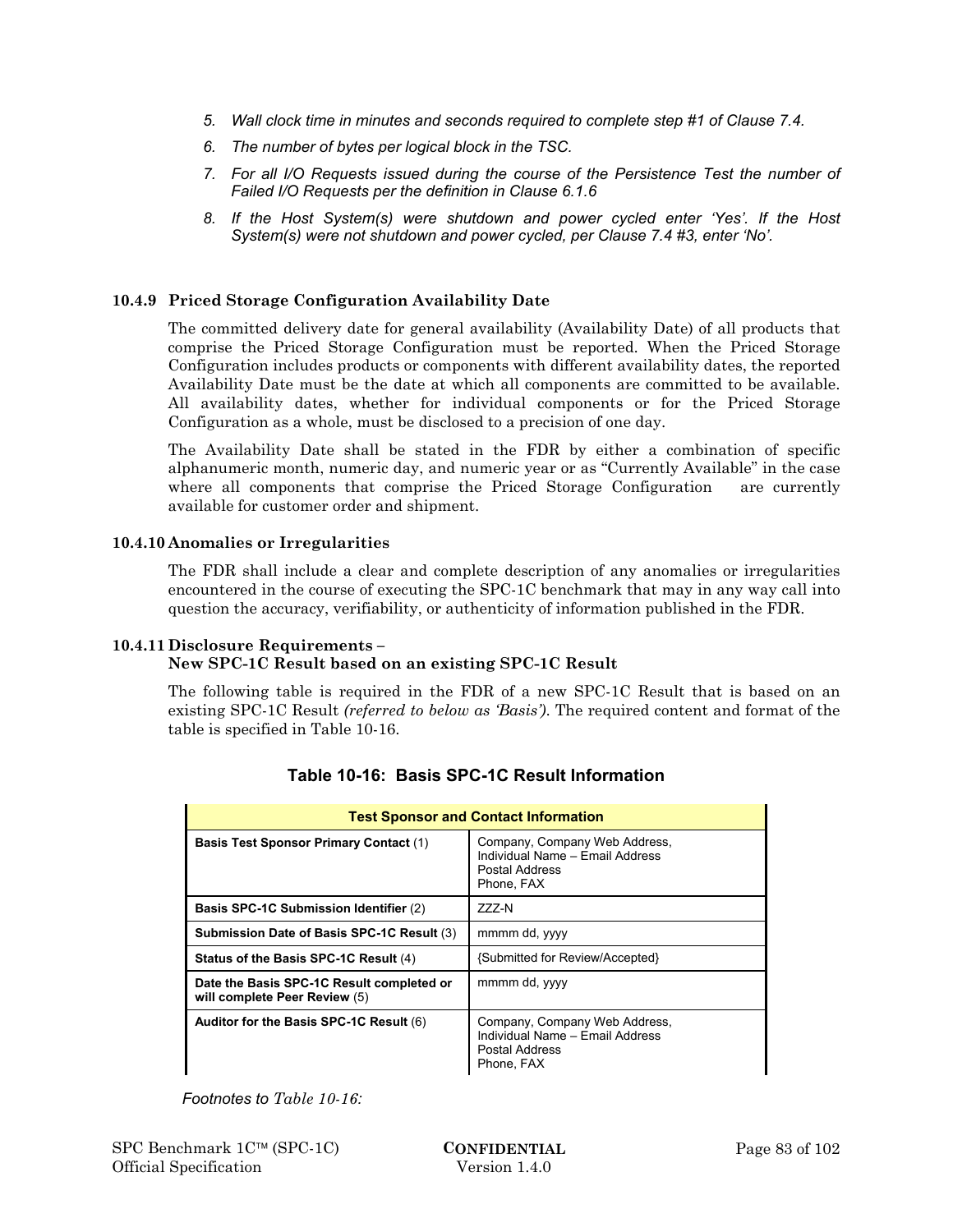- *5. Wall clock time in minutes and seconds required to complete step #1 of Clause 7.4.*
- *6. The number of bytes per logical block in the TSC.*
- *7. For all I/O Requests issued during the course of the Persistence Test the number of Failed I/O Requests per the definition in Clause 6.1.6*
- *8. If the Host System(s) were shutdown and power cycled enter 'Yes'. If the Host System(s) were not shutdown and power cycled, per Clause 7.4 #3, enter 'No'.*

## **10.4.9 Priced Storage Configuration Availability Date**

The committed delivery date for general availability (Availability Date) of all products that comprise the Priced Storage Configuration must be reported. When the Priced Storage Configuration includes products or components with different availability dates, the reported Availability Date must be the date at which all components are committed to be available. All availability dates, whether for individual components or for the Priced Storage Configuration as a whole, must be disclosed to a precision of one day.

The Availability Date shall be stated in the FDR by either a combination of specific alphanumeric month, numeric day, and numeric year or as "Currently Available" in the case where all components that comprise the Priced Storage Configuration are currently available for customer order and shipment.

#### **10.4.10 Anomalies or Irregularities**

The FDR shall include a clear and complete description of any anomalies or irregularities encountered in the course of executing the SPC-1C benchmark that may in any way call into question the accuracy, verifiability, or authenticity of information published in the FDR.

#### **10.4.11 Disclosure Requirements –**

#### **New SPC-1C Result based on an existing SPC-1C Result**

The following table is required in the FDR of a new SPC-1C Result that is based on an existing SPC-1C Result *(referred to below as 'Basis')*. The required content and format of the table is specified in Table 10-16.

| <b>Test Sponsor and Contact Information</b>                                |                                                                                                  |  |  |  |
|----------------------------------------------------------------------------|--------------------------------------------------------------------------------------------------|--|--|--|
| <b>Basis Test Sponsor Primary Contact (1)</b>                              | Company, Company Web Address,<br>Individual Name - Email Address<br>Postal Address<br>Phone, FAX |  |  |  |
| Basis SPC-1C Submission Identifier (2)                                     | 777-N                                                                                            |  |  |  |
| Submission Date of Basis SPC-1C Result (3)                                 | mmmm dd, yyyy                                                                                    |  |  |  |
| Status of the Basis SPC-1C Result (4)                                      | {Submitted for Review/Accepted}                                                                  |  |  |  |
| Date the Basis SPC-1C Result completed or<br>will complete Peer Review (5) | mmmm dd, yyyy                                                                                    |  |  |  |
| Auditor for the Basis SPC-1C Result (6)                                    | Company, Company Web Address,<br>Individual Name - Email Address<br>Postal Address<br>Phone, FAX |  |  |  |

## **Table 10-16: Basis SPC-1C Result Information**

*Footnotes to Table 10-16:*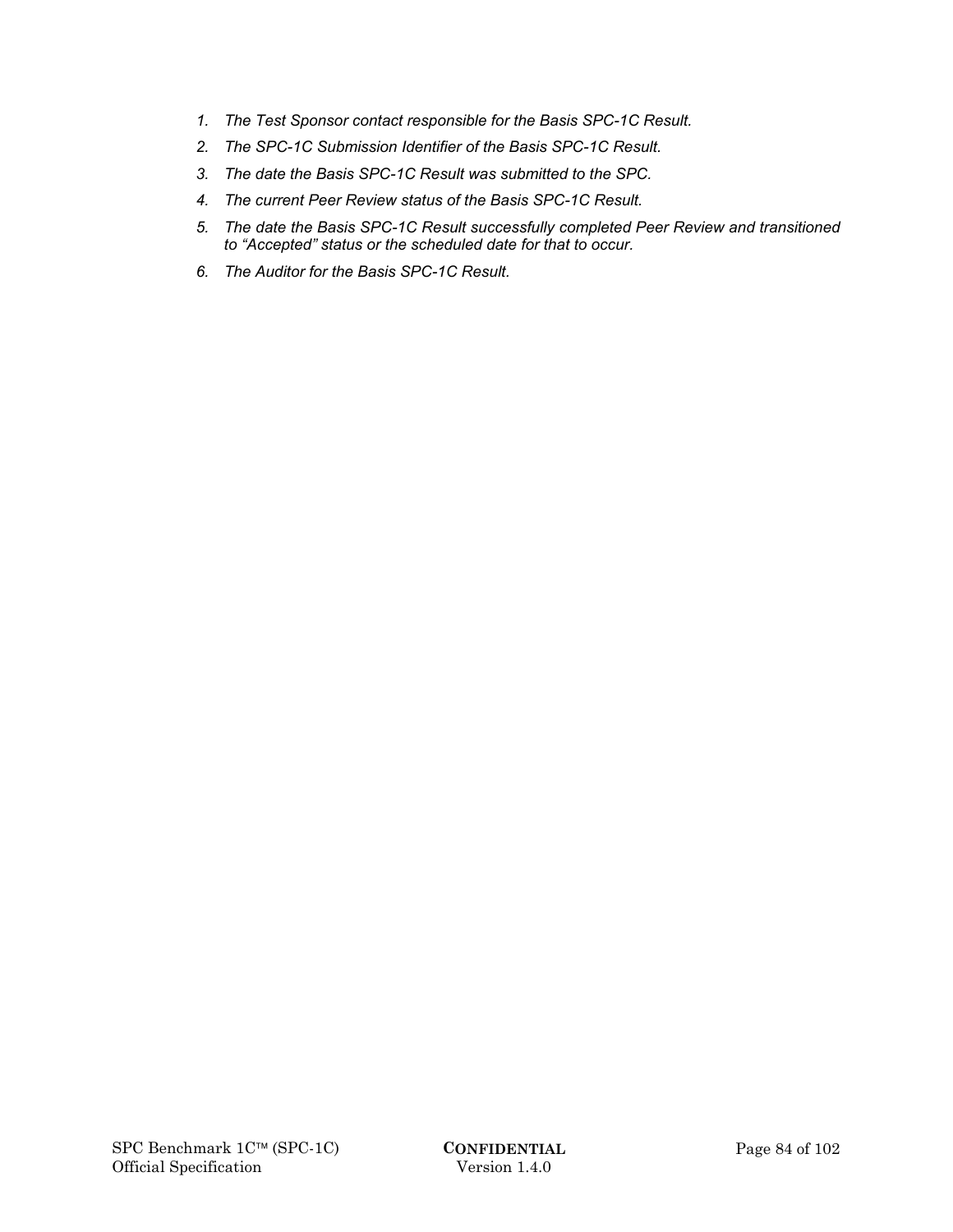- *1. The Test Sponsor contact responsible for the Basis SPC-1C Result.*
- *2. The SPC-1C Submission Identifier of the Basis SPC-1C Result.*
- *3. The date the Basis SPC-1C Result was submitted to the SPC.*
- *4. The current Peer Review status of the Basis SPC-1C Result.*
- *5. The date the Basis SPC-1C Result successfully completed Peer Review and transitioned to "Accepted" status or the scheduled date for that to occur.*
- *6. The Auditor for the Basis SPC-1C Result.*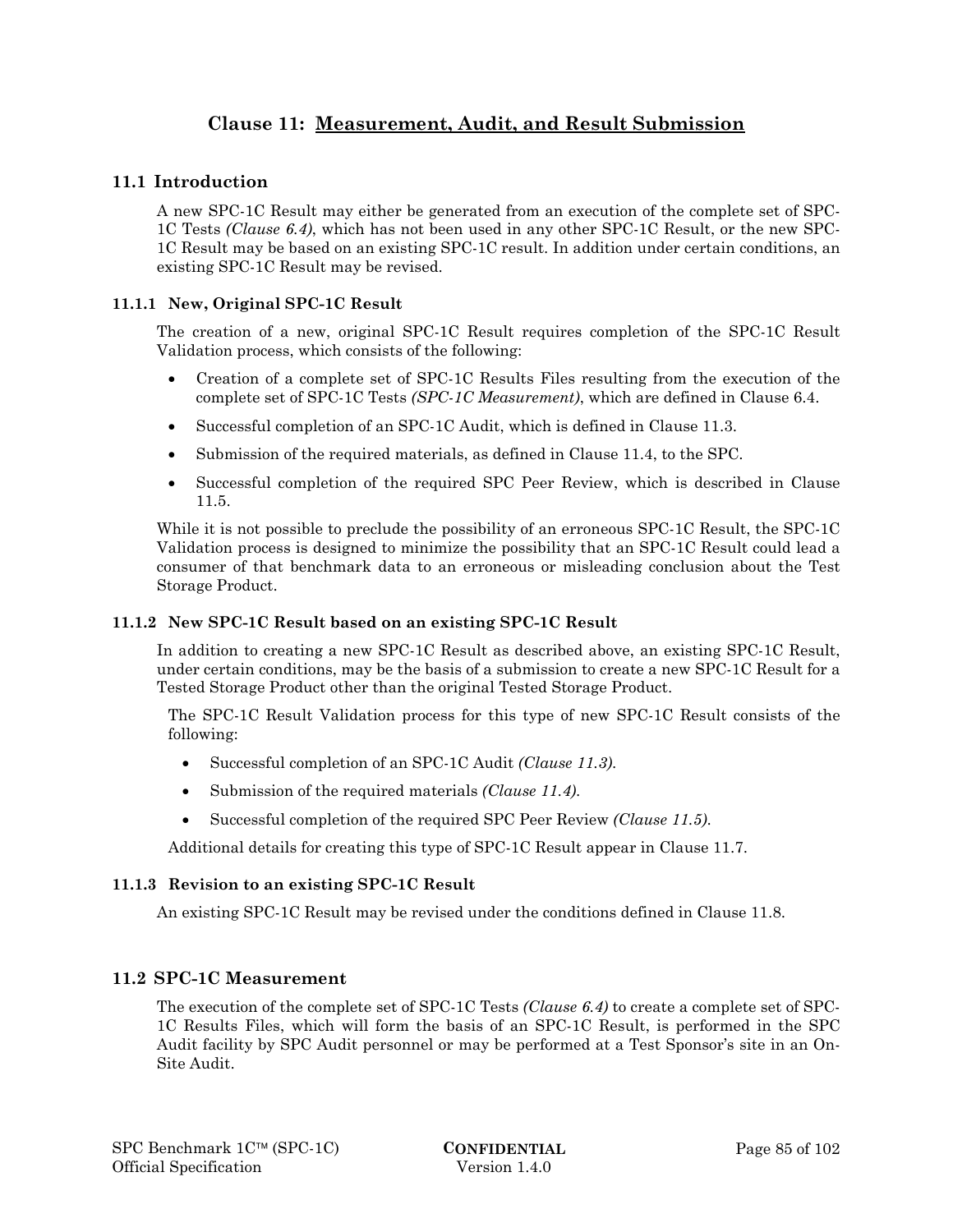# **Clause 11: Measurement, Audit, and Result Submission**

## **11.1 Introduction**

A new SPC-1C Result may either be generated from an execution of the complete set of SPC-1C Tests *(Clause 6.4)*, which has not been used in any other SPC-1C Result, or the new SPC-1C Result may be based on an existing SPC-1C result. In addition under certain conditions, an existing SPC-1C Result may be revised.

### **11.1.1 New, Original SPC-1C Result**

The creation of a new, original SPC-1C Result requires completion of the SPC-1C Result Validation process, which consists of the following:

- Creation of a complete set of SPC-1C Results Files resulting from the execution of the complete set of SPC-1C Tests *(SPC-1C Measurement)*, which are defined in Clause 6.4.
- Successful completion of an SPC-1C Audit, which is defined in Clause 11.3.
- Submission of the required materials, as defined in Clause 11.4, to the SPC.
- Successful completion of the required SPC Peer Review, which is described in Clause 11.5.

While it is not possible to preclude the possibility of an erroneous SPC-1C Result, the SPC-1C Validation process is designed to minimize the possibility that an SPC-1C Result could lead a consumer of that benchmark data to an erroneous or misleading conclusion about the Test Storage Product.

### **11.1.2 New SPC-1C Result based on an existing SPC-1C Result**

In addition to creating a new SPC-1C Result as described above, an existing SPC-1C Result, under certain conditions, may be the basis of a submission to create a new SPC-1C Result for a Tested Storage Product other than the original Tested Storage Product.

The SPC-1C Result Validation process for this type of new SPC-1C Result consists of the following:

- Successful completion of an SPC-1C Audit *(Clause 11.3)*.
- Submission of the required materials *(Clause 11.4)*.
- Successful completion of the required SPC Peer Review *(Clause 11.5)*.

Additional details for creating this type of SPC-1C Result appear in Clause 11.7.

## **11.1.3 Revision to an existing SPC-1C Result**

An existing SPC-1C Result may be revised under the conditions defined in Clause 11.8.

## **11.2 SPC-1C Measurement**

The execution of the complete set of SPC-1C Tests *(Clause 6.4)* to create a complete set of SPC-1C Results Files, which will form the basis of an SPC-1C Result, is performed in the SPC Audit facility by SPC Audit personnel or may be performed at a Test Sponsor's site in an On-Site Audit.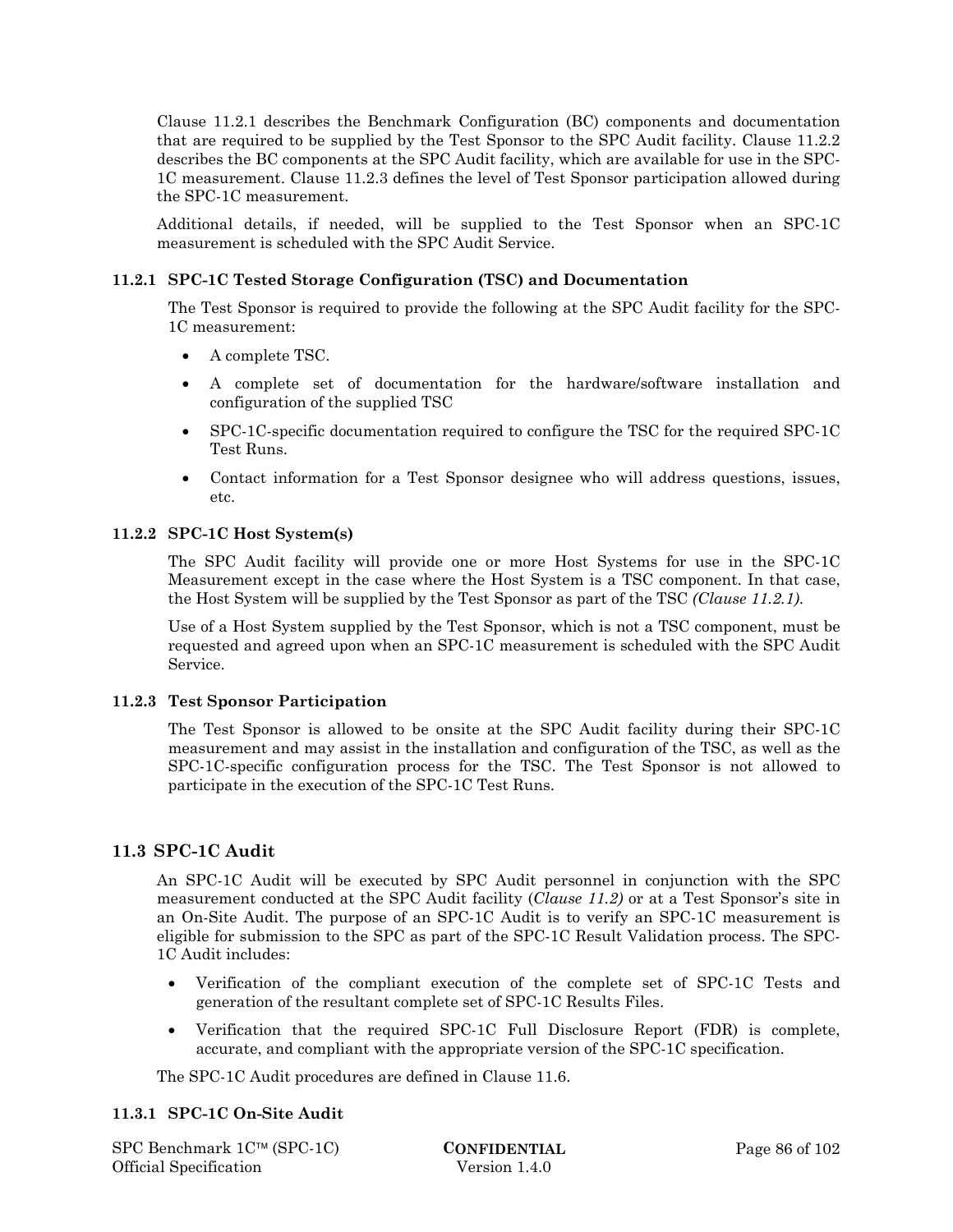Clause 11.2.1 describes the Benchmark Configuration (BC) components and documentation that are required to be supplied by the Test Sponsor to the SPC Audit facility. Clause 11.2.2 describes the BC components at the SPC Audit facility, which are available for use in the SPC-1C measurement. Clause 11.2.3 defines the level of Test Sponsor participation allowed during the SPC-1C measurement.

Additional details, if needed, will be supplied to the Test Sponsor when an SPC-1C measurement is scheduled with the SPC Audit Service.

## **11.2.1 SPC-1C Tested Storage Configuration (TSC) and Documentation**

The Test Sponsor is required to provide the following at the SPC Audit facility for the SPC-1C measurement:

- A complete TSC.
- A complete set of documentation for the hardware/software installation and configuration of the supplied TSC
- SPC-1C-specific documentation required to configure the TSC for the required SPC-1C Test Runs.
- Contact information for a Test Sponsor designee who will address questions, issues, etc.

#### **11.2.2 SPC-1C Host System(s)**

The SPC Audit facility will provide one or more Host Systems for use in the SPC-1C Measurement except in the case where the Host System is a TSC component. In that case, the Host System will be supplied by the Test Sponsor as part of the TSC *(Clause 11.2.1)*.

Use of a Host System supplied by the Test Sponsor, which is not a TSC component, must be requested and agreed upon when an SPC-1C measurement is scheduled with the SPC Audit Service.

#### **11.2.3 Test Sponsor Participation**

The Test Sponsor is allowed to be onsite at the SPC Audit facility during their SPC-1C measurement and may assist in the installation and configuration of the TSC, as well as the SPC-1C-specific configuration process for the TSC. The Test Sponsor is not allowed to participate in the execution of the SPC-1C Test Runs.

## **11.3 SPC-1C Audit**

An SPC-1C Audit will be executed by SPC Audit personnel in conjunction with the SPC measurement conducted at the SPC Audit facility (*Clause 11.2)* or at a Test Sponsor's site in an On-Site Audit. The purpose of an SPC-1C Audit is to verify an SPC-1C measurement is eligible for submission to the SPC as part of the SPC-1C Result Validation process. The SPC-1C Audit includes:

- Verification of the compliant execution of the complete set of SPC-1C Tests and generation of the resultant complete set of SPC-1C Results Files.
- Verification that the required SPC-1C Full Disclosure Report (FDR) is complete, accurate, and compliant with the appropriate version of the SPC-1C specification.

The SPC-1C Audit procedures are defined in Clause 11.6.

## **11.3.1 SPC-1C On-Site Audit**

SPC Benchmark 1C™ (SPC-1C) **CONFIDENTIAL** Page 86 of 102 Official Specification Version 1.4.0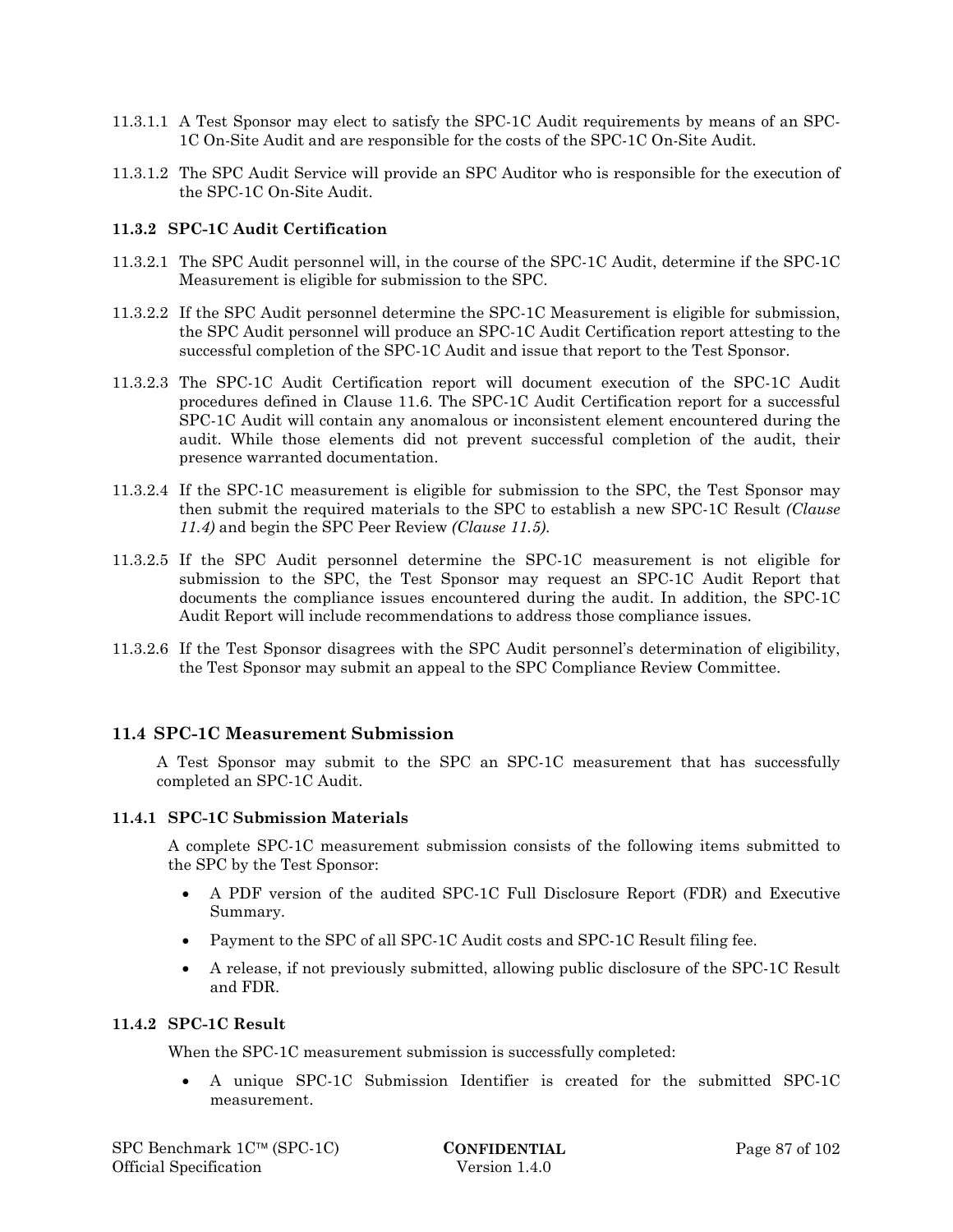- 11.3.1.1 A Test Sponsor may elect to satisfy the SPC-1C Audit requirements by means of an SPC-1C On-Site Audit and are responsible for the costs of the SPC-1C On-Site Audit.
- 11.3.1.2 The SPC Audit Service will provide an SPC Auditor who is responsible for the execution of the SPC-1C On-Site Audit.

#### **11.3.2 SPC-1C Audit Certification**

- 11.3.2.1 The SPC Audit personnel will, in the course of the SPC-1C Audit, determine if the SPC-1C Measurement is eligible for submission to the SPC.
- 11.3.2.2 If the SPC Audit personnel determine the SPC-1C Measurement is eligible for submission, the SPC Audit personnel will produce an SPC-1C Audit Certification report attesting to the successful completion of the SPC-1C Audit and issue that report to the Test Sponsor.
- 11.3.2.3 The SPC-1C Audit Certification report will document execution of the SPC-1C Audit procedures defined in Clause 11.6. The SPC-1C Audit Certification report for a successful SPC-1C Audit will contain any anomalous or inconsistent element encountered during the audit. While those elements did not prevent successful completion of the audit, their presence warranted documentation.
- 11.3.2.4 If the SPC-1C measurement is eligible for submission to the SPC, the Test Sponsor may then submit the required materials to the SPC to establish a new SPC-1C Result *(Clause 11.4)* and begin the SPC Peer Review *(Clause 11.5)*.
- 11.3.2.5 If the SPC Audit personnel determine the SPC-1C measurement is not eligible for submission to the SPC, the Test Sponsor may request an SPC-1C Audit Report that documents the compliance issues encountered during the audit. In addition, the SPC-1C Audit Report will include recommendations to address those compliance issues.
- 11.3.2.6 If the Test Sponsor disagrees with the SPC Audit personnel's determination of eligibility, the Test Sponsor may submit an appeal to the SPC Compliance Review Committee.

## **11.4 SPC-1C Measurement Submission**

A Test Sponsor may submit to the SPC an SPC-1C measurement that has successfully completed an SPC-1C Audit.

#### **11.4.1 SPC-1C Submission Materials**

A complete SPC-1C measurement submission consists of the following items submitted to the SPC by the Test Sponsor:

- A PDF version of the audited SPC-1C Full Disclosure Report (FDR) and Executive Summary.
- Payment to the SPC of all SPC-1C Audit costs and SPC-1C Result filing fee.
- A release, if not previously submitted, allowing public disclosure of the SPC-1C Result and FDR.

#### **11.4.2 SPC-1C Result**

When the SPC-1C measurement submission is successfully completed:

 A unique SPC-1C Submission Identifier is created for the submitted SPC-1C measurement.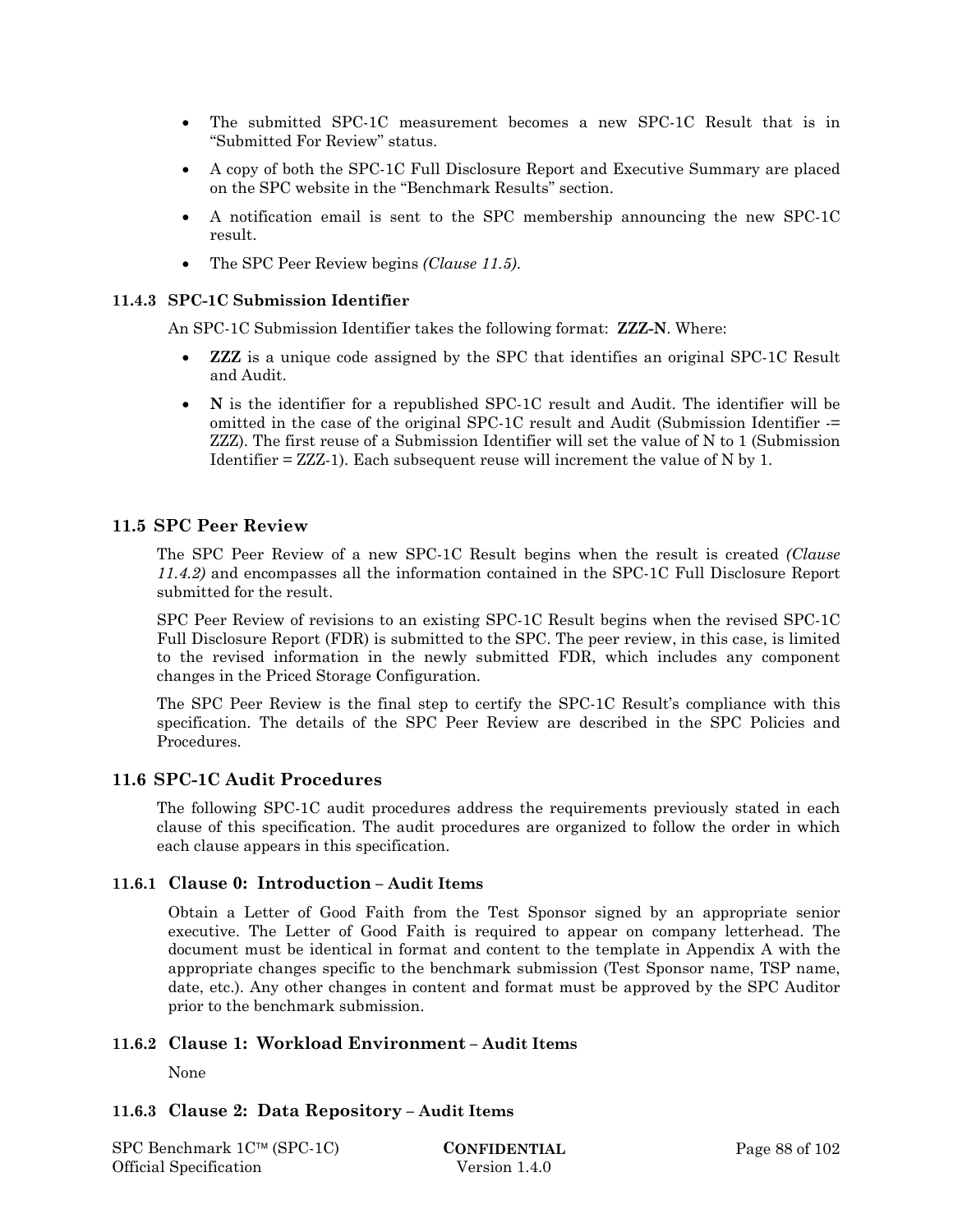- The submitted SPC-1C measurement becomes a new SPC-1C Result that is in "Submitted For Review" status.
- A copy of both the SPC-1C Full Disclosure Report and Executive Summary are placed on the SPC website in the "Benchmark Results" section.
- A notification email is sent to the SPC membership announcing the new SPC-1C result.
- The SPC Peer Review begins *(Clause 11.5)*.

#### **11.4.3 SPC-1C Submission Identifier**

An SPC-1C Submission Identifier takes the following format: **ZZZ-N**. Where:

- **ZZZ** is a unique code assigned by the SPC that identifies an original SPC-1C Result and Audit.
- **N** is the identifier for a republished SPC-1C result and Audit. The identifier will be omitted in the case of the original SPC-1C result and Audit (Submission Identifier -= ZZZ). The first reuse of a Submission Identifier will set the value of N to 1 (Submission Identifier = ZZZ-1). Each subsequent reuse will increment the value of N by 1.

## **11.5 SPC Peer Review**

The SPC Peer Review of a new SPC-1C Result begins when the result is created *(Clause 11.4.2)* and encompasses all the information contained in the SPC-1C Full Disclosure Report submitted for the result.

SPC Peer Review of revisions to an existing SPC-1C Result begins when the revised SPC-1C Full Disclosure Report (FDR) is submitted to the SPC. The peer review, in this case, is limited to the revised information in the newly submitted FDR, which includes any component changes in the Priced Storage Configuration.

The SPC Peer Review is the final step to certify the SPC-1C Result's compliance with this specification. The details of the SPC Peer Review are described in the SPC Policies and Procedures.

## **11.6 SPC-1C Audit Procedures**

The following SPC-1C audit procedures address the requirements previously stated in each clause of this specification. The audit procedures are organized to follow the order in which each clause appears in this specification.

## **11.6.1 Clause 0: Introduction – Audit Items**

Obtain a Letter of Good Faith from the Test Sponsor signed by an appropriate senior executive. The Letter of Good Faith is required to appear on company letterhead. The document must be identical in format and content to the template in Appendix A with the appropriate changes specific to the benchmark submission (Test Sponsor name, TSP name, date, etc.). Any other changes in content and format must be approved by the SPC Auditor prior to the benchmark submission.

## **11.6.2 Clause 1: Workload Environment – Audit Items**

None

## **11.6.3 Clause 2: Data Repository – Audit Items**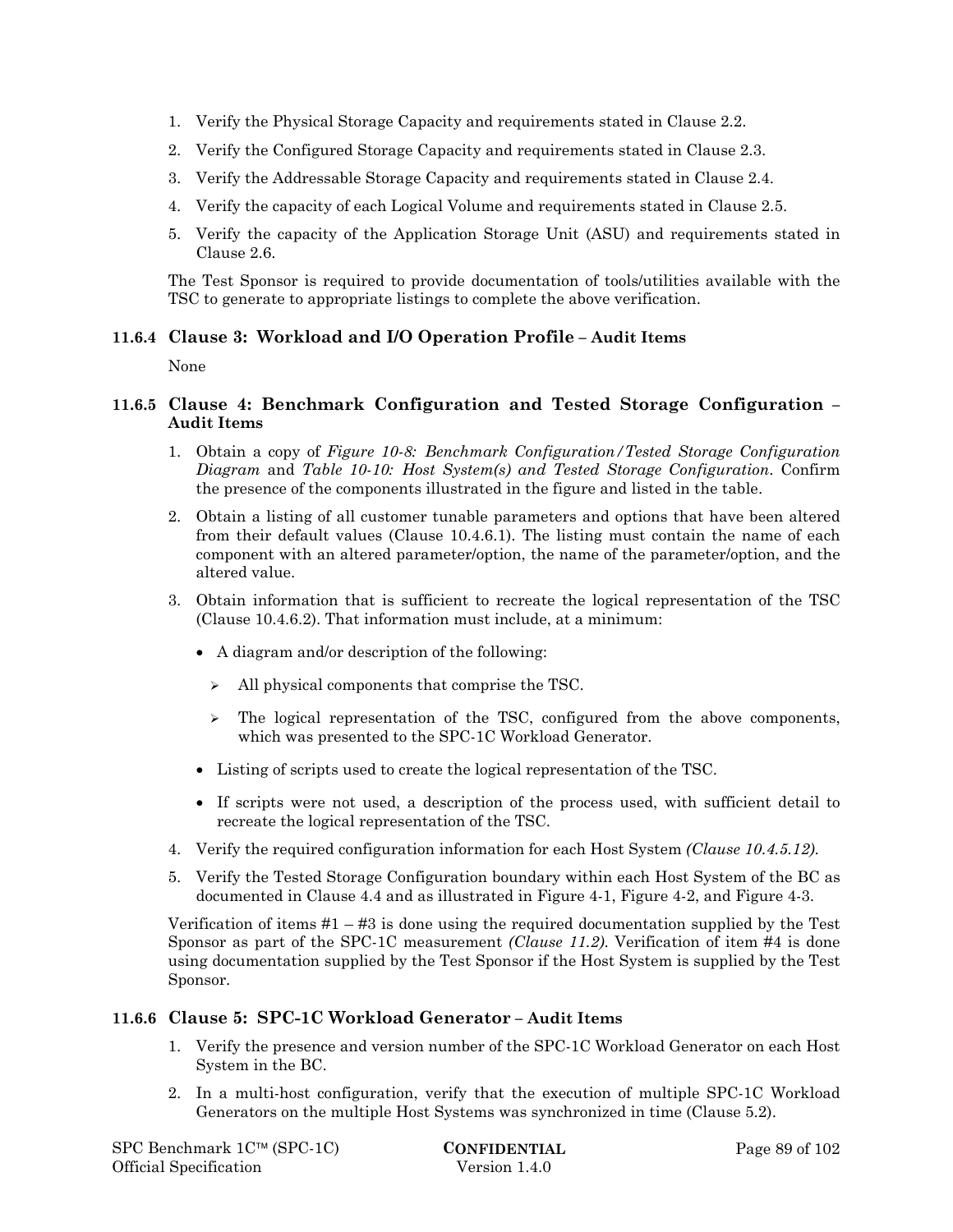- 1. Verify the Physical Storage Capacity and requirements stated in Clause 2.2.
- 2. Verify the Configured Storage Capacity and requirements stated in Clause 2.3.
- 3. Verify the Addressable Storage Capacity and requirements stated in Clause 2.4.
- 4. Verify the capacity of each Logical Volume and requirements stated in Clause 2.5.
- 5. Verify the capacity of the Application Storage Unit (ASU) and requirements stated in Clause 2.6.

The Test Sponsor is required to provide documentation of tools/utilities available with the TSC to generate to appropriate listings to complete the above verification.

## **11.6.4 Clause 3: Workload and I/O Operation Profile – Audit Items**

None

## **11.6.5 Clause 4: Benchmark Configuration and Tested Storage Configuration – Audit Items**

- 1. Obtain a copy of *Figure 10-8: Benchmark Configuration/Tested Storage Configuration Diagram* and *Table 10-10: Host System(s) and Tested Storage Configuration*. Confirm the presence of the components illustrated in the figure and listed in the table.
- 2. Obtain a listing of all customer tunable parameters and options that have been altered from their default values (Clause 10.4.6.1). The listing must contain the name of each component with an altered parameter/option, the name of the parameter/option, and the altered value.
- 3. Obtain information that is sufficient to recreate the logical representation of the TSC (Clause 10.4.6.2). That information must include, at a minimum:
	- A diagram and/or description of the following:
		- $\triangleright$  All physical components that comprise the TSC.
		- $\geq$  The logical representation of the TSC, configured from the above components, which was presented to the SPC-1C Workload Generator.
	- Listing of scripts used to create the logical representation of the TSC.
	- If scripts were not used, a description of the process used, with sufficient detail to recreate the logical representation of the TSC.
- 4. Verify the required configuration information for each Host System *(Clause 10.4.5.12)*.
- 5. Verify the Tested Storage Configuration boundary within each Host System of the BC as documented in Clause 4.4 and as illustrated in Figure 4-1, Figure 4-2, and Figure 4-3.

Verification of items  $#1 - #3$  is done using the required documentation supplied by the Test Sponsor as part of the SPC-1C measurement *(Clause 11.2)*. Verification of item #4 is done using documentation supplied by the Test Sponsor if the Host System is supplied by the Test Sponsor.

## **11.6.6 Clause 5: SPC-1C Workload Generator – Audit Items**

- 1. Verify the presence and version number of the SPC-1C Workload Generator on each Host System in the BC.
- 2. In a multi-host configuration, verify that the execution of multiple SPC-1C Workload Generators on the multiple Host Systems was synchronized in time (Clause 5.2).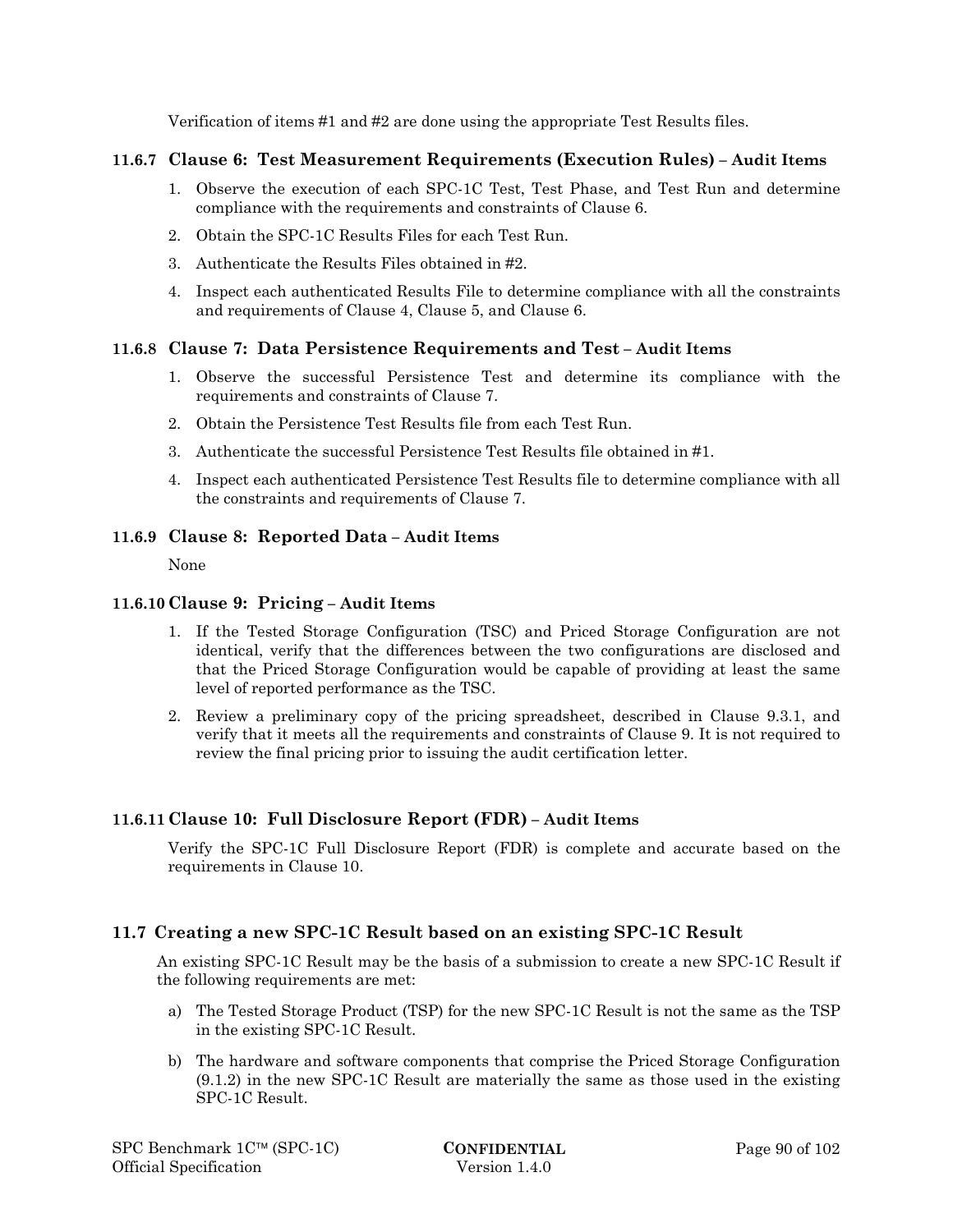Verification of items #1 and #2 are done using the appropriate Test Results files.

## **11.6.7 Clause 6: Test Measurement Requirements (Execution Rules) – Audit Items**

- 1. Observe the execution of each SPC-1C Test, Test Phase, and Test Run and determine compliance with the requirements and constraints of Clause 6.
- 2. Obtain the SPC-1C Results Files for each Test Run.
- 3. Authenticate the Results Files obtained in #2.
- 4. Inspect each authenticated Results File to determine compliance with all the constraints and requirements of Clause 4, Clause 5, and Clause 6.

## **11.6.8 Clause 7: Data Persistence Requirements and Test – Audit Items**

- 1. Observe the successful Persistence Test and determine its compliance with the requirements and constraints of Clause 7.
- 2. Obtain the Persistence Test Results file from each Test Run.
- 3. Authenticate the successful Persistence Test Results file obtained in #1.
- 4. Inspect each authenticated Persistence Test Results file to determine compliance with all the constraints and requirements of Clause 7.

## **11.6.9 Clause 8: Reported Data – Audit Items**

None

## **11.6.10Clause 9: Pricing – Audit Items**

- 1. If the Tested Storage Configuration (TSC) and Priced Storage Configuration are not identical, verify that the differences between the two configurations are disclosed and that the Priced Storage Configuration would be capable of providing at least the same level of reported performance as the TSC.
- 2. Review a preliminary copy of the pricing spreadsheet, described in Clause 9.3.1, and verify that it meets all the requirements and constraints of Clause 9. It is not required to review the final pricing prior to issuing the audit certification letter.

## **11.6.11Clause 10: Full Disclosure Report (FDR) – Audit Items**

Verify the SPC-1C Full Disclosure Report (FDR) is complete and accurate based on the requirements in Clause 10.

## **11.7 Creating a new SPC-1C Result based on an existing SPC-1C Result**

An existing SPC-1C Result may be the basis of a submission to create a new SPC-1C Result if the following requirements are met:

- a) The Tested Storage Product (TSP) for the new SPC-1C Result is not the same as the TSP in the existing SPC-1C Result.
- b) The hardware and software components that comprise the Priced Storage Configuration (9.1.2) in the new SPC-1C Result are materially the same as those used in the existing SPC-1C Result.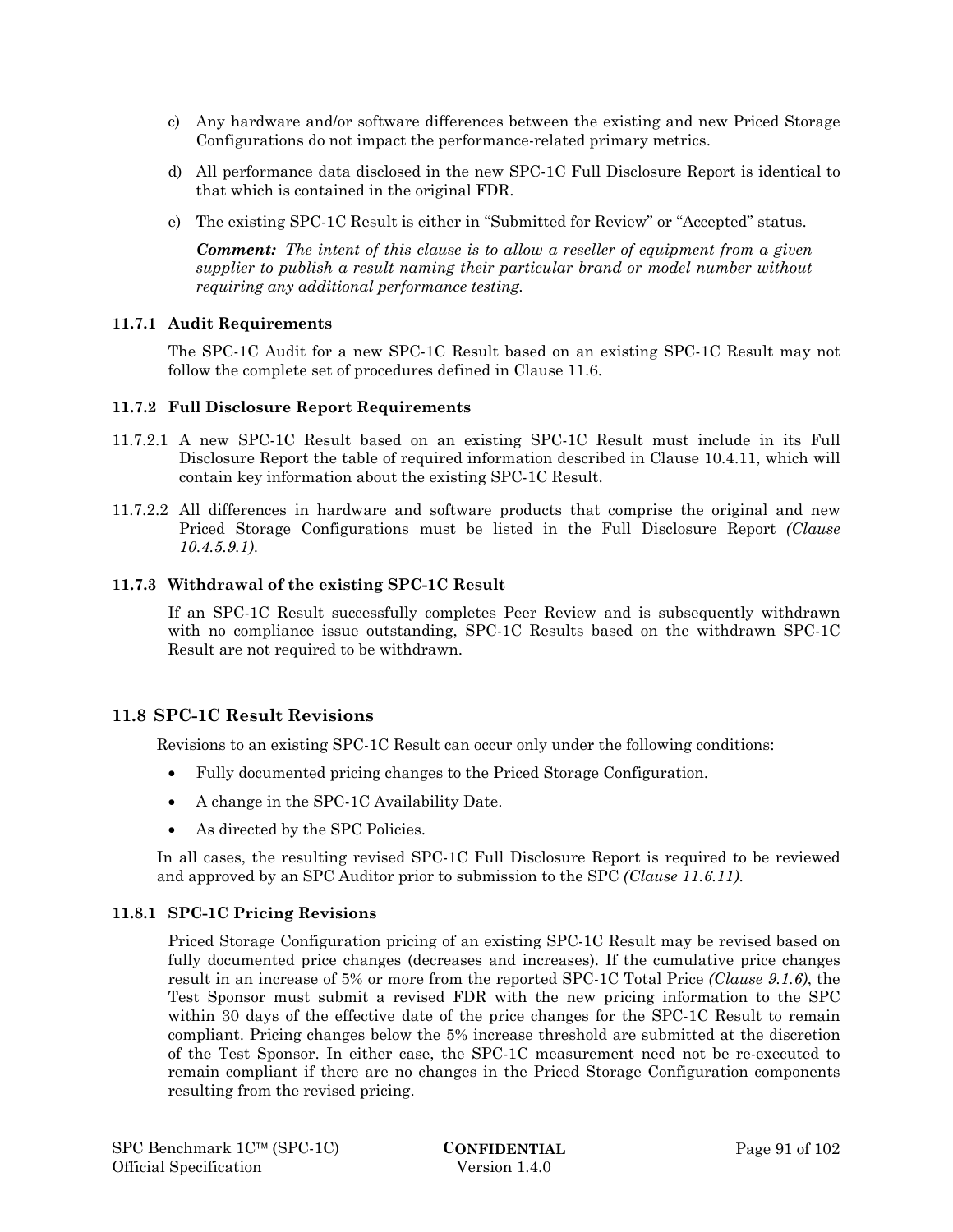- c) Any hardware and/or software differences between the existing and new Priced Storage Configurations do not impact the performance-related primary metrics.
- d) All performance data disclosed in the new SPC-1C Full Disclosure Report is identical to that which is contained in the original FDR.
- e) The existing SPC-1C Result is either in "Submitted for Review" or "Accepted" status.

*Comment: The intent of this clause is to allow a reseller of equipment from a given supplier to publish a result naming their particular brand or model number without requiring any additional performance testing.* 

#### **11.7.1 Audit Requirements**

The SPC-1C Audit for a new SPC-1C Result based on an existing SPC-1C Result may not follow the complete set of procedures defined in Clause 11.6.

#### **11.7.2 Full Disclosure Report Requirements**

- 11.7.2.1 A new SPC-1C Result based on an existing SPC-1C Result must include in its Full Disclosure Report the table of required information described in Clause 10.4.11, which will contain key information about the existing SPC-1C Result.
- 11.7.2.2 All differences in hardware and software products that comprise the original and new Priced Storage Configurations must be listed in the Full Disclosure Report *(Clause 10.4.5.9.1)*.

#### **11.7.3 Withdrawal of the existing SPC-1C Result**

If an SPC-1C Result successfully completes Peer Review and is subsequently withdrawn with no compliance issue outstanding, SPC-1C Results based on the withdrawn SPC-1C Result are not required to be withdrawn.

## **11.8 SPC-1C Result Revisions**

Revisions to an existing SPC-1C Result can occur only under the following conditions:

- Fully documented pricing changes to the Priced Storage Configuration.
- A change in the SPC-1C Availability Date.
- As directed by the SPC Policies.

In all cases, the resulting revised SPC-1C Full Disclosure Report is required to be reviewed and approved by an SPC Auditor prior to submission to the SPC *(Clause 11.6.11)*.

#### **11.8.1 SPC-1C Pricing Revisions**

Priced Storage Configuration pricing of an existing SPC-1C Result may be revised based on fully documented price changes (decreases and increases). If the cumulative price changes result in an increase of 5% or more from the reported SPC-1C Total Price *(Clause 9.1.6)*, the Test Sponsor must submit a revised FDR with the new pricing information to the SPC within 30 days of the effective date of the price changes for the SPC-1C Result to remain compliant. Pricing changes below the 5% increase threshold are submitted at the discretion of the Test Sponsor. In either case, the SPC-1C measurement need not be re-executed to remain compliant if there are no changes in the Priced Storage Configuration components resulting from the revised pricing.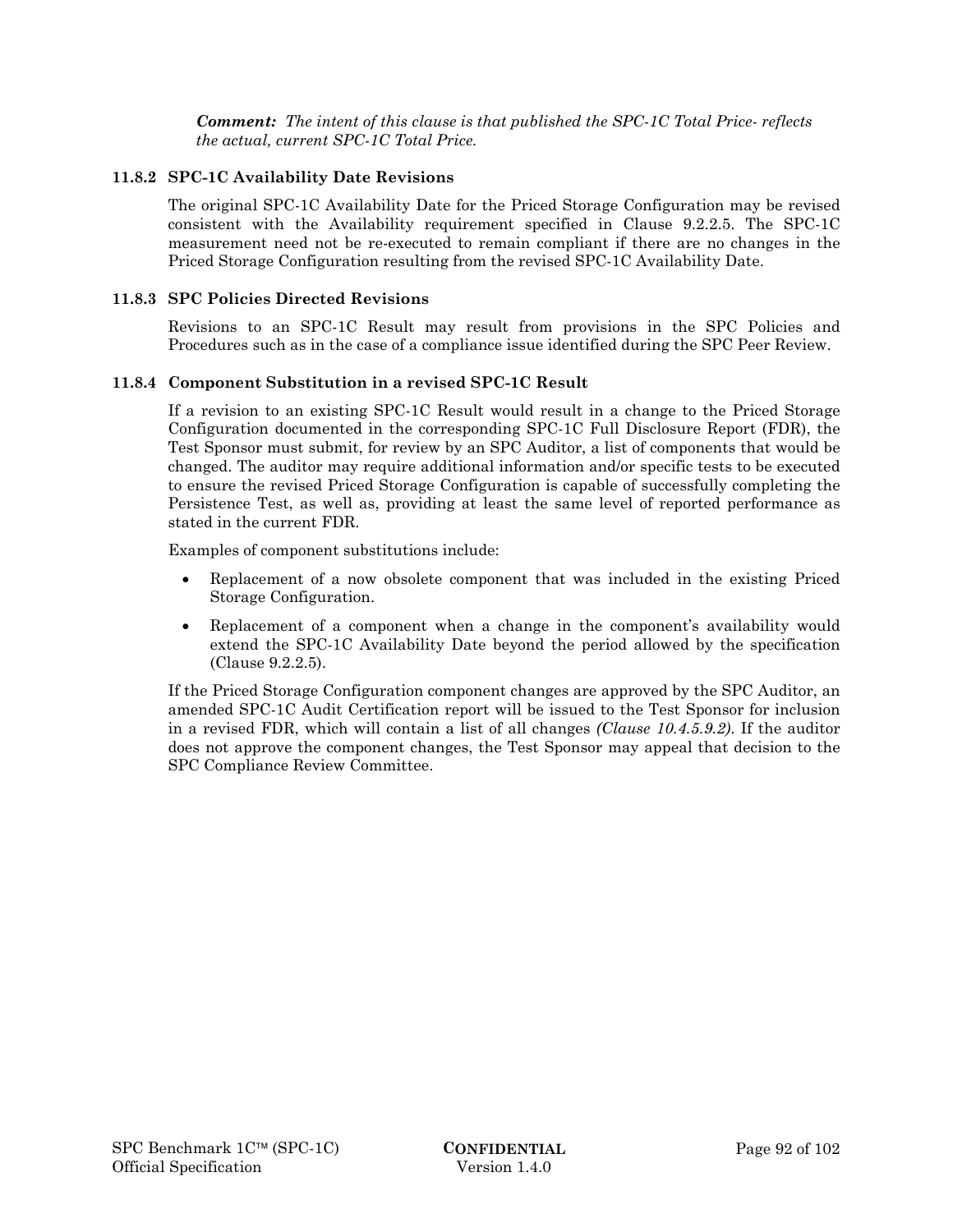*Comment: The intent of this clause is that published the SPC-1C Total Price- reflects the actual, current SPC-1C Total Price.* 

#### **11.8.2 SPC-1C Availability Date Revisions**

The original SPC-1C Availability Date for the Priced Storage Configuration may be revised consistent with the Availability requirement specified in Clause 9.2.2.5. The SPC-1C measurement need not be re-executed to remain compliant if there are no changes in the Priced Storage Configuration resulting from the revised SPC-1C Availability Date.

#### **11.8.3 SPC Policies Directed Revisions**

Revisions to an SPC-1C Result may result from provisions in the SPC Policies and Procedures such as in the case of a compliance issue identified during the SPC Peer Review.

#### **11.8.4 Component Substitution in a revised SPC-1C Result**

If a revision to an existing SPC-1C Result would result in a change to the Priced Storage Configuration documented in the corresponding SPC-1C Full Disclosure Report (FDR), the Test Sponsor must submit, for review by an SPC Auditor, a list of components that would be changed. The auditor may require additional information and/or specific tests to be executed to ensure the revised Priced Storage Configuration is capable of successfully completing the Persistence Test, as well as, providing at least the same level of reported performance as stated in the current FDR.

Examples of component substitutions include:

- Replacement of a now obsolete component that was included in the existing Priced Storage Configuration.
- Replacement of a component when a change in the component's availability would extend the SPC-1C Availability Date beyond the period allowed by the specification (Clause 9.2.2.5).

If the Priced Storage Configuration component changes are approved by the SPC Auditor, an amended SPC-1C Audit Certification report will be issued to the Test Sponsor for inclusion in a revised FDR, which will contain a list of all changes *(Clause 10.4.5.9.2)*. If the auditor does not approve the component changes, the Test Sponsor may appeal that decision to the SPC Compliance Review Committee.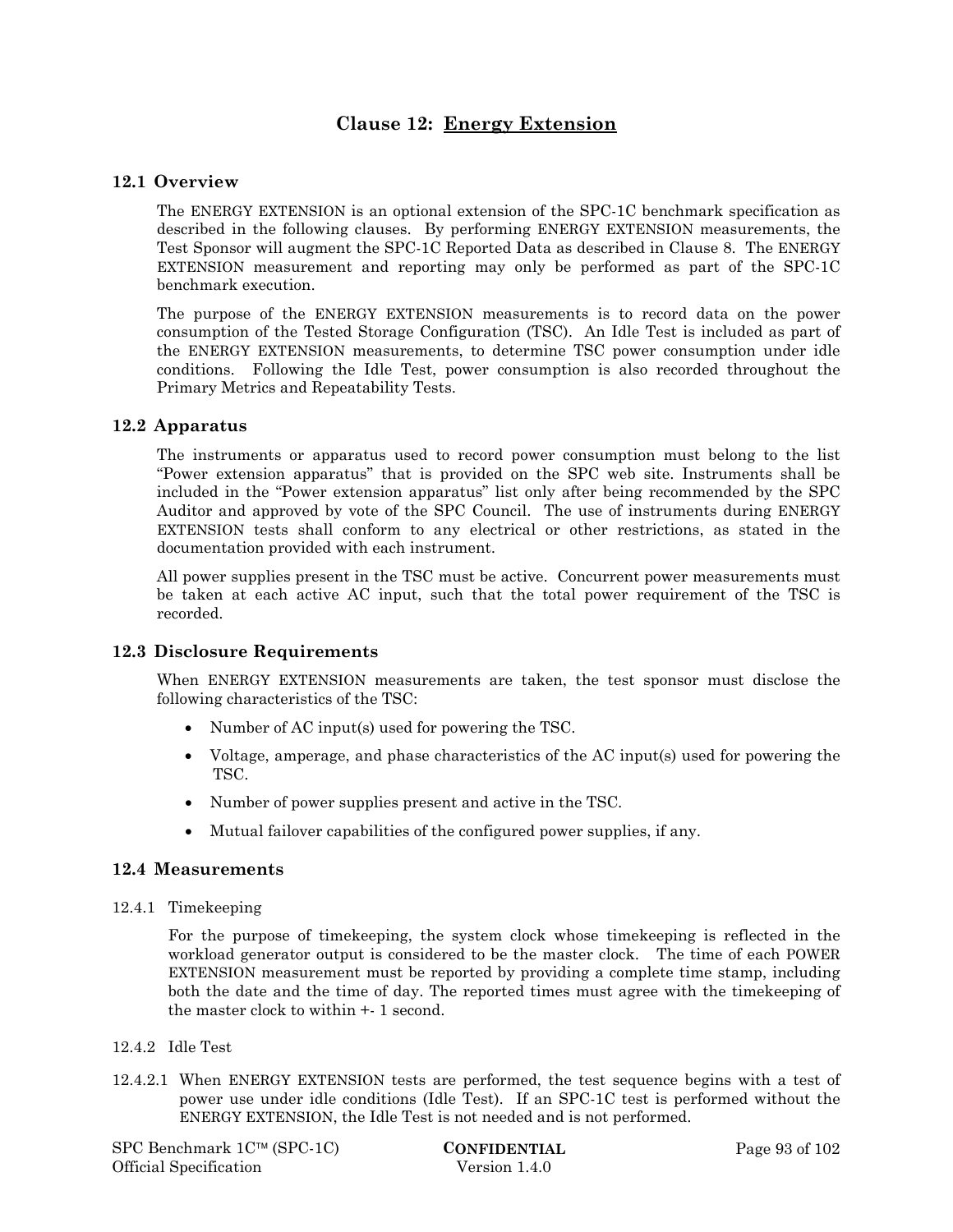## **Clause 12: Energy Extension**

### **12.1 Overview**

The ENERGY EXTENSION is an optional extension of the SPC-1C benchmark specification as described in the following clauses. By performing ENERGY EXTENSION measurements, the Test Sponsor will augment the SPC-1C Reported Data as described in Clause 8. The ENERGY EXTENSION measurement and reporting may only be performed as part of the SPC-1C benchmark execution.

The purpose of the ENERGY EXTENSION measurements is to record data on the power consumption of the Tested Storage Configuration (TSC). An Idle Test is included as part of the ENERGY EXTENSION measurements, to determine TSC power consumption under idle conditions. Following the Idle Test, power consumption is also recorded throughout the Primary Metrics and Repeatability Tests.

#### **12.2 Apparatus**

The instruments or apparatus used to record power consumption must belong to the list "Power extension apparatus" that is provided on the SPC web site. Instruments shall be included in the "Power extension apparatus" list only after being recommended by the SPC Auditor and approved by vote of the SPC Council. The use of instruments during ENERGY EXTENSION tests shall conform to any electrical or other restrictions, as stated in the documentation provided with each instrument.

All power supplies present in the TSC must be active. Concurrent power measurements must be taken at each active AC input, such that the total power requirement of the TSC is recorded.

## **12.3 Disclosure Requirements**

When ENERGY EXTENSION measurements are taken, the test sponsor must disclose the following characteristics of the TSC:

- Number of AC input(s) used for powering the TSC.
- Voltage, amperage, and phase characteristics of the AC input(s) used for powering the TSC.
- Number of power supplies present and active in the TSC.
- Mutual failover capabilities of the configured power supplies, if any.

## **12.4 Measurements**

12.4.1 Timekeeping

For the purpose of timekeeping, the system clock whose timekeeping is reflected in the workload generator output is considered to be the master clock. The time of each POWER EXTENSION measurement must be reported by providing a complete time stamp, including both the date and the time of day. The reported times must agree with the timekeeping of the master clock to within +- 1 second.

#### 12.4.2 Idle Test

12.4.2.1 When ENERGY EXTENSION tests are performed, the test sequence begins with a test of power use under idle conditions (Idle Test). If an SPC-1C test is performed without the ENERGY EXTENSION, the Idle Test is not needed and is not performed.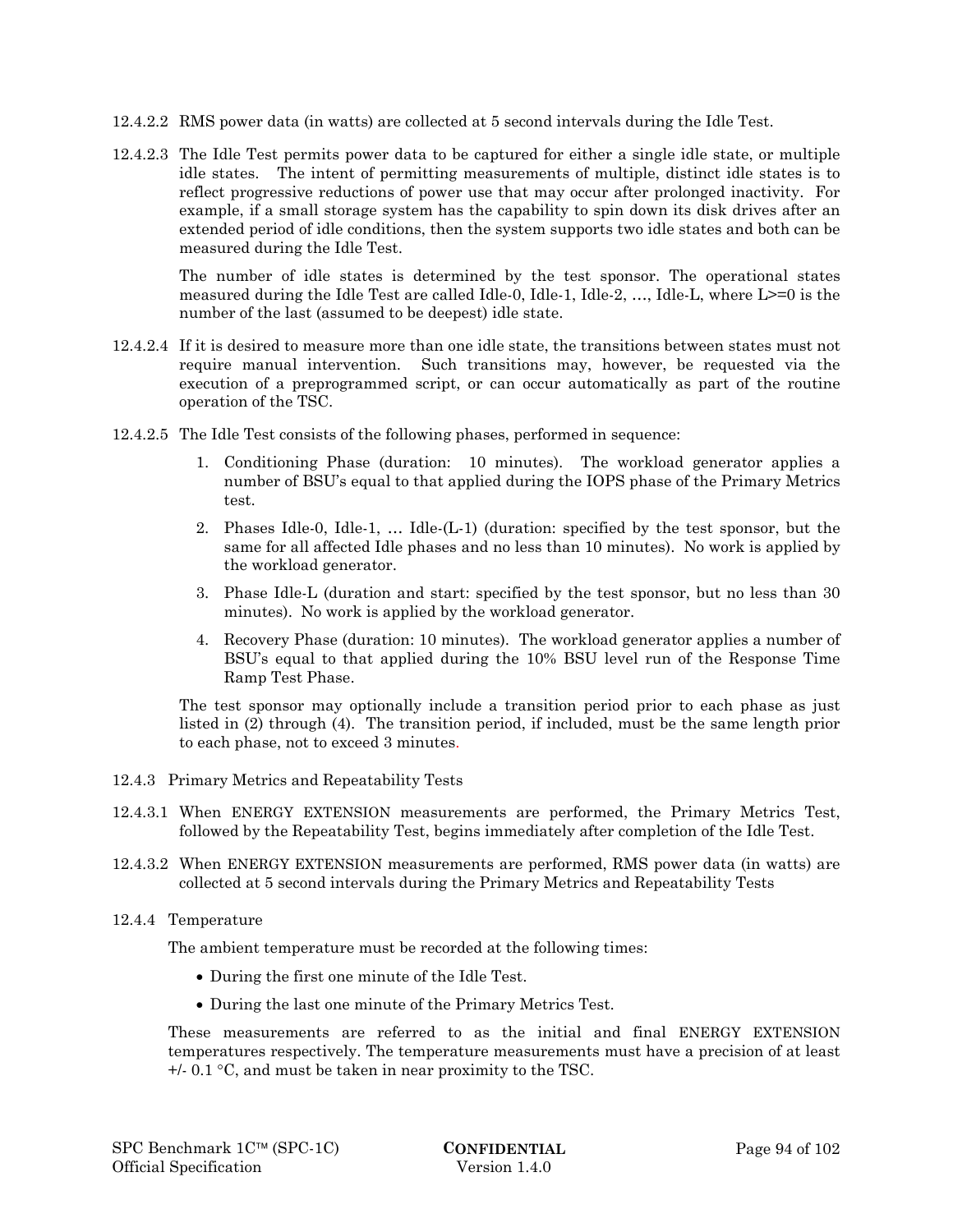- 12.4.2.2 RMS power data (in watts) are collected at 5 second intervals during the Idle Test.
- 12.4.2.3 The Idle Test permits power data to be captured for either a single idle state, or multiple idle states. The intent of permitting measurements of multiple, distinct idle states is to reflect progressive reductions of power use that may occur after prolonged inactivity. For example, if a small storage system has the capability to spin down its disk drives after an extended period of idle conditions, then the system supports two idle states and both can be measured during the Idle Test.

The number of idle states is determined by the test sponsor. The operational states measured during the Idle Test are called Idle-0, Idle-1, Idle-2, …, Idle-L, where L>=0 is the number of the last (assumed to be deepest) idle state.

- 12.4.2.4 If it is desired to measure more than one idle state, the transitions between states must not require manual intervention. Such transitions may, however, be requested via the execution of a preprogrammed script, or can occur automatically as part of the routine operation of the TSC.
- 12.4.2.5 The Idle Test consists of the following phases, performed in sequence:
	- 1. Conditioning Phase (duration: 10 minutes). The workload generator applies a number of BSU's equal to that applied during the IOPS phase of the Primary Metrics test.
	- 2. Phases Idle-0, Idle-1, … Idle-(L-1) (duration: specified by the test sponsor, but the same for all affected Idle phases and no less than 10 minutes). No work is applied by the workload generator.
	- 3. Phase Idle-L (duration and start: specified by the test sponsor, but no less than 30 minutes). No work is applied by the workload generator.
	- 4. Recovery Phase (duration: 10 minutes). The workload generator applies a number of BSU's equal to that applied during the 10% BSU level run of the Response Time Ramp Test Phase.

The test sponsor may optionally include a transition period prior to each phase as just listed in (2) through (4). The transition period, if included, must be the same length prior to each phase, not to exceed 3 minutes.

- 12.4.3 Primary Metrics and Repeatability Tests
- 12.4.3.1 When ENERGY EXTENSION measurements are performed, the Primary Metrics Test, followed by the Repeatability Test, begins immediately after completion of the Idle Test.
- 12.4.3.2 When ENERGY EXTENSION measurements are performed, RMS power data (in watts) are collected at 5 second intervals during the Primary Metrics and Repeatability Tests
- 12.4.4 Temperature

The ambient temperature must be recorded at the following times:

- During the first one minute of the Idle Test.
- During the last one minute of the Primary Metrics Test.

These measurements are referred to as the initial and final ENERGY EXTENSION temperatures respectively. The temperature measurements must have a precision of at least  $+/- 0.1$  °C, and must be taken in near proximity to the TSC.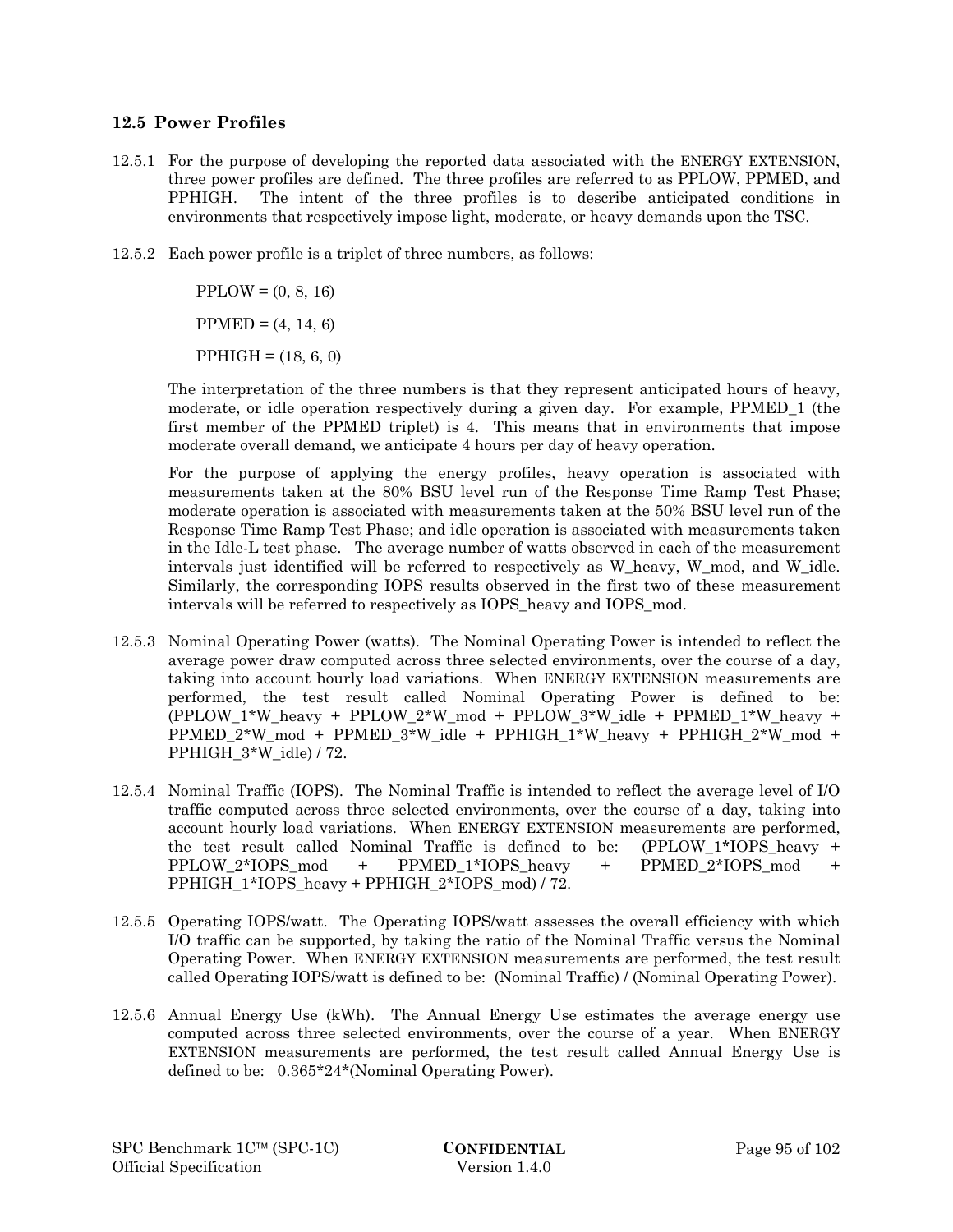## **12.5 Power Profiles**

- 12.5.1 For the purpose of developing the reported data associated with the ENERGY EXTENSION, three power profiles are defined. The three profiles are referred to as PPLOW, PPMED, and PPHIGH. The intent of the three profiles is to describe anticipated conditions in environments that respectively impose light, moderate, or heavy demands upon the TSC.
- 12.5.2 Each power profile is a triplet of three numbers, as follows:

 $PPLOW = (0, 8, 16)$ 

 $PPMED = (4, 14, 6)$ 

 $PPHIGH = (18, 6, 0)$ 

The interpretation of the three numbers is that they represent anticipated hours of heavy, moderate, or idle operation respectively during a given day. For example, PPMED\_1 (the first member of the PPMED triplet) is 4. This means that in environments that impose moderate overall demand, we anticipate 4 hours per day of heavy operation.

For the purpose of applying the energy profiles, heavy operation is associated with measurements taken at the 80% BSU level run of the Response Time Ramp Test Phase; moderate operation is associated with measurements taken at the 50% BSU level run of the Response Time Ramp Test Phase; and idle operation is associated with measurements taken in the Idle-L test phase. The average number of watts observed in each of the measurement intervals just identified will be referred to respectively as W\_heavy, W\_mod, and W\_idle. Similarly, the corresponding IOPS results observed in the first two of these measurement intervals will be referred to respectively as IOPS\_heavy and IOPS\_mod.

- 12.5.3 Nominal Operating Power (watts). The Nominal Operating Power is intended to reflect the average power draw computed across three selected environments, over the course of a day, taking into account hourly load variations. When ENERGY EXTENSION measurements are performed, the test result called Nominal Operating Power is defined to be: (PPLOW\_1\*W\_heavy + PPLOW\_2\*W\_mod + PPLOW\_3\*W\_idle + PPMED\_1\*W\_heavy + PPMED\_2\*W\_mod + PPMED\_3\*W\_idle + PPHIGH\_1\*W\_heavy + PPHIGH\_2\*W\_mod + PPHIGH\_3\*W\_idle) / 72.
- 12.5.4 Nominal Traffic (IOPS). The Nominal Traffic is intended to reflect the average level of I/O traffic computed across three selected environments, over the course of a day, taking into account hourly load variations. When ENERGY EXTENSION measurements are performed, the test result called Nominal Traffic is defined to be: (PPLOW\_1\*IOPS\_heavy + PPLOW\_2\*IOPS\_mod + PPMED\_1\*IOPS\_heavy + PPMED\_2\*IOPS\_mod + PPHIGH\_1\*IOPS\_heavy + PPHIGH\_2\*IOPS\_mod) / 72.
- 12.5.5 Operating IOPS/watt. The Operating IOPS/watt assesses the overall efficiency with which I/O traffic can be supported, by taking the ratio of the Nominal Traffic versus the Nominal Operating Power. When ENERGY EXTENSION measurements are performed, the test result called Operating IOPS/watt is defined to be: (Nominal Traffic) / (Nominal Operating Power).
- 12.5.6 Annual Energy Use (kWh). The Annual Energy Use estimates the average energy use computed across three selected environments, over the course of a year. When ENERGY EXTENSION measurements are performed, the test result called Annual Energy Use is defined to be: 0.365\*24\*(Nominal Operating Power).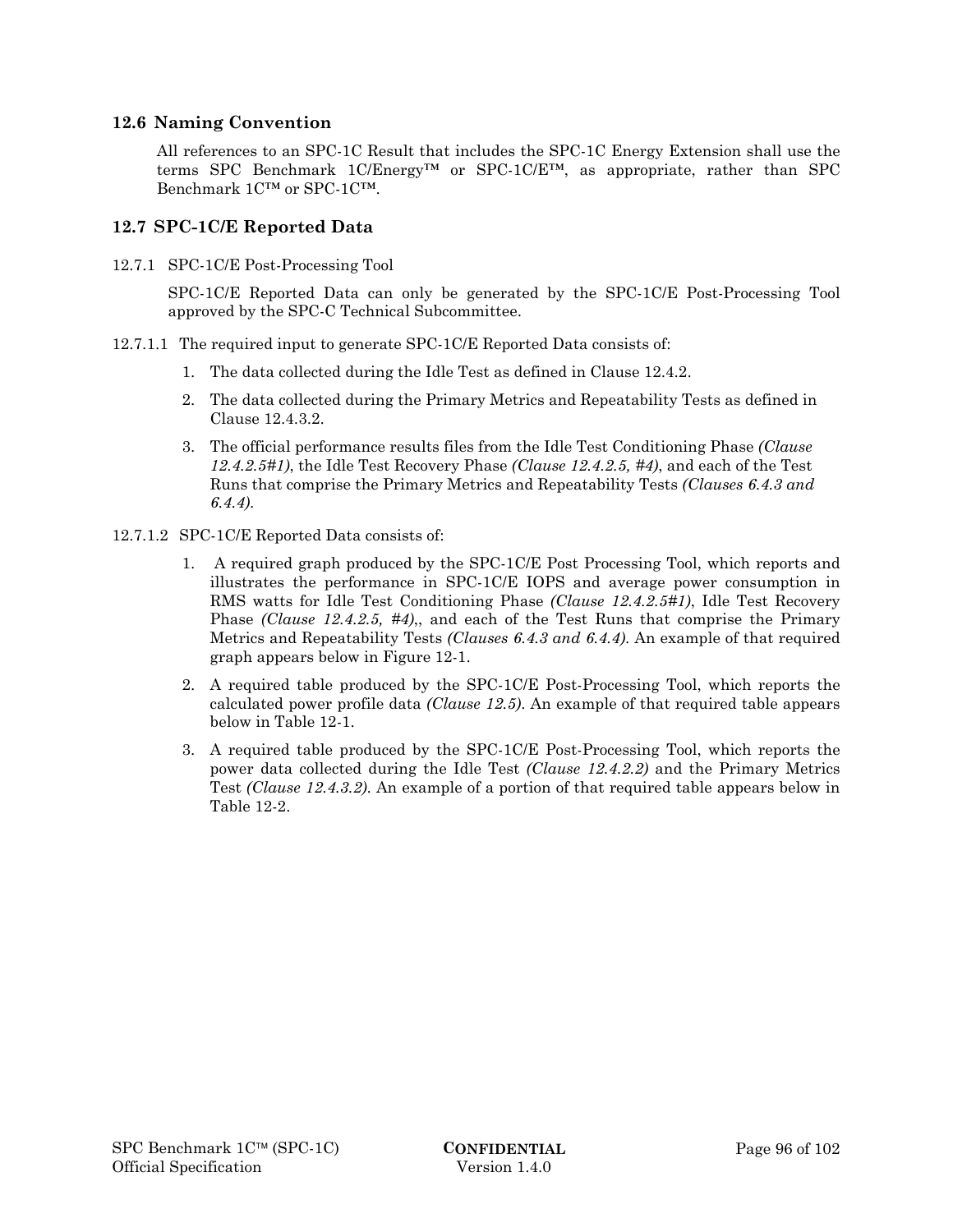### **12.6 Naming Convention**

All references to an SPC-1C Result that includes the SPC-1C Energy Extension shall use the terms SPC Benchmark  $1C/Energy^{TM}$  or SPC-1C/E<sup>TM</sup>, as appropriate, rather than SPC Benchmark 1C™ or SPC-1C™.

## **12.7 SPC-1C/E Reported Data**

12.7.1 SPC-1C/E Post-Processing Tool

SPC-1C/E Reported Data can only be generated by the SPC-1C/E Post-Processing Tool approved by the SPC-C Technical Subcommittee.

- 12.7.1.1 The required input to generate SPC-1C/E Reported Data consists of:
	- 1. The data collected during the Idle Test as defined in Clause 12.4.2.
	- 2. The data collected during the Primary Metrics and Repeatability Tests as defined in Clause 12.4.3.2.
	- 3. The official performance results files from the Idle Test Conditioning Phase *(Clause 12.4.2.5#1)*, the Idle Test Recovery Phase *(Clause 12.4.2.5, #4)*, and each of the Test Runs that comprise the Primary Metrics and Repeatability Tests *(Clauses 6.4.3 and 6.4.4)*.
- 12.7.1.2 SPC-1C/E Reported Data consists of:
	- 1. A required graph produced by the SPC-1C/E Post Processing Tool, which reports and illustrates the performance in SPC-1C/E IOPS and average power consumption in RMS watts for Idle Test Conditioning Phase *(Clause 12.4.2.5#1)*, Idle Test Recovery Phase *(Clause 12.4.2.5, #4)*,, and each of the Test Runs that comprise the Primary Metrics and Repeatability Tests *(Clauses 6.4.3 and 6.4.4)*. An example of that required graph appears below in Figure 12-1.
	- 2. A required table produced by the SPC-1C/E Post-Processing Tool, which reports the calculated power profile data *(Clause 12.5)*. An example of that required table appears below in Table 12-1.
	- 3. A required table produced by the SPC-1C/E Post-Processing Tool, which reports the power data collected during the Idle Test *(Clause 12.4.2.2)* and the Primary Metrics Test *(Clause 12.4.3.2)*. An example of a portion of that required table appears below in Table 12-2.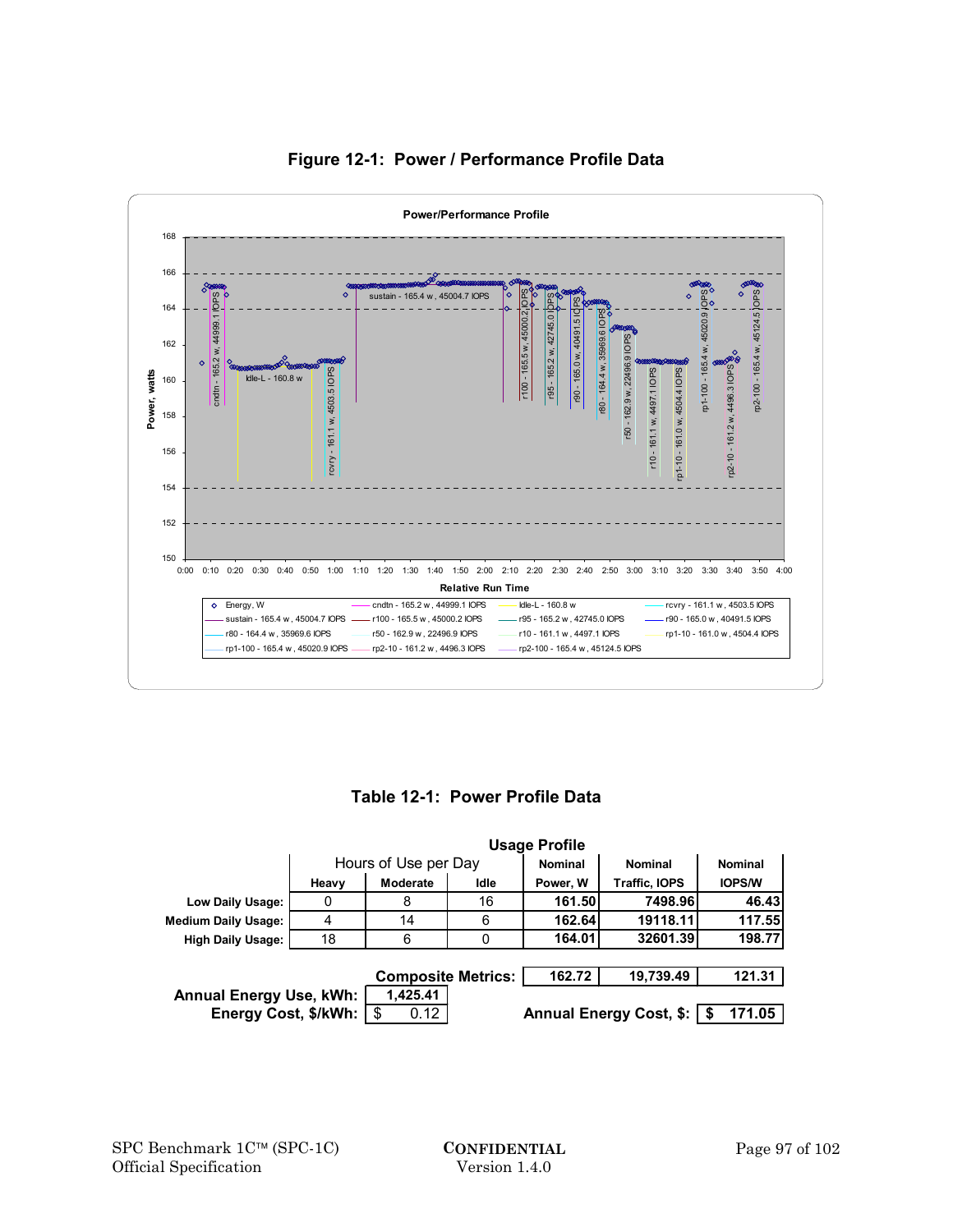

## **Figure 12-1: Power / Performance Profile Data**

**Table 12-1: Power Profile Data** 

|                                | <b>Usage Profile</b> |                           |      |                |                         |                |
|--------------------------------|----------------------|---------------------------|------|----------------|-------------------------|----------------|
|                                |                      | Hours of Use per Day      |      | <b>Nominal</b> | <b>Nominal</b>          | <b>Nominal</b> |
|                                | Heavy                | Moderate                  | Idle | Power, W       | <b>Traffic, IOPS</b>    | <b>IOPS/W</b>  |
| Low Daily Usage:               | 0                    | 8                         | 16   | 161.50         | 7498.96                 | 46.43          |
| <b>Medium Daily Usage:</b>     | 4                    | 14                        | 6    | 162.64         | 19118.11                | 117.55         |
| <b>High Daily Usage:</b>       | 18                   | 6                         | 0    | 164.01         | 32601.39                | 198.77         |
|                                |                      |                           |      |                |                         |                |
|                                |                      | <b>Composite Metrics:</b> |      | 162.72         | 19,739.49               | 121.31         |
| <b>Annual Energy Use, kWh:</b> |                      | 1,425.41                  |      |                |                         |                |
| Energy Cost, \$/kWh:           |                      | -\$<br>0.12               |      |                | Annual Energy Cost, \$: | 171.05         |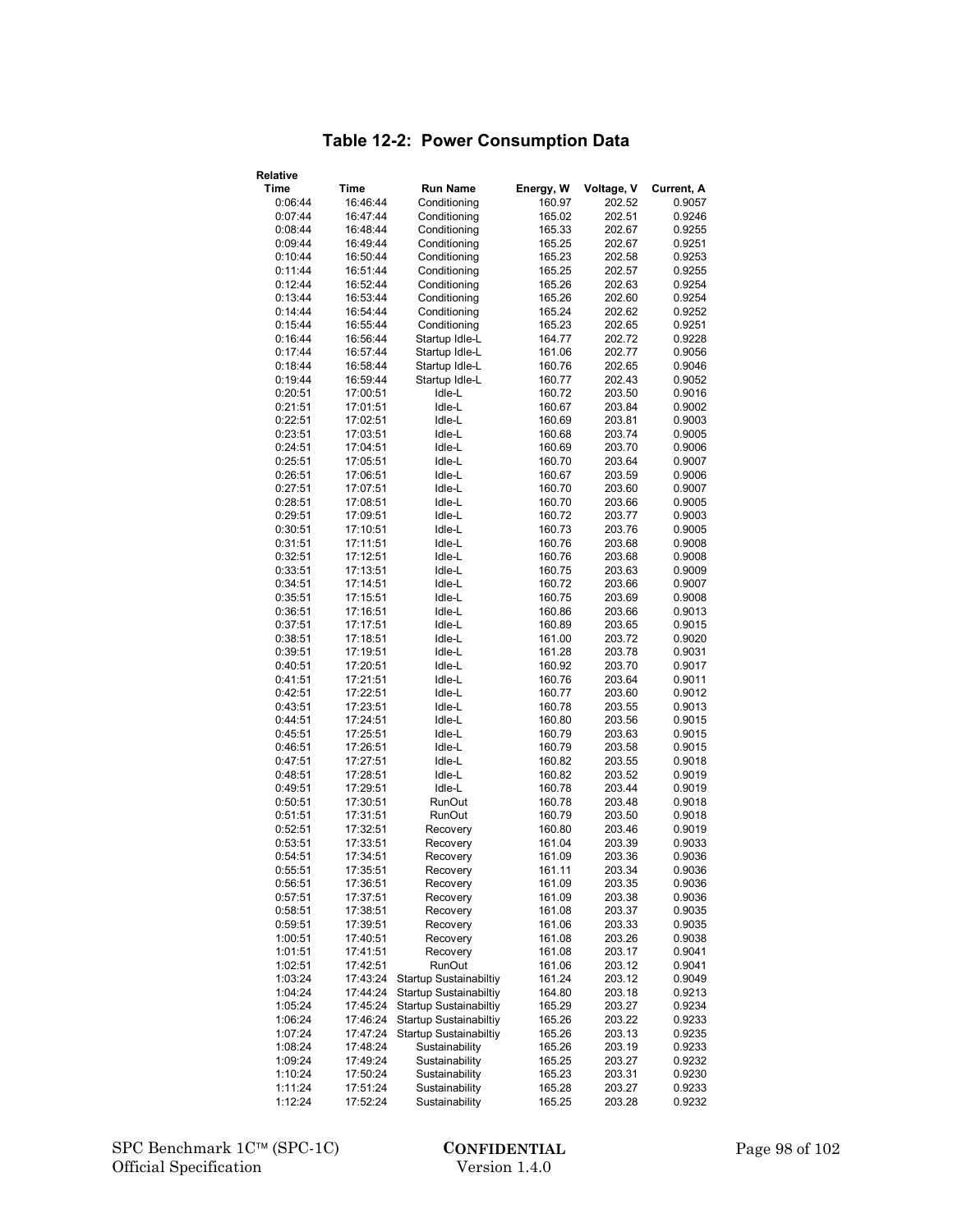# **Table 12-2: Power Consumption Data**

| Relative           |                      |                                          |                  |                  |                  |
|--------------------|----------------------|------------------------------------------|------------------|------------------|------------------|
| <b>Time</b>        | Time                 | <b>Run Name</b>                          | Energy, W        | Voltage, V       | Current, A       |
| 0:06:44            | 16:46:44             | Conditioning                             | 160.97           | 202.52           | 0.9057           |
| 0:07:44            | 16:47:44             | Conditioning                             | 165.02           | 202.51           | 0.9246           |
| 0:08:44            | 16:48:44             | Conditioning                             | 165.33           | 202.67           | 0.9255           |
| 0:09:44            | 16:49:44             | Conditioning                             | 165.25           | 202.67           | 0.9251           |
| 0:10:44            | 16:50:44             | Conditioning                             | 165.23           | 202.58           | 0.9253           |
| 0:11:44            | 16:51:44             | Conditioning                             | 165.25           | 202.57           | 0.9255           |
| 0:12:44            | 16:52:44             | Conditioning                             | 165.26           | 202.63           | 0.9254           |
| 0:13:44            | 16:53:44             | Conditioning                             | 165.26           | 202.60           | 0.9254           |
| 0:14:44            | 16:54:44             | Conditioning                             | 165.24           | 202.62           | 0.9252           |
| 0:15:44            | 16:55:44             | Conditioning                             | 165.23           | 202.65           | 0.9251           |
| 0:16:44            | 16:56:44             | Startup Idle-L                           | 164.77           | 202.72           | 0.9228           |
| 0:17:44            | 16:57:44             | Startup Idle-L                           | 161.06           | 202.77           | 0.9056           |
| 0:18:44            | 16:58:44             | Startup Idle-L                           | 160.76           | 202.65           | 0.9046           |
| 0:19:44            | 16:59:44             | Startup Idle-L                           | 160.77           | 202.43           | 0.9052           |
| 0:20:51            | 17:00:51             | Idle-L                                   | 160.72           | 203.50           | 0.9016           |
| 0:21:51            | 17:01:51             | Idle-L                                   | 160.67           | 203.84           | 0.9002           |
| 0:22:51            | 17:02:51             | Idle-L                                   | 160.69           | 203.81           | 0.9003           |
| 0:23:51            | 17:03:51             | Idle-L                                   | 160.68           | 203.74           | 0.9005           |
| 0:24:51            | 17:04:51             | Idle-L                                   | 160.69           | 203.70           | 0.9006           |
| 0:25:51            | 17:05:51             | Idle-L                                   | 160.70           | 203.64           | 0.9007           |
| 0:26:51            | 17:06:51             | Idle-L                                   | 160.67           | 203.59           | 0.9006           |
| 0:27:51            | 17:07:51             | Idle-L                                   | 160.70           | 203.60           | 0.9007           |
| 0:28:51<br>0:29:51 | 17:08:51             | Idle-L<br>Idle-L                         | 160.70           | 203.66<br>203.77 | 0.9005           |
| 0:30:51            | 17:09:51<br>17:10:51 | Idle-L                                   | 160.72<br>160.73 | 203.76           | 0.9003<br>0.9005 |
| 0:31:51            | 17:11:51             | Idle-L                                   | 160.76           | 203.68           | 0.9008           |
| 0:32:51            | 17:12:51             | Idle-L                                   | 160.76           | 203.68           | 0.9008           |
| 0:33:51            | 17:13:51             | Idle-L                                   | 160.75           | 203.63           | 0.9009           |
| 0:34:51            | 17:14:51             | Idle-L                                   | 160.72           | 203.66           | 0.9007           |
| 0:35:51            | 17:15:51             | Idle-L                                   | 160.75           | 203.69           | 0.9008           |
| 0:36:51            | 17:16:51             | Idle-L                                   | 160.86           | 203.66           | 0.9013           |
| 0:37:51            | 17:17:51             | Idle-L                                   | 160.89           | 203.65           | 0.9015           |
| 0:38:51            | 17:18:51             | Idle-L                                   | 161.00           | 203.72           | 0.9020           |
| 0:39:51            | 17:19:51             | Idle-L                                   | 161.28           | 203.78           | 0.9031           |
| 0:40:51            | 17:20:51             | Idle-L                                   | 160.92           | 203.70           | 0.9017           |
| 0:41:51            | 17:21:51             | Idle-L                                   | 160.76           | 203.64           | 0.9011           |
| 0:42:51            | 17:22:51             | Idle-L                                   | 160.77           | 203.60           | 0.9012           |
| 0:43:51            | 17:23:51             | Idle-L                                   | 160.78           | 203.55           | 0.9013           |
| 0:44:51            | 17:24:51             | Idle-L                                   | 160.80           | 203.56           | 0.9015           |
| 0:45:51            | 17:25:51             | Idle-L                                   | 160.79           | 203.63           | 0.9015           |
| 0:46:51            | 17:26:51             | Idle-L                                   | 160.79           | 203.58           | 0.9015           |
| 0:47:51            | 17:27:51             | Idle-L                                   | 160.82           | 203.55           | 0.9018           |
| 0:48:51<br>0:49:51 | 17:28:51<br>17:29:51 | Idle-L<br>Idle-L                         | 160.82<br>160.78 | 203.52<br>203.44 | 0.9019           |
| 0:50:51            | 17:30:51             | RunOut                                   | 160.78           | 203.48           | 0.9019<br>0.9018 |
| 0:51:51            | 17:31:51             | RunOut                                   | 160.79           | 203.50           | 0.9018           |
| 0:52:51            | 17:32:51             | Recovery                                 | 160.80           | 203.46           | 0.9019           |
| 0:53:51            | 17:33:51             | Recovery                                 | 161.04           | 203.39           | 0.9033           |
| 0:54:51            | 17:34:51             | Recovery                                 | 161.09           | 203.36           | 0.9036           |
| 0:55:51            | 17:35:51             | Recovery                                 | 161.11           | 203.34           | 0.9036           |
| 0:56:51            | 17:36:51             | Recovery                                 | 161.09           | 203.35           | 0.9036           |
| 0:57:51            | 17:37:51             | Recovery                                 | 161.09           | 203.38           | 0.9036           |
| 0:58:51            | 17:38:51             | Recovery                                 | 161.08           | 203.37           | 0.9035           |
| 0:59:51            | 17:39:51             | Recovery                                 | 161.06           | 203.33           | 0.9035           |
| 1:00:51            | 17:40:51             | Recovery                                 | 161.08           | 203.26           | 0.9038           |
| 1:01:51            | 17:41:51             | Recovery                                 | 161.08           | 203.17           | 0.9041           |
| 1:02:51            | 17:42:51             | <b>RunOut</b>                            | 161.06           | 203.12           | 0.9041           |
| 1:03:24            | 17:43:24             | Startup Sustainabiltiy                   | 161.24           | 203.12           | 0.9049           |
| 1:04:24            | 17:44:24             | Startup Sustainabiltiy                   | 164.80           | 203.18           | 0.9213           |
| 1:05:24            | 17:45:24             | Startup Sustainabiltiy                   | 165.29           | 203.27           | 0.9234           |
| 1:06:24            | 17:46:24             | Startup Sustainabiltiy                   | 165.26           | 203.22           | 0.9233           |
| 1:07:24<br>1:08:24 | 17:47:24<br>17:48:24 | Startup Sustainabiltiy<br>Sustainability | 165.26<br>165.26 | 203.13           | 0.9235           |
| 1:09:24            | 17:49:24             | Sustainability                           | 165.25           | 203.19<br>203.27 | 0.9233<br>0.9232 |
| 1:10:24            | 17:50:24             | Sustainability                           | 165.23           | 203.31           | 0.9230           |
| 1:11:24            | 17:51:24             | Sustainability                           | 165.28           | 203.27           | 0.9233           |
| 1:12:24            | 17:52:24             | Sustainability                           | 165.25           | 203.28           | 0.9232           |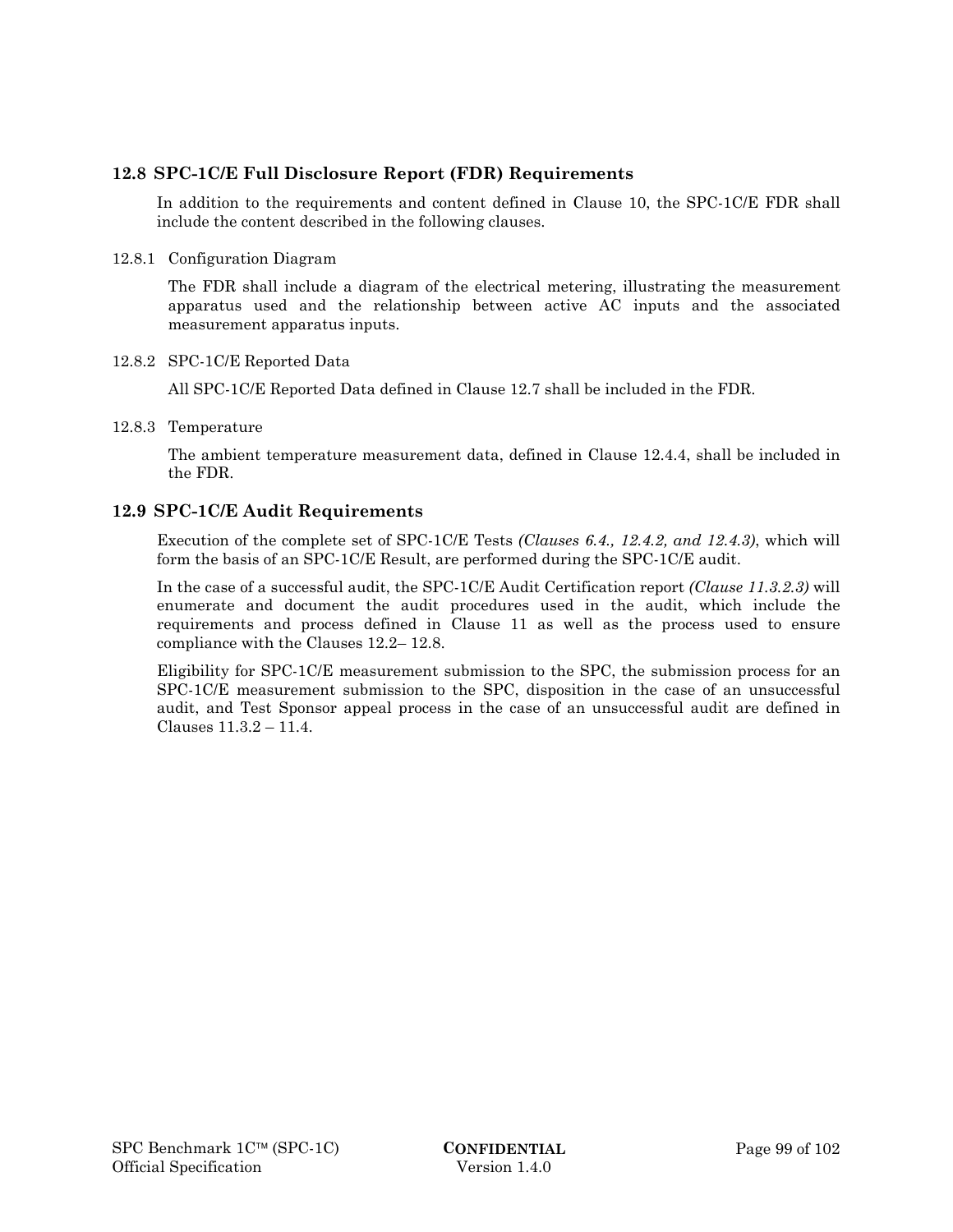## **12.8 SPC-1C/E Full Disclosure Report (FDR) Requirements**

In addition to the requirements and content defined in Clause 10, the SPC-1C/E FDR shall include the content described in the following clauses.

#### 12.8.1 Configuration Diagram

The FDR shall include a diagram of the electrical metering, illustrating the measurement apparatus used and the relationship between active AC inputs and the associated measurement apparatus inputs.

#### 12.8.2 SPC-1C/E Reported Data

All SPC-1C/E Reported Data defined in Clause 12.7 shall be included in the FDR.

#### 12.8.3 Temperature

The ambient temperature measurement data, defined in Clause 12.4.4, shall be included in the FDR.

## **12.9 SPC-1C/E Audit Requirements**

Execution of the complete set of SPC-1C/E Tests *(Clauses 6.4., 12.4.2, and 12.4.3)*, which will form the basis of an SPC-1C/E Result, are performed during the SPC-1C/E audit.

In the case of a successful audit, the SPC-1C/E Audit Certification report *(Clause 11.3.2.3)* will enumerate and document the audit procedures used in the audit, which include the requirements and process defined in Clause 11 as well as the process used to ensure compliance with the Clauses 12.2– 12.8.

Eligibility for SPC-1C/E measurement submission to the SPC, the submission process for an SPC-1C/E measurement submission to the SPC, disposition in the case of an unsuccessful audit, and Test Sponsor appeal process in the case of an unsuccessful audit are defined in Clauses 11.3.2 – 11.4.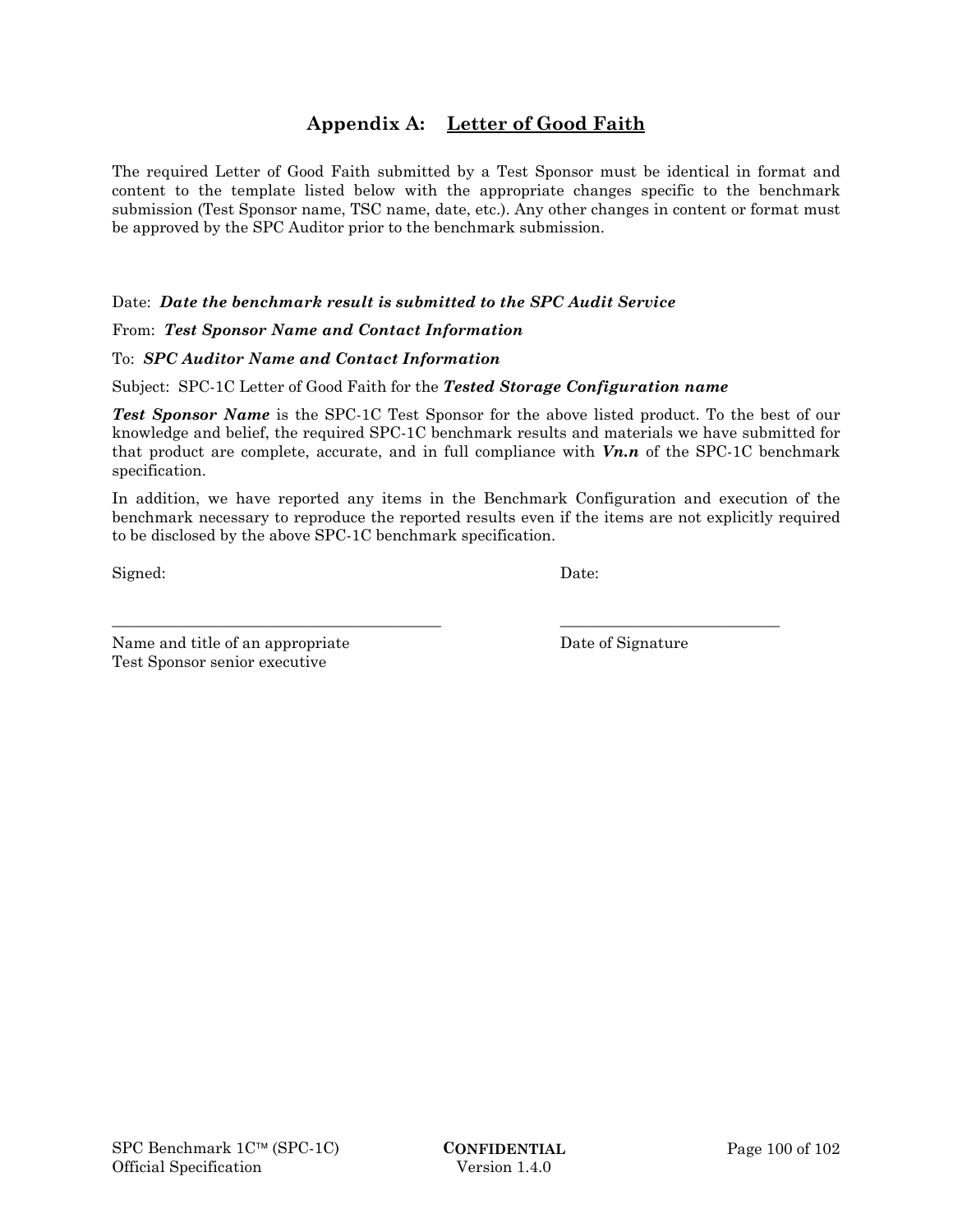# **Appendix A: Letter of Good Faith**

The required Letter of Good Faith submitted by a Test Sponsor must be identical in format and content to the template listed below with the appropriate changes specific to the benchmark submission (Test Sponsor name, TSC name, date, etc.). Any other changes in content or format must be approved by the SPC Auditor prior to the benchmark submission.

Date: *Date the benchmark result is submitted to the SPC Audit Service*

#### From: *Test Sponsor Name and Contact Information*

## To: *SPC Auditor Name and Contact Information*

Subject: SPC-1C Letter of Good Faith for the *Tested Storage Configuration name*

*Test Sponsor Name* is the SPC-1C Test Sponsor for the above listed product. To the best of our knowledge and belief, the required SPC-1C benchmark results and materials we have submitted for that product are complete, accurate, and in full compliance with *Vn.n* of the SPC-1C benchmark specification.

In addition, we have reported any items in the Benchmark Configuration and execution of the benchmark necessary to reproduce the reported results even if the items are not explicitly required to be disclosed by the above SPC-1C benchmark specification.

\_\_\_\_\_\_\_\_\_\_\_\_\_\_\_\_\_\_\_\_\_\_\_\_\_\_\_\_\_\_\_\_\_\_\_\_\_\_\_\_\_\_ \_\_\_\_\_\_\_\_\_\_\_\_\_\_\_\_\_\_\_\_\_\_\_\_\_\_\_\_

Signed: Date:

Name and title of an appropriate Date of Signature Test Sponsor senior executive